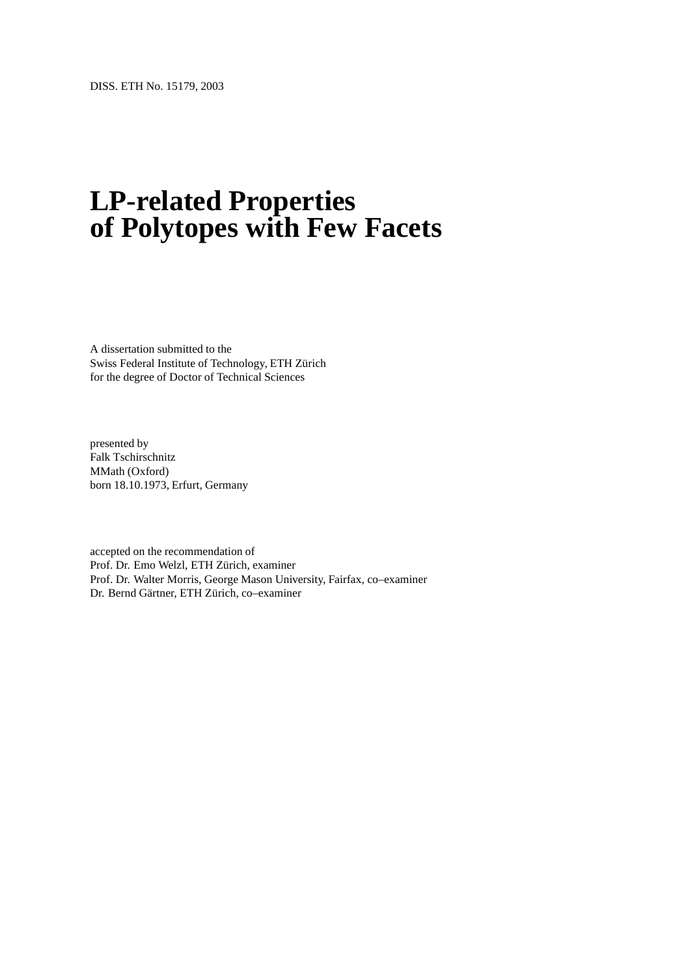# **LP-related Properties of Polytopes with Few Facets**

A dissertation submitted to the Swiss Federal Institute of Technology, ETH Zurich ¨ for the degree of Doctor of Technical Sciences

presented by Falk Tschirschnitz MMath (Oxford) born 18.10.1973, Erfurt, Germany

accepted on the recommendation of Prof. Dr. Emo Welzl, ETH Zürich, examiner Prof. Dr. Walter Morris, George Mason University, Fairfax, co–examiner Dr. Bernd Gärtner, ETH Zürich, co-examiner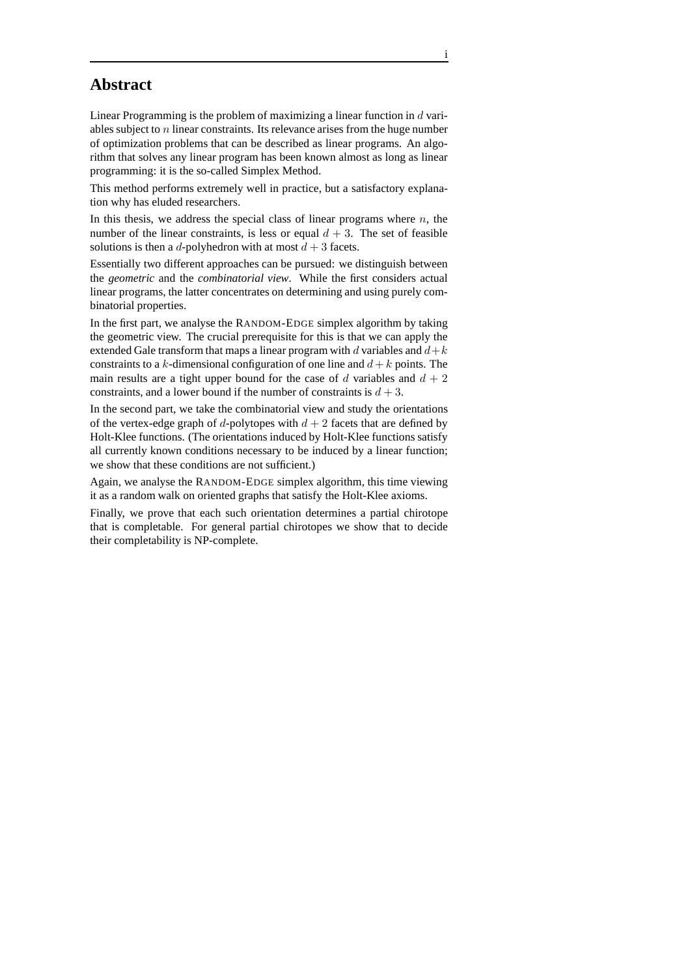### **Abstract**

Linear Programming is the problem of maximizing a linear function in d variables subject to n linear constraints. Its relevance arises from the huge number of optimization problems that can be described as linear programs. An algorithm that solves any linear program has been known almost as long as linear programming: it is the so-called Simplex Method.

This method performs extremely well in practice, but a satisfactory explanation why has eluded researchers.

In this thesis, we address the special class of linear programs where  $n$ , the number of the linear constraints, is less or equal  $d + 3$ . The set of feasible solutions is then a d-polyhedron with at most  $d + 3$  facets.

Essentially two different approaches can be pursued: we distinguish between the *geometric* and the *combinatorial view*. While the first considers actual linear programs, the latter concentrates on determining and using purely combinatorial properties.

In the first part, we analyse the RANDOM-EDGE simplex algorithm by taking the geometric view. The crucial prerequisite for this is that we can apply the extended Gale transform that maps a linear program with d variables and  $d+k$ constraints to a k-dimensional configuration of one line and  $d + k$  points. The main results are a tight upper bound for the case of  $d$  variables and  $d + 2$ constraints, and a lower bound if the number of constraints is  $d + 3$ .

In the second part, we take the combinatorial view and study the orientations of the vertex-edge graph of d-polytopes with  $d + 2$  facets that are defined by Holt-Klee functions. (The orientations induced by Holt-Klee functions satisfy all currently known conditions necessary to be induced by a linear function; we show that these conditions are not sufficient.)

Again, we analyse the RANDOM-EDGE simplex algorithm, this time viewing it as a random walk on oriented graphs that satisfy the Holt-Klee axioms.

Finally, we prove that each such orientation determines a partial chirotope that is completable. For general partial chirotopes we show that to decide their completability is NP-complete.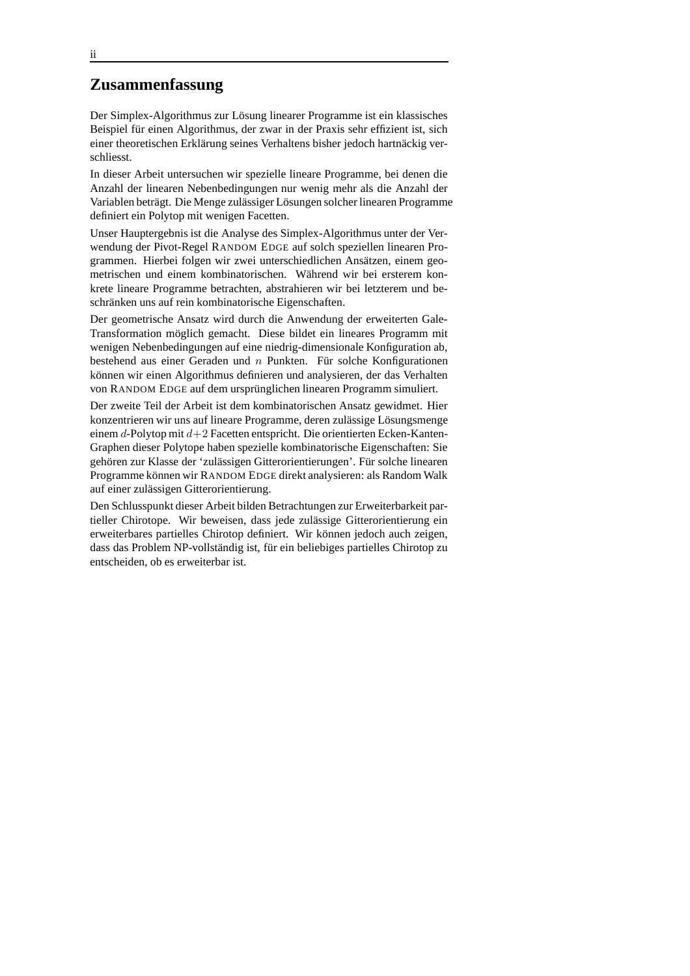#### **Zusammenfassung**

Der Simplex-Algorithmus zur Lösung linearer Programme ist ein klassisches Beispiel für einen Algorithmus, der zwar in der Praxis sehr effizient ist, sich einer theoretischen Erklärung seines Verhaltens bisher jedoch hartnäckig verschliesst.

In dieser Arbeit untersuchen wir spezielle lineare Programme, bei denen die Anzahl der linearen Nebenbedingungen nur wenig mehr als die Anzahl der Variablen beträgt. Die Menge zulässiger Lösungen solcher linearen Programme definiert ein Polytop mit wenigen Facetten.

Unser Hauptergebnis ist die Analyse des Simplex-Algorithmus unter der Verwendung der Pivot-Regel RANDOM EDGE auf solch speziellen linearen Programmen. Hierbei folgen wir zwei unterschiedlichen Ansätzen, einem geometrischen und einem kombinatorischen. Während wir bei ersterem konkrete lineare Programme betrachten, abstrahieren wir bei letzterem und beschränken uns auf rein kombinatorische Eigenschaften.

Der geometrische Ansatz wird durch die Anwendung der erweiterten Gale-Transformation möglich gemacht. Diese bildet ein lineares Programm mit wenigen Nebenbedingungen auf eine niedrig-dimensionale Konfiguration ab, bestehend aus einer Geraden und  $n$  Punkten. Für solche Konfigurationen können wir einen Algorithmus definieren und analysieren, der das Verhalten von RANDOM EDGE auf dem ursprünglichen linearen Programm simuliert.

Der zweite Teil der Arbeit ist dem kombinatorischen Ansatz gewidmet. Hier konzentrieren wir uns auf lineare Programme, deren zulässige Lösungsmenge einem d-Polytop mit d+2 Facetten entspricht. Die orientierten Ecken-Kanten-Graphen dieser Polytope haben spezielle kombinatorische Eigenschaften: Sie gehören zur Klasse der 'zulässigen Gitterorientierungen'. Für solche linearen Programme können wir RANDOM EDGE direkt analysieren: als Random Walk auf einer zulässigen Gitterorientierung.

Den Schlusspunkt dieser Arbeit bilden Betrachtungen zur Erweiterbarkeit partieller Chirotope. Wir beweisen, dass jede zulässige Gitterorientierung ein erweiterbares partielles Chirotop definiert. Wir können jedoch auch zeigen, dass das Problem NP-vollständig ist, für ein beliebiges partielles Chirotop zu entscheiden, ob es erweiterbar ist.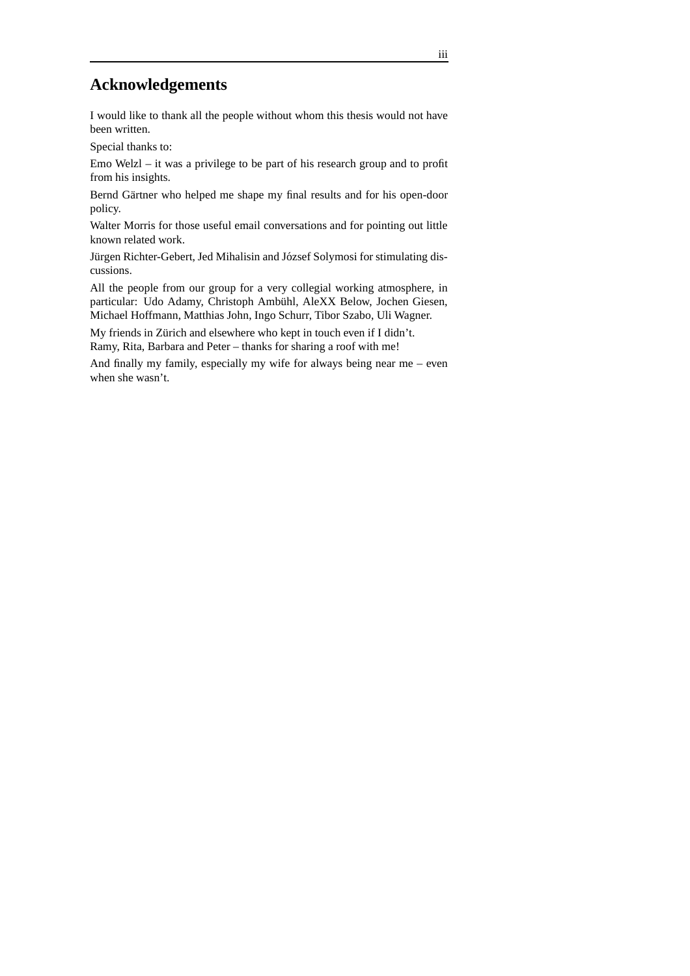## **Acknowledgements**

I would like to thank all the people without whom this thesis would not have been written.

Special thanks to:

Emo Welzl – it was a privilege to be part of his research group and to profit from his insights.

Bernd Gärtner who helped me shape my final results and for his open-door policy.

Walter Morris for those useful email conversations and for pointing out little known related work.

Jürgen Richter-Gebert, Jed Mihalisin and József Solymosi for stimulating discussions.

All the people from our group for a very collegial working atmosphere, in particular: Udo Adamy, Christoph Ambühl, AleXX Below, Jochen Giesen, Michael Hoffmann, Matthias John, Ingo Schurr, Tibor Szabo, Uli Wagner.

My friends in Zürich and elsewhere who kept in touch even if I didn't. Ramy, Rita, Barbara and Peter – thanks for sharing a roof with me!

And finally my family, especially my wife for always being near me – even when she wasn't.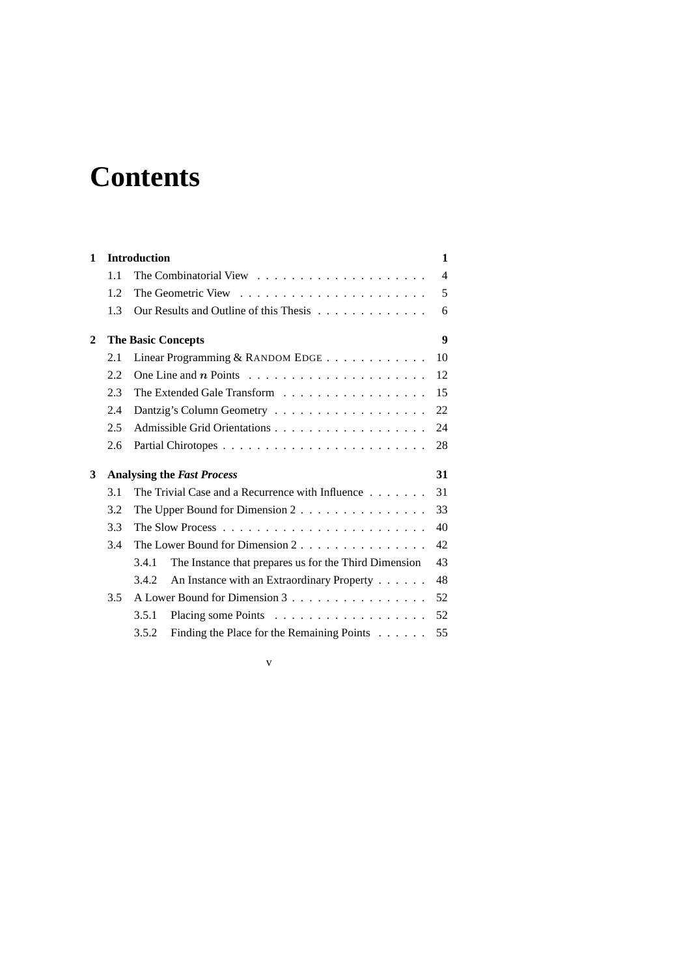# **Contents**

| $\mathbf{1}$                                  | <b>Introduction</b>                                                                                                                    |       |                                                                           |                |  |  |
|-----------------------------------------------|----------------------------------------------------------------------------------------------------------------------------------------|-------|---------------------------------------------------------------------------|----------------|--|--|
|                                               | 1.1                                                                                                                                    |       | The Combinatorial View $\ldots \ldots \ldots \ldots \ldots \ldots \ldots$ | $\overline{4}$ |  |  |
|                                               | 1.2.                                                                                                                                   |       |                                                                           | 5              |  |  |
|                                               | 1.3                                                                                                                                    |       | Our Results and Outline of this Thesis                                    | 6              |  |  |
| $\mathbf{2}$                                  | <b>The Basic Concepts</b>                                                                                                              |       |                                                                           |                |  |  |
|                                               | 2.1                                                                                                                                    |       | Linear Programming & RANDOM EDGE                                          | 10             |  |  |
|                                               | 2.2                                                                                                                                    |       |                                                                           | 12             |  |  |
|                                               | 2.3                                                                                                                                    |       | The Extended Gale Transform                                               | 15             |  |  |
|                                               | 2.4                                                                                                                                    |       | 22                                                                        |                |  |  |
|                                               | 2.5                                                                                                                                    |       |                                                                           | 24             |  |  |
|                                               | 2.6                                                                                                                                    |       |                                                                           | 28             |  |  |
| 3                                             | 31<br><b>Analysing the Fast Process</b>                                                                                                |       |                                                                           |                |  |  |
|                                               | 3.1<br>The Trivial Case and a Recurrence with Influence<br>3.2<br>The Upper Bound for Dimension $2 \ldots \ldots \ldots \ldots \ldots$ |       |                                                                           |                |  |  |
|                                               |                                                                                                                                        |       |                                                                           |                |  |  |
| 3.3<br>3.4<br>The Lower Bound for Dimension 2 |                                                                                                                                        |       |                                                                           | 40             |  |  |
|                                               |                                                                                                                                        |       |                                                                           | 42             |  |  |
|                                               |                                                                                                                                        | 3.4.1 | The Instance that prepares us for the Third Dimension                     | 43             |  |  |
|                                               |                                                                                                                                        | 3.4.2 | An Instance with an Extraordinary Property                                | 48             |  |  |
|                                               | 3.5                                                                                                                                    |       | A Lower Bound for Dimension 3                                             | 52             |  |  |
|                                               |                                                                                                                                        | 3.5.1 |                                                                           | 52             |  |  |
|                                               |                                                                                                                                        | 3.5.2 | Finding the Place for the Remaining Points                                | 55             |  |  |

v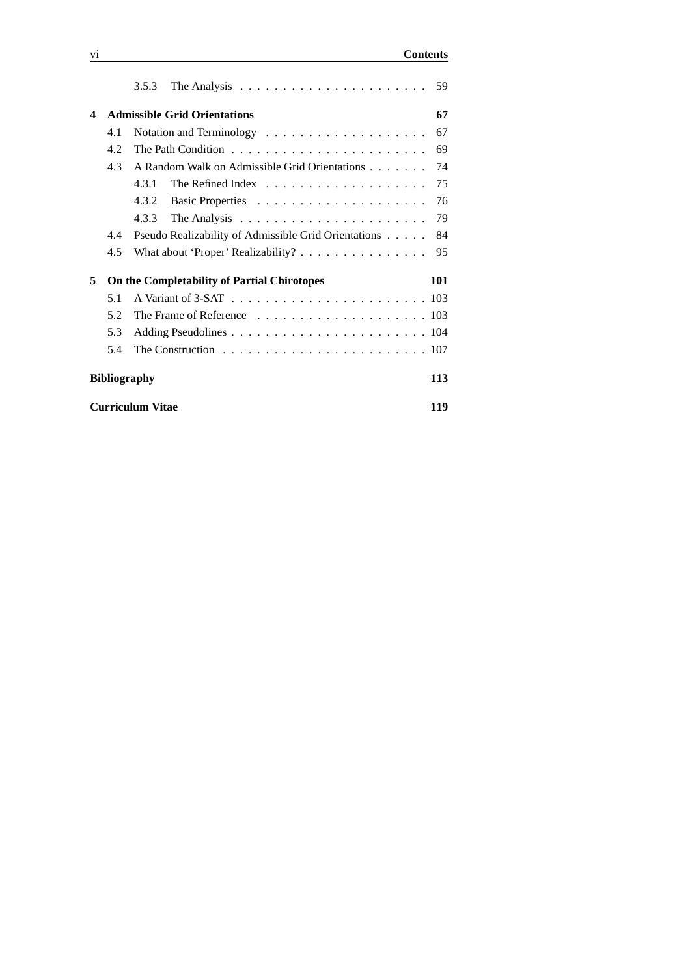|                                |     | 3.5.3                                                                                 | 59  |  |  |  |  |  |
|--------------------------------|-----|---------------------------------------------------------------------------------------|-----|--|--|--|--|--|
| 4                              |     | <b>Admissible Grid Orientations</b>                                                   |     |  |  |  |  |  |
|                                | 4.1 |                                                                                       | 67  |  |  |  |  |  |
|                                | 4.2 | The Path Condition $\ldots \ldots \ldots \ldots \ldots \ldots \ldots \ldots$          | 69  |  |  |  |  |  |
|                                | 4.3 | A Random Walk on Admissible Grid Orientations                                         | 74  |  |  |  |  |  |
|                                |     | 4.3.1                                                                                 | 75  |  |  |  |  |  |
|                                |     | 4.3.2                                                                                 | 76  |  |  |  |  |  |
|                                |     | 4.3.3<br>The Analysis $\ldots \ldots \ldots \ldots \ldots \ldots \ldots$              | 79  |  |  |  |  |  |
|                                | 4.4 | Pseudo Realizability of Admissible Grid Orientations                                  | 84  |  |  |  |  |  |
|                                | 4.5 |                                                                                       | 95  |  |  |  |  |  |
| 5                              |     | On the Completability of Partial Chirotopes                                           | 101 |  |  |  |  |  |
|                                | 5.1 |                                                                                       |     |  |  |  |  |  |
|                                | 5.2 |                                                                                       |     |  |  |  |  |  |
|                                | 5.3 |                                                                                       |     |  |  |  |  |  |
|                                | 5.4 | The Construction $\ldots \ldots \ldots \ldots \ldots \ldots \ldots \ldots \ldots 107$ |     |  |  |  |  |  |
| 113<br><b>Bibliography</b>     |     |                                                                                       |     |  |  |  |  |  |
| <b>Curriculum Vitae</b><br>119 |     |                                                                                       |     |  |  |  |  |  |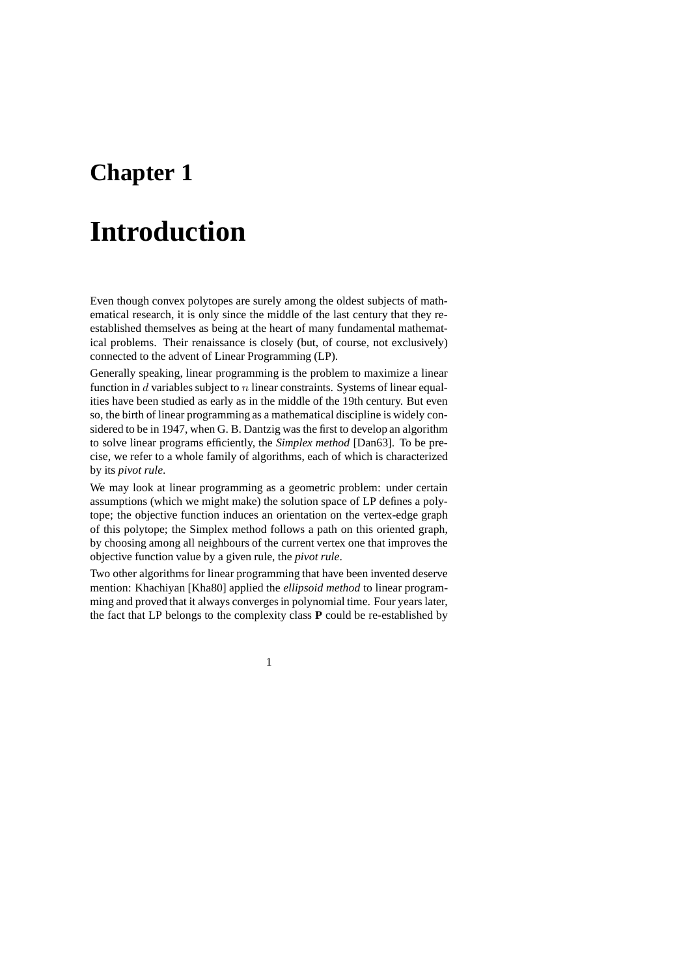## **Chapter 1**

## **Introduction**

Even though convex polytopes are surely among the oldest subjects of mathematical research, it is only since the middle of the last century that they reestablished themselves as being at the heart of many fundamental mathematical problems. Their renaissance is closely (but, of course, not exclusively) connected to the advent of Linear Programming (LP).

Generally speaking, linear programming is the problem to maximize a linear function in  $d$  variables subject to  $n$  linear constraints. Systems of linear equalities have been studied as early as in the middle of the 19th century. But even so, the birth of linear programming as a mathematical discipline is widely considered to be in 1947, when G. B. Dantzig was the first to develop an algorithm to solve linear programs efficiently, the *Simplex method* [Dan63]. To be precise, we refer to a whole family of algorithms, each of which is characterized by its *pivot rule*.

We may look at linear programming as a geometric problem: under certain assumptions (which we might make) the solution space of LP defines a polytope; the objective function induces an orientation on the vertex-edge graph of this polytope; the Simplex method follows a path on this oriented graph, by choosing among all neighbours of the current vertex one that improves the objective function value by a given rule, the *pivot rule*.

Two other algorithms for linear programming that have been invented deserve mention: Khachiyan [Kha80] applied the *ellipsoid method* to linear programming and proved that it always converges in polynomial time. Four years later, the fact that LP belongs to the complexity class **P** could be re-established by

1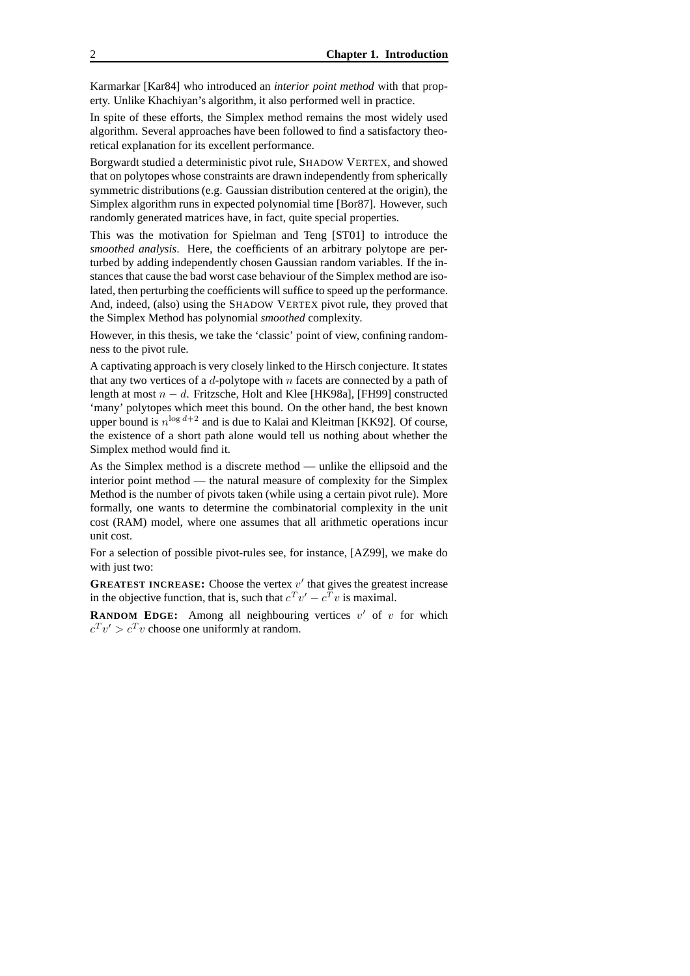Karmarkar [Kar84] who introduced an *interior point method* with that property. Unlike Khachiyan's algorithm, it also performed well in practice.

In spite of these efforts, the Simplex method remains the most widely used algorithm. Several approaches have been followed to find a satisfactory theoretical explanation for its excellent performance.

Borgwardt studied a deterministic pivot rule, SHADOW VERTEX, and showed that on polytopes whose constraints are drawn independently from spherically symmetric distributions (e.g. Gaussian distribution centered at the origin), the Simplex algorithm runs in expected polynomial time [Bor87]. However, such randomly generated matrices have, in fact, quite special properties.

This was the motivation for Spielman and Teng [ST01] to introduce the *smoothed analysis*. Here, the coefficients of an arbitrary polytope are perturbed by adding independently chosen Gaussian random variables. If the instances that cause the bad worst case behaviour of the Simplex method are isolated, then perturbing the coefficients will suffice to speed up the performance. And, indeed, (also) using the SHADOW VERTEX pivot rule, they proved that the Simplex Method has polynomial *smoothed* complexity.

However, in this thesis, we take the 'classic' point of view, confining randomness to the pivot rule.

A captivating approach is very closely linked to the Hirsch conjecture. It states that any two vertices of a d-polytope with n facets are connected by a path of length at most  $n - d$ . Fritzsche, Holt and Klee [HK98a], [FH99] constructed 'many' polytopes which meet this bound. On the other hand, the best known upper bound is  $n^{\log d+2}$  and is due to Kalai and Kleitman [KK92]. Of course, the existence of a short path alone would tell us nothing about whether the Simplex method would find it.

As the Simplex method is a discrete method — unlike the ellipsoid and the interior point method — the natural measure of complexity for the Simplex Method is the number of pivots taken (while using a certain pivot rule). More formally, one wants to determine the combinatorial complexity in the unit cost (RAM) model, where one assumes that all arithmetic operations incur unit cost.

For a selection of possible pivot-rules see, for instance, [AZ99], we make do with just two:

**GREATEST INCREASE:** Choose the vertex  $v'$  that gives the greatest increase in the objective function, that is, such that  $c^T v' - c^T v$  is maximal.

**RANDOM EDGE:** Among all neighbouring vertices  $v'$  of  $v$  for which  $c^T v' > c^T v$  choose one uniformly at random.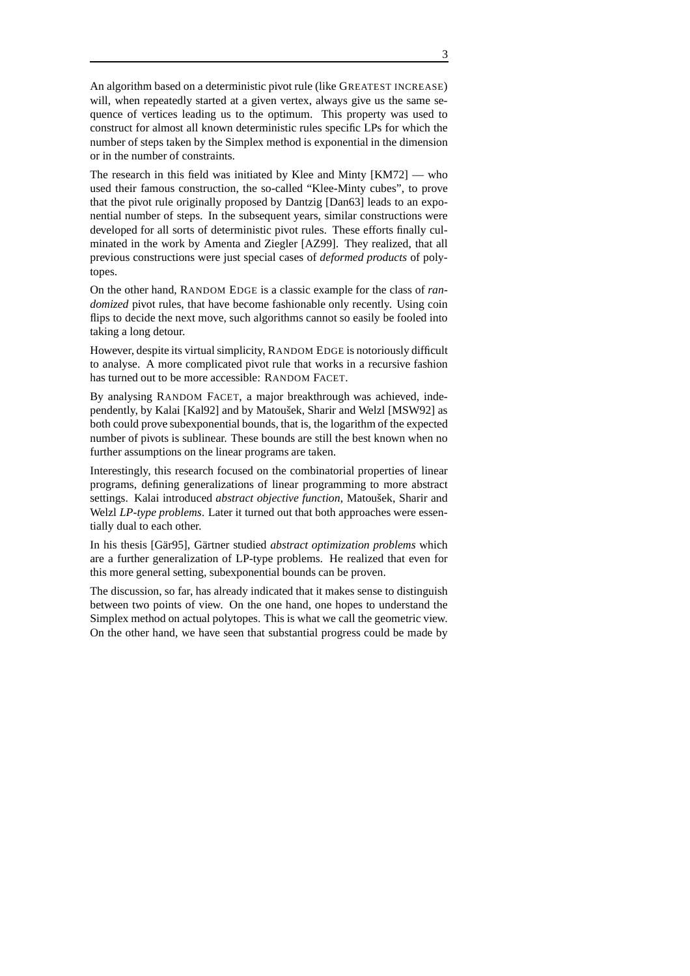An algorithm based on a deterministic pivot rule (like GREATEST INCREASE) will, when repeatedly started at a given vertex, always give us the same sequence of vertices leading us to the optimum. This property was used to construct for almost all known deterministic rules specific LPs for which the number of steps taken by the Simplex method is exponential in the dimension or in the number of constraints.

The research in this field was initiated by Klee and Minty [KM72] — who used their famous construction, the so-called "Klee-Minty cubes", to prove that the pivot rule originally proposed by Dantzig [Dan63] leads to an exponential number of steps. In the subsequent years, similar constructions were developed for all sorts of deterministic pivot rules. These efforts finally culminated in the work by Amenta and Ziegler [AZ99]. They realized, that all previous constructions were just special cases of *deformed products* of polytopes.

On the other hand, RANDOM EDGE is a classic example for the class of *randomized* pivot rules, that have become fashionable only recently. Using coin flips to decide the next move, such algorithms cannot so easily be fooled into taking a long detour.

However, despite its virtual simplicity, RANDOM EDGE is notoriously difficult to analyse. A more complicated pivot rule that works in a recursive fashion has turned out to be more accessible: RANDOM FACET.

By analysing RANDOM FACET, a major breakthrough was achieved, independently, by Kalai [Kal92] and by Matoušek, Sharir and Welzl [MSW92] as both could prove subexponential bounds, that is, the logarithm of the expected number of pivots is sublinear. These bounds are still the best known when no further assumptions on the linear programs are taken.

Interestingly, this research focused on the combinatorial properties of linear programs, defining generalizations of linear programming to more abstract settings. Kalai introduced *abstract objective function*, Matoušek, Sharir and Welzl *LP-type problems*. Later it turned out that both approaches were essentially dual to each other.

In his thesis [Gär95], Gärtner studied *abstract optimization problems* which are a further generalization of LP-type problems. He realized that even for this more general setting, subexponential bounds can be proven.

The discussion, so far, has already indicated that it makes sense to distinguish between two points of view. On the one hand, one hopes to understand the Simplex method on actual polytopes. This is what we call the geometric view. On the other hand, we have seen that substantial progress could be made by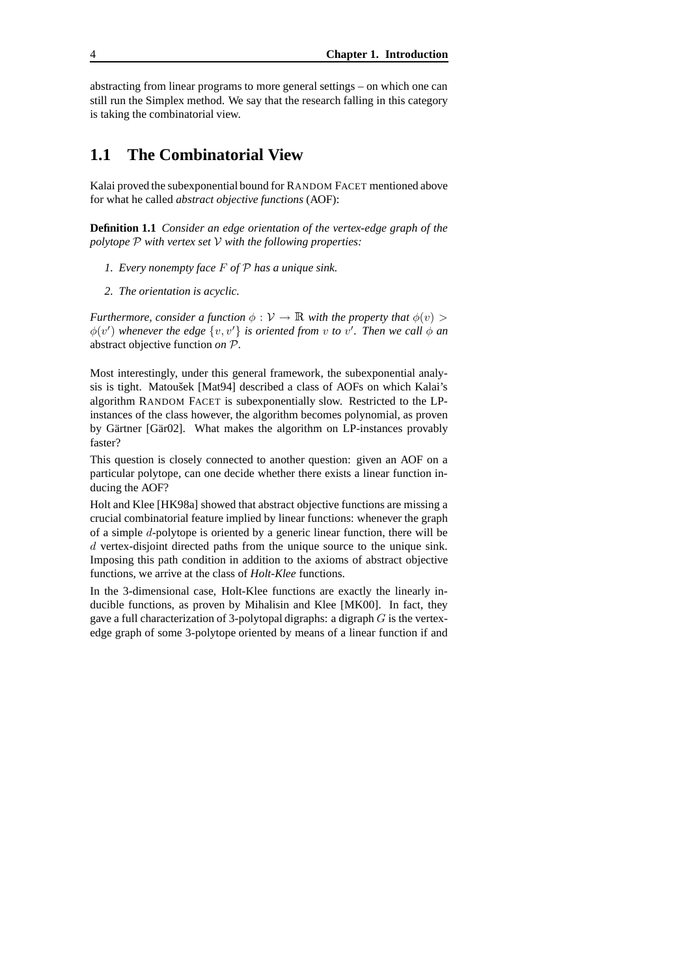abstracting from linear programs to more general settings – on which one can still run the Simplex method. We say that the research falling in this category is taking the combinatorial view.

#### **1.1 The Combinatorial View**

Kalai proved the subexponential bound for RANDOM FACET mentioned above for what he called *abstract objective functions* (AOF):

**Definition 1.1** *Consider an edge orientation of the vertex-edge graph of the polytope* P *with vertex set* V *with the following properties:*

- *1. Every nonempty face* F *of* P *has a unique sink.*
- *2. The orientation is acyclic.*

*Furthermore, consider a function*  $\phi : \mathcal{V} \to \mathbb{R}$  *with the property that*  $\phi(v) >$  $\phi(v')$  whenever the edge  $\{v, v'\}$  is oriented from v to v'. Then we call  $\phi$  an abstract objective function *on* P*.*

Most interestingly, under this general framework, the subexponential analysis is tight. Matoušek [Mat94] described a class of AOFs on which Kalai's algorithm RANDOM FACET is subexponentially slow. Restricted to the LPinstances of the class however, the algorithm becomes polynomial, as proven by Gärtner [Gär02]. What makes the algorithm on LP-instances provably faster?

This question is closely connected to another question: given an AOF on a particular polytope, can one decide whether there exists a linear function inducing the AOF?

Holt and Klee [HK98a] showed that abstract objective functions are missing a crucial combinatorial feature implied by linear functions: whenever the graph of a simple d-polytope is oriented by a generic linear function, there will be d vertex-disjoint directed paths from the unique source to the unique sink. Imposing this path condition in addition to the axioms of abstract objective functions, we arrive at the class of *Holt-Klee* functions.

In the 3-dimensional case, Holt-Klee functions are exactly the linearly inducible functions, as proven by Mihalisin and Klee [MK00]. In fact, they gave a full characterization of 3-polytopal digraphs: a digraph  $G$  is the vertexedge graph of some 3-polytope oriented by means of a linear function if and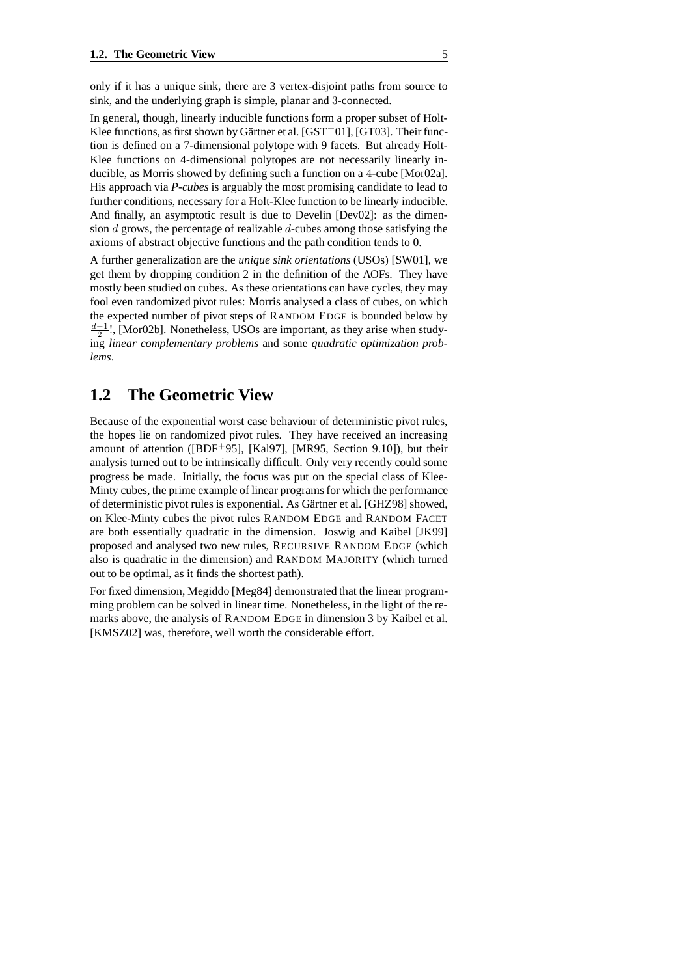only if it has a unique sink, there are 3 vertex-disjoint paths from source to sink, and the underlying graph is simple, planar and 3-connected.

In general, though, linearly inducible functions form a proper subset of Holt-Klee functions, as first shown by Gärtner et al.  $[GST^+01]$ ,  $[GT03]$ . Their function is defined on a 7-dimensional polytope with 9 facets. But already Holt-Klee functions on 4-dimensional polytopes are not necessarily linearly inducible, as Morris showed by defining such a function on a 4-cube [Mor02a]. His approach via *P-cubes* is arguably the most promising candidate to lead to further conditions, necessary for a Holt-Klee function to be linearly inducible. And finally, an asymptotic result is due to Develin [Dev02]: as the dimension  $d$  grows, the percentage of realizable  $d$ -cubes among those satisfying the axioms of abstract objective functions and the path condition tends to 0.

A further generalization are the *unique sink orientations* (USOs) [SW01], we get them by dropping condition 2 in the definition of the AOFs. They have mostly been studied on cubes. As these orientations can have cycles, they may fool even randomized pivot rules: Morris analysed a class of cubes, on which the expected number of pivot steps of RANDOM EDGE is bounded below by  $\frac{d-1}{2}!$ , [Mor02b]. Nonetheless, USOs are important, as they arise when studying *linear complementary problems* and some *quadratic optimization problems*.

### **1.2 The Geometric View**

Because of the exponential worst case behaviour of deterministic pivot rules, the hopes lie on randomized pivot rules. They have received an increasing amount of attention ( $[BDF+95]$ ,  $[Ka197]$ ,  $[MR95, Section 9.10]$ ), but their analysis turned out to be intrinsically difficult. Only very recently could some progress be made. Initially, the focus was put on the special class of Klee-Minty cubes, the prime example of linear programs for which the performance of deterministic pivot rules is exponential. As Gärtner et al. [GHZ98] showed, on Klee-Minty cubes the pivot rules RANDOM EDGE and RANDOM FACET are both essentially quadratic in the dimension. Joswig and Kaibel [JK99] proposed and analysed two new rules, RECURSIVE RANDOM EDGE (which also is quadratic in the dimension) and RANDOM MAJORITY (which turned out to be optimal, as it finds the shortest path).

For fixed dimension, Megiddo [Meg84] demonstrated that the linear programming problem can be solved in linear time. Nonetheless, in the light of the remarks above, the analysis of RANDOM EDGE in dimension 3 by Kaibel et al. [KMSZ02] was, therefore, well worth the considerable effort.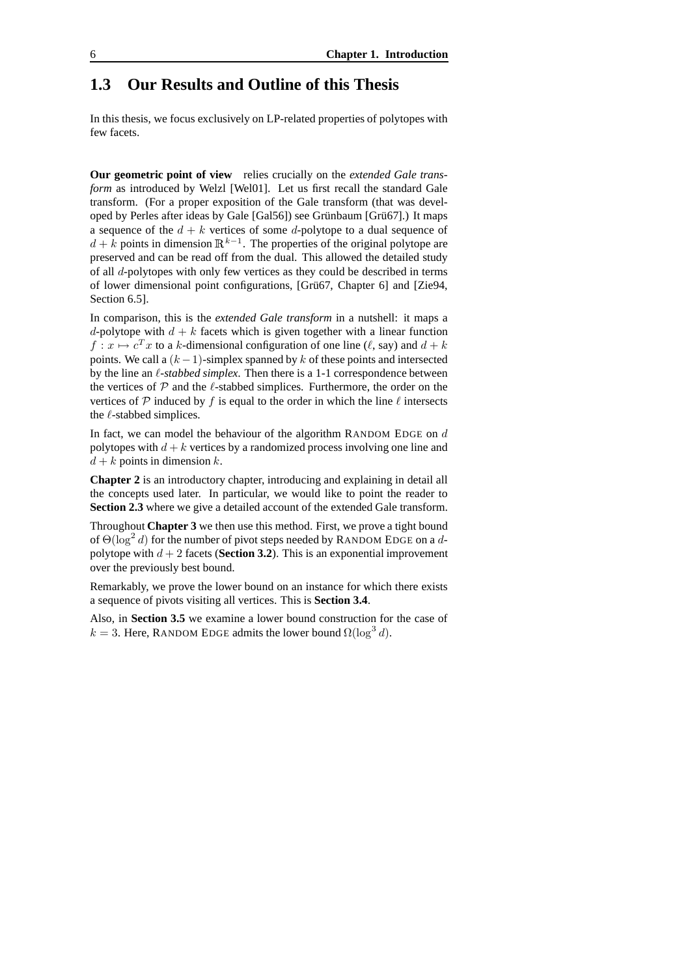## **1.3 Our Results and Outline of this Thesis**

In this thesis, we focus exclusively on LP-related properties of polytopes with few facets.

**Our geometric point of view** relies crucially on the *extended Gale transform* as introduced by Welzl [Wel01]. Let us first recall the standard Gale transform. (For a proper exposition of the Gale transform (that was developed by Perles after ideas by Gale  $[Gal56]$  see Grünbaum  $[Grii67]$ .) It maps a sequence of the  $d + k$  vertices of some d-polytope to a dual sequence of  $d + k$  points in dimension  $\mathbb{R}^{k-1}$ . The properties of the original polytope are preserved and can be read off from the dual. This allowed the detailed study of all d-polytopes with only few vertices as they could be described in terms of lower dimensional point configurations, [Grü67, Chapter 6] and [Zie94, Section 6.5].

In comparison, this is the *extended Gale transform* in a nutshell: it maps a d-polytope with  $d + k$  facets which is given together with a linear function  $f: x \mapsto c^T x$  to a k-dimensional configuration of one line ( $\ell$ , say) and  $d + k$ points. We call a  $(k-1)$ -simplex spanned by k of these points and intersected by the line an  $\ell$ -stabbed simplex. Then there is a 1-1 correspondence between the vertices of  $P$  and the  $\ell$ -stabbed simplices. Furthermore, the order on the vertices of  $P$  induced by  $f$  is equal to the order in which the line  $\ell$  intersects the  $\ell$ -stabbed simplices.

In fact, we can model the behaviour of the algorithm RANDOM EDGE on  $d$ polytopes with  $d + k$  vertices by a randomized process involving one line and  $d + k$  points in dimension k.

**Chapter 2** is an introductory chapter, introducing and explaining in detail all the concepts used later. In particular, we would like to point the reader to **Section 2.3** where we give a detailed account of the extended Gale transform.

Throughout **Chapter 3** we then use this method. First, we prove a tight bound of  $\Theta(\log^2 d)$  for the number of pivot steps needed by RANDOM EDGE on a dpolytope with  $d + 2$  facets (**Section 3.2**). This is an exponential improvement over the previously best bound.

Remarkably, we prove the lower bound on an instance for which there exists a sequence of pivots visiting all vertices. This is **Section 3.4**.

Also, in **Section 3.5** we examine a lower bound construction for the case of  $k = 3$ . Here, RANDOM EDGE admits the lower bound  $\Omega(\log^3 d)$ .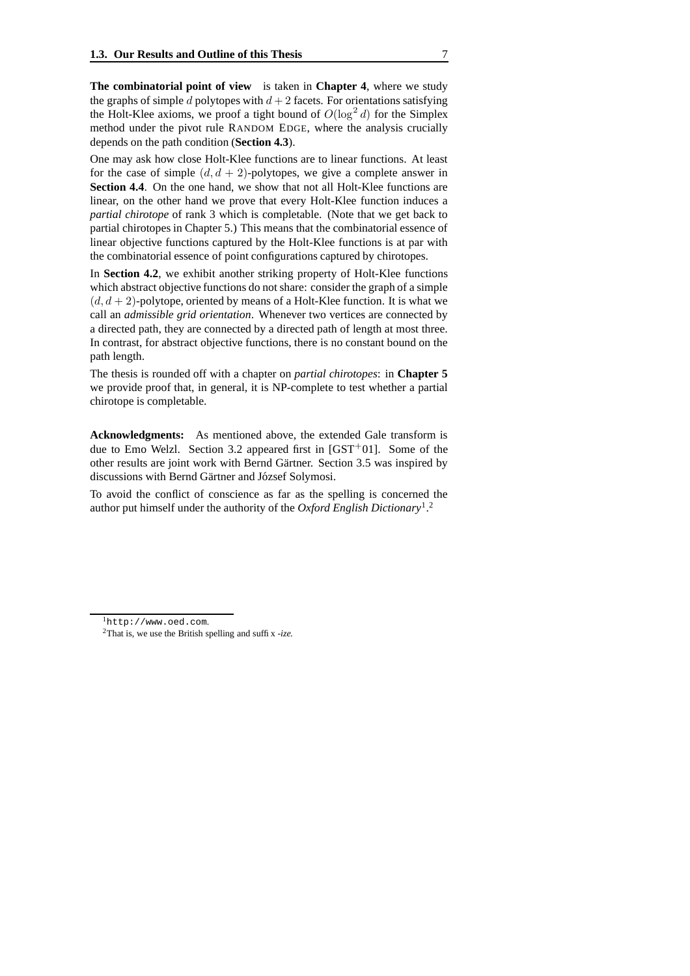**The combinatorial point of view** is taken in **Chapter 4**, where we study the graphs of simple d polytopes with  $d+2$  facets. For orientations satisfying the Holt-Klee axioms, we proof a tight bound of  $O(\log^2 d)$  for the Simplex method under the pivot rule RANDOM EDGE, where the analysis crucially depends on the path condition (**Section 4.3**).

One may ask how close Holt-Klee functions are to linear functions. At least for the case of simple  $(d, d + 2)$ -polytopes, we give a complete answer in **Section 4.4**. On the one hand, we show that not all Holt-Klee functions are linear, on the other hand we prove that every Holt-Klee function induces a *partial chirotope* of rank 3 which is completable. (Note that we get back to partial chirotopes in Chapter 5.) This means that the combinatorial essence of linear objective functions captured by the Holt-Klee functions is at par with the combinatorial essence of point configurations captured by chirotopes.

In **Section 4.2**, we exhibit another striking property of Holt-Klee functions which abstract objective functions do not share: consider the graph of a simple  $(d, d + 2)$ -polytope, oriented by means of a Holt-Klee function. It is what we call an *admissible grid orientation*. Whenever two vertices are connected by a directed path, they are connected by a directed path of length at most three. In contrast, for abstract objective functions, there is no constant bound on the path length.

The thesis is rounded off with a chapter on *partial chirotopes*: in **Chapter 5** we provide proof that, in general, it is NP-complete to test whether a partial chirotope is completable.

**Acknowledgments:** As mentioned above, the extended Gale transform is due to Emo Welzl. Section 3.2 appeared first in  $[GST<sup>+</sup>01]$ . Some of the other results are joint work with Bernd Gärtner. Section 3.5 was inspired by discussions with Bernd Gärtner and József Solymosi.

To avoid the conflict of conscience as far as the spelling is concerned the author put himself under the authority of the *Oxford English Dictionary*<sup>1</sup> . 2

<sup>1</sup>http://www.oed.com.

<sup>2</sup>That is, we use the British spelling and suffix *-ize.*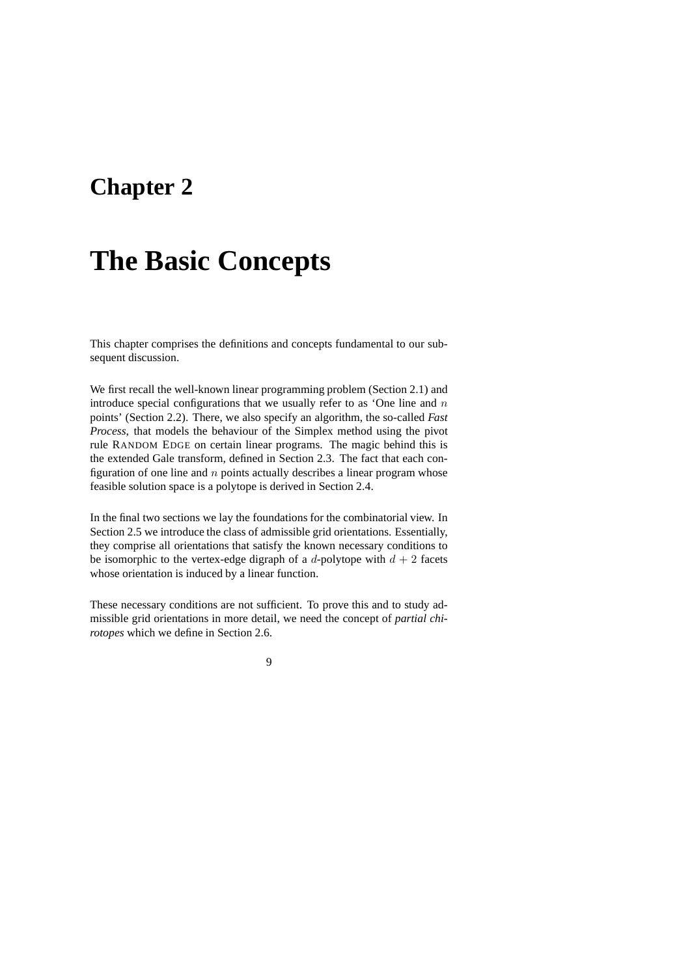## **Chapter 2**

# **The Basic Concepts**

This chapter comprises the definitions and concepts fundamental to our subsequent discussion.

We first recall the well-known linear programming problem (Section 2.1) and introduce special configurations that we usually refer to as 'One line and  $n$ points' (Section 2.2). There, we also specify an algorithm, the so-called *Fast Process*, that models the behaviour of the Simplex method using the pivot rule RANDOM EDGE on certain linear programs. The magic behind this is the extended Gale transform, defined in Section 2.3. The fact that each configuration of one line and  $n$  points actually describes a linear program whose feasible solution space is a polytope is derived in Section 2.4.

In the final two sections we lay the foundations for the combinatorial view. In Section 2.5 we introduce the class of admissible grid orientations. Essentially, they comprise all orientations that satisfy the known necessary conditions to be isomorphic to the vertex-edge digraph of a d-polytope with  $d + 2$  facets whose orientation is induced by a linear function.

These necessary conditions are not sufficient. To prove this and to study admissible grid orientations in more detail, we need the concept of *partial chirotopes* which we define in Section 2.6.

9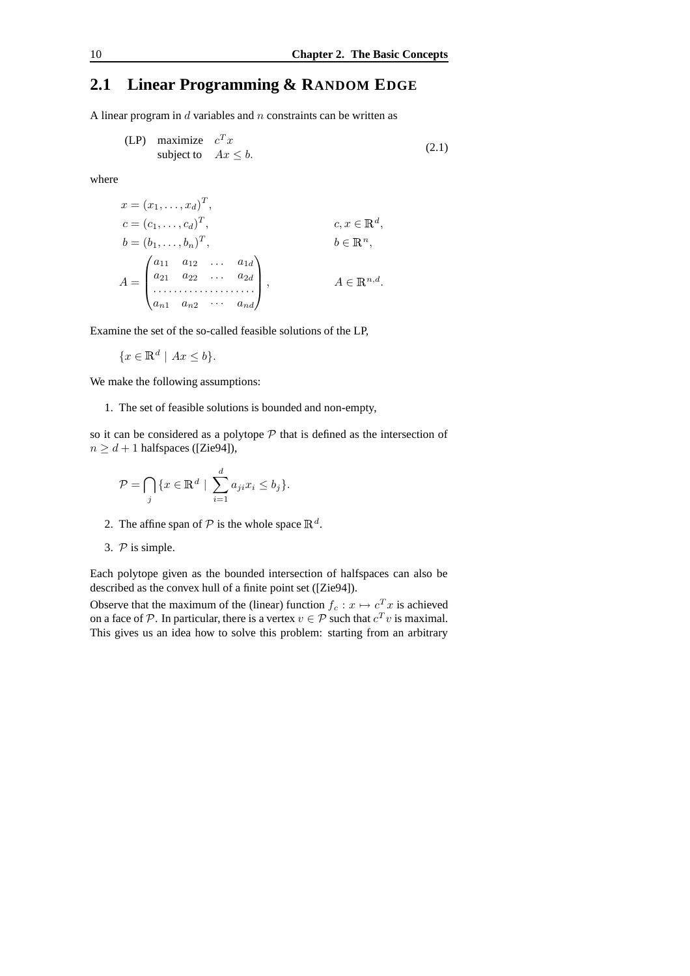## **2.1 Linear Programming & RANDOM EDGE**

A linear program in  $d$  variables and  $n$  constraints can be written as

$$
\begin{array}{ll}\n\text{(LP)} & \text{maximize} \quad c^T x \\
\text{subject to} & Ax \leq b.\n\end{array} \tag{2.1}
$$

where

$$
x = (x_1, ..., x_d)^T,
$$
  
\n
$$
c = (c_1, ..., c_d)^T,
$$
  
\n
$$
b = (b_1, ..., b_n)^T,
$$
  
\n
$$
A = \begin{pmatrix} a_{11} & a_{12} & \cdots & a_{1d} \\ a_{21} & a_{22} & \cdots & a_{2d} \\ \vdots & \vdots & \ddots & \vdots \\ a_{n1} & a_{n2} & \cdots & a_{nd} \end{pmatrix}, \qquad A \in \mathbb{R}^{n,d}.
$$

Examine the set of the so-called feasible solutions of the LP,

$$
\{x \in \mathbb{R}^d \mid Ax \le b\}.
$$

We make the following assumptions:

1. The set of feasible solutions is bounded and non-empty,

so it can be considered as a polytope  $P$  that is defined as the intersection of  $n \geq d + 1$  halfspaces ([Zie94]),

$$
\mathcal{P} = \bigcap_j \{x \in \mathbb{R}^d \mid \sum_{i=1}^d a_{ji} x_i \le b_j\}.
$$

- 2. The affine span of  $P$  is the whole space  $\mathbb{R}^d$ .
- 3.  $P$  is simple.

Each polytope given as the bounded intersection of halfspaces can also be described as the convex hull of a finite point set ([Zie94]).

Observe that the maximum of the (linear) function  $f_c : x \mapsto c_x^T x$  is achieved on a face of  $P$ . In particular, there is a vertex  $v \in P$  such that  $c^T v$  is maximal. This gives us an idea how to solve this problem: starting from an arbitrary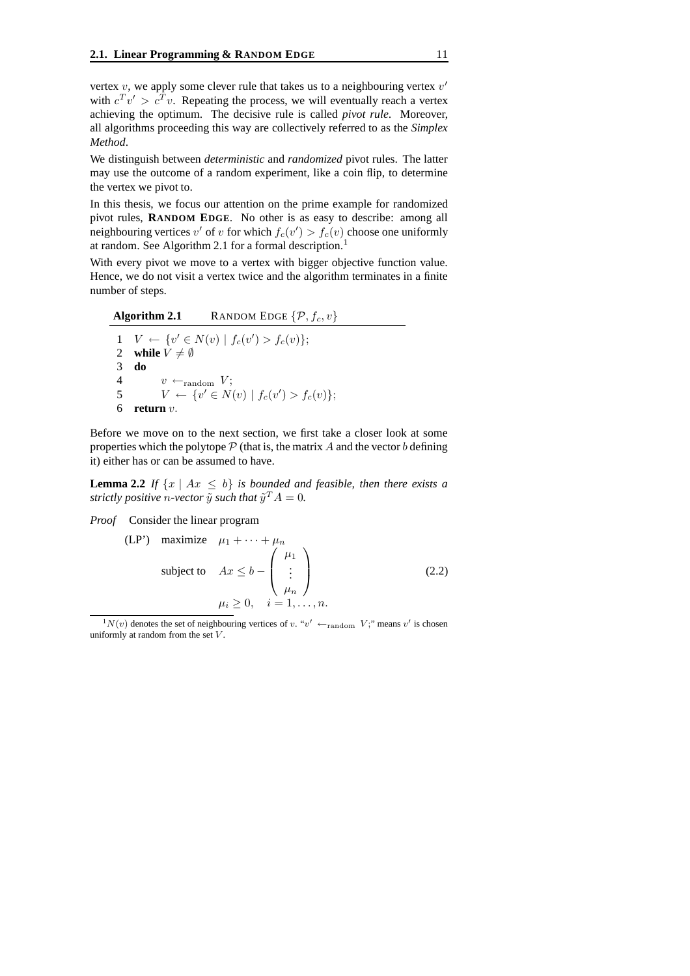vertex  $v$ , we apply some clever rule that takes us to a neighbouring vertex  $v'$ with  $c^T v' > c^T v$ . Repeating the process, we will eventually reach a vertex achieving the optimum. The decisive rule is called *pivot rule*. Moreover, all algorithms proceeding this way are collectively referred to as the *Simplex Method*.

We distinguish between *deterministic* and *randomized* pivot rules. The latter may use the outcome of a random experiment, like a coin flip, to determine the vertex we pivot to.

In this thesis, we focus our attention on the prime example for randomized pivot rules, **RANDOM EDGE**. No other is as easy to describe: among all neighbouring vertices  $v'$  of  $v$  for which  $f_c(v') > f_c(v)$  choose one uniformly at random. See Algorithm 2.1 for a formal description.<sup>1</sup>

With every pivot we move to a vertex with bigger objective function value. Hence, we do not visit a vertex twice and the algorithm terminates in a finite number of steps.

**Algorithm 2.1** RANDOM EDGE  $\{\mathcal{P}, f_c, v\}$  $1 \quad V \leftarrow \{v' \in N(v) \mid f_c(v') > f_c(v)\};$ 2 **while**  $V \neq \emptyset$ 3 **do** 4  $v \leftarrow_{\text{random}} V;$ 5  $V \leftarrow \{v' \in N(v) \mid f_c(v') > f_c(v)\};$ 6 **return** v.

Before we move on to the next section, we first take a closer look at some properties which the polytope  $P$  (that is, the matrix A and the vector b defining it) either has or can be assumed to have.

**Lemma 2.2** *If*  $\{x \mid Ax \leq b\}$  *is bounded and feasible, then there exists a strictly positive n-vector*  $\tilde{y}$  *such that*  $\tilde{y}^T A = 0.$ 

*Proof* Consider the linear program

$$
\begin{array}{ll}\n\text{(LP')}\quad \text{maximize} & \mu_1 + \dots + \mu_n \\
\text{subject to} & Ax \le b - \begin{pmatrix} \mu_1 \\ \vdots \\ \mu_n \end{pmatrix} \\
\mu_i \ge 0, \quad i = 1, \dots, n.\n\end{array} \tag{2.2}
$$

 $\frac{1}{2}N(v)$  denotes the set of neighbouring vertices of v. "v'  $\leftarrow$  random V;" means v' is chosen uniformly at random from the set  $V$ .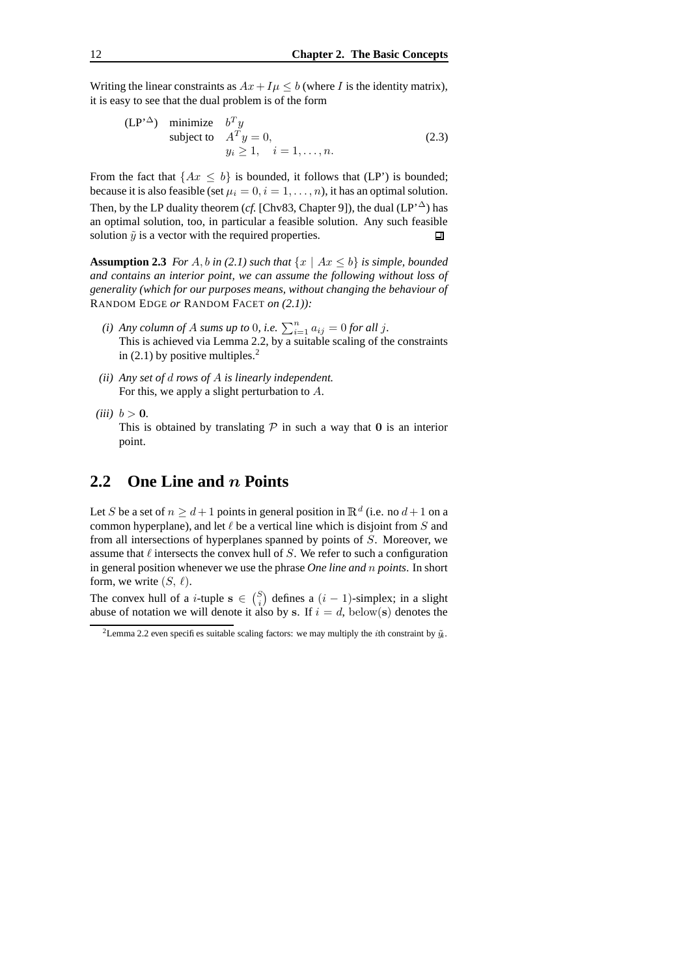Writing the linear constraints as  $Ax+I\mu \leq b$  (where I is the identity matrix), it is easy to see that the dual problem is of the form

$$
\begin{array}{ll}\n\text{(LP'}^{\Delta}) & \text{minimize} & b^T y \\
\text{subject to} & A^T y = 0, \\
& y_i \ge 1, \quad i = 1, \dots, n.\n\end{array} \tag{2.3}
$$

From the fact that  $\{Ax \leq b\}$  is bounded, it follows that (LP') is bounded; because it is also feasible (set  $\mu_i = 0, i = 1, \dots, n$ ), it has an optimal solution. Then, by the LP duality theorem (*cf.* [Chv83, Chapter 9]), the dual (LP' $^{\Delta}$ ) has an optimal solution, too, in particular a feasible solution. Any such feasible solution  $\tilde{y}$  is a vector with the required properties. П

**Assumption 2.3** *For* A, b in (2.1) such that  $\{x \mid Ax \leq b\}$  is simple, bounded *and contains an interior point, we can assume the following without loss of generality (which for our purposes means, without changing the behaviour of* RANDOM EDGE *or* RANDOM FACET *on (2.1)):*

- *(i) Any column* of *A sums up to* 0*, i.e.*  $\sum_{i=1}^{n} a_{ij} = 0$  *for all j.* This is achieved via Lemma 2.2, by a suitable scaling of the constraints in  $(2.1)$  by positive multiples.<sup>2</sup>
- *(ii) Any set of* d *rows of* A *is linearly independent.* For this, we apply a slight perturbation to A.
- *(iii)*  $b > 0$ *.*

This is obtained by translating  $P$  in such a way that 0 is an interior point.

## **2.2 One Line and** n **Points**

Let S be a set of  $n \ge d+1$  points in general position in  $\mathbb{R}^d$  (i.e. no  $d+1$  on a common hyperplane), and let  $\ell$  be a vertical line which is disjoint from  $S$  and from all intersections of hyperplanes spanned by points of S. Moreover, we assume that  $\ell$  intersects the convex hull of S. We refer to such a configuration in general position whenever we use the phrase *One line and* n *points*. In short form, we write  $(S, \ell)$ .

The convex hull of a *i*-tuple  $s \in {S \choose i}$  defines a  $(i-1)$ -simplex; in a slight abuse of notation we will denote it also by s. If  $i = d$ , below(s) denotes the

<sup>&</sup>lt;sup>2</sup>Lemma 2.2 even specifies suitable scaling factors: we may multiply the *i*th constraint by  $\tilde{y}_i$ .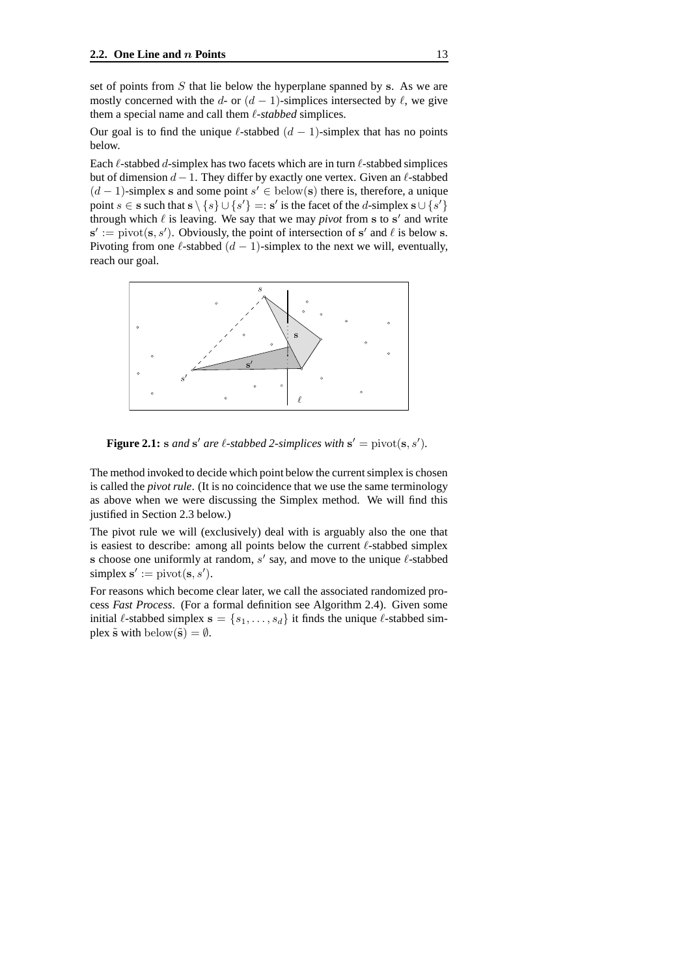set of points from  $S$  that lie below the hyperplane spanned by s. As we are mostly concerned with the d- or  $(d - 1)$ -simplices intersected by  $\ell$ , we give them a special name and call them  $\ell$ -stabbed simplices.

Our goal is to find the unique  $\ell$ -stabbed  $(d - 1)$ -simplex that has no points below.

Each  $\ell$ -stabbed d-simplex has two facets which are in turn  $\ell$ -stabbed simplices but of dimension  $d - 1$ . They differ by exactly one vertex. Given an  $\ell$ -stabbed  $(d-1)$ -simplex s and some point  $s' \in \text{below}(s)$  there is, therefore, a unique point  $s \in \mathbf{s}$  such that  $\mathbf{s} \setminus \{s\} \cup \{s'\} =: \mathbf{s}'$  is the facet of the d-simplex  $\mathbf{s} \cup \{\overline{s'}\}$ through which  $\ell$  is leaving. We say that we may *pivot* from s to s' and write  $s' := \text{pivot}(s, s')$ . Obviously, the point of intersection of s' and  $\ell$  is below s. Pivoting from one  $\ell$ -stabbed  $(d - 1)$ -simplex to the next we will, eventually, reach our goal.



**Figure 2.1:** s and s' are  $\ell$ -stabbed 2-simplices with  $s' = \text{pivot}(s, s')$ .

The method invoked to decide which point below the current simplex is chosen is called the *pivot rule*. (It is no coincidence that we use the same terminology as above when we were discussing the Simplex method. We will find this justified in Section 2.3 below.)

The pivot rule we will (exclusively) deal with is arguably also the one that is easiest to describe: among all points below the current  $\ell$ -stabbed simplex is choose one uniformly at random,  $s'$  say, and move to the unique  $\ell$ -stabbed simplex  $s' := \text{pivot}(s, s').$ 

For reasons which become clear later, we call the associated randomized process *Fast Process*. (For a formal definition see Algorithm 2.4). Given some initial  $\ell$ -stabbed simplex  $\mathbf{s} = \{s_1, \ldots, s_d\}$  it finds the unique  $\ell$ -stabbed simplex  $\tilde{s}$  with below $(\tilde{s}) = \emptyset$ .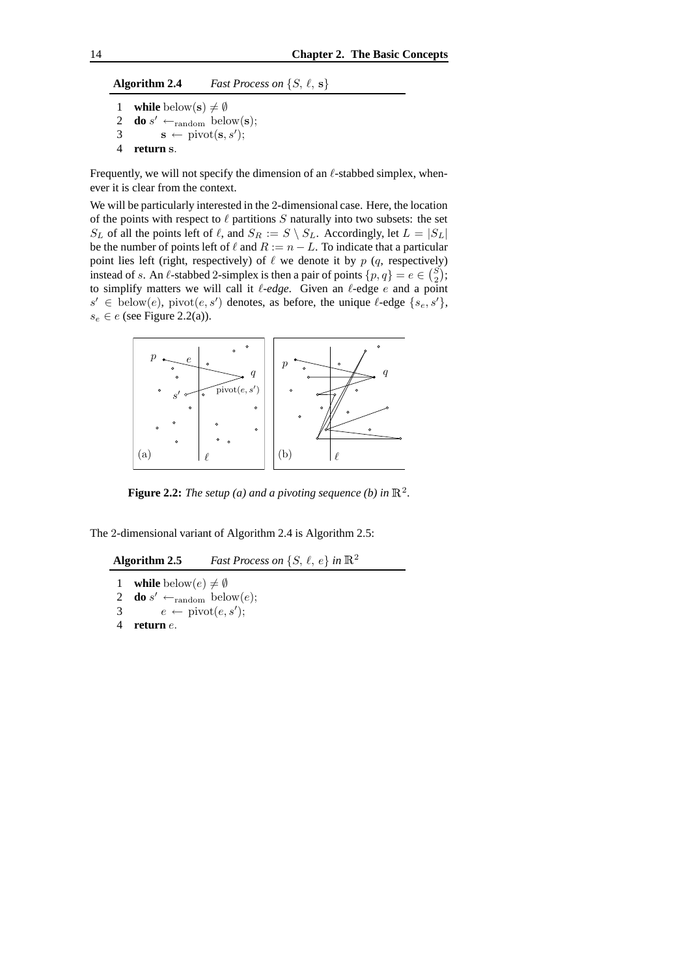#### **Algorithm 2.4** *Fast Process on*  $\{S, \ell, s\}$

```
1 while below(s) \neq \emptyset<br>2 do s' \leftarrow random below
2 do s' \leftarrow_{\text{random}} \text{below}(\mathbf{s});3 \mathbf{s} \leftarrow \text{pivot}(\mathbf{s}, s');4 return s.
```
Frequently, we will not specify the dimension of an  $\ell$ -stabbed simplex, whenever it is clear from the context.

We will be particularly interested in the 2-dimensional case. Here, the location of the points with respect to  $\ell$  partitions  $S$  naturally into two subsets: the set  $S_L$  of all the points left of  $\ell$ , and  $S_R := S \setminus S_L$ . Accordingly, let  $L = |S_L|$ be the number of points left of  $\ell$  and  $R := n - L$ . To indicate that a particular point lies left (right, respectively) of  $\ell$  we denote it by  $p$  (q, respectively) instead of s. An  $\ell$ -stabbed 2-simplex is then a pair of points  $\{p, q\} = e \in {S \choose 2};$ to simplify matters we will call it  $\ell$ -edge. Given an  $\ell$ -edge e and a point  $s' \in \text{below}(e), \text{ pivot}(e, s')$  denotes, as before, the unique  $\ell$ -edge  $\{s_e, s'\},$  $s_e \in e$  (see Figure 2.2(a)).



**Figure 2.2:** The setup (a) and a pivoting sequence (b) in  $\mathbb{R}^2$ .

The 2-dimensional variant of Algorithm 2.4 is Algorithm 2.5:

#### **Algorithm 2.5** *Fast Process on*  $\{S, \ell, e\}$  *in*  $\mathbb{R}^2$

**while** below $(e) \neq \emptyset$ <br>2 **do** s'  $\leftarrow$ <sub>random</sub> belo **do**  $s' \leftarrow_{\text{random}} \text{below}(e);$  $e \leftarrow \text{pivot}(e, s');$ 4 **return** e.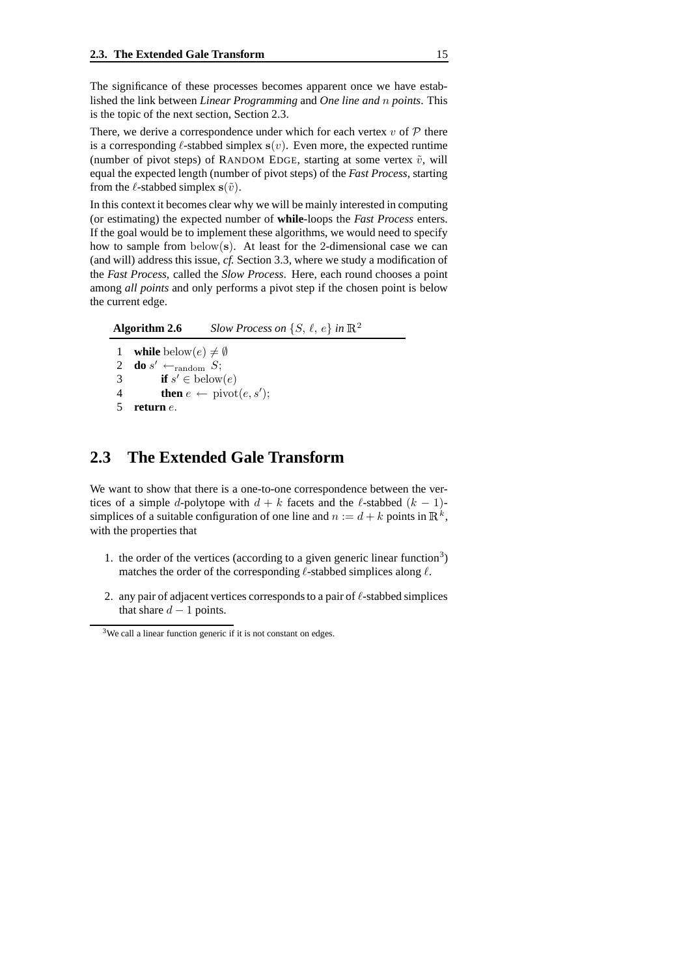The significance of these processes becomes apparent once we have established the link between *Linear Programming* and *One line and* n *points*. This is the topic of the next section, Section 2.3.

There, we derive a correspondence under which for each vertex  $v$  of  $P$  there is a corresponding  $\ell$ -stabbed simplex  $s(v)$ . Even more, the expected runtime (number of pivot steps) of RANDOM EDGE, starting at some vertex  $\tilde{v}$ , will equal the expected length (number of pivot steps) of the *Fast Process*, starting from the  $\ell$ -stabbed simplex  $s(\tilde{v})$ .

In this context it becomes clear why we will be mainly interested in computing (or estimating) the expected number of **while**-loops the *Fast Process* enters. If the goal would be to implement these algorithms, we would need to specify how to sample from  $below(s)$ . At least for the 2-dimensional case we can (and will) address this issue, *cf.* Section 3.3, where we study a modification of the *Fast Process*, called the *Slow Process*. Here, each round chooses a point among *all points* and only performs a pivot step if the chosen point is below the current edge.

**Algorithm 2.6** *Slow Process on*  $\{S, \ell, e\}$  *in*  $\mathbb{R}^2$ 1 **while** below $(e) \neq \emptyset$ <br>2 **do** s'  $\leftarrow$  condom S: 2 **do** s'  $\leftarrow$ <sub>random</sub> S; 3 **if**  $s' \in \text{below}(e)$ 

### 4 **then**  $e \leftarrow \text{pivot}(e, s')$ ;

5 **return** e.

### **2.3 The Extended Gale Transform**

We want to show that there is a one-to-one correspondence between the vertices of a simple d-polytope with  $d + k$  facets and the  $\ell$ -stabbed  $(k - 1)$ simplices of a suitable configuration of one line and  $n := d + k$  points in  $\mathbb{R}^k$ , with the properties that

- 1. the order of the vertices (according to a given generic linear function<sup>3</sup>) matches the order of the corresponding  $\ell$ -stabbed simplices along  $\ell$ .
- 2. any pair of adjacent vertices corresponds to a pair of  $\ell$ -stabbed simplices that share  $d-1$  points.

<sup>&</sup>lt;sup>3</sup>We call a linear function generic if it is not constant on edges.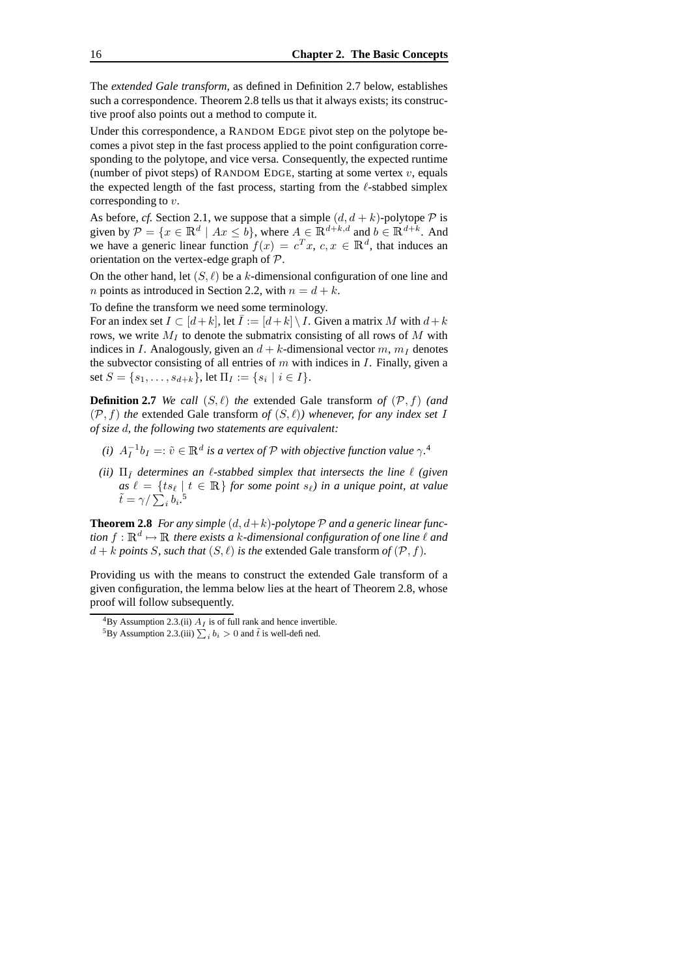The *extended Gale transform*, as defined in Definition 2.7 below, establishes such a correspondence. Theorem 2.8 tells us that it always exists; its constructive proof also points out a method to compute it.

Under this correspondence, a RANDOM EDGE pivot step on the polytope becomes a pivot step in the fast process applied to the point configuration corresponding to the polytope, and vice versa. Consequently, the expected runtime (number of pivot steps) of RANDOM EDGE, starting at some vertex  $v$ , equals the expected length of the fast process, starting from the  $\ell$ -stabbed simplex corresponding to  $v$ .

As before, *cf.* Section 2.1, we suppose that a simple  $(d, d + k)$ -polytope  $P$  is given by  $\mathcal{P} = \{x \in \mathbb{R}^d \mid Ax \leq b\}$ , where  $A \in \mathbb{R}^{d+k,d}$  and  $b \in \mathbb{R}^{d+k}$ . And we have a generic linear function  $f(x) = c^T x$ ,  $c, x \in \mathbb{R}^d$ , that induces an orientation on the vertex-edge graph of P.

On the other hand, let  $(S, \ell)$  be a k-dimensional configuration of one line and *n* points as introduced in Section 2.2, with  $n = d + k$ .

To define the transform we need some terminology.

For an index set  $I \subset [d+k]$ , let  $\overline{I} := [d+k] \setminus I$ . Given a matrix M with  $d+k$ rows, we write  $M_I$  to denote the submatrix consisting of all rows of M with indices in I. Analogously, given an  $d + k$ -dimensional vector m,  $m_l$  denotes the subvector consisting of all entries of  $m$  with indices in  $I$ . Finally, given a set  $S = \{s_1, \ldots, s_{d+k}\}, \text{let } \Pi_I := \{s_i \mid i \in I\}.$ 

**Definition 2.7** *We call*  $(S, \ell)$  *the* extended Gale transform *of*  $(\mathcal{P}, f)$  *(and*  $(\mathcal{P}, f)$  *the* extended Gale transform *of*  $(S, \ell)$ *) whenever, for any index set* I *of size* d*, the following two statements are equivalent:*

- *(i)*  $A_I^{-1}b_I =: \tilde{v} \in \mathbb{R}^d$  *is a vertex of*  $\mathcal P$  *with objective function value*  $\gamma$ <sup>4</sup>
- *(ii)*  $\Pi_{\bar{I}}$  *determines an*  $\ell$ *-stabbed simplex that intersects the line*  $\ell$  *(given*  $\int_{-\infty}^{\infty}$   $\ell = \{ts_\ell \mid t \in \mathbb{R} \}$  *for some point*  $s_\ell$ *) in a unique point, at value*  $\tilde{t} = \gamma / \sum_i b_i$ .<sup>5</sup>

**Theorem 2.8** *For any simple*  $(d, d+k)$ *-polytope*  $P$  *and a* generic linear func*tion*  $f: \mathbb{R}^d \mapsto \mathbb{R}$  *there exists a k*-dimensional configuration of one line  $\ell$  and  $d + k$  *points S*, *such that*  $(S, \ell)$  *is the* extended Gale transform *of*  $(\mathcal{P}, f)$ *.* 

Providing us with the means to construct the extended Gale transform of a given configuration, the lemma below lies at the heart of Theorem 2.8, whose proof will follow subsequently.

 ${}^{4}$ By Assumption 2.3.(ii)  $A_I$  is of full rank and hence invertible.

<sup>&</sup>lt;sup>5</sup>By Assumption 2.3.(iii)  $\sum_i b_i > 0$  and  $\tilde{t}$  is well-defined.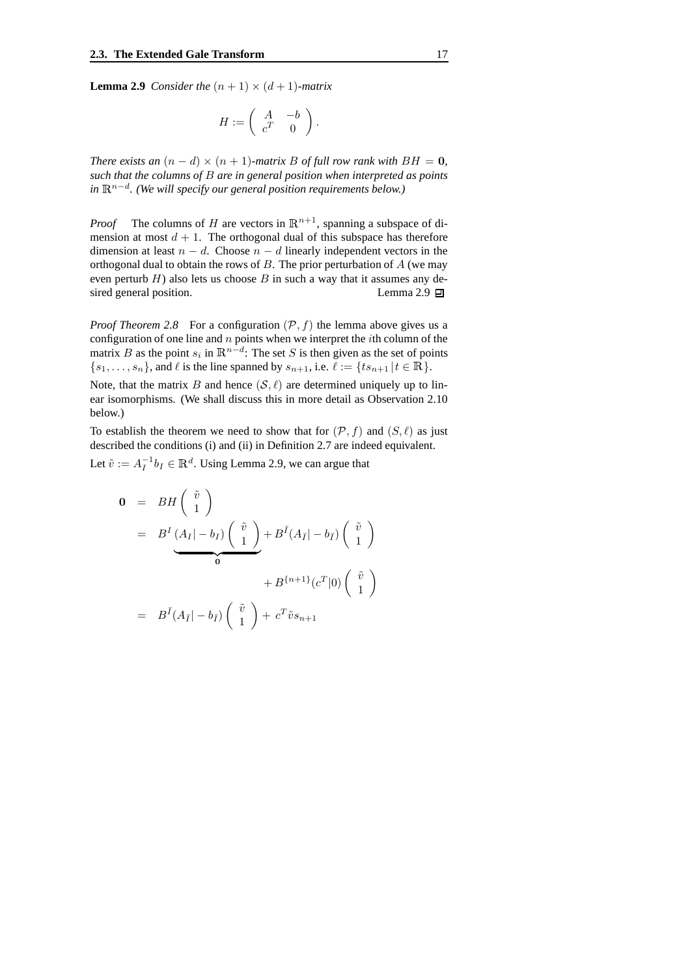**Lemma 2.9** *Consider the*  $(n + 1) \times (d + 1)$ *-matrix* 

$$
H:=\left(\begin{array}{cc}A & -b \\ c^T & 0 \end{array}\right).
$$

*There exists an*  $(n - d) \times (n + 1)$ *-matrix B of full row rank with*  $BH = 0$ *, such that the columns of* B *are in general position when interpreted as points in*  $\mathbb{R}^{n-d}$ . (We will specify our general position requirements below.)

*Proof* The columns of H are vectors in  $\mathbb{R}^{n+1}$ , spanning a subspace of dimension at most  $d + 1$ . The orthogonal dual of this subspace has therefore dimension at least  $n - d$ . Choose  $n - d$  linearly independent vectors in the orthogonal dual to obtain the rows of  $B$ . The prior perturbation of  $A$  (we may even perturb  $H$ ) also lets us choose  $B$  in such a way that it assumes any desired general position. Lemma 2.9  $\Box$ 

*Proof Theorem* 2.8 For a configuration  $(\mathcal{P}, f)$  the lemma above gives us a configuration of one line and  $n$  points when we interpret the *i*th column of the matrix B as the point  $s_i$  in  $\mathbb{R}^{n-d}$ : The set S is then given as the set of points  $\{s_1, \ldots, s_n\}$ , and  $\ell$  is the line spanned by  $s_{n+1}$ , i.e.  $\ell := \{ts_{n+1} | t \in \mathbb{R}\}.$ 

Note, that the matrix B and hence  $(S, \ell)$  are determined uniquely up to linear isomorphisms. (We shall discuss this in more detail as Observation 2.10 below.)

To establish the theorem we need to show that for  $(\mathcal{P}, f)$  and  $(S, \ell)$  as just described the conditions (i) and (ii) in Definition 2.7 are indeed equivalent.

Let  $\tilde{v} := A_I^{-1} b_I \in \mathbb{R}^d$ . Using Lemma 2.9, we can argue that

$$
0 = BH\begin{pmatrix} \tilde{v} \\ 1 \end{pmatrix}
$$
  
=  $B^I \underbrace{(A_I|-b_I)} \begin{pmatrix} \tilde{v} \\ 1 \end{pmatrix} + B^{\bar{I}} (A_{\bar{I}}|-b_{\bar{I}}) \begin{pmatrix} \tilde{v} \\ 1 \end{pmatrix}$   
+  $B^{\{n+1\}} (c^T | 0) \begin{pmatrix} \tilde{v} \\ 1 \end{pmatrix}$   
=  $B^{\bar{I}} (A_{\bar{I}}|-b_{\bar{I}}) \begin{pmatrix} \tilde{v} \\ 1 \end{pmatrix} + c^T \tilde{v} s_{n+1}$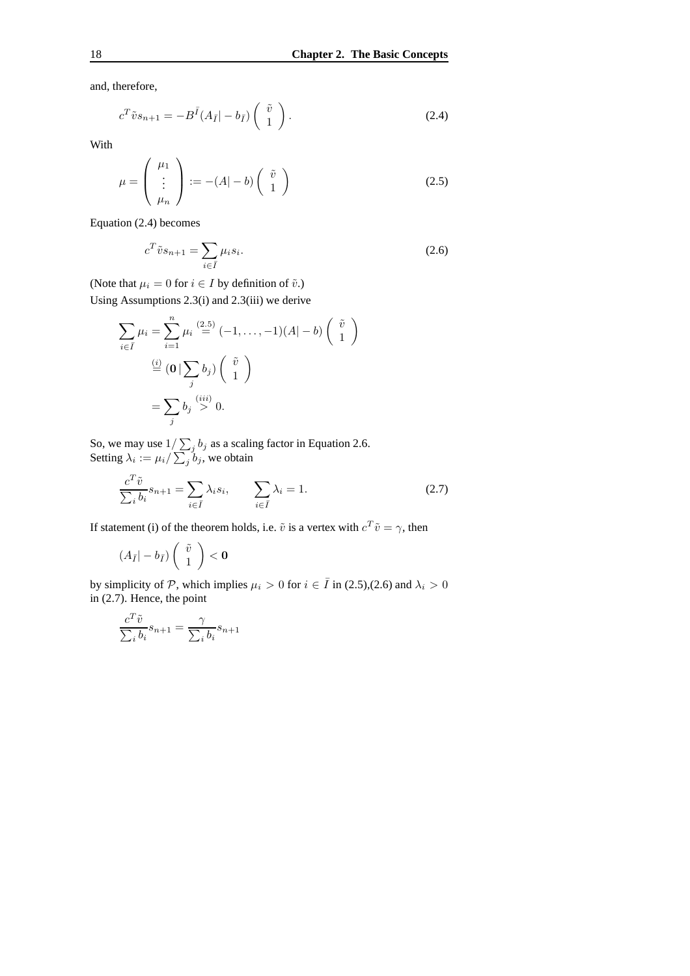and, therefore,

$$
c^T \tilde{v} s_{n+1} = -B^{\bar{I}} (A_{\bar{I}} | - b_{\bar{I}}) \begin{pmatrix} \tilde{v} \\ 1 \end{pmatrix}.
$$
 (2.4)

With

$$
\mu = \begin{pmatrix} \mu_1 \\ \vdots \\ \mu_n \end{pmatrix} := -(A|-b) \begin{pmatrix} \tilde{v} \\ 1 \end{pmatrix}
$$
 (2.5)

Equation (2.4) becomes

$$
c^T \tilde{v} s_{n+1} = \sum_{i \in \bar{I}} \mu_i s_i.
$$
 (2.6)

(Note that  $\mu_i = 0$  for  $i \in I$  by definition of  $\tilde{v}$ .) Using Assumptions 2.3(i) and 2.3(iii) we derive

$$
\sum_{i \in \bar{I}} \mu_i = \sum_{i=1}^n \mu_i \stackrel{(2.5)}{=} (-1, \dots, -1)(A|-b) \begin{pmatrix} \tilde{v} \\ 1 \end{pmatrix}
$$

$$
\stackrel{(i)}{=} (\mathbf{0} \mid \sum_j b_j) \begin{pmatrix} \tilde{v} \\ 1 \end{pmatrix}
$$

$$
= \sum_j b_j \stackrel{(iii)}{>} 0.
$$

So, we may use  $1/\sum_j b_j$  as a scaling factor in Equation 2.6. Setting  $\lambda_i := \mu_i / \sum_j b_j$ , we obtain

$$
\frac{c^T \tilde{v}}{\sum_i b_i} s_{n+1} = \sum_{i \in \bar{I}} \lambda_i s_i, \qquad \sum_{i \in \bar{I}} \lambda_i = 1.
$$
 (2.7)

If statement (i) of the theorem holds, i.e.  $\tilde{v}$  is a vertex with  $c^T \tilde{v} = \gamma$ , then

$$
(A_{\bar{I}}|-b_{\bar{I}})\left(\begin{array}{c} \tilde{v} \\ 1 \end{array}\right)<\mathbf{0}
$$

by simplicity of P, which implies  $\mu_i > 0$  for  $i \in \overline{I}$  in (2.5),(2.6) and  $\lambda_i > 0$ in (2.7). Hence, the point

$$
\frac{c^T \tilde{v}}{\sum_i b_i} s_{n+1} = \frac{\gamma}{\sum_i b_i} s_{n+1}
$$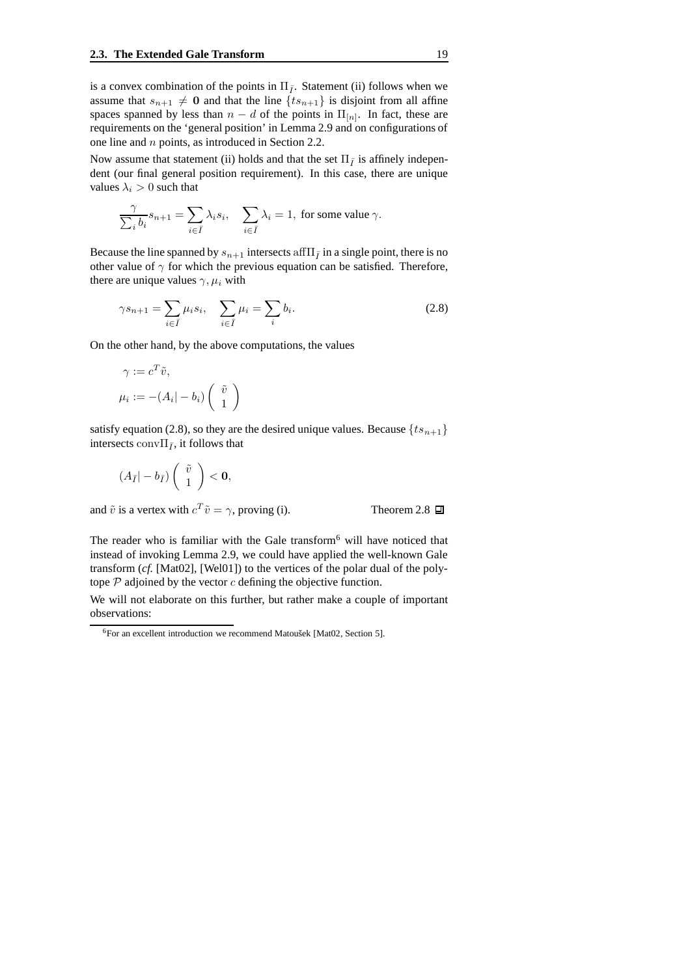is a convex combination of the points in  $\Pi_{\bar{I}}$ . Statement (ii) follows when we assume that  $s_{n+1} \neq 0$  and that the line  $\{ts_{n+1}\}\$ is disjoint from all affine spaces spanned by less than  $n - d$  of the points in  $\Pi_{[n]}$ . In fact, these are requirements on the 'general position' in Lemma 2.9 and on configurations of one line and n points, as introduced in Section 2.2.

Now assume that statement (ii) holds and that the set  $\Pi_{\bar{I}}$  is affinely independent (our final general position requirement). In this case, there are unique values  $\lambda_i > 0$  such that

$$
\frac{\gamma}{\sum_i b_i} s_{n+1} = \sum_{i \in \bar{I}} \lambda_i s_i, \quad \sum_{i \in \bar{I}} \lambda_i = 1, \text{ for some value } \gamma.
$$

Because the line spanned by  $s_{n+1}$  intersects aff $\Pi_{\bar{I}}$  in a single point, there is no other value of  $\gamma$  for which the previous equation can be satisfied. Therefore, there are unique values  $\gamma$ ,  $\mu_i$  with

$$
\gamma s_{n+1} = \sum_{i \in \bar{I}} \mu_i s_i, \quad \sum_{i \in \bar{I}} \mu_i = \sum_i b_i.
$$
 (2.8)

On the other hand, by the above computations, the values

$$
\gamma := c^T \tilde{v},
$$
  

$$
\mu_i := -(A_i | -b_i) \begin{pmatrix} \tilde{v} \\ 1 \end{pmatrix}
$$

satisfy equation (2.8), so they are the desired unique values. Because  $\{ts_{n+1}\}\$ intersects conv $\Pi_{\bar{I}}$ , it follows that

$$
(A_{\bar{I}}|-b_{\bar{I}})\left(\begin{array}{c}\tilde{v}\\1\end{array}\right)<\mathbf{0},
$$

and  $\tilde{v}$  is a vertex with  $c^T \tilde{v} = \gamma$ , proving (i). Theorem 2.8

The reader who is familiar with the Gale transform<sup>6</sup> will have noticed that instead of invoking Lemma 2.9, we could have applied the well-known Gale transform (*cf.* [Mat02], [Wel01]) to the vertices of the polar dual of the polytope  $P$  adjoined by the vector  $c$  defining the objective function.

We will not elaborate on this further, but rather make a couple of important observations:

 ${}^{6}$ For an excellent introduction we recommend Matoušek [Mat02, Section 5].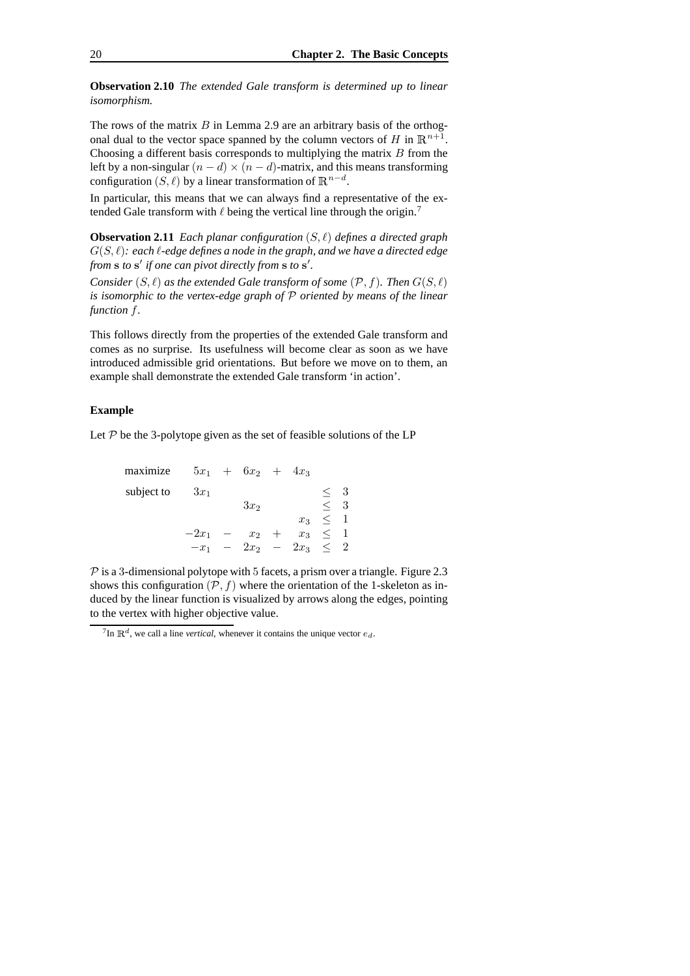**Observation 2.10** *The extended Gale transform is determined up to linear isomorphism.*

The rows of the matrix  $B$  in Lemma 2.9 are an arbitrary basis of the orthogonal dual to the vector space spanned by the column vectors of H in  $\mathbb{R}^{n+1}$ . Choosing a different basis corresponds to multiplying the matrix  $B$  from the left by a non-singular  $(n - d) \times (n - d)$ -matrix, and this means transforming configuration  $(S, \ell)$  by a linear transformation of  $\mathbb{R}^{n-d}$ .

In particular, this means that we can always find a representative of the extended Gale transform with  $\ell$  being the vertical line through the origin.<sup>7</sup>

**Observation 2.11** *Each planar configuration* (S, `) *defines a directed graph*  $G(S, \ell)$ : each  $\ell$ -edge defines a node in the graph, and we have a directed edge from **s** to **s**' *if* one *can pivot directly from* **s** to **s**'.

*Consider*  $(S, \ell)$  *as the extended Gale transform of some*  $(\mathcal{P}, f)$ *. Then*  $G(S, \ell)$ *is isomorphic to the vertex-edge graph of* P *oriented by means of the linear function* f*.*

This follows directly from the properties of the extended Gale transform and comes as no surprise. Its usefulness will become clear as soon as we have introduced admissible grid orientations. But before we move on to them, an example shall demonstrate the extended Gale transform 'in action'.

#### **Example**

Let  $P$  be the 3-polytope given as the set of feasible solutions of the LP

| maximize   |         | $5x_1 + 6x_2 + 4x_3$ |        |                      |              |    |
|------------|---------|----------------------|--------|----------------------|--------------|----|
| subject to | $3x_1$  |                      |        |                      |              | -3 |
|            |         | $3x_2$               |        |                      | $\,<\,$      | 3  |
|            |         |                      |        | $x_3$                | $\leq$ 1     |    |
|            | $-2x_1$ | $x_2$                | $^{+}$ |                      | $x_3 \leq 1$ |    |
|            | $-x_1$  |                      |        | $2x_2 - 2x_3 \leq 2$ |              |    |
|            |         |                      |        |                      |              |    |

 $P$  is a 3-dimensional polytope with 5 facets, a prism over a triangle. Figure 2.3 shows this configuration  $(\mathcal{P}, f)$  where the orientation of the 1-skeleton as induced by the linear function is visualized by arrows along the edges, pointing to the vertex with higher objective value.

<sup>&</sup>lt;sup>7</sup>In  $\mathbb{R}^d$ , we call a line *vertical*, whenever it contains the unique vector  $e_d$ .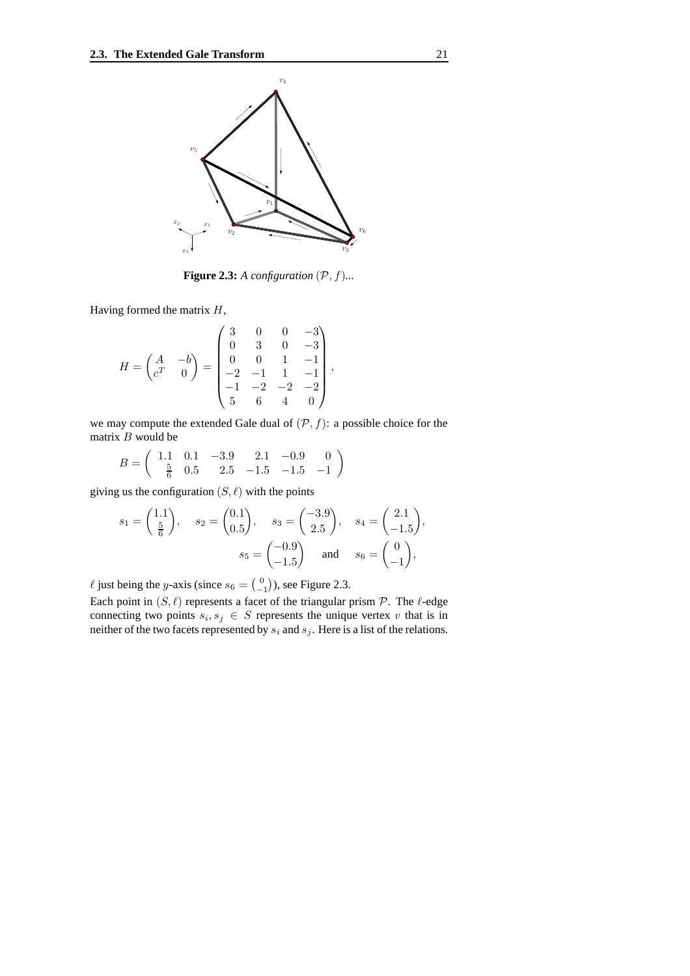

**Figure 2.3:** *A configuration*  $(\mathcal{P}, f)$ ...

Having formed the matrix  $H$ ,

$$
H = \begin{pmatrix} A & -b \\ c^T & 0 \end{pmatrix} = \begin{pmatrix} 3 & 0 & 0 & -3 \\ 0 & 3 & 0 & -3 \\ 0 & 0 & 1 & -1 \\ -2 & -1 & 1 & -1 \\ -1 & -2 & -2 & -2 \\ 5 & 6 & 4 & 0 \end{pmatrix},
$$

we may compute the extended Gale dual of  $(\mathcal{P}, f)$ : a possible choice for the matrix  $B$  would be

$$
B = \begin{pmatrix} 1.1 & 0.1 & -3.9 & 2.1 & -0.9 & 0 \\ \frac{5}{6} & 0.5 & 2.5 & -1.5 & -1.5 & -1 \end{pmatrix}
$$

giving us the configuration  $(S, \ell)$  with the points

$$
s_1 = \begin{pmatrix} 1.1 \\ \frac{5}{6} \end{pmatrix}
$$
,  $s_2 = \begin{pmatrix} 0.1 \\ 0.5 \end{pmatrix}$ ,  $s_3 = \begin{pmatrix} -3.9 \\ 2.5 \end{pmatrix}$ ,  $s_4 = \begin{pmatrix} 2.1 \\ -1.5 \end{pmatrix}$ ,  
 $s_5 = \begin{pmatrix} -0.9 \\ -1.5 \end{pmatrix}$  and  $s_6 = \begin{pmatrix} 0 \\ -1 \end{pmatrix}$ ,

 $\ell$  just being the y-axis (since  $s_6 = \begin{pmatrix} 0 \\ -1 \end{pmatrix}$ ), see Figure 2.3.

Each point in  $(S, \ell)$  represents a facet of the triangular prism  $P$ . The  $\ell$ -edge connecting two points  $s_i, s_j \in S$  represents the unique vertex v that is in neither of the two facets represented by  $s_i$  and  $s_j$ . Here is a list of the relations.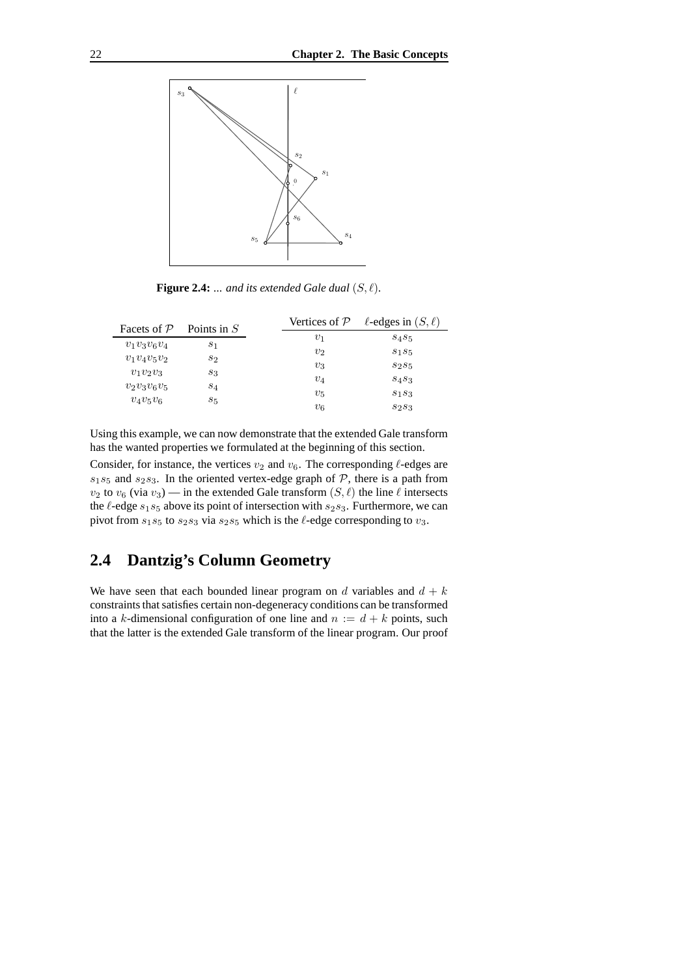

**Figure 2.4:**  $\ldots$  *and its extended Gale dual*  $(S, \ell)$ *.* 

| Facets of $P$  | Points in $S$  | Vertices of $P$ | $\ell$ -edges in $(S, \ell)$  |
|----------------|----------------|-----------------|-------------------------------|
|                |                | $v_1$           | S <sub>4</sub> S <sub>5</sub> |
| $v_1v_3v_6v_4$ | $s_1$          | v <sub>2</sub>  | $S_1S_5$                      |
| $v_1v_4v_5v_2$ | $s_2$          |                 |                               |
| $v_1v_2v_3$    | 83             | $v_3$           | S2S5                          |
|                |                | $v_4$           | S4S3                          |
| $v_2v_3v_6v_5$ | S <sub>4</sub> | $v_{5}$         | $S_1S_3$                      |
| $v_4v_5v_6$    | 85             | $v_6$           | $S_2S_3$                      |

Using this example, we can now demonstrate that the extended Gale transform has the wanted properties we formulated at the beginning of this section.

Consider, for instance, the vertices  $v_2$  and  $v_6$ . The corresponding  $\ell$ -edges are  $s_1s_5$  and  $s_2s_3$ . In the oriented vertex-edge graph of  $P$ , there is a path from  $v_2$  to  $v_6$  (via  $v_3$ ) — in the extended Gale transform  $(S, \ell)$  the line  $\ell$  intersects the  $\ell$ -edge  $s_1s_5$  above its point of intersection with  $s_2s_3$ . Furthermore, we can pivot from  $s_1s_5$  to  $s_2s_3$  via  $s_2s_5$  which is the  $\ell$ -edge corresponding to  $v_3$ .

## **2.4 Dantzig's Column Geometry**

We have seen that each bounded linear program on d variables and  $d + k$ constraints that satisfies certain non-degeneracy conditions can be transformed into a k-dimensional configuration of one line and  $n := d + k$  points, such that the latter is the extended Gale transform of the linear program. Our proof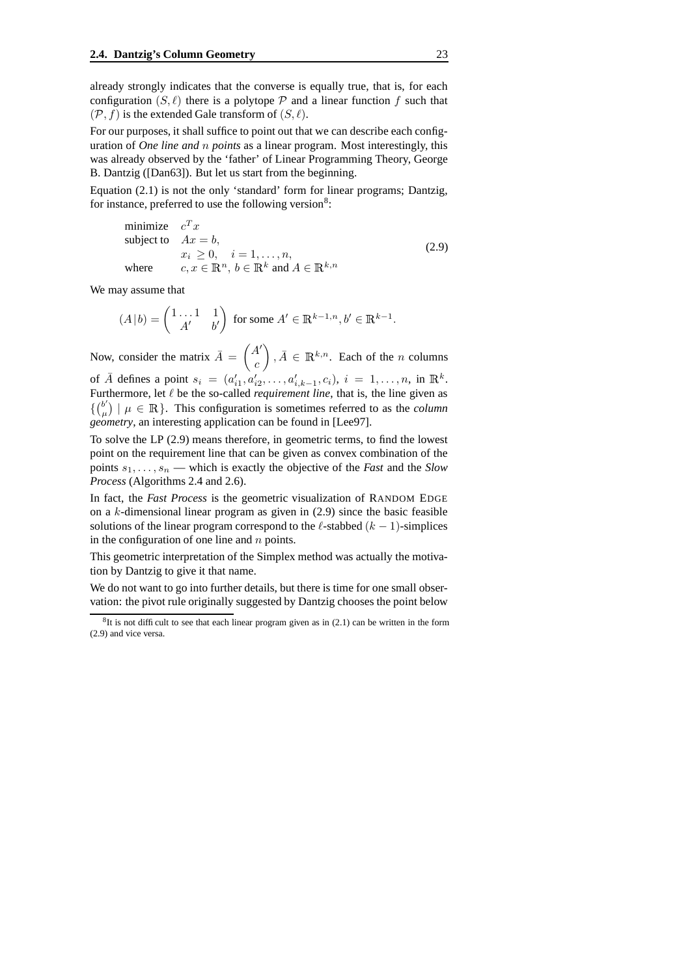already strongly indicates that the converse is equally true, that is, for each configuration  $(S, \ell)$  there is a polytope P and a linear function f such that  $(\mathcal{P}, f)$  is the extended Gale transform of  $(S, \ell)$ .

For our purposes, it shall suffice to point out that we can describe each configuration of *One line and* n *points* as a linear program. Most interestingly, this was already observed by the 'father' of Linear Programming Theory, George B. Dantzig ([Dan63]). But let us start from the beginning.

Equation (2.1) is not the only 'standard' form for linear programs; Dantzig, for instance, preferred to use the following version<sup>8</sup>:

minimize 
$$
c^T x
$$
  
\nsubject to  $Ax = b$ ,  
\n $x_i \ge 0$ ,  $i = 1,..., n$ ,  
\nwhere  $c, x \in \mathbb{R}^n$ ,  $b \in \mathbb{R}^k$  and  $A \in \mathbb{R}^{k,n}$  (2.9)

We may assume that

$$
(A | b) = \begin{pmatrix} 1 \dots 1 & 1 \\ A' & b' \end{pmatrix}
$$
 for some  $A' \in \mathbb{R}^{k-1,n}, b' \in \mathbb{R}^{k-1}$ .

Now, consider the matrix  $\overline{A} = \begin{pmatrix} A' \\ A \end{pmatrix}$ c  $\Big)$ ,  $\bar{A} \in \mathbb{R}^{k,n}$ . Each of the *n* columns of  $\bar{A}$  defines a point  $s_i = (a'_{i1}, a'_{i2}, \dots, a'_{i,k-1}, c_i), i = 1, \dots, n$ , in  $\mathbb{R}^k$ . Furthermore, let  $\ell$  be the so-called *requirement line*, that is, the line given as  $\{0 \choose \mu}$  $|\mu(\mu)| \mu \in \mathbb{R}$ . This configuration is sometimes referred to as the *column geometry*, an interesting application can be found in [Lee97].

To solve the LP (2.9) means therefore, in geometric terms, to find the lowest point on the requirement line that can be given as convex combination of the points  $s_1, \ldots, s_n$  — which is exactly the objective of the *Fast* and the *Slow Process* (Algorithms 2.4 and 2.6).

In fact, the *Fast Process* is the geometric visualization of RANDOM EDGE on a  $k$ -dimensional linear program as given in  $(2.9)$  since the basic feasible solutions of the linear program correspond to the  $\ell$ -stabbed  $(k - 1)$ -simplices in the configuration of one line and  $n$  points.

This geometric interpretation of the Simplex method was actually the motivation by Dantzig to give it that name.

We do not want to go into further details, but there is time for one small observation: the pivot rule originally suggested by Dantzig chooses the point below

 ${}^{8}$ It is not difficult to see that each linear program given as in (2.1) can be written in the form (2.9) and vice versa.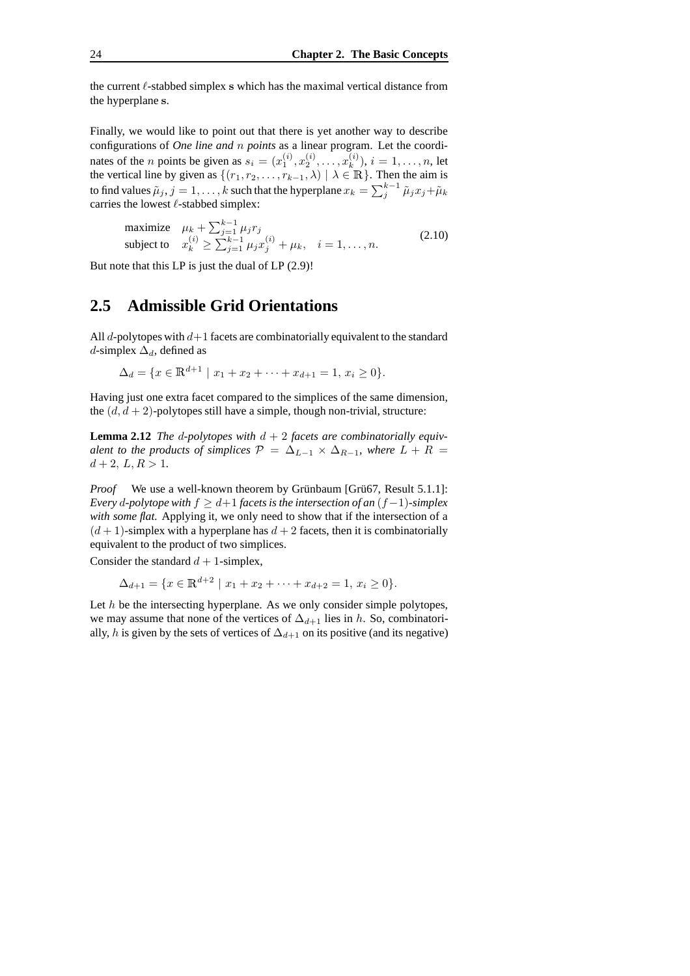the current  $\ell$ -stabbed simplex s which has the maximal vertical distance from the hyperplane s.

Finally, we would like to point out that there is yet another way to describe configurations of *One line and* n *points* as a linear program. Let the coordinates of the *n* points be given as  $s_i = (x_1^{(i)}, x_2^{(i)}, \dots, x_k^{(i)})$  $\binom{n}{k}$ ,  $i = 1, \ldots, n$ , let the vertical line by given as  $\{(r_1, r_2, \ldots, r_{k-1}, \lambda) \mid \lambda \in \mathbb{R}\}\.$  Then the aim is to find values  $\tilde{\mu}_j, j=1,\ldots,k$  such that the hyperplane  $x_k = \sum_j^{k-1} \tilde{\mu}_j x_j {+} \tilde{\mu}_k$ carries the lowest  $\ell$ -stabbed simplex:

maximize 
$$
\mu_k + \sum_{j=1}^{k-1} \mu_j r_j
$$
  
subject to  $x_k^{(i)} \ge \sum_{j=1}^{k-1} \mu_j x_j^{(i)} + \mu_k$ ,  $i = 1, ..., n$ . (2.10)

But note that this LP is just the dual of LP (2.9)!

#### **2.5 Admissible Grid Orientations**

All  $d$ -polytopes with  $d+1$  facets are combinatorially equivalent to the standard d-simplex  $\Delta_d$ , defined as

$$
\Delta_d = \{ x \in \mathbb{R}^{d+1} \mid x_1 + x_2 + \dots + x_{d+1} = 1, x_i \ge 0 \}.
$$

Having just one extra facet compared to the simplices of the same dimension, the  $(d, d + 2)$ -polytopes still have a simple, though non-trivial, structure:

**Lemma 2.12** *The d-polytopes with*  $d + 2$  *facets are combinatorially equivalent to the products of simplices*  $P = \Delta_{L-1} \times \Delta_{R-1}$ *, where*  $L + R =$  $d + 2$ ,  $L, R > 1$ .

*Proof* We use a well-known theorem by Grünbaum [Grü67, Result 5.1.1]: *Every d-polytope with*  $f \geq d+1$  *facets is the intersection of an*  $(f-1)$ *-simplex with some flat.* Applying it, we only need to show that if the intersection of a  $(d + 1)$ -simplex with a hyperplane has  $d + 2$  facets, then it is combinatorially equivalent to the product of two simplices.

Consider the standard  $d + 1$ -simplex,

$$
\Delta_{d+1} = \{ x \in \mathbb{R}^{d+2} \mid x_1 + x_2 + \dots + x_{d+2} = 1, x_i \ge 0 \}.
$$

Let  $h$  be the intersecting hyperplane. As we only consider simple polytopes, we may assume that none of the vertices of  $\Delta_{d+1}$  lies in h. So, combinatorially, h is given by the sets of vertices of  $\Delta_{d+1}$  on its positive (and its negative)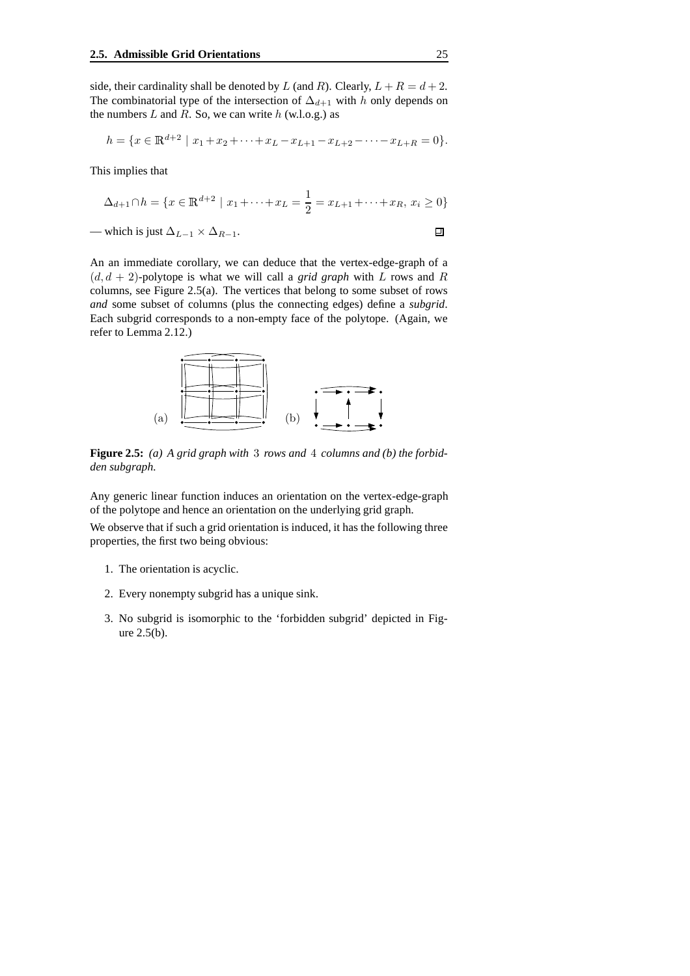side, their cardinality shall be denoted by L (and R). Clearly,  $L + R = d + 2$ . The combinatorial type of the intersection of  $\Delta_{d+1}$  with h only depends on the numbers  $L$  and  $R$ . So, we can write  $h$  (w.l.o.g.) as

$$
h = \{x \in \mathbb{R}^{d+2} \mid x_1 + x_2 + \dots + x_L - x_{L+1} - x_{L+2} - \dots - x_{L+R} = 0\}.
$$

This implies that

$$
\Delta_{d+1} \cap h = \{ x \in \mathbb{R}^{d+2} \mid x_1 + \dots + x_L = \frac{1}{2} = x_{L+1} + \dots + x_R, x_i \ge 0 \}
$$

— which is just  $\Delta_{L-1} \times \Delta_{R-1}$ .

An an immediate corollary, we can deduce that the vertex-edge-graph of a  $(d, d + 2)$ -polytope is what we will call a *grid graph* with L rows and R columns, see Figure 2.5(a). The vertices that belong to some subset of rows *and* some subset of columns (plus the connecting edges) define a *subgrid*. Each subgrid corresponds to a non-empty face of the polytope. (Again, we refer to Lemma 2.12.)



**Figure 2.5:** *(a) A grid graph with* 3 *rows and* 4 *columns and (b) the forbidden subgraph.*

Any generic linear function induces an orientation on the vertex-edge-graph of the polytope and hence an orientation on the underlying grid graph.

We observe that if such a grid orientation is induced, it has the following three properties, the first two being obvious:

- 1. The orientation is acyclic.
- 2. Every nonempty subgrid has a unique sink.
- 3. No subgrid is isomorphic to the 'forbidden subgrid' depicted in Figure 2.5(b).

 $\Box$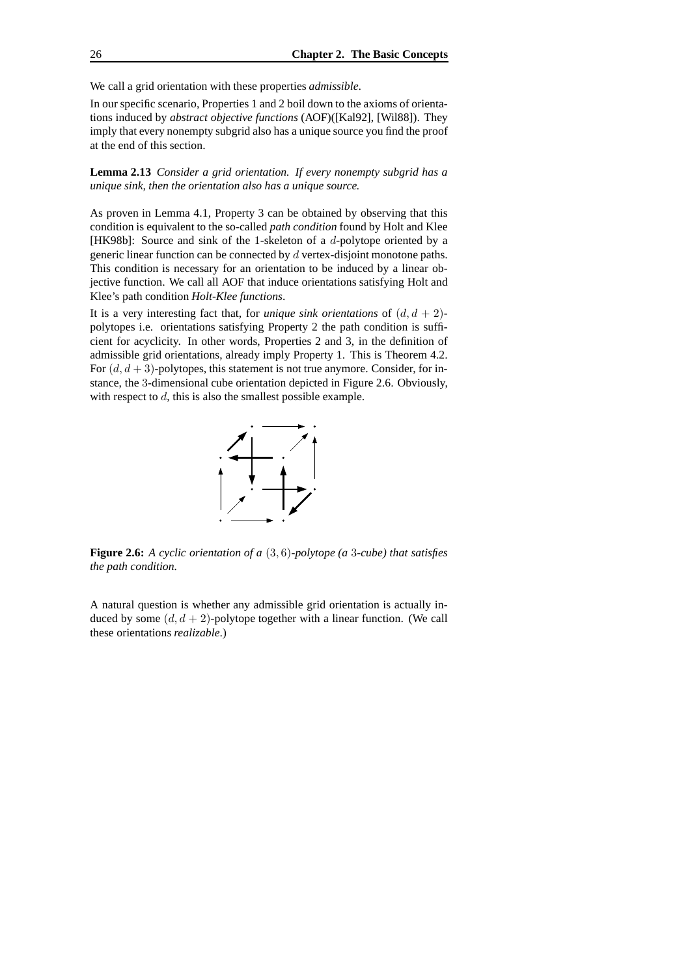We call a grid orientation with these properties *admissible*.

In our specific scenario, Properties 1 and 2 boil down to the axioms of orientations induced by *abstract objective functions* (AOF)([Kal92], [Wil88]). They imply that every nonempty subgrid also has a unique source you find the proof at the end of this section.

**Lemma 2.13** *Consider a grid orientation. If every nonempty subgrid has a unique sink, then the orientation also has a unique source.*

As proven in Lemma 4.1, Property 3 can be obtained by observing that this condition is equivalent to the so-called *path condition* found by Holt and Klee [HK98b]: Source and sink of the 1-skeleton of a d-polytope oriented by a generic linear function can be connected by d vertex-disjoint monotone paths. This condition is necessary for an orientation to be induced by a linear objective function. We call all AOF that induce orientations satisfying Holt and Klee's path condition *Holt-Klee functions*.

It is a very interesting fact that, for *unique sink orientations* of  $(d, d + 2)$ polytopes i.e. orientations satisfying Property 2 the path condition is sufficient for acyclicity. In other words, Properties 2 and 3, in the definition of admissible grid orientations, already imply Property 1. This is Theorem 4.2. For  $(d, d+3)$ -polytopes, this statement is not true anymore. Consider, for instance, the 3-dimensional cube orientation depicted in Figure 2.6. Obviously, with respect to d, this is also the smallest possible example.



**Figure 2.6:** *A cyclic orientation of a* (3, 6)*-polytope (a* 3*-cube) that satisfies the path condition.*

A natural question is whether any admissible grid orientation is actually induced by some  $(d, d + 2)$ -polytope together with a linear function. (We call these orientations *realizable*.)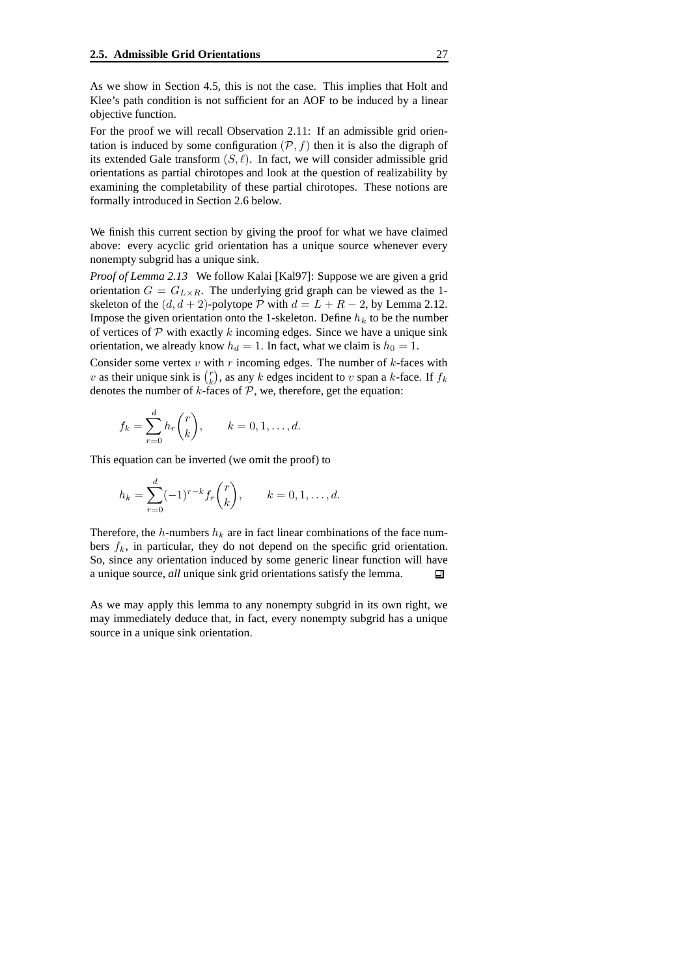As we show in Section 4.5, this is not the case. This implies that Holt and Klee's path condition is not sufficient for an AOF to be induced by a linear objective function.

For the proof we will recall Observation 2.11: If an admissible grid orientation is induced by some configuration  $(\mathcal{P}, f)$  then it is also the digraph of its extended Gale transform  $(S, \ell)$ . In fact, we will consider admissible grid orientations as partial chirotopes and look at the question of realizability by examining the completability of these partial chirotopes. These notions are formally introduced in Section 2.6 below.

We finish this current section by giving the proof for what we have claimed above: every acyclic grid orientation has a unique source whenever every nonempty subgrid has a unique sink.

*Proof of Lemma 2.13* We follow Kalai [Kal97]: Suppose we are given a grid orientation  $G = G_{L \times R}$ . The underlying grid graph can be viewed as the 1skeleton of the  $(d, d + 2)$ -polytope P with  $d = L + R - 2$ , by Lemma 2.12. Impose the given orientation onto the 1-skeleton. Define  $h_k$  to be the number of vertices of  $P$  with exactly  $k$  incoming edges. Since we have a unique sink orientation, we already know  $h_d = 1$ . In fact, what we claim is  $h_0 = 1$ .

Consider some vertex  $v$  with  $r$  incoming edges. The number of  $k$ -faces with v as their unique sink is  $\binom{r}{k}$ , as any k edges incident to v span a k-face. If  $f_k$ denotes the number of  $k$ -faces of  $P$ , we, therefore, get the equation:

$$
f_k = \sum_{r=0}^d h_r \binom{r}{k}, \qquad k = 0, 1, \dots, d.
$$

This equation can be inverted (we omit the proof) to

$$
h_k = \sum_{r=0}^d (-1)^{r-k} f_r \binom{r}{k}, \qquad k = 0, 1, \dots, d.
$$

Therefore, the h-numbers  $h_k$  are in fact linear combinations of the face numbers  $f_k$ , in particular, they do not depend on the specific grid orientation. So, since any orientation induced by some generic linear function will have a unique source, *all* unique sink grid orientations satisfy the lemma. 口

As we may apply this lemma to any nonempty subgrid in its own right, we may immediately deduce that, in fact, every nonempty subgrid has a unique source in a unique sink orientation.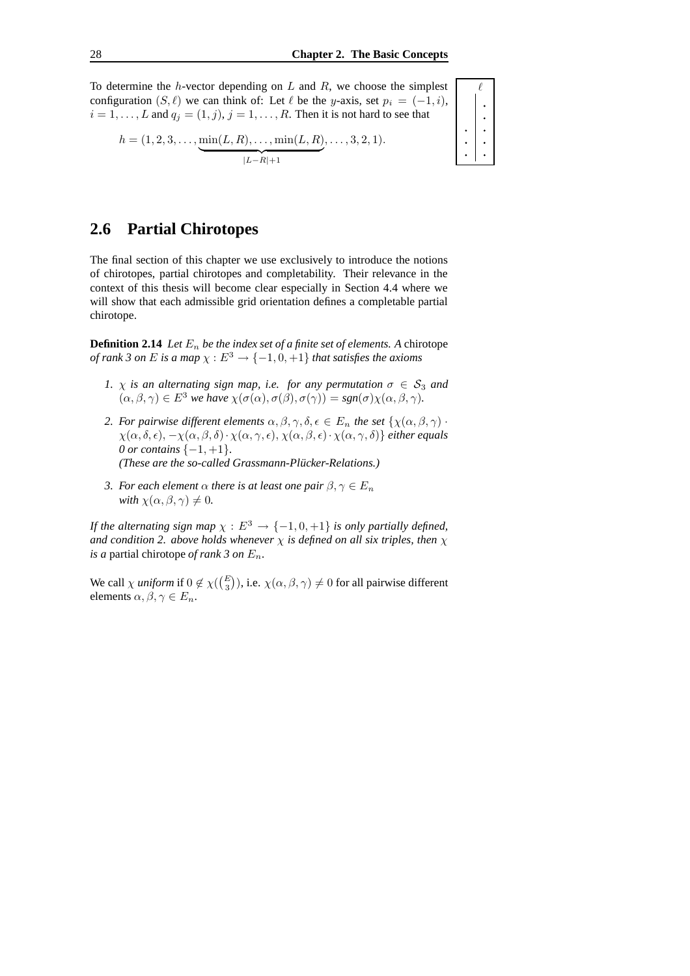To determine the  $h$ -vector depending on  $L$  and  $R$ , we choose the simplest configuration  $(S, \ell)$  we can think of: Let  $\ell$  be the y-axis, set  $p_i = (-1, i)$ ,  $i = 1, \ldots, L$  and  $q_j = (1, j), j = 1, \ldots, R$ . Then it is not hard to see that

$$
h = (1, 2, 3, \dots, \underbrace{\min(L, R), \dots, \min(L, R)}_{|L-R|+1}, \dots, 3, 2, 1).
$$

$$
\begin{array}{c|c|c|c} \hline \cdot & \cdot & \cdot \\ \hline \cdot & \cdot & \cdot \\ \hline \cdot & \cdot & \cdot \end{array}
$$

 $\ell$ 

## **2.6 Partial Chirotopes**

The final section of this chapter we use exclusively to introduce the notions of chirotopes, partial chirotopes and completability. Their relevance in the context of this thesis will become clear especially in Section 4.4 where we will show that each admissible grid orientation defines a completable partial chirotope.

**Definition 2.14** *Let*  $E_n$  *be the index set of a finite set of elements.* A chirotope *of rank 3 on E is a map*  $\chi$  :  $E^3 \rightarrow \{-1, 0, +1\}$  *that satisfies the axioms* 

- *1.*  $\chi$  *is an alternating sign map, i.e. for any permutation*  $\sigma \in S_3$  *and*  $(\alpha, \beta, \gamma) \in E^3$  *we have*  $\chi(\sigma(\alpha), \sigma(\beta), \sigma(\gamma)) = sgn(\sigma)\chi(\alpha, \beta, \gamma)$ *.*
- *2. For pairwise different elements*  $\alpha, \beta, \gamma, \delta, \epsilon \in E_n$  *the set*  $\{\chi(\alpha, \beta, \gamma)$ .  $\chi(\alpha, \delta, \epsilon), -\chi(\alpha, \beta, \delta) \cdot \chi(\alpha, \gamma, \epsilon), \chi(\alpha, \beta, \epsilon) \cdot \chi(\alpha, \gamma, \delta)$ } *either equals 0 or contains* {−1, +1}*. (These are the so-called Grassmann-Plücker-Relations.)*
- *3. For each element*  $\alpha$  *there is at least one pair*  $\beta, \gamma \in E_n$ *with*  $\chi(\alpha, \beta, \gamma) \neq 0$ .

*If* the alternating sign map  $\chi : E^3 \to \{-1, 0, +1\}$  is only partially defined, *and condition* 2. *above holds whenever*  $\chi$  *is defined on all six triples, then*  $\chi$ *is a* partial chirotope *of rank*  $3$  *on*  $E_n$ .

We call  $\chi$  *uniform* if  $0 \notin \chi(\binom{E}{3})$ , i.e.  $\chi(\alpha, \beta, \gamma) \neq 0$  for all pairwise different elements  $\alpha, \beta, \gamma \in E_n$ .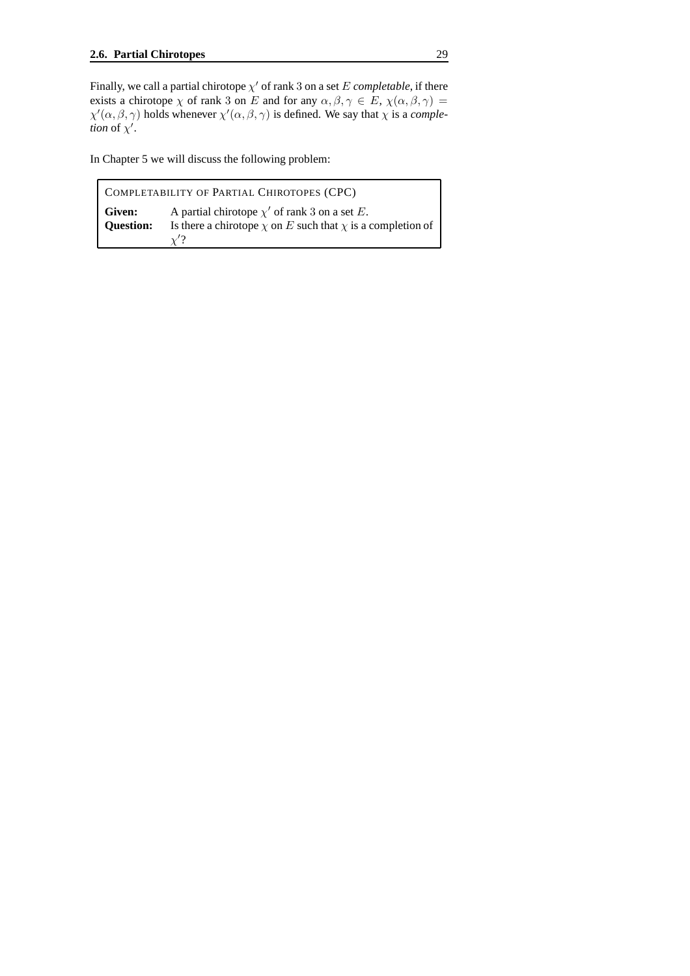Finally, we call a partial chirotope  $\chi'$  of rank 3 on a set  $E$  *completable*, if there exists a chirotope  $\chi$  of rank 3 on E and for any  $\alpha, \beta, \gamma \in E$ ,  $\chi(\alpha, \beta, \gamma) =$  $\chi'(\alpha,\beta,\gamma)$  holds whenever  $\chi'(\alpha,\beta,\gamma)$  is defined. We say that  $\chi$  is a *comple*tion of  $\chi'$ .

In Chapter 5 we will discuss the following problem:

| COMPLETABILITY OF PARTIAL CHIROTOPES (CPC) |                                                                                                                                         |
|--------------------------------------------|-----------------------------------------------------------------------------------------------------------------------------------------|
| <b>Given:</b><br><b>Question:</b>          | A partial chirotope $\chi'$ of rank 3 on a set E.<br>Is there a chirotope $\chi$ on E such that $\chi$ is a completion of<br>$\gamma$ ? |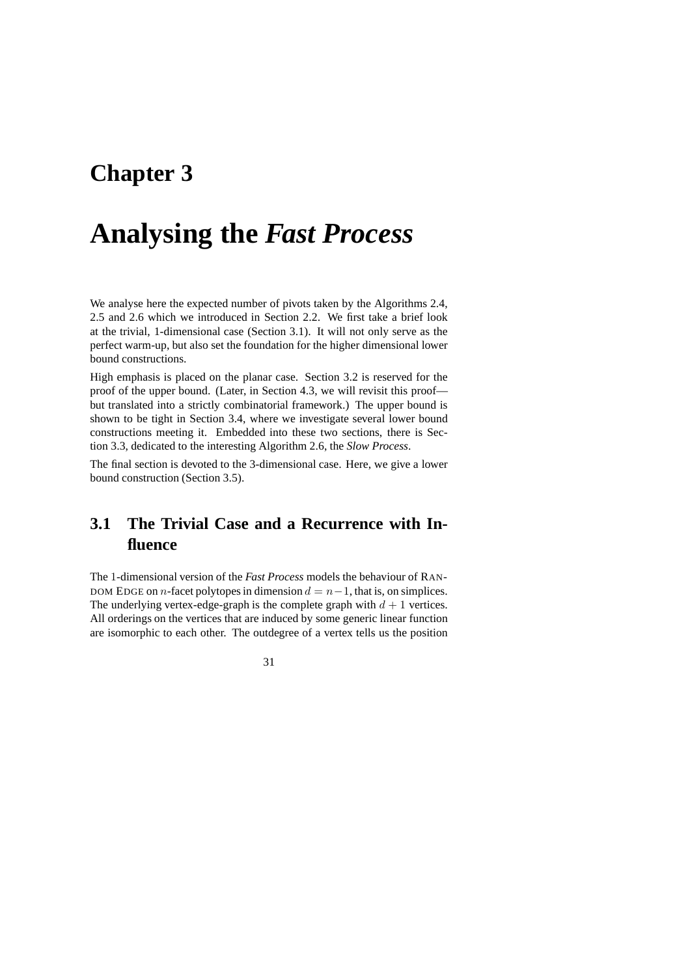# **Chapter 3**

# **Analysing the** *Fast Process*

We analyse here the expected number of pivots taken by the Algorithms 2.4, 2.5 and 2.6 which we introduced in Section 2.2. We first take a brief look at the trivial, 1-dimensional case (Section 3.1). It will not only serve as the perfect warm-up, but also set the foundation for the higher dimensional lower bound constructions.

High emphasis is placed on the planar case. Section 3.2 is reserved for the proof of the upper bound. (Later, in Section 4.3, we will revisit this proof but translated into a strictly combinatorial framework.) The upper bound is shown to be tight in Section 3.4, where we investigate several lower bound constructions meeting it. Embedded into these two sections, there is Section 3.3, dedicated to the interesting Algorithm 2.6, the *Slow Process*.

The final section is devoted to the 3-dimensional case. Here, we give a lower bound construction (Section 3.5).

# **3.1 The Trivial Case and a Recurrence with Influence**

The 1-dimensional version of the *Fast Process* models the behaviour of RAN-DOM EDGE on n-facet polytopes in dimension  $d = n-1$ , that is, on simplices. The underlying vertex-edge-graph is the complete graph with  $d + 1$  vertices. All orderings on the vertices that are induced by some generic linear function are isomorphic to each other. The outdegree of a vertex tells us the position

31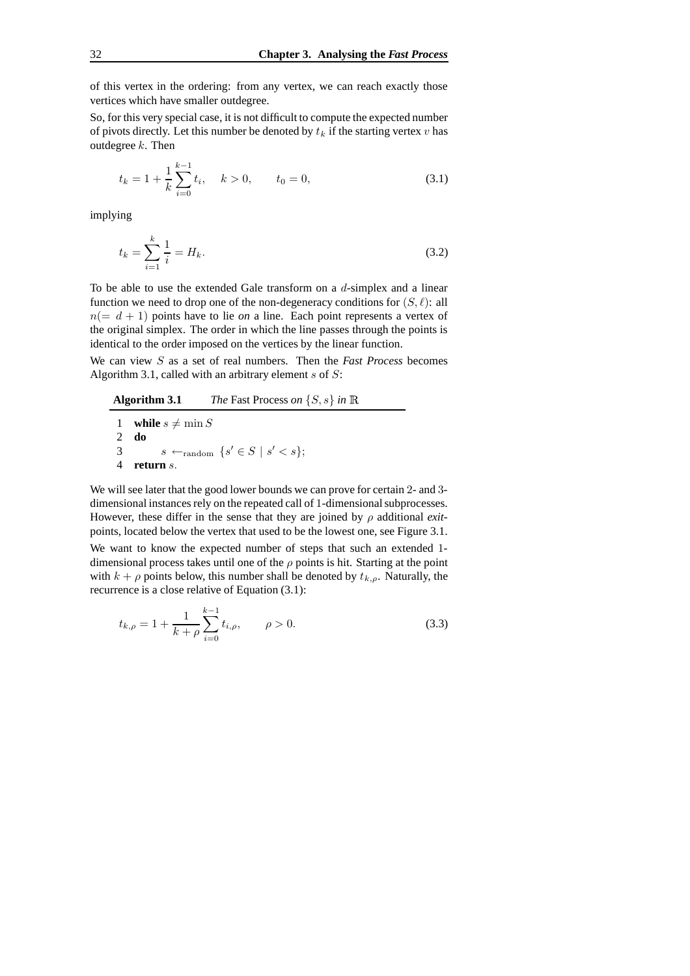of this vertex in the ordering: from any vertex, we can reach exactly those vertices which have smaller outdegree.

So, for this very special case, it is not difficult to compute the expected number of pivots directly. Let this number be denoted by  $t_k$  if the starting vertex v has outdegree  $k$ . Then

$$
t_k = 1 + \frac{1}{k} \sum_{i=0}^{k-1} t_i, \quad k > 0, \qquad t_0 = 0,
$$
\n(3.1)

implying

$$
t_k = \sum_{i=1}^k \frac{1}{i} = H_k.
$$
\n(3.2)

To be able to use the extended Gale transform on a d-simplex and a linear function we need to drop one of the non-degeneracy conditions for  $(S, \ell)$ : all  $n(= d + 1)$  points have to lie *on* a line. Each point represents a vertex of the original simplex. The order in which the line passes through the points is identical to the order imposed on the vertices by the linear function.

We can view S as a set of real numbers. Then the *Fast Process* becomes Algorithm 3.1, called with an arbitrary element  $s$  of  $S$ :

**Algorithm 3.1** *The* Fast Process *on* {S, s} *in*

**while**  $s \neq \min S$ <br>2 **do** 2 **do**  $s \leftarrow_{\text{random}} \{s' \in S \mid s' < s\};$ **return** s.

We will see later that the good lower bounds we can prove for certain 2- and 3 dimensional instances rely on the repeated call of 1-dimensional subprocesses. However, these differ in the sense that they are joined by ρ additional *exit*points, located below the vertex that used to be the lowest one, see Figure 3.1. We want to know the expected number of steps that such an extended 1 dimensional process takes until one of the  $\rho$  points is hit. Starting at the point with  $k + \rho$  points below, this number shall be denoted by  $t_{k,\rho}$ . Naturally, the recurrence is a close relative of Equation (3.1):

$$
t_{k,\rho} = 1 + \frac{1}{k+\rho} \sum_{i=0}^{k-1} t_{i,\rho}, \qquad \rho > 0.
$$
 (3.3)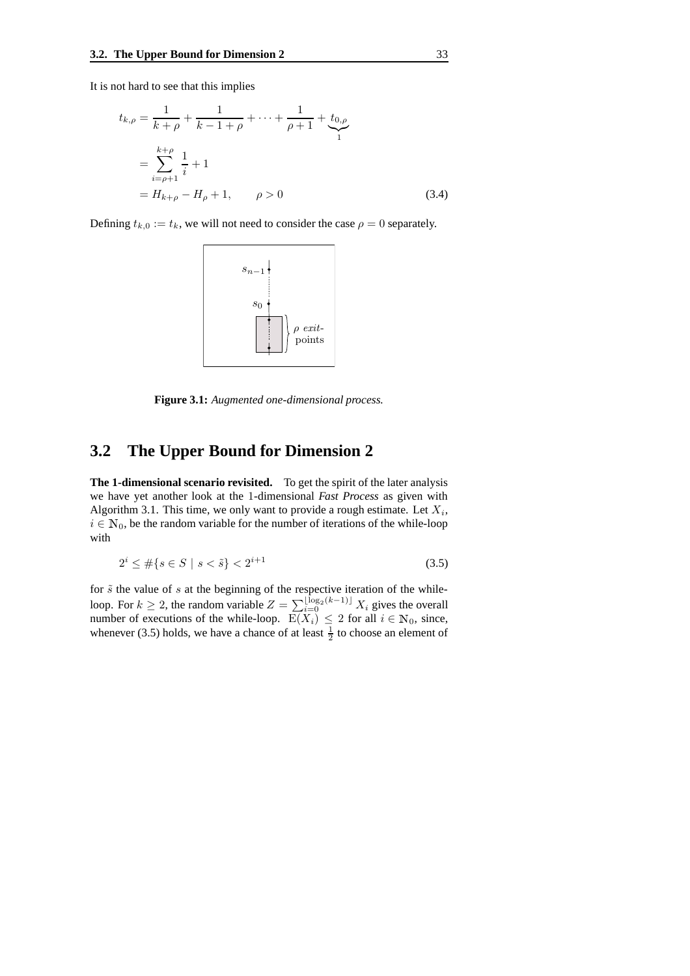It is not hard to see that this implies

$$
t_{k,\rho} = \frac{1}{k+\rho} + \frac{1}{k-1+\rho} + \dots + \frac{1}{\rho+1} + \underbrace{t_{0,\rho}}_{1}
$$
  
= 
$$
\sum_{i=\rho+1}^{k+\rho} \frac{1}{i} + 1
$$
  
= 
$$
H_{k+\rho} - H_{\rho} + 1, \qquad \rho > 0
$$
 (3.4)

Defining  $t_{k,0} := t_k$ , we will not need to consider the case  $\rho = 0$  separately.



**Figure 3.1:** *Augmented one-dimensional process.*

# **3.2 The Upper Bound for Dimension 2**

**The 1-dimensional scenario revisited.** To get the spirit of the later analysis we have yet another look at the 1-dimensional *Fast Process* as given with Algorithm 3.1. This time, we only want to provide a rough estimate. Let  $X_i$ ,  $i \in \mathbb{N}_0$ , be the random variable for the number of iterations of the while-loop with

$$
2^{i} \le \#\{s \in S \mid s < \tilde{s}\} < 2^{i+1} \tag{3.5}
$$

for  $\tilde{s}$  the value of s at the beginning of the respective iteration of the whileloop. For  $k \ge 2$ , the random variable  $Z = \sum_{i=0}^{\lfloor \log_2(k-1) \rfloor} X_i$  gives the overall number of executions of the while-loop.  $E(X_i) \leq 2$  for all  $i \in \mathbb{N}_0$ , since, whenever (3.5) holds, we have a chance of at least  $\frac{1}{2}$  to choose an element of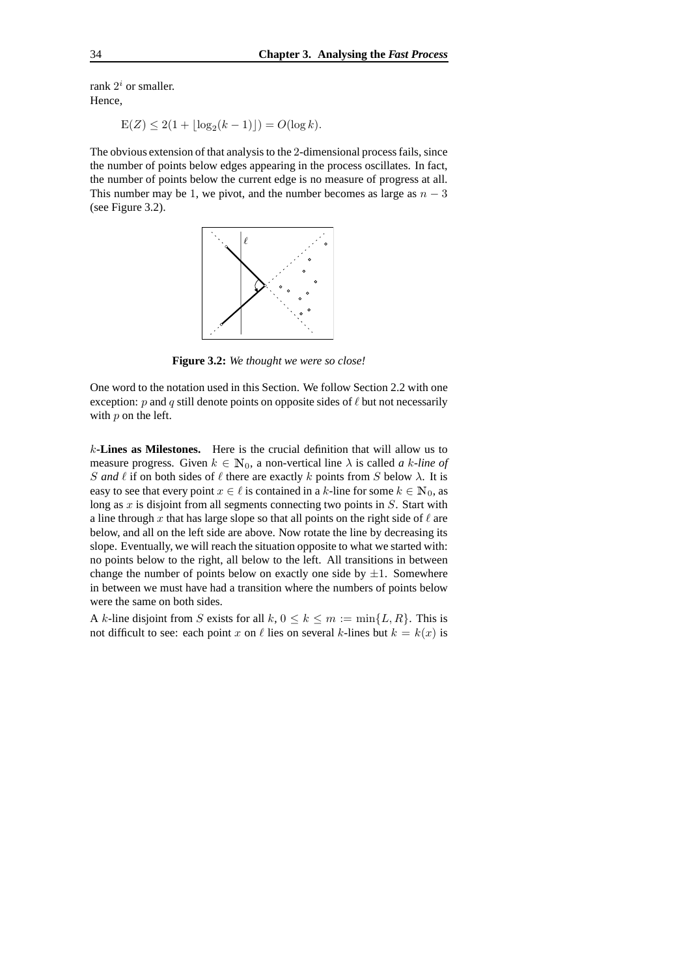rank  $2^i$  or smaller. Hence,

$$
E(Z) \le 2(1 + \lfloor \log_2(k - 1) \rfloor) = O(\log k).
$$

The obvious extension of that analysis to the 2-dimensional process fails, since the number of points below edges appearing in the process oscillates. In fact, the number of points below the current edge is no measure of progress at all. This number may be 1, we pivot, and the number becomes as large as  $n - 3$ (see Figure 3.2).



**Figure 3.2:** *We thought we were so close!*

One word to the notation used in this Section. We follow Section 2.2 with one exception:  $p$  and  $q$  still denote points on opposite sides of  $\ell$  but not necessarily with  $p$  on the left.

k**-Lines as Milestones.** Here is the crucial definition that will allow us to measure progress. Given  $k \in \mathbb{N}_0$ , a non-vertical line  $\lambda$  is called *a k-line of* S and  $\ell$  if on both sides of  $\ell$  there are exactly k points from S below  $\lambda$ . It is easy to see that every point  $x \in \ell$  is contained in a k-line for some  $k \in \mathbb{N}_0$ , as long as  $x$  is disjoint from all segments connecting two points in  $S$ . Start with a line through x that has large slope so that all points on the right side of  $\ell$  are below, and all on the left side are above. Now rotate the line by decreasing its slope. Eventually, we will reach the situation opposite to what we started with: no points below to the right, all below to the left. All transitions in between change the number of points below on exactly one side by  $\pm 1$ . Somewhere in between we must have had a transition where the numbers of points below were the same on both sides.

A k-line disjoint from S exists for all  $k, 0 \le k \le m := \min\{L, R\}$ . This is not difficult to see: each point x on  $\ell$  lies on several k-lines but  $k = k(x)$  is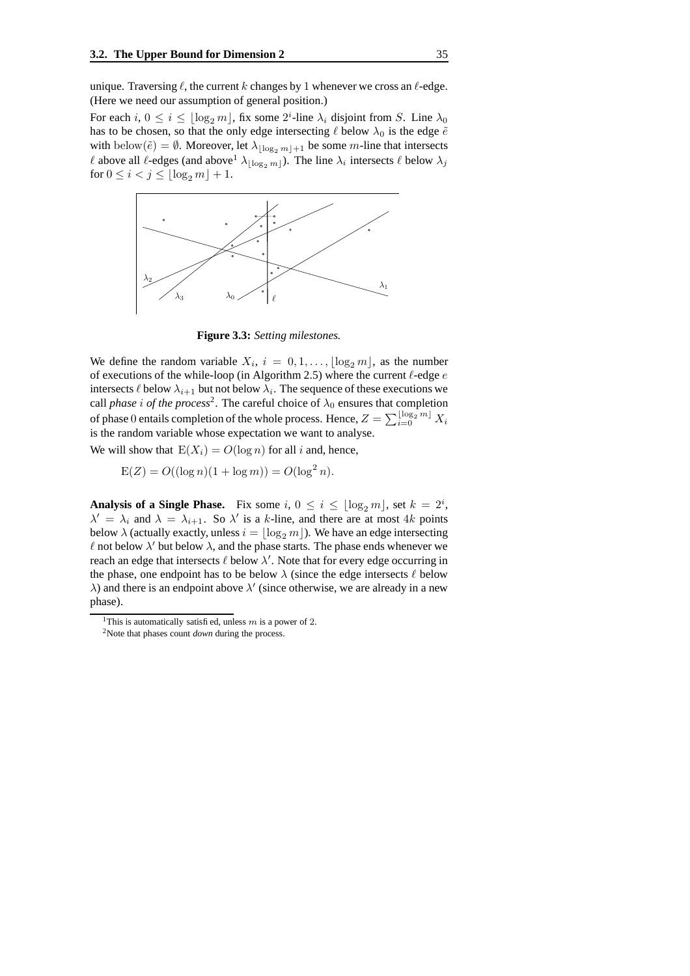unique. Traversing  $\ell$ , the current k changes by 1 whenever we cross an  $\ell$ -edge. (Here we need our assumption of general position.)

For each  $i, 0 \le i \le \lfloor \log_2 m \rfloor$ , fix some  $2^i$ -line  $\lambda_i$  disjoint from S. Line  $\lambda_0$ has to be chosen, so that the only edge intersecting  $\ell$  below  $\lambda_0$  is the edge  $\tilde{e}$ with below $(\tilde{e}) = \emptyset$ . Moreover, let  $\lambda_{\lfloor \log_2 m \rfloor + 1}$  be some m-line that intersects  $\ell$  above all  $\ell$ -edges (and above  $\lambda_{\lfloor \log_2 m \rfloor}$ ). The line  $\lambda_i$  intersects  $\ell$  below  $\lambda_j$ for  $0 \le i < j \le |\log_2 m| + 1$ .



**Figure 3.3:** *Setting milestones.*

We define the random variable  $X_i$ ,  $i = 0, 1, \ldots, \lfloor \log_2 m \rfloor$ , as the number of executions of the while-loop (in Algorithm 2.5) where the current  $\ell$ -edge  $e$ intersects  $\ell$  below  $\lambda_{i+1}$  but not below  $\lambda_i$ . The sequence of these executions we call *phase i* of the *process*<sup>2</sup>. The careful choice of  $\lambda_0$  ensures that completion of phase  $0$  entails completion of the whole process. Hence,  $Z = \sum_{i=0}^{\lfloor \log_2 m \rfloor} X_i$ is the random variable whose expectation we want to analyse.

We will show that  $E(X_i) = O(\log n)$  for all i and, hence,

$$
E(Z) = O((\log n)(1 + \log m)) = O(\log^2 n).
$$

**Analysis of a Single Phase.** Fix some  $i, 0 \le i \le \lfloor \log_2 m \rfloor$ , set  $k = 2^i$ ,  $\lambda' = \lambda_i$  and  $\lambda = \lambda_{i+1}$ . So  $\lambda'$  is a k-line, and there are at most 4k points below  $\lambda$  (actually exactly, unless  $i = \log_2 m$  ). We have an edge intersecting  $\ell$  not below  $\lambda'$  but below  $\lambda$ , and the phase starts. The phase ends whenever we reach an edge that intersects  $\ell$  below  $\lambda'$ . Note that for every edge occurring in the phase, one endpoint has to be below  $\lambda$  (since the edge intersects  $\ell$  below  $\lambda$ ) and there is an endpoint above  $\lambda'$  (since otherwise, we are already in a new phase).

<sup>&</sup>lt;sup>1</sup>This is automatically satisfied, unless m is a power of 2.

<sup>2</sup>Note that phases count *down* during the process.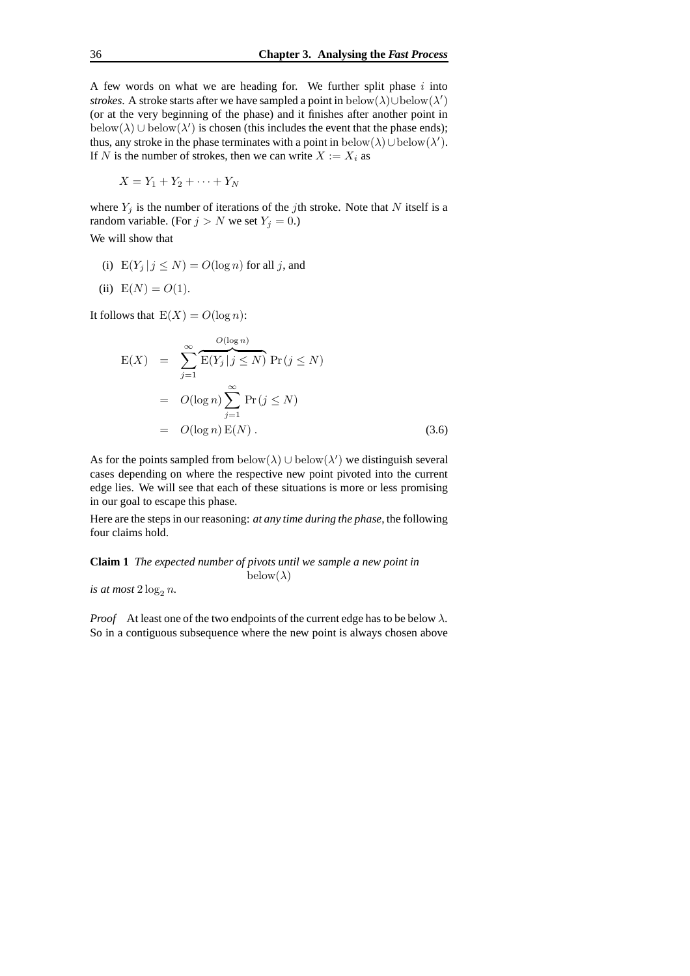A few words on what we are heading for. We further split phase  $i$  into *strokes*. A stroke starts after we have sampled a point in below $(\lambda) \cup$ below $(\lambda')$ (or at the very beginning of the phase) and it finishes after another point in below( $\lambda$ ) ∪ below( $\lambda'$ ) is chosen (this includes the event that the phase ends); thus, any stroke in the phase terminates with a point in below( $\lambda$ )∪below( $\lambda'$ ). If N is the number of strokes, then we can write  $X := X_i$  as

$$
X = Y_1 + Y_2 + \cdots + Y_N
$$

where  $Y_j$  is the number of iterations of the jth stroke. Note that N itself is a random variable. (For  $j > N$  we set  $Y_j = 0$ .)

We will show that

(i)  $E(Y_j | j \leq N) = O(\log n)$  for all j, and

(ii) 
$$
E(N) = O(1)
$$
.

It follows that  $E(X) = O(\log n)$ :

$$
E(X) = \sum_{j=1}^{\infty} \overbrace{E(Y_j | j \le N)}^{O(\log n)} Pr(j \le N)
$$
  
=  $O(\log n) \sum_{j=1}^{\infty} Pr(j \le N)$   
=  $O(\log n) E(N)$ . (3.6)

As for the points sampled from  $below(\lambda) \cup below(\lambda')$  we distinguish several cases depending on where the respective new point pivoted into the current edge lies. We will see that each of these situations is more or less promising in our goal to escape this phase.

Here are the steps in our reasoning: *at any time during the phase*, the following four claims hold.

**Claim 1** *The expected number of pivots until we sample a new point in*  $below(\lambda)$ 

*is at most*  $2 \log_2 n$ .

*Proof* At least one of the two endpoints of the current edge has to be below  $\lambda$ . So in a contiguous subsequence where the new point is always chosen above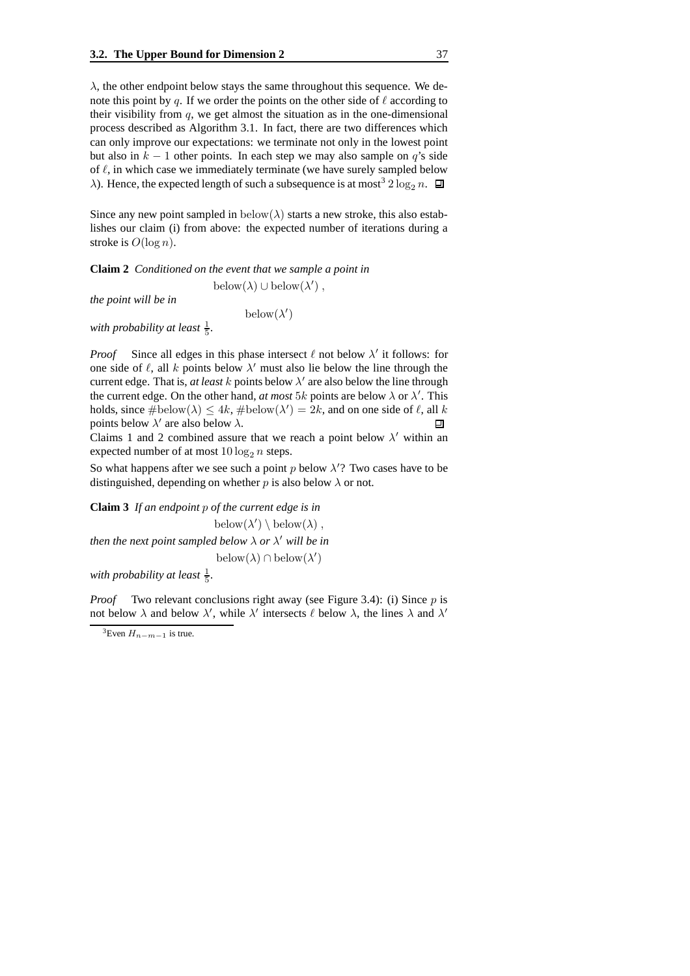$\lambda$ , the other endpoint below stays the same throughout this sequence. We denote this point by q. If we order the points on the other side of  $\ell$  according to their visibility from  $q$ , we get almost the situation as in the one-dimensional process described as Algorithm 3.1. In fact, there are two differences which can only improve our expectations: we terminate not only in the lowest point but also in  $k - 1$  other points. In each step we may also sample on q's side of  $\ell$ , in which case we immediately terminate (we have surely sampled below  $\lambda$ ). Hence, the expected length of such a subsequence is at most<sup>3</sup> 2 log<sub>2</sub> n.  $\Box$ 

Since any new point sampled in  $below(\lambda)$  starts a new stroke, this also establishes our claim (i) from above: the expected number of iterations during a stroke is  $O(\log n)$ .

**Claim 2** *Conditioned on the event that we sample a point in* below $(\lambda) \cup \mathrm{below}(\lambda')$ ,

*the point will be in*

 $below(\lambda')$ 

with probability at least  $\frac{1}{5}$ .

*Proof* Since all edges in this phase intersect  $\ell$  not below  $\lambda'$  it follows: for one side of  $\ell$ , all k points below  $\lambda'$  must also lie below the line through the current edge. That is, *at least k* points below  $\lambda'$  are also below the line through the current edge. On the other hand, *at most* 5k points are below  $\lambda$  or  $\lambda'$ . This holds, since  $\#\text{below}(\lambda) \leq 4k$ ,  $\#\text{below}(\lambda') = 2k$ , and on one side of  $\ell$ , all k points below  $\lambda'$  are also below  $\lambda$ . 回

Claims 1 and 2 combined assure that we reach a point below  $\lambda'$  within an expected number of at most  $10 \log_2 n$  steps.

So what happens after we see such a point  $p$  below  $\lambda$ <sup>'</sup>? Two cases have to be distinguished, depending on whether p is also below  $\lambda$  or not.

**Claim 3** *If an endpoint* p *of the current edge is in* below $(\lambda') \setminus \mathrm{below}(\lambda)$ , then the next point sampled below  $\lambda$  or  $\lambda'$  will be in below $(\lambda) \cap \text{below}(\lambda')$ with probability at least  $\frac{1}{5}$ .

*Proof* Two relevant conclusions right away (see Figure 3.4): (i) Since p is not below  $\lambda$  and below  $\lambda'$ , while  $\lambda'$  intersects  $\ell$  below  $\lambda$ , the lines  $\lambda$  and  $\lambda'$ 

<sup>&</sup>lt;sup>3</sup>Even  $H_{n-m-1}$  is true.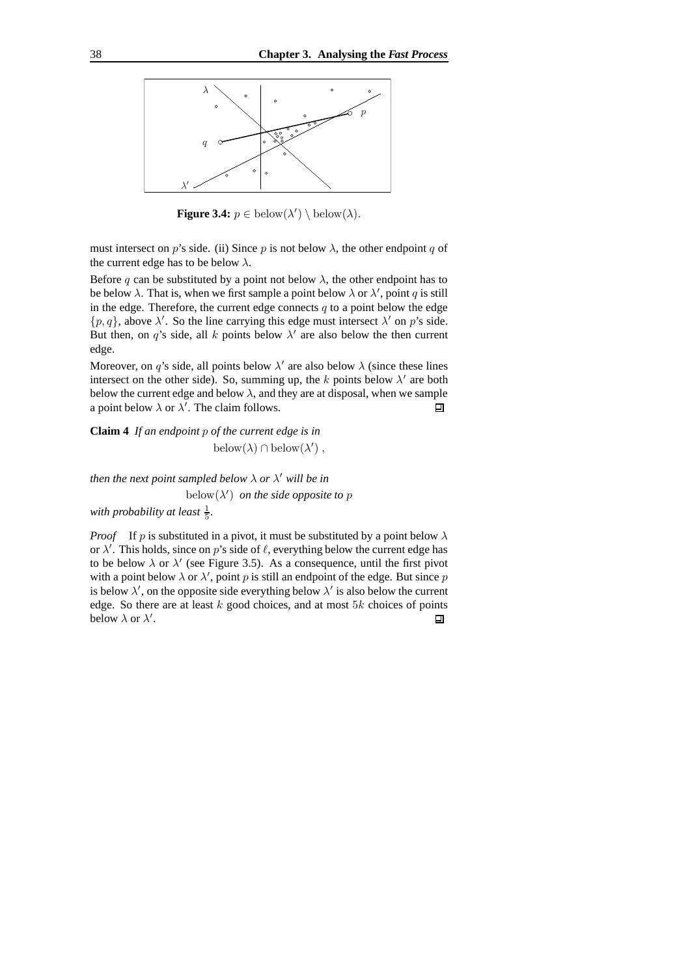

**Figure 3.4:**  $p \in \text{below}(\lambda') \setminus \text{below}(\lambda)$ .

must intersect on p's side. (ii) Since p is not below  $\lambda$ , the other endpoint q of the current edge has to be below  $\lambda$ .

Before q can be substituted by a point not below  $\lambda$ , the other endpoint has to be below  $\lambda$ . That is, when we first sample a point below  $\lambda$  or  $\lambda'$ , point q is still in the edge. Therefore, the current edge connects  $q$  to a point below the edge  $\{p, q\}$ , above  $\lambda'$ . So the line carrying this edge must intersect  $\lambda'$  on p's side. But then, on q's side, all k points below  $\lambda'$  are also below the then current edge.

Moreover, on q's side, all points below  $\lambda'$  are also below  $\lambda$  (since these lines intersect on the other side). So, summing up, the k points below  $\lambda'$  are both below the current edge and below  $\lambda$ , and they are at disposal, when we sample a point below  $\lambda$  or  $\lambda'$ . The claim follows.  $\Box$ 

**Claim 4** *If an endpoint* p *of the current edge is in* below $(\lambda) \cap \mathrm{below}(\lambda')$ ,

then the next point sampled below  $\lambda$  or  $\lambda'$  will be in below $(\lambda')$  *on the side opposite to p* with probability at least  $\frac{1}{5}$ .

*Proof* If p is substituted in a pivot, it must be substituted by a point below  $\lambda$ or  $\lambda'$ . This holds, since on p's side of  $\ell$ , everything below the current edge has to be below  $\lambda$  or  $\lambda'$  (see Figure 3.5). As a consequence, until the first pivot with a point below  $\lambda$  or  $\lambda'$ , point p is still an endpoint of the edge. But since p is below  $\lambda'$ , on the opposite side everything below  $\lambda'$  is also below the current edge. So there are at least  $k$  good choices, and at most  $5k$  choices of points below  $\lambda$  or  $\lambda'$ . 回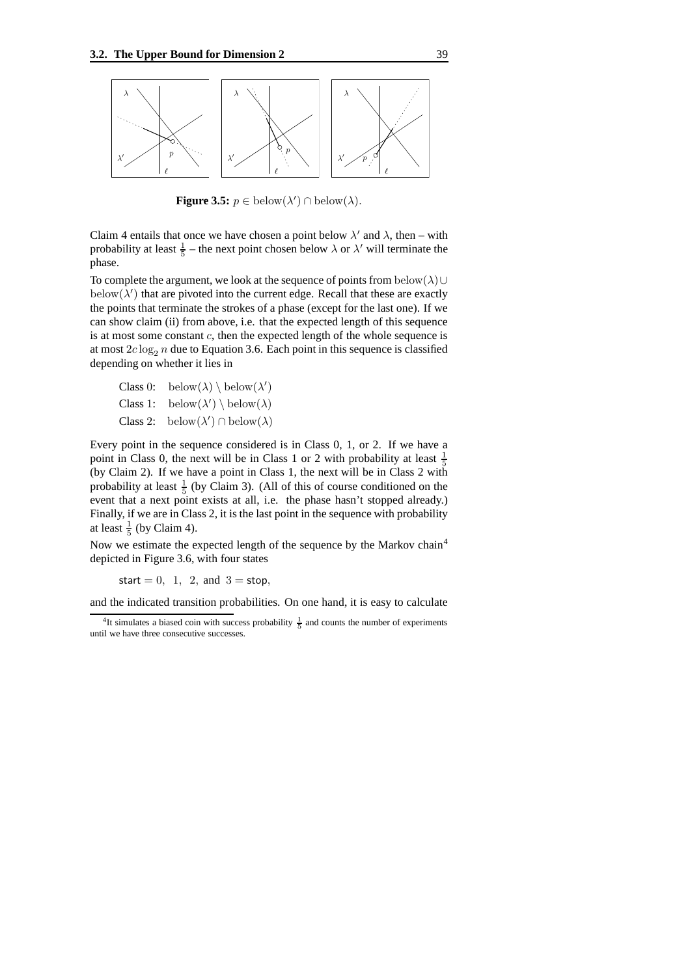

**Figure 3.5:**  $p \in \text{below}(\lambda') \cap \text{below}(\lambda)$ .

Claim 4 entails that once we have chosen a point below  $\lambda'$  and  $\lambda$ , then – with probability at least  $\frac{1}{5}$  – the next point chosen below  $\lambda$  or  $\lambda'$  will terminate the phase.

To complete the argument, we look at the sequence of points from below( $\lambda$ )∪ below $(\lambda')$  that are pivoted into the current edge. Recall that these are exactly the points that terminate the strokes of a phase (except for the last one). If we can show claim (ii) from above, i.e. that the expected length of this sequence is at most some constant  $c$ , then the expected length of the whole sequence is at most  $2c \log_2 n$  due to Equation 3.6. Each point in this sequence is classified depending on whether it lies in

Class 0: below( $\lambda$ ) \ below( $\lambda'$ ) Class 1: below $(\lambda') \setminus \text{below}(\lambda)$ **Class 2:** below( $\lambda'$ )  $\cap$  below( $\lambda$ )

Every point in the sequence considered is in Class 0, 1, or 2. If we have a point in Class 0, the next will be in Class 1 or 2 with probability at least  $\frac{1}{5}$ (by Claim 2). If we have a point in Class 1, the next will be in Class 2 with probability at least  $\frac{1}{5}$  (by Claim 3). (All of this of course conditioned on the event that a next point exists at all, i.e. the phase hasn't stopped already.) Finally, if we are in Class 2, it is the last point in the sequence with probability at least  $\frac{1}{5}$  (by Claim 4).

Now we estimate the expected length of the sequence by the Markov chain<sup>4</sup> depicted in Figure 3.6, with four states

start = 0, 1, 2, and  $3 =$  stop,

and the indicated transition probabilities. On one hand, it is easy to calculate

<sup>&</sup>lt;sup>4</sup>It simulates a biased coin with success probability  $\frac{1}{5}$  and counts the number of experiments until we have three consecutive successes.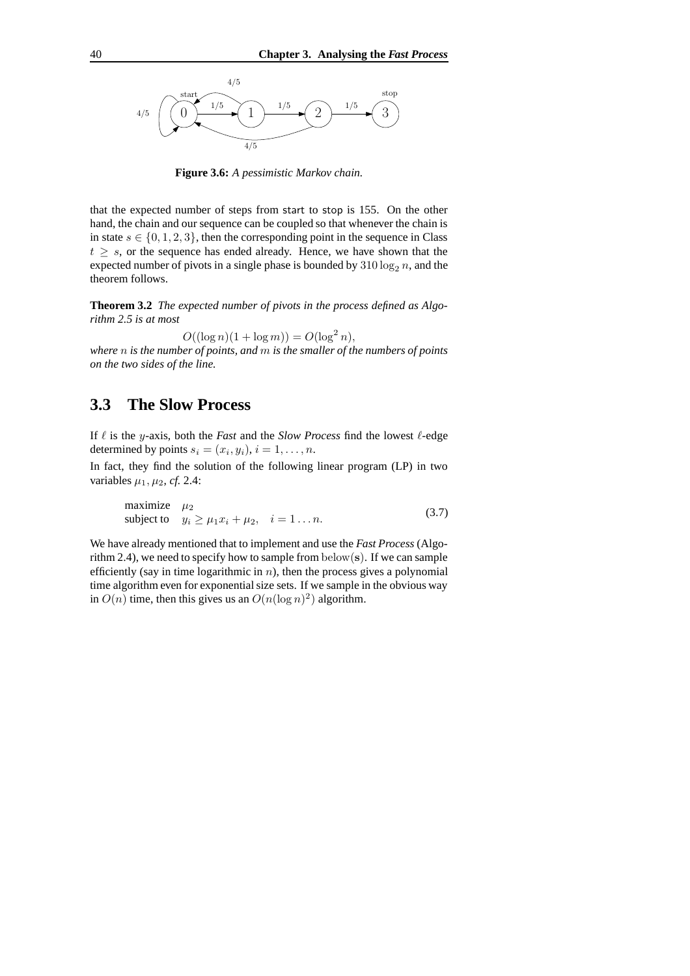

**Figure 3.6:** *A pessimistic Markov chain.*

that the expected number of steps from start to stop is 155. On the other hand, the chain and our sequence can be coupled so that whenever the chain is in state  $s \in \{0, 1, 2, 3\}$ , then the corresponding point in the sequence in Class  $t \geq s$ , or the sequence has ended already. Hence, we have shown that the expected number of pivots in a single phase is bounded by  $310 \log_2 n$ , and the theorem follows.

**Theorem 3.2** *The expected number of pivots in the process defined as Algorithm 2.5 is at most*

 $O((\log n)(1 + \log m)) = O(\log^2 n),$ 

*where* n *is the number of points, and* m *is the smaller of the numbers of points on the two sides of the line.*

## **3.3 The Slow Process**

If  $\ell$  is the y-axis, both the *Fast* and the *Slow Process* find the lowest  $\ell$ -edge determined by points  $s_i = (x_i, y_i), i = 1, \ldots, n$ .

In fact, they find the solution of the following linear program (LP) in two variables  $\mu_1$ ,  $\mu_2$ , *cf.* 2.4:

maximize 
$$
\mu_2
$$
  
subject to  $y_i \ge \mu_1 x_i + \mu_2$ ,  $i = 1...n$ . (3.7)

We have already mentioned that to implement and use the *Fast Process* (Algorithm 2.4), we need to specify how to sample from  $below(s)$ . If we can sample efficiently (say in time logarithmic in  $n$ ), then the process gives a polynomial time algorithm even for exponential size sets. If we sample in the obvious way in  $O(n)$  time, then this gives us an  $O(n(\log n)^2)$  algorithm.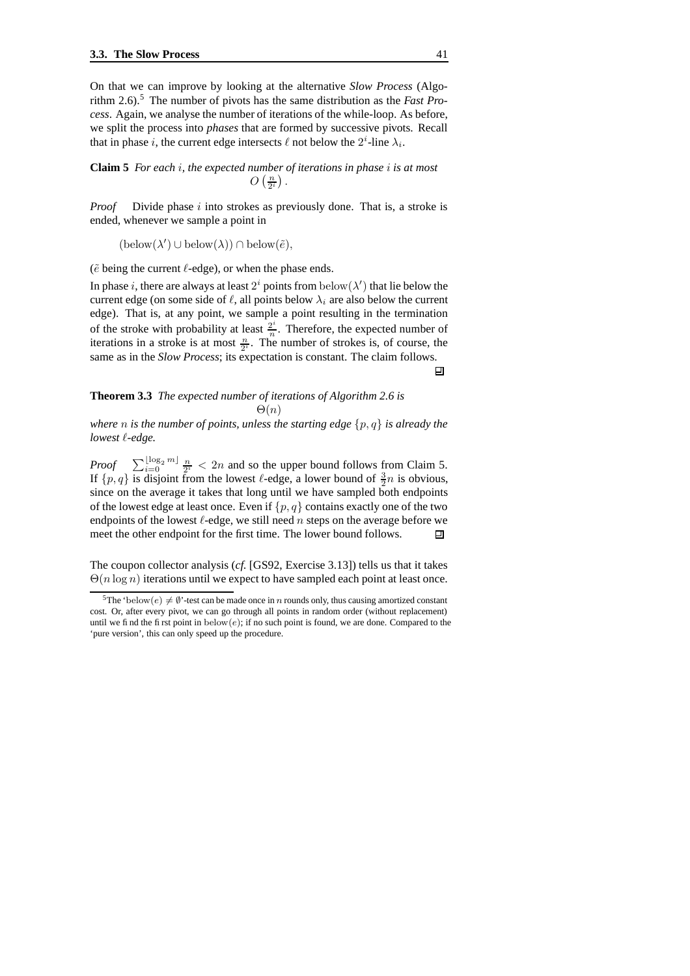On that we can improve by looking at the alternative *Slow Process* (Algorithm 2.6).<sup>5</sup> The number of pivots has the same distribution as the *Fast Process*. Again, we analyse the number of iterations of the while-loop. As before, we split the process into *phases* that are formed by successive pivots. Recall that in phase *i*, the current edge intersects  $\ell$  not below the  $2^i$ -line  $\lambda_i$ .

**Claim 5** *For each* i*, the expected number of iterations in phase* i *is at most*  $O\left(\frac{n}{2^i}\right)$  .

*Proof* Divide phase i into strokes as previously done. That is, a stroke is ended, whenever we sample a point in

 $(\text{below}(\lambda') \cup \text{below}(\lambda)) \cap \text{below}(\tilde{e}),$ 

( $\tilde{e}$  being the current  $\ell$ -edge), or when the phase ends.

In phase i, there are always at least  $2^i$  points from  $below(\lambda')$  that lie below the current edge (on some side of  $\ell$ , all points below  $\lambda_i$  are also below the current edge). That is, at any point, we sample a point resulting in the termination of the stroke with probability at least  $\frac{2^i}{n}$  $\frac{2^{n}}{n}$ . Therefore, the expected number of iterations in a stroke is at most  $\frac{n}{2^i}$ . The number of strokes is, of course, the same as in the *Slow Process*; its expectation is constant. The claim follows.

**Theorem 3.3** *The expected number of iterations of Algorithm 2.6 is*  $\Theta(n)$ 

*where n is the number of points, unless the starting edge*  $\{p, q\}$  *is already the lowest*  $\ell$ *-edge.* 

*Proof*  $\sum_{i=0}^{\lfloor \log_2 m \rfloor} \frac{n}{2^i} < 2n$  and so the upper bound follows from Claim 5. If  $\{p, q\}$  is disjoint from the lowest  $\ell$ -edge, a lower bound of  $\frac{3}{2}n$  is obvious, since on the average it takes that long until we have sampled both endpoints of the lowest edge at least once. Even if  $\{p, q\}$  contains exactly one of the two endpoints of the lowest  $\ell$ -edge, we still need n steps on the average before we meet the other endpoint for the first time. The lower bound follows. 口

The coupon collector analysis (*cf.* [GS92, Exercise 3.13]) tells us that it takes  $\Theta(n \log n)$  iterations until we expect to have sampled each point at least once.

回

<sup>&</sup>lt;sup>5</sup>The 'below(e)  $\neq \emptyset$ '-test can be made once in *n* rounds only, thus causing amortized constant cost. Or, after every pivot, we can go through all points in random order (without replacement) until we find the first point in below $(e)$ ; if no such point is found, we are done. Compared to the 'pure version', this can only speed up the procedure.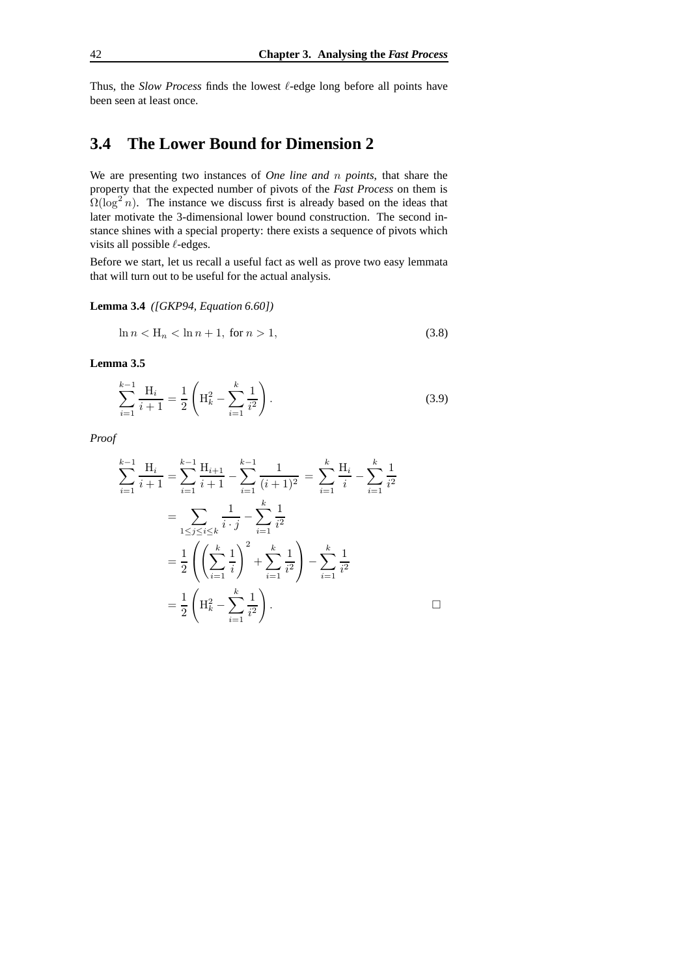Thus, the *Slow Process* finds the lowest  $\ell$ -edge long before all points have been seen at least once.

## **3.4 The Lower Bound for Dimension 2**

We are presenting two instances of *One line and* n *points*, that share the property that the expected number of pivots of the *Fast Process* on them is  $\Omega(\log^2 n)$ . The instance we discuss first is already based on the ideas that later motivate the 3-dimensional lower bound construction. The second instance shines with a special property: there exists a sequence of pivots which visits all possible  $\ell$ -edges.

Before we start, let us recall a useful fact as well as prove two easy lemmata that will turn out to be useful for the actual analysis.

**Lemma 3.4** *([GKP94, Equation 6.60])*

$$
\ln n < \mathcal{H}_n < \ln n + 1, \text{ for } n > 1,\tag{3.8}
$$

**Lemma 3.5**

$$
\sum_{i=1}^{k-1} \frac{\mathcal{H}_i}{i+1} = \frac{1}{2} \left( \mathcal{H}_k^2 - \sum_{i=1}^k \frac{1}{i^2} \right). \tag{3.9}
$$

*Proof*

$$
\sum_{i=1}^{k-1} \frac{H_i}{i+1} = \sum_{i=1}^{k-1} \frac{H_{i+1}}{i+1} - \sum_{i=1}^{k-1} \frac{1}{(i+1)^2} = \sum_{i=1}^{k} \frac{H_i}{i} - \sum_{i=1}^{k} \frac{1}{i^2}
$$
  
= 
$$
\sum_{1 \le j \le i \le k} \frac{1}{i \cdot j} - \sum_{i=1}^{k} \frac{1}{i^2}
$$
  
= 
$$
\frac{1}{2} \left( \left( \sum_{i=1}^{k} \frac{1}{i} \right)^2 + \sum_{i=1}^{k} \frac{1}{i^2} \right) - \sum_{i=1}^{k} \frac{1}{i^2}
$$
  
= 
$$
\frac{1}{2} \left( H_k^2 - \sum_{i=1}^{k} \frac{1}{i^2} \right).
$$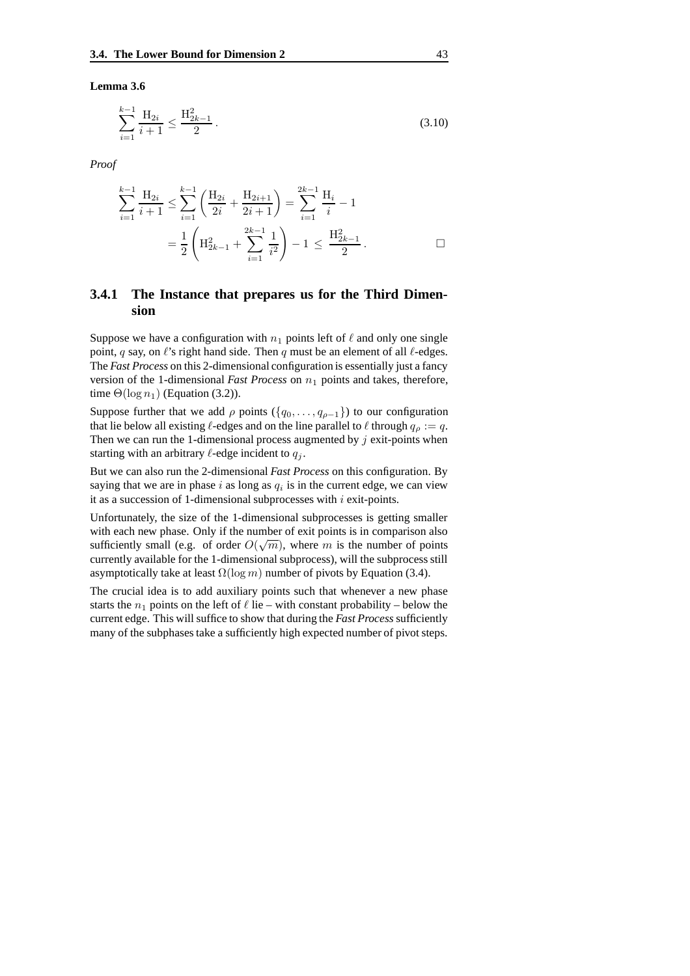**Lemma 3.6**

$$
\sum_{i=1}^{k-1} \frac{\mathcal{H}_{2i}}{i+1} \le \frac{\mathcal{H}_{2k-1}^2}{2} \,. \tag{3.10}
$$

*Proof*

$$
\sum_{i=1}^{k-1} \frac{H_{2i}}{i+1} \le \sum_{i=1}^{k-1} \left( \frac{H_{2i}}{2i} + \frac{H_{2i+1}}{2i+1} \right) = \sum_{i=1}^{2k-1} \frac{H_i}{i} - 1
$$
  
=  $\frac{1}{2} \left( H_{2k-1}^2 + \sum_{i=1}^{2k-1} \frac{1}{i^2} \right) - 1 \le \frac{H_{2k-1}^2}{2} .$ 

## **3.4.1 The Instance that prepares us for the Third Dimension**

Suppose we have a configuration with  $n_1$  points left of  $\ell$  and only one single point, q say, on  $\ell$ 's right hand side. Then q must be an element of all  $\ell$ -edges. The *Fast Process* on this 2-dimensional configuration is essentially just a fancy version of the 1-dimensional *Fast Process* on  $n_1$  points and takes, therefore, time  $\Theta(\log n_1)$  (Equation (3.2)).

Suppose further that we add  $\rho$  points  $({q_0, \ldots, q_{\rho-1}})$  to our configuration that lie below all existing  $\ell$ -edges and on the line parallel to  $\ell$  through  $q_\rho := q$ . Then we can run the 1-dimensional process augmented by  $j$  exit-points when starting with an arbitrary  $\ell$ -edge incident to  $q_i$ .

But we can also run the 2-dimensional *Fast Process* on this configuration. By saying that we are in phase i as long as  $q_i$  is in the current edge, we can view it as a succession of 1-dimensional subprocesses with  $i$  exit-points.

Unfortunately, the size of the 1-dimensional subprocesses is getting smaller with each new phase. Only if the number of exit points is in comparison also sufficiently small (e.g. of order  $O(\sqrt{m})$ , where m is the number of points currently available for the 1-dimensional subprocess), will the subprocess still asymptotically take at least  $\Omega(\log m)$  number of pivots by Equation (3.4).

The crucial idea is to add auxiliary points such that whenever a new phase starts the  $n_1$  points on the left of  $\ell$  lie – with constant probability – below the current edge. This will suffice to show that during the *Fast Process* sufficiently many of the subphases take a sufficiently high expected number of pivot steps.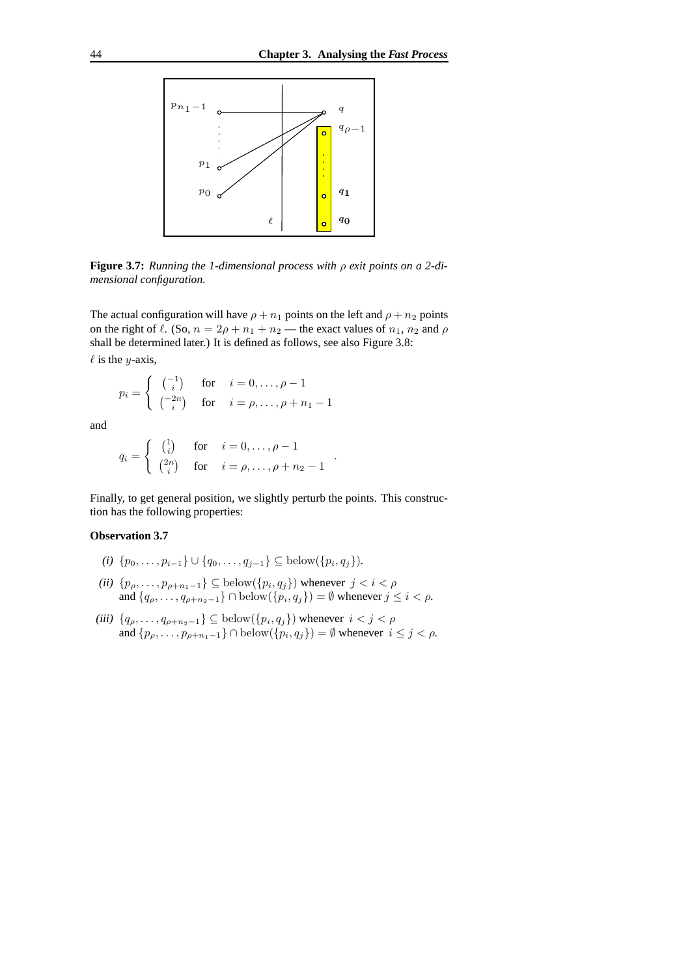

**Figure 3.7:** *Running the 1-dimensional process with* ρ *exit points on a 2-dimensional configuration.*

The actual configuration will have  $\rho + n_1$  points on the left and  $\rho + n_2$  points on the right of  $\ell$ . (So,  $n = 2\rho + n_1 + n_2$  — the exact values of  $n_1, n_2$  and  $\rho$ shall be determined later.) It is defined as follows, see also Figure 3.8:  $\ell$  is the y-axis,

$$
p_i = \begin{cases} \begin{pmatrix} -1 \\ i \end{pmatrix} & \text{for} \quad i = 0, \dots, \rho - 1 \\ \begin{pmatrix} -2n \\ i \end{pmatrix} & \text{for} \quad i = \rho, \dots, \rho + n_1 - 1 \end{cases}
$$

and

$$
q_i = \begin{cases} \begin{pmatrix} 1 \\ i \end{pmatrix} & \text{for} \quad i = 0, \dots, \rho - 1 \\ \begin{pmatrix} 2n \\ i \end{pmatrix} & \text{for} \quad i = \rho, \dots, \rho + n_2 - 1 \end{cases}
$$

Finally, to get general position, we slightly perturb the points. This construction has the following properties:

.

#### **Observation 3.7**

- $(i) \{p_0, \ldots, p_{i-1}\} \cup \{q_0, \ldots, q_{j-1}\}$  ⊆ below( $\{p_i, q_j\}$ ).
- *(ii)*  $\{p_{\rho}, \ldots, p_{\rho+n_1-1}\}$  ⊆ below( $\{p_i, q_j\}$ ) whenever  $j < i < \rho$ and  $\{q_{\rho}, \ldots, q_{\rho+n_2-1}\} \cap \text{below}(\{p_i, q_j\}) = \emptyset$  whenever  $j \leq i < \rho$ .
- (*iii*)  $\{q_{\rho}, \ldots, q_{\rho+n_2-1}\} \subseteq \text{below}(\{p_i, q_j\})$  whenever  $i < j < \rho$ and  $\{p_{\rho}, \ldots, p_{\rho+n_1-1}\} \cap \text{below}(\{p_i, q_j\}) = \emptyset$  whenever  $i \leq j < \rho$ .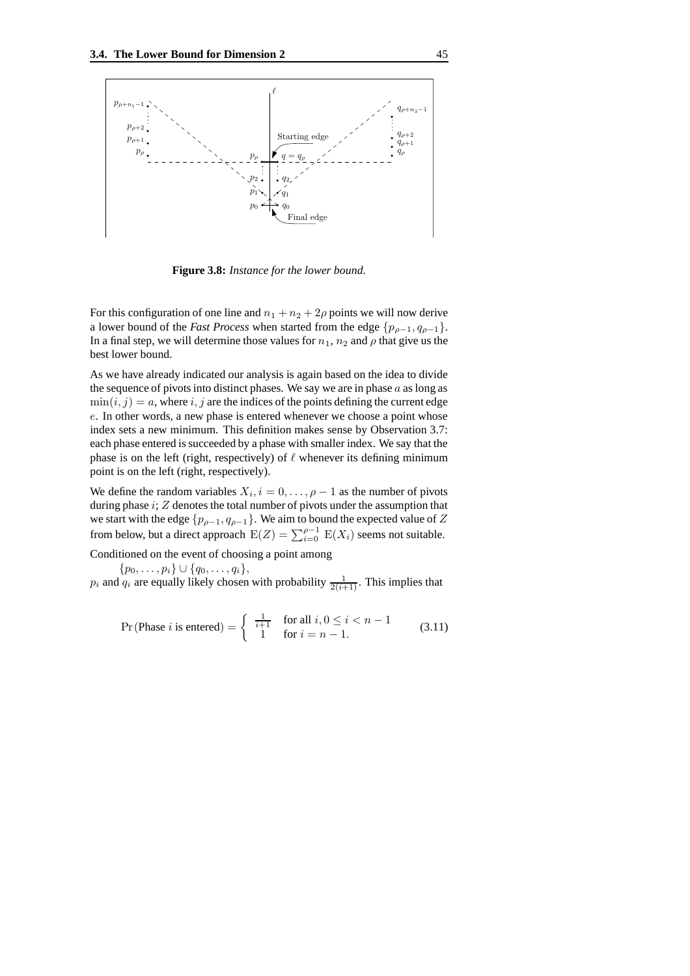

**Figure 3.8:** *Instance for the lower bound.*

For this configuration of one line and  $n_1 + n_2 + 2\rho$  points we will now derive a lower bound of the *Fast Process* when started from the edge  $\{p_{\rho-1}, q_{\rho-1}\}.$ In a final step, we will determine those values for  $n_1$ ,  $n_2$  and  $\rho$  that give us the best lower bound.

As we have already indicated our analysis is again based on the idea to divide the sequence of pivots into distinct phases. We say we are in phase  $a$  as long as  $\min(i, j) = a$ , where i, j are the indices of the points defining the current edge e. In other words, a new phase is entered whenever we choose a point whose index sets a new minimum. This definition makes sense by Observation 3.7: each phase entered is succeeded by a phase with smaller index. We say that the phase is on the left (right, respectively) of  $\ell$  whenever its defining minimum point is on the left (right, respectively).

We define the random variables  $X_i$ ,  $i = 0, \ldots, \rho - 1$  as the number of pivots during phase  $i$ ;  $Z$  denotes the total number of pivots under the assumption that we start with the edge  $\{p_{\rho-1}, q_{\rho-1}\}$ . We aim to bound the expected value of Z from below, but a direct approach  $E(Z) = \sum_{i=0}^{\rho-1} E(X_i)$  seems not suitable.

Conditioned on the event of choosing a point among

 $\{p_0, \ldots, p_i\} \cup \{q_0, \ldots, q_i\},\$ 

 $p_i$  and  $q_i$  are equally likely chosen with probability  $\frac{1}{2(i+1)}$ . This implies that

$$
\Pr(\text{Phase } i \text{ is entered}) = \left\{ \begin{array}{ll} \frac{1}{i+1} & \text{for all } i, 0 \le i < n-1\\ 1 & \text{for } i = n-1. \end{array} \right. \tag{3.11}
$$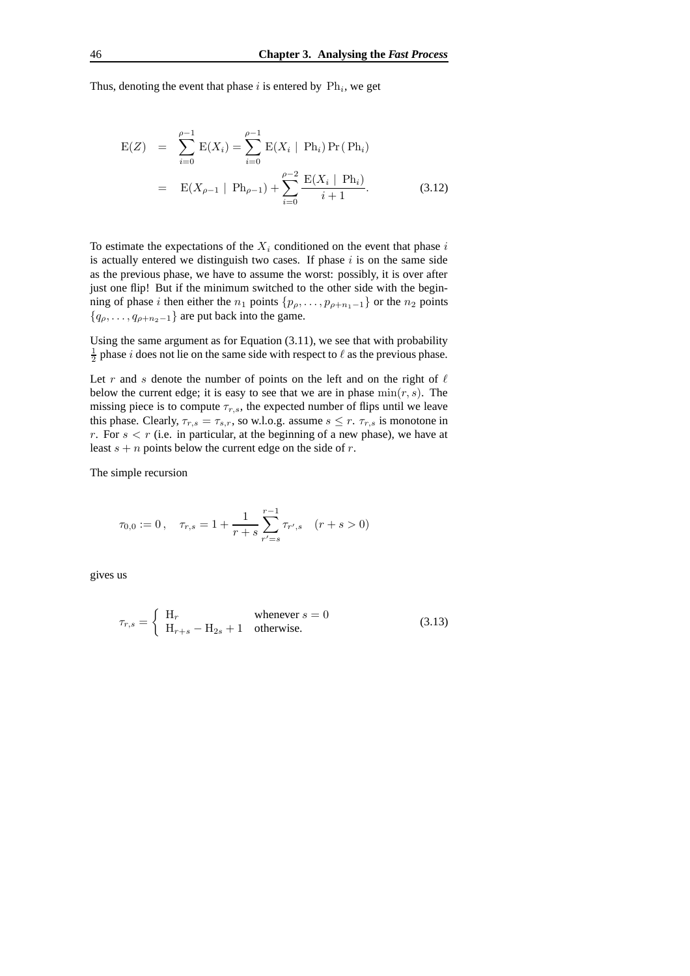Thus, denoting the event that phase  $i$  is entered by  $\text{Ph}_i$ , we get

$$
E(Z) = \sum_{i=0}^{\rho-1} E(X_i) = \sum_{i=0}^{\rho-1} E(X_i | Ph_i) Pr(Ph_i)
$$
  
= 
$$
E(X_{\rho-1} | Ph_{\rho-1}) + \sum_{i=0}^{\rho-2} \frac{E(X_i | Ph_i)}{i+1}.
$$
 (3.12)

To estimate the expectations of the  $X_i$  conditioned on the event that phase i is actually entered we distinguish two cases. If phase  $i$  is on the same side as the previous phase, we have to assume the worst: possibly, it is over after just one flip! But if the minimum switched to the other side with the beginning of phase i then either the  $n_1$  points  $\{p_\rho, \ldots, p_{\rho+n_1-1}\}$  or the  $n_2$  points  ${q_{\rho}, \ldots, q_{\rho+n_2-1}}$  are put back into the game.

Using the same argument as for Equation (3.11), we see that with probability  $\frac{1}{2}$  phase *i* does not lie on the same side with respect to  $\ell$  as the previous phase.

Let r and s denote the number of points on the left and on the right of  $\ell$ below the current edge; it is easy to see that we are in phase  $min(r, s)$ . The missing piece is to compute  $\tau_{r,s}$ , the expected number of flips until we leave this phase. Clearly,  $\tau_{r,s} = \tau_{s,r}$ , so w.l.o.g. assume  $s \leq r$ .  $\tau_{r,s}$  is monotone in r. For  $s < r$  (i.e. in particular, at the beginning of a new phase), we have at least  $s + n$  points below the current edge on the side of r.

The simple recursion

$$
\tau_{0,0} := 0 \,, \quad \tau_{r,s} = 1 + \frac{1}{r+s} \sum_{r'=s}^{r-1} \tau_{r',s} \quad (r+s > 0)
$$

gives us

$$
\tau_{r,s} = \begin{cases} H_r & \text{whenever } s = 0\\ H_{r+s} - H_{2s} + 1 & \text{otherwise.} \end{cases}
$$
\n(3.13)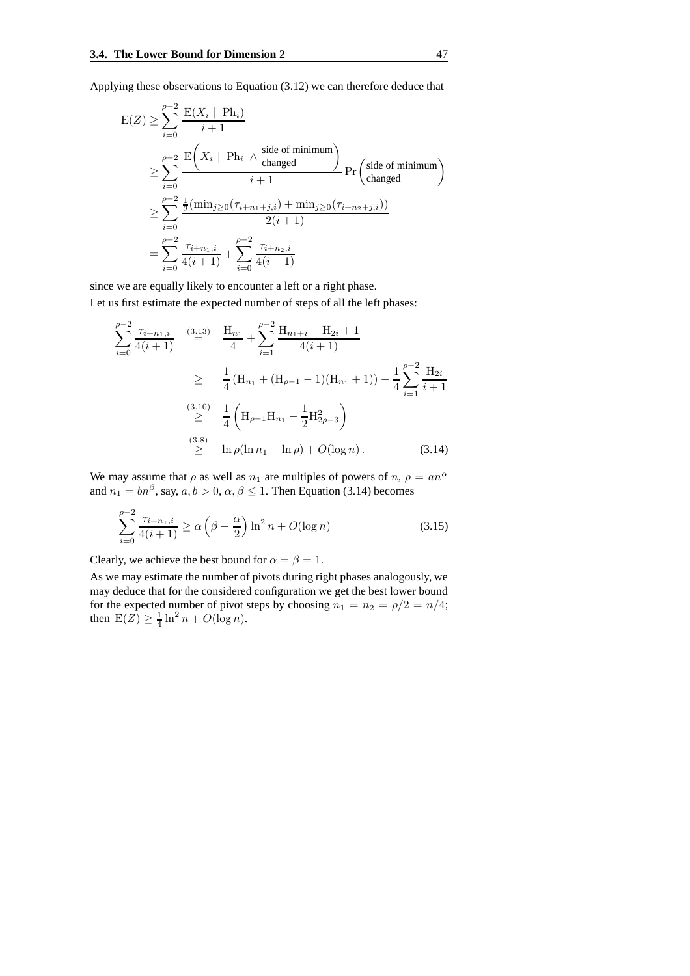Applying these observations to Equation (3.12) we can therefore deduce that

$$
E(Z) \geq \sum_{i=0}^{\rho-2} \frac{E(X_i \mid Ph_i)}{i+1}
$$
  
\n
$$
\geq \sum_{i=0}^{\rho-2} \frac{E(X_i \mid Ph_i \land \text{side of minimum})}{i+1} \Pr\left(\text{side of minimum}\right)
$$
  
\n
$$
\geq \sum_{i=0}^{\rho-2} \frac{\frac{1}{2}(\min_{j\geq 0}(\tau_{i+n_1+j,i}) + \min_{j\geq 0}(\tau_{i+n_2+j,i}))}{2(i+1)}
$$
  
\n
$$
= \sum_{i=0}^{\rho-2} \frac{\tau_{i+n_1,i}}{4(i+1)} + \sum_{i=0}^{\rho-2} \frac{\tau_{i+n_2,i}}{4(i+1)}
$$

since we are equally likely to encounter a left or a right phase.

Let us first estimate the expected number of steps of all the left phases:

$$
\sum_{i=0}^{\rho-2} \frac{\tau_{i+n_1,i}}{4(i+1)} \stackrel{(3.13)}{=} \frac{H_{n_1}}{4} + \sum_{i=1}^{\rho-2} \frac{H_{n_1+i} - H_{2i} + 1}{4(i+1)}
$$
\n
$$
\geq \frac{1}{4} (H_{n_1} + (H_{\rho-1} - 1)(H_{n_1} + 1)) - \frac{1}{4} \sum_{i=1}^{\rho-2} \frac{H_{2i}}{i+1}
$$
\n
$$
\stackrel{(3.10)}{\geq} \frac{1}{4} \left( H_{\rho-1} H_{n_1} - \frac{1}{2} H_{2\rho-3}^2 \right)
$$
\n
$$
\stackrel{(3.8)}{\geq} \ln \rho (\ln n_1 - \ln \rho) + O(\log n). \tag{3.14}
$$

We may assume that  $\rho$  as well as  $n_1$  are multiples of powers of  $n, \rho = a n^{\alpha}$ and  $n_1 = bn^{\beta}$ , say,  $a, b > 0$ ,  $\alpha, \beta \le 1$ . Then Equation (3.14) becomes

$$
\sum_{i=0}^{\rho-2} \frac{\tau_{i+n_1,i}}{4(i+1)} \ge \alpha \left(\beta - \frac{\alpha}{2}\right) \ln^2 n + O(\log n)
$$
 (3.15)

Clearly, we achieve the best bound for  $\alpha = \beta = 1$ .

As we may estimate the number of pivots during right phases analogously, we may deduce that for the considered configuration we get the best lower bound for the expected number of pivot steps by choosing  $n_1 = n_2 = \rho/2 = n/4$ ; then  $E(Z) \ge \frac{1}{4} \ln^2 n + O(\log n)$ .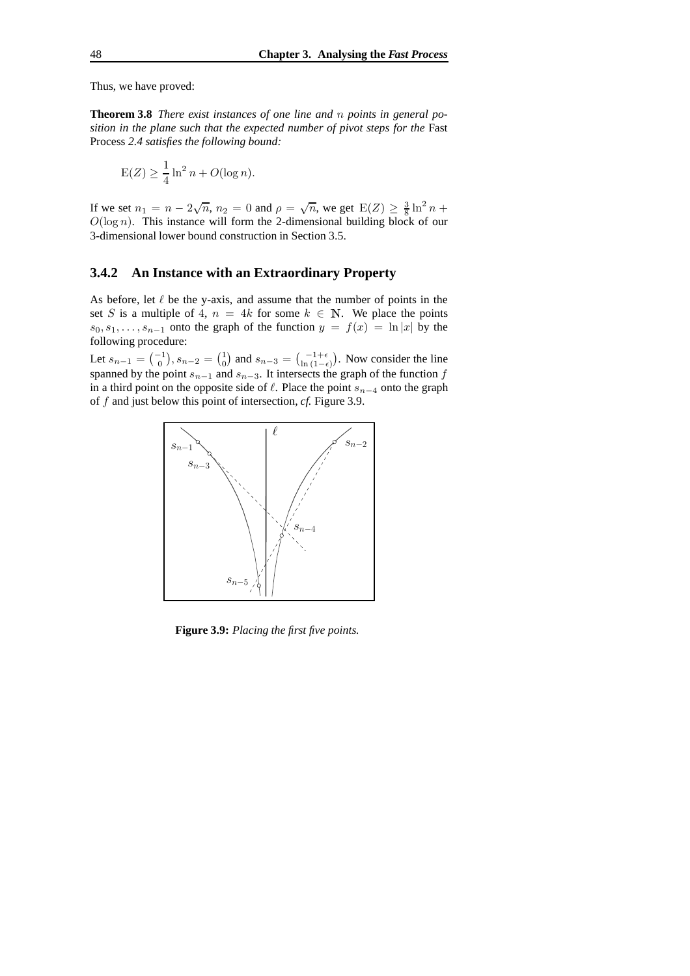Thus, we have proved:

**Theorem 3.8** *There exist instances of one line and* n *points in general position in the plane such that the expected number of pivot steps for the* Fast Process *2.4 satisfies the following bound:*

$$
E(Z) \ge \frac{1}{4} \ln^2 n + O(\log n).
$$

If we set  $n_1 = n - 2\sqrt{n}$ ,  $n_2 = 0$  and  $\rho = \sqrt{n}$ , we get  $E(Z) \ge \frac{3}{8} \ln^2 n +$  $O(\log n)$ . This instance will form the 2-dimensional building block of our 3-dimensional lower bound construction in Section 3.5.

## **3.4.2 An Instance with an Extraordinary Property**

As before, let  $\ell$  be the y-axis, and assume that the number of points in the set S is a multiple of 4,  $n = 4k$  for some  $k \in \mathbb{N}$ . We place the points  $s_0, s_1, \ldots, s_{n-1}$  onto the graph of the function  $y = f(x) = \ln |x|$  by the following procedure:

Let  $s_{n-1} = \begin{pmatrix} -1 \\ 0 \end{pmatrix}$ ,  $s_{n-2} = \begin{pmatrix} 1 \\ 0 \end{pmatrix}$  and  $s_{n-3} = \begin{pmatrix} -1+\epsilon \\ \ln(1-\epsilon) \end{pmatrix}$ . Now consider the line spanned by the point  $s_{n-1}$  and  $s_{n-3}$ . It intersects the graph of the function f in a third point on the opposite side of  $\ell$ . Place the point  $s_{n-4}$  onto the graph of f and just below this point of intersection, *cf.* Figure 3.9.



**Figure 3.9:** *Placing the first five points.*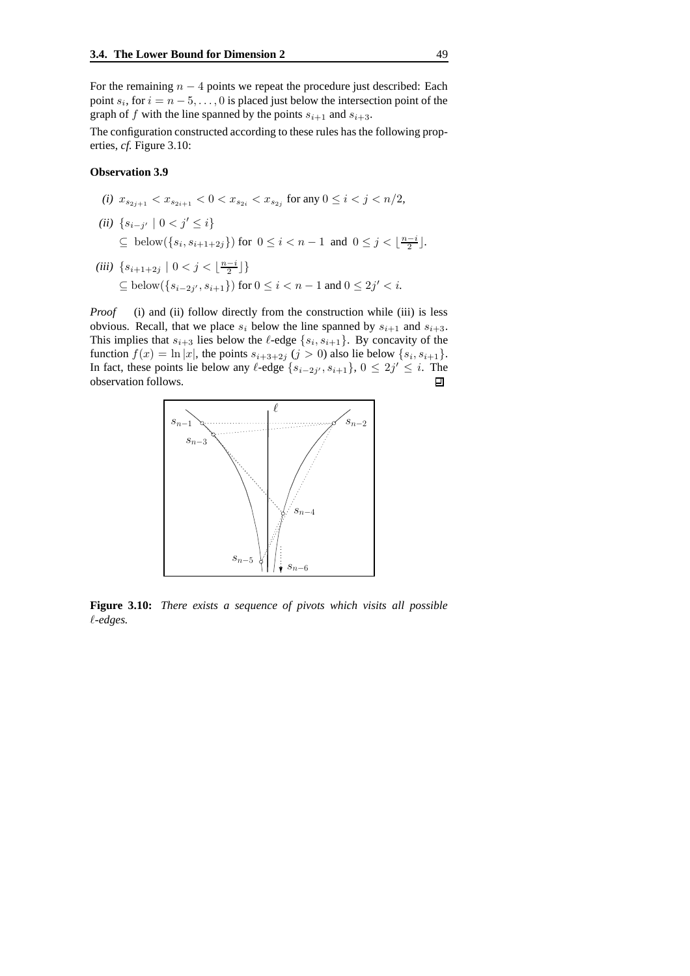For the remaining  $n - 4$  points we repeat the procedure just described: Each point  $s_i$ , for  $i = n - 5, \ldots, 0$  is placed just below the intersection point of the graph of f with the line spanned by the points  $s_{i+1}$  and  $s_{i+3}$ .

The configuration constructed according to these rules has the following properties, *cf.* Figure 3.10:

#### **Observation 3.9**

- *(i)*  $x_{s_{2j+1}} < x_{s_{2i+1}} < 0 < x_{s_{2i}} < x_{s_{2j}}$  for any  $0 \le i < j < n/2$ , (*ii*) { $s_{i-j'}$  | 0 <  $j'$  ≤ *i*} ⊆ below({ $s_i, s_{i+1+2j}$ }) for  $0 \le i < n-1$  and  $0 \le j < \lfloor \frac{n-i}{2} \rfloor$ .
- (*iii*)  $\{s_{i+1+2j} \mid 0 < j < \lfloor \frac{n-i}{2} \rfloor\}$  $\subseteq$  below({s<sub>i-2j'</sub>, s<sub>i+1</sub>}) for 0 ≤ i < n − 1 and 0 ≤ 2j' < i.

*Proof* (i) and (ii) follow directly from the construction while (iii) is less obvious. Recall, that we place  $s_i$  below the line spanned by  $s_{i+1}$  and  $s_{i+3}$ . This implies that  $s_{i+3}$  lies below the  $\ell$ -edge  $\{s_i, s_{i+1}\}$ . By concavity of the function  $f(x) = \ln |x|$ , the points  $s_{i+3+2j}$   $(j > 0)$  also lie below  $\{s_i, s_{i+1}\}.$ In fact, these points lie below any  $\ell$ -edge  $\{s_{i-2j'}, s_{i+1}\}, 0 \leq 2j' \leq i$ . The observation follows.



**Figure 3.10:** *There exists a sequence of pivots which visits all possible* `*-edges.*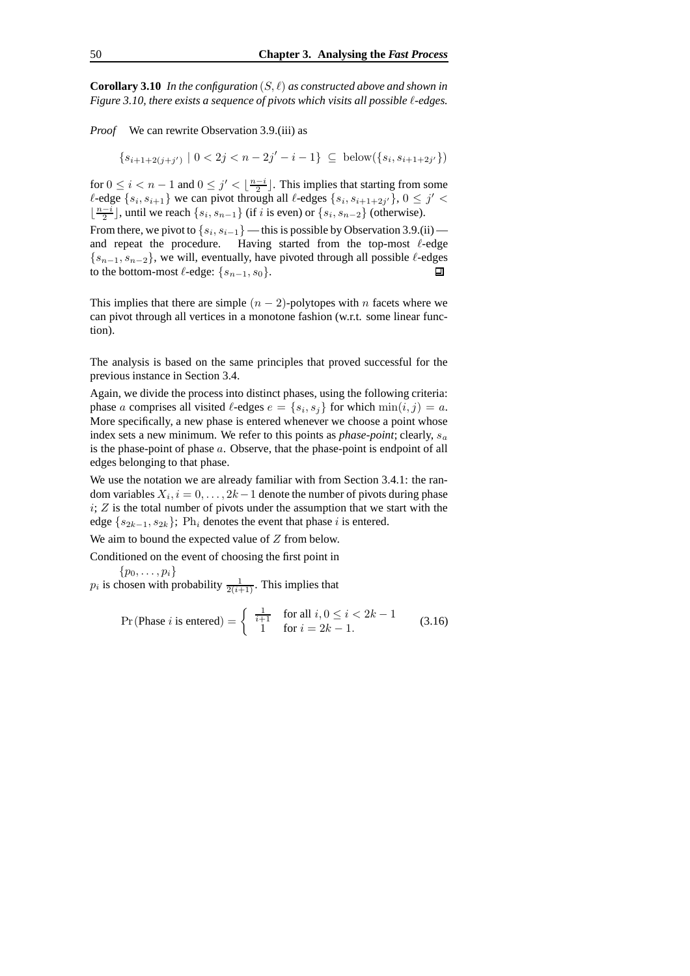**Corollary 3.10** In the configuration  $(S, \ell)$  as constructed above and shown in *Figure 3.10, there exists a sequence of pivots which visits all possible* `*-edges.*

*Proof* We can rewrite Observation 3.9.(iii) as

 $\{s_{i+1+2(j+j')}\mid 0 < 2j < n-2j'-i-1\}\subseteq \text{below}(\{s_i,s_{i+1+2j'}\})$ 

for  $0 \le i < n-1$  and  $0 \le j' < \lfloor \frac{n-i}{2} \rfloor$ . This implies that starting from some  $\ell$ -edge  $\{s_i, s_{i+1}\}$  we can pivot through all  $\ell$ -edges  $\{s_i, s_{i+1+2j'}\}, 0 \leq j' <$  $\lfloor \frac{n-i}{2} \rfloor$ , until we reach  $\{s_i, s_{n-1}\}$  (if i is even) or  $\{s_i, s_{n-2}\}$  (otherwise).

From there, we pivot to  $\{s_i, s_{i-1}\}$  — this is possible by Observation 3.9.(ii) and repeat the procedure. Having started from the top-most  $\ell$ -edge  ${s_{n-1}, s_{n-2}}$ , we will, eventually, have pivoted through all possible  $\ell$ -edges to the bottom-most  $\ell$ -edge:  ${s_{n-1}, s_0}$ . to the bottom-most  $\ell$ -edge:  $\{s_{n-1}, s_0\}$ .

This implies that there are simple  $(n - 2)$ -polytopes with n facets where we can pivot through all vertices in a monotone fashion (w.r.t. some linear function).

The analysis is based on the same principles that proved successful for the previous instance in Section 3.4.

Again, we divide the process into distinct phases, using the following criteria: phase a comprises all visited  $\ell$ -edges  $e = \{s_i, s_j\}$  for which  $\min(i, j) = a$ . More specifically, a new phase is entered whenever we choose a point whose index sets a new minimum. We refer to this points as *phase-point*; clearly,  $s_a$ is the phase-point of phase  $a$ . Observe, that the phase-point is endpoint of all edges belonging to that phase.

We use the notation we are already familiar with from Section 3.4.1: the random variables  $X_i$ ,  $i = 0, \ldots, 2k-1$  denote the number of pivots during phase  $i; Z$  is the total number of pivots under the assumption that we start with the edge  $\{s_{2k-1}, s_{2k}\}\;$  Ph<sub>i</sub> denotes the event that phase i is entered.

We aim to bound the expected value of  $Z$  from below.

Conditioned on the event of choosing the first point in

$$
\{p_0,\ldots,p_i\}
$$

 $p_i$  is chosen with probability  $\frac{1}{2(i+1)}$ . This implies that

$$
\Pr(\text{Phase } i \text{ is entered}) = \left\{ \begin{array}{ll} \frac{1}{i+1} & \text{for all } i, 0 \le i < 2k - 1\\ 1 & \text{for } i = 2k - 1. \end{array} \right. \tag{3.16}
$$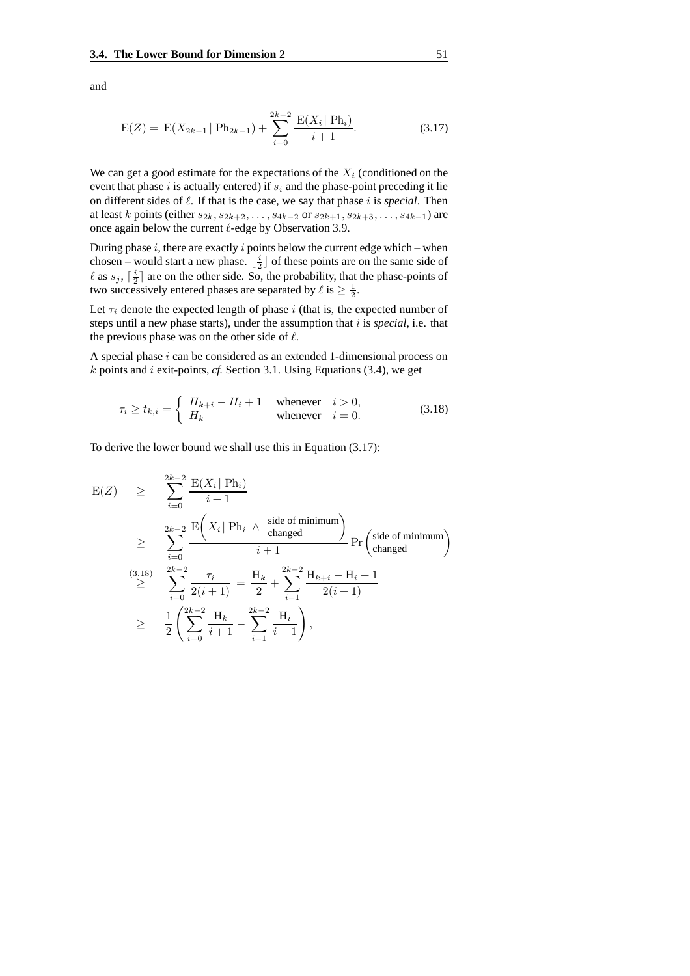and

$$
E(Z) = E(X_{2k-1} | P_{2k-1}) + \sum_{i=0}^{2k-2} \frac{E(X_i | P_{2i})}{i+1}.
$$
 (3.17)

We can get a good estimate for the expectations of the  $X_i$  (conditioned on the event that phase  $i$  is actually entered) if  $s_i$  and the phase-point preceding it lie on different sides of  $\ell$ . If that is the case, we say that phase i is *special*. Then at least k points (either  $s_{2k}, s_{2k+2}, \ldots, s_{4k-2}$  or  $s_{2k+1}, s_{2k+3}, \ldots, s_{4k-1}$ ) are once again below the current  $\ell$ -edge by Observation 3.9.

During phase  $i$ , there are exactly  $i$  points below the current edge which – when chosen – would start a new phase.  $\lfloor \frac{i}{2} \rfloor$  of these points are on the same side of  $\ell$  as  $s_j$ ,  $\lceil \frac{i}{2} \rceil$  are on the other side. So, the probability, that the phase-points of two successively entered phases are separated by  $\ell$  is  $\geq \frac{1}{2}$ .

Let  $\tau_i$  denote the expected length of phase i (that is, the expected number of steps until a new phase starts), under the assumption that  $i$  is *special*, i.e. that the previous phase was on the other side of  $\ell$ .

A special phase  $i$  can be considered as an extended 1-dimensional process on k points and i exit-points, *cf.* Section 3.1. Using Equations (3.4), we get

$$
\tau_i \ge t_{k,i} = \begin{cases} H_{k+i} - H_i + 1 & \text{whenever} \quad i > 0, \\ H_k & \text{whenever} \quad i = 0. \end{cases}
$$
\n(3.18)

To derive the lower bound we shall use this in Equation (3.17):

$$
E(Z) \geq \sum_{i=0}^{2k-2} \frac{E(X_i | Ph_i)}{i+1}
$$
  
\n
$$
\geq \sum_{i=0}^{2k-2} \frac{E(X_i | Ph_i \wedge \text{side of minimum})}{i+1} Pr\left(\text{side of minimum}\right)
$$
  
\n
$$
\geq \sum_{i=0}^{(3.18)} \frac{2k-2}{2k-2} \frac{\tau_i}{2(i+1)} = \frac{H_k}{2} + \sum_{i=1}^{2k-2} \frac{H_{k+i} - H_i + 1}{2(i+1)}
$$
  
\n
$$
\geq \frac{1}{2} \left( \sum_{i=0}^{2k-2} \frac{H_k}{i+1} - \sum_{i=1}^{2k-2} \frac{H_i}{i+1} \right),
$$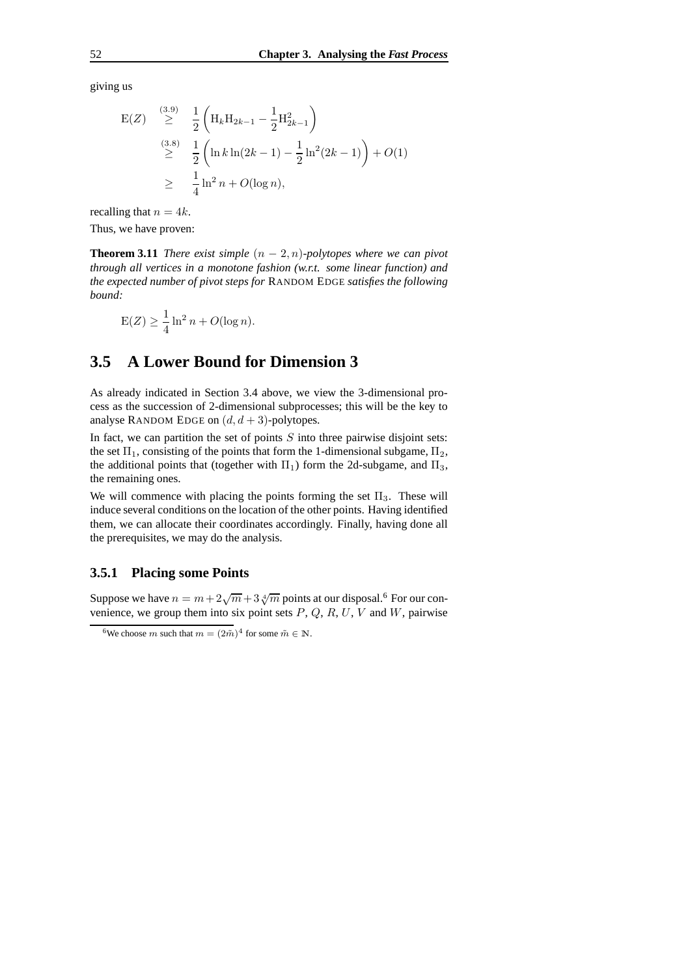giving us

$$
E(Z) \geq \frac{\binom{3.9}{2}}{2} \frac{1}{2} \left( H_k H_{2k-1} - \frac{1}{2} H_{2k-1}^2 \right)
$$
  

$$
\geq \frac{\binom{3.8}{2}}{2} \frac{1}{2} \left( \ln k \ln(2k-1) - \frac{1}{2} \ln^2(2k-1) \right) + O(1)
$$
  

$$
\geq \frac{1}{4} \ln^2 n + O(\log n),
$$

recalling that  $n = 4k$ .

Thus, we have proven:

**Theorem 3.11** *There exist simple*  $(n-2, n)$ *-polytopes where we can pivot through all vertices in a monotone fashion (w.r.t. some linear function) and the expected number of pivot steps for* RANDOM EDGE *satisfies the following bound:*

$$
E(Z) \ge \frac{1}{4} \ln^2 n + O(\log n).
$$

## **3.5 A Lower Bound for Dimension 3**

As already indicated in Section 3.4 above, we view the 3-dimensional process as the succession of 2-dimensional subprocesses; this will be the key to analyse RANDOM EDGE on  $(d, d + 3)$ -polytopes.

In fact, we can partition the set of points  $S$  into three pairwise disjoint sets: the set  $\Pi_1$ , consisting of the points that form the 1-dimensional subgame,  $\Pi_2$ , the additional points that (together with  $\Pi_1$ ) form the 2d-subgame, and  $\Pi_3$ , the remaining ones.

We will commence with placing the points forming the set  $\Pi_3$ . These will induce several conditions on the location of the other points. Having identified them, we can allocate their coordinates accordingly. Finally, having done all the prerequisites, we may do the analysis.

### **3.5.1 Placing some Points**

Suppose we have  $n = m + 2\sqrt{m} + 3\sqrt[4]{m}$  points at our disposal.<sup>6</sup> For our convenience, we group them into six point sets  $P$ ,  $Q$ ,  $R$ ,  $U$ ,  $V$  and  $W$ , pairwise

<sup>&</sup>lt;sup>6</sup>We choose *m* such that  $m = (2\tilde{m})^4$  for some  $\tilde{m} \in \mathbb{N}$ .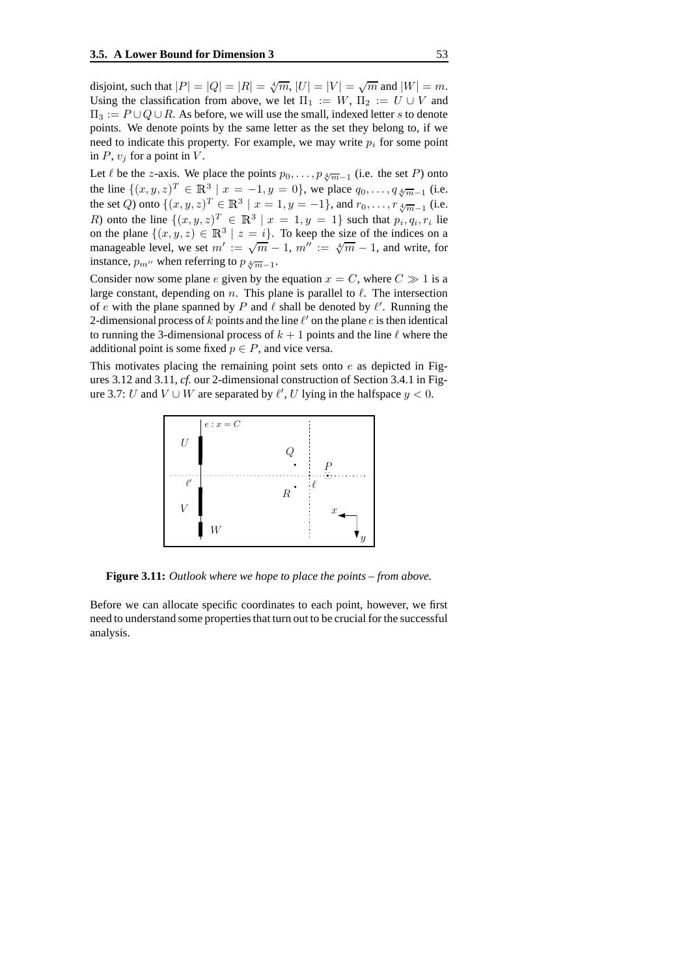disjoint, such that  $|P| = |Q| = |R| = \sqrt[4]{m}$ ,  $|U| = |V| = \sqrt{m}$  and  $|W| = m$ . Using the classification from above, we let  $\Pi_1 := W$ ,  $\Pi_2 := U \cup V$  and  $\Pi_3 := P \cup Q \cup R$ . As before, we will use the small, indexed letter s to denote points. We denote points by the same letter as the set they belong to, if we need to indicate this property. For example, we may write  $p_i$  for some point in  $P$ ,  $v_j$  for a point in  $V$ .

Let  $\ell$  be the z-axis. We place the points  $p_0, \ldots, p_{\sqrt[m]{m}-1}$  (i.e. the set P) onto the line  $\{(x, y, z)^T \in \mathbb{R}^3 \mid x = -1, y = 0\}$ , we place  $q_0, \ldots, q_{\sqrt[4]{m}-1}$  (i.e. the set Q) onto  $\{(x, y, z)^T \in \mathbb{R}^3 \mid x = 1, y = -1\}$ , and  $r_0, \dots, r_{\sqrt[4]{m}-1}$  (i.e. R) onto the line  $\{(x, y, z)^T \in \mathbb{R}^3 \mid x = 1, y = 1\}$  such that  $p_i, q_i, r_i$  lie on the plane  $\{(x, y, z) \in \mathbb{R}^3 \mid z = i\}$ . To keep the size of the indices on a manageable level, we set  $m' := \sqrt{m} - 1$ ,  $m'' := \sqrt[4]{m} - 1$ , and write, for instance,  $p_{m}$ <sup>*i*</sup> when referring to  $p_{\sqrt[m]{m}-1}$ .

Consider now some plane e given by the equation  $x = C$ , where  $C \gg 1$  is a large constant, depending on  $n$ . This plane is parallel to  $\ell$ . The intersection of e with the plane spanned by P and  $\ell$  shall be denoted by  $\ell'$ . Running the 2-dimensional process of  $k$  points and the line  $\ell'$  on the plane  $e$  is then identical to running the 3-dimensional process of  $k + 1$  points and the line  $\ell$  where the additional point is some fixed  $p \in P$ , and vice versa.

This motivates placing the remaining point sets onto  $e$  as depicted in Figures 3.12 and 3.11, *cf.* our 2-dimensional construction of Section 3.4.1 in Figure 3.7: U and  $V \cup W$  are separated by  $\ell'$ , U lying in the halfspace  $y < 0$ .



**Figure 3.11:** *Outlook where we hope to place the points – from above.*

Before we can allocate specific coordinates to each point, however, we first need to understand some properties that turn out to be crucial for the successful analysis.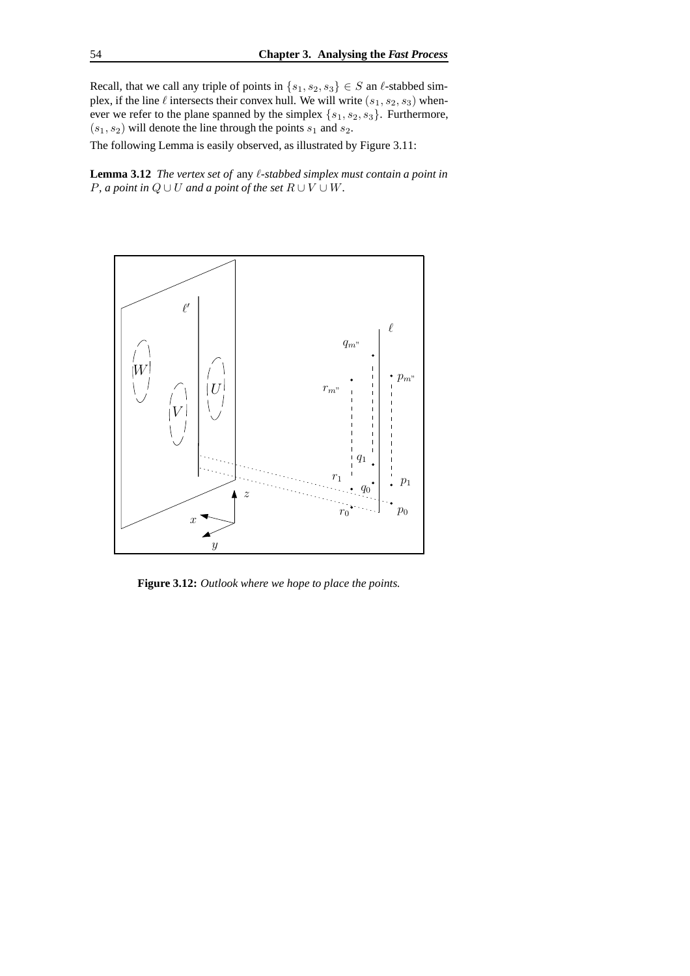Recall, that we call any triple of points in  $\{s_1, s_2, s_3\} \in S$  an  $\ell$ -stabbed simplex, if the line  $\ell$  intersects their convex hull. We will write  $(s_1, s_2, s_3)$  whenever we refer to the plane spanned by the simplex  $\{s_1, s_2, s_3\}$ . Furthermore,  $(s_1, s_2)$  will denote the line through the points  $s_1$  and  $s_2$ .

The following Lemma is easily observed, as illustrated by Figure 3.11:

**Lemma 3.12** *The vertex set of any*  $\ell$ *-stabbed simplex must contain a point in P*, *a point* in  $Q \cup U$  *and a point of the set*  $R \cup V \cup W$ .



**Figure 3.12:** *Outlook where we hope to place the points.*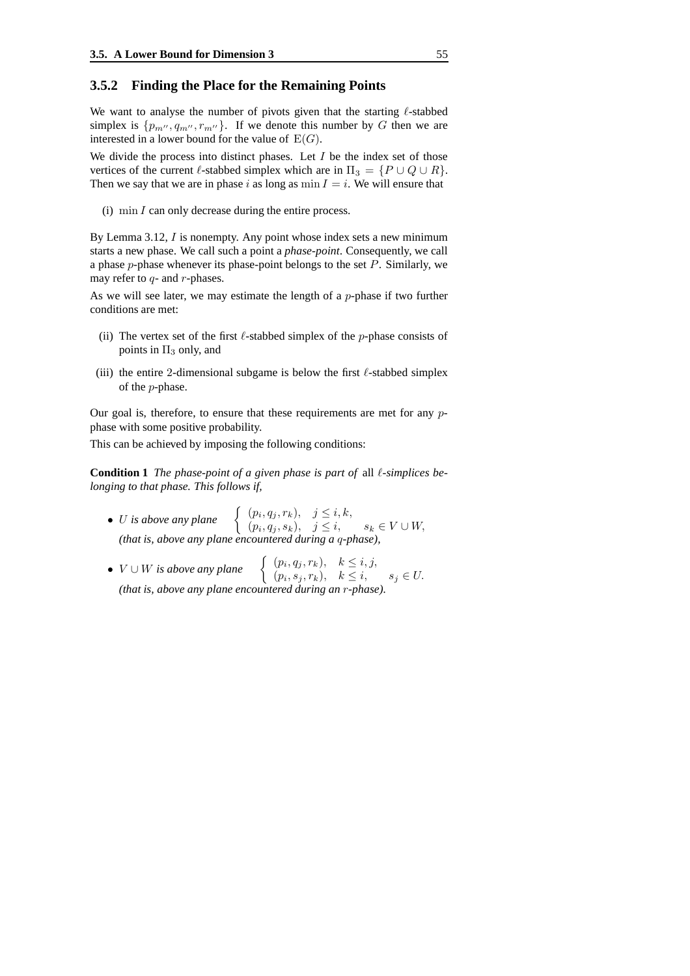### **3.5.2 Finding the Place for the Remaining Points**

We want to analyse the number of pivots given that the starting  $\ell$ -stabbed simplex is  $\{p_{m''}, q_{m''}, r_{m''}\}\$ . If we denote this number by G then we are interested in a lower bound for the value of  $E(G)$ .

We divide the process into distinct phases. Let  $I$  be the index set of those vertices of the current  $\ell$ -stabbed simplex which are in  $\Pi_3 = \{P \cup Q \cup R\}.$ Then we say that we are in phase i as long as  $\min I = i$ . We will ensure that

(i) min  $I$  can only decrease during the entire process.

By Lemma 3.12, I is nonempty. Any point whose index sets a new minimum starts a new phase. We call such a point a *phase-point*. Consequently, we call a phase  $p$ -phase whenever its phase-point belongs to the set  $P$ . Similarly, we may refer to  $q$ - and  $r$ -phases.

As we will see later, we may estimate the length of a  $p$ -phase if two further conditions are met:

- (ii) The vertex set of the first  $\ell$ -stabbed simplex of the p-phase consists of points in  $\Pi_3$  only, and
- (iii) the entire 2-dimensional subgame is below the first  $\ell$ -stabbed simplex of the p-phase.

Our goal is, therefore, to ensure that these requirements are met for any pphase with some positive probability.

This can be achieved by imposing the following conditions:

**Condition 1** *The phase-point of a given phase is part of all*  $\ell$ *-simplices belonging to that phase. This follows if,*

- U is above any plane  $\left\{\n\begin{array}{ll}\n(p_i, q_j, r_k), & j \leq i, k, \\
(n_i, q_i, s_k), & j \leq i.\n\end{array}\n\right.$  $(p_i, q_j, s_k), \quad j \leq i, \qquad s_k \in V \cup W,$ *(that is, above any plane encountered during a* q*-phase),*
- $V \cup W$  *is above any plane*  $\left\{ \begin{array}{ll} (p_i, q_j, r_k), & k \leq i, j, \\ (p_i, s_i, r_k), & k \leq i. \end{array} \right.$  $(p_i, s_j, r_k), \quad k \leq i, \qquad s_j \in U.$ *(that is, above any plane encountered during an* r*-phase).*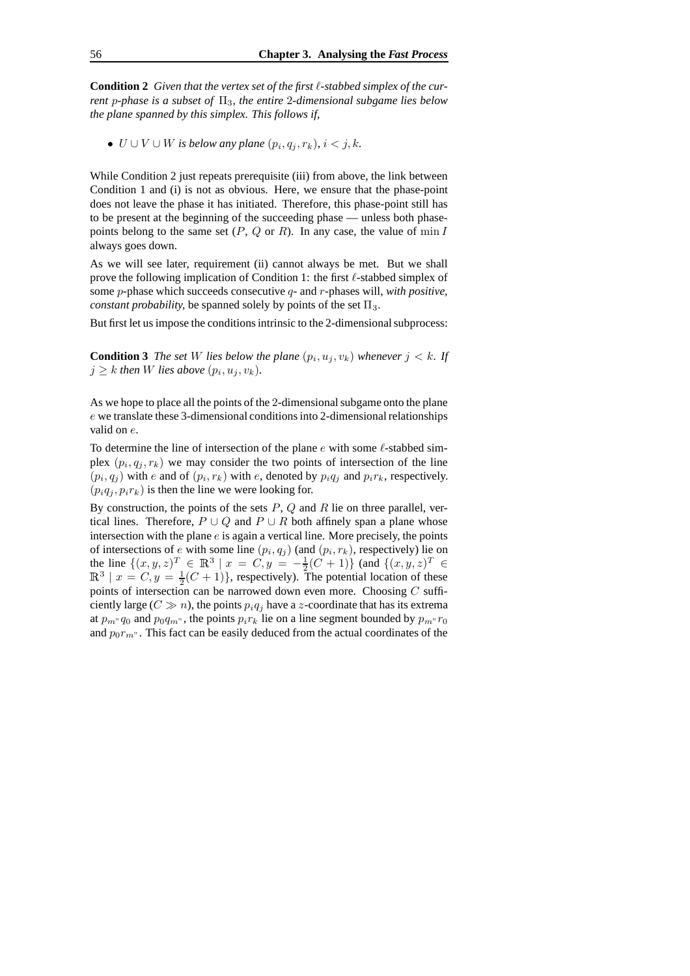**Condition 2** *Given that the vertex set of the first* `*-stabbed simplex of the current* p*-phase is a subset of* Π3*, the entire* 2*-dimensional subgame lies below the plane spanned by this simplex. This follows if,*

•  $U \cup V \cup W$  is below any plane  $(p_i, q_j, r_k)$ ,  $i < j, k$ .

While Condition 2 just repeats prerequisite (iii) from above, the link between Condition 1 and (i) is not as obvious. Here, we ensure that the phase-point does not leave the phase it has initiated. Therefore, this phase-point still has to be present at the beginning of the succeeding phase — unless both phasepoints belong to the same set  $(P, Q \text{ or } R)$ . In any case, the value of min I always goes down.

As we will see later, requirement (ii) cannot always be met. But we shall prove the following implication of Condition 1: the first  $\ell$ -stabbed simplex of some p-phase which succeeds consecutive q- and r-phases will, *with positive, constant probability,* be spanned solely by points of the set  $\Pi_3$ .

But first let us impose the conditions intrinsic to the 2-dimensional subprocess:

**Condition 3** The set W lies below the plane  $(p_i, u_j, v_k)$  whenever  $j < k$ . If  $j \geq k$  then W lies above  $(p_i, u_j, v_k)$ .

As we hope to place all the points of the 2-dimensional subgame onto the plane  $e$  we translate these 3-dimensional conditions into 2-dimensional relationships valid on e.

To determine the line of intersection of the plane  $e$  with some  $\ell$ -stabbed simplex  $(p_i, q_j, r_k)$  we may consider the two points of intersection of the line  $(p_i, q_j)$  with e and of  $(p_i, r_k)$  with e, denoted by  $p_i q_j$  and  $p_i r_k$ , respectively.  $(p_iq_i, p_i r_k)$  is then the line we were looking for.

By construction, the points of the sets  $P$ ,  $Q$  and  $R$  lie on three parallel, vertical lines. Therefore,  $P \cup Q$  and  $P \cup R$  both affinely span a plane whose intersection with the plane  $e$  is again a vertical line. More precisely, the points of intersections of e with some line  $(p_i, q_j)$  (and  $(p_i, r_k)$ , respectively) lie on the line  $\{(x, y, z)^T \in \mathbb{R}^3 \mid x = C, y = -\frac{1}{2}(C+1)\}$  (and  $\{(x, y, z)^T \in \mathbb{R}^3 \mid x = C, y = \frac{1}{2}(C+1)\}$ , respectively). The potential location of these points of intersection can be narrowed down even more. Choosing  $C$  sufficiently large ( $C \gg n$ ), the points  $p_i q_j$  have a z-coordinate that has its extrema at  $p_m$ <sup>n</sup> $q_0$  and  $p_0q_m$ <sup>n</sup>, the points  $p_ir_k$  lie on a line segment bounded by  $p_m$ <sup>n</sup> $r_0$ and  $p_0r_m$ . This fact can be easily deduced from the actual coordinates of the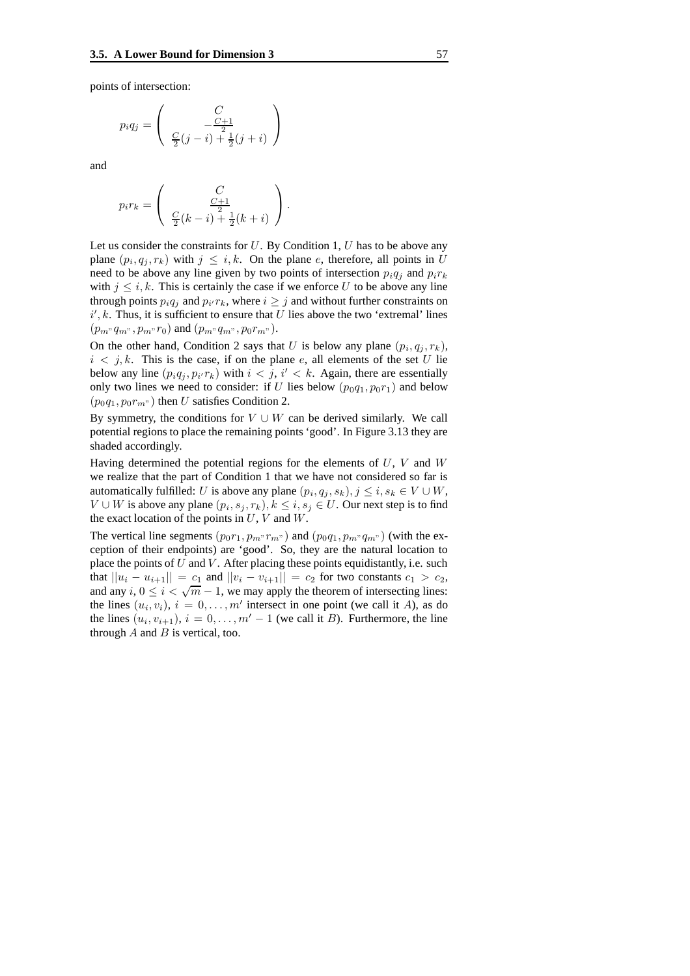points of intersection:

$$
p_i q_j = \begin{pmatrix} C \\ -\frac{C+1}{2} \\ \frac{C}{2}(j-i) + \frac{1}{2}(j+i) \end{pmatrix}
$$

and

$$
p_i r_k = \begin{pmatrix} C \\ \frac{C+1}{2} \\ \frac{C}{2}(k-i) + \frac{1}{2}(k+i) \end{pmatrix}.
$$

Let us consider the constraints for  $U$ . By Condition 1,  $U$  has to be above any plane  $(p_i, q_j, r_k)$  with  $j \leq i, k$ . On the plane e, therefore, all points in U need to be above any line given by two points of intersection  $p_i q_i$  and  $p_i r_k$ with  $j \leq i, k$ . This is certainly the case if we enforce U to be above any line through points  $p_i q_j$  and  $p_{i'} r_k$ , where  $i \geq j$  and without further constraints on  $i', k$ . Thus, it is sufficient to ensure that U lies above the two 'extremal' lines  $(p_m, q_m, p_m, r_0)$  and  $(p_m, q_m, p_0, r_m)$ .

On the other hand, Condition 2 says that U is below any plane  $(p_i, q_j, r_k)$ ,  $i < j, k$ . This is the case, if on the plane e, all elements of the set U lie below any line  $(p_i q_j, p_{i'} r_k)$  with  $i < j$ ,  $i' < k$ . Again, there are essentially only two lines we need to consider: if U lies below  $(p_0q_1, p_0r_1)$  and below  $(p_0q_1, p_0r_m)$  then U satisfies Condition 2.

By symmetry, the conditions for  $V \cup W$  can be derived similarly. We call potential regions to place the remaining points 'good'. In Figure 3.13 they are shaded accordingly.

Having determined the potential regions for the elements of  $U, V$  and  $W$ we realize that the part of Condition 1 that we have not considered so far is automatically fulfilled: U is above any plane  $(p_i, q_j, s_k)$ ,  $j \le i, s_k \in V \cup W$ ,  $V \cup W$  is above any plane  $(p_i, s_j, r_k), k \leq i, s_j \in U$ . Our next step is to find the exact location of the points in  $U, V$  and  $W$ .

The vertical line segments  $(p_0r_1, p_m\llcorner r_m\llcorner)$  and  $(p_0q_1, p_m\llcorner q_m\llcorner)$  (with the exception of their endpoints) are 'good'. So, they are the natural location to place the points of  $U$  and  $V$ . After placing these points equidistantly, i.e. such that  $||u_i - u_{i+1}|| = c_1$  and  $||v_i - v_{i+1}|| = c_2$  for two constants  $c_1 > c_2$ , and any  $i, 0 \le i < \sqrt{m} - 1$ , we may apply the theorem of intersecting lines: the lines  $(u_i, v_i)$ ,  $i = 0, \ldots, m'$  intersect in one point (we call it A), as do the lines  $(u_i, v_{i+1}), i = 0, \ldots, m' - 1$  (we call it *B*). Furthermore, the line through  $A$  and  $B$  is vertical, too.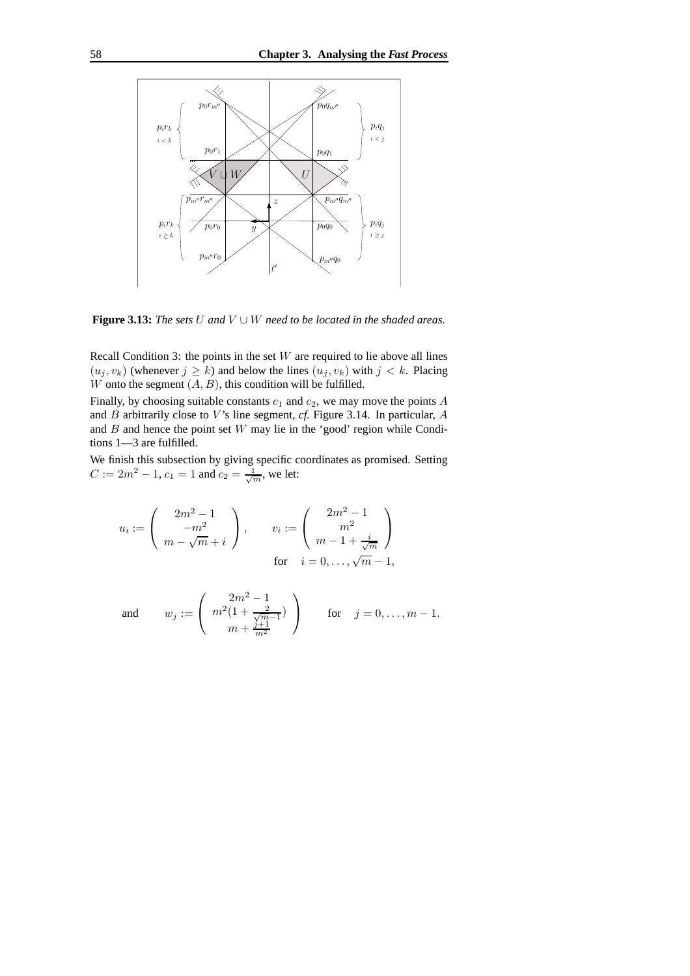

**Figure 3.13:** *The sets*  $U$  *and*  $V \cup W$  *need to be located in the shaded areas.* 

Recall Condition 3: the points in the set  $W$  are required to lie above all lines  $(u_j, v_k)$  (whenever  $j \ge k$ ) and below the lines  $(u_j, v_k)$  with  $j < k$ . Placing W onto the segment  $(A, B)$ , this condition will be fulfilled.

Finally, by choosing suitable constants  $c_1$  and  $c_2$ , we may move the points A and  $B$  arbitrarily close to  $V$ 's line segment,  $cf$ . Figure 3.14. In particular,  $A$ and  $B$  and hence the point set  $W$  may lie in the 'good' region while Conditions 1—3 are fulfilled.

We finish this subsection by giving specific coordinates as promised. Setting  $C := 2m^2 - 1, c_1 = 1$  and  $c_2 = \frac{1}{\sqrt{m}}$ , we let:

$$
u_i := \begin{pmatrix} 2m^2 - 1 \\ -m^2 \\ m - \sqrt{m} + i \end{pmatrix}, \qquad v_i := \begin{pmatrix} 2m^2 - 1 \\ m^2 \\ m - 1 + \frac{i}{\sqrt{m}} \end{pmatrix}
$$
  
for  $i = 0, ..., \sqrt{m} - 1$ ,

and 
$$
w_j := \begin{pmatrix} 2m^2 - 1 \\ m^2(1 + \frac{2}{\sqrt{m-1}}) \\ m + \frac{j+1}{m^2} \end{pmatrix}
$$
 for  $j = 0, ..., m - 1$ .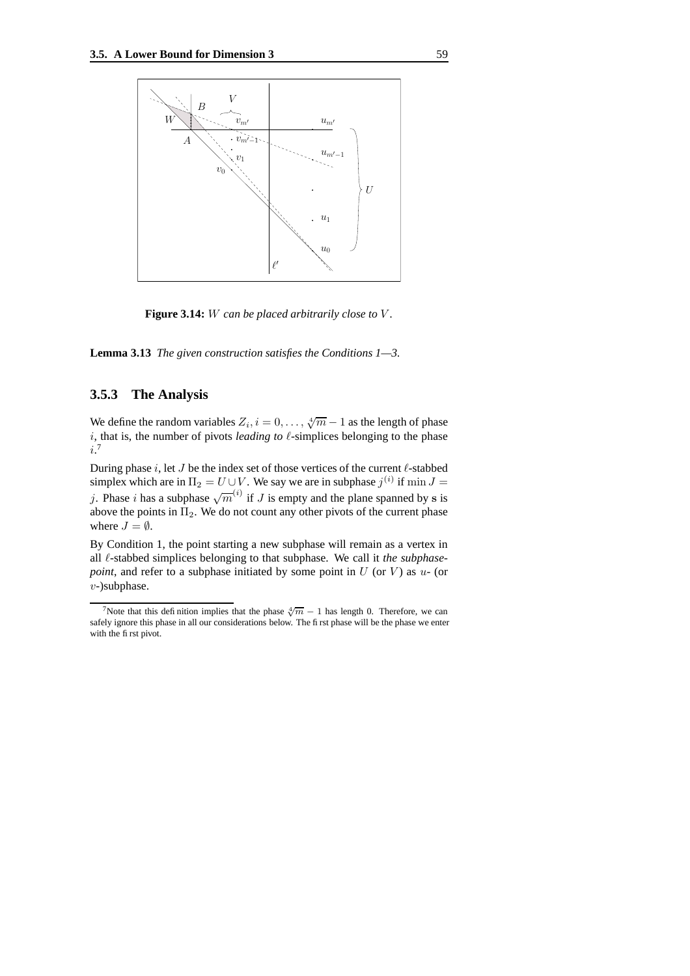

**Figure 3.14:** W *can be placed arbitrarily close to* V *.*

**Lemma 3.13** *The given construction satisfies the Conditions 1—3.*

## **3.5.3 The Analysis**

We define the random variables  $Z_i$ ,  $i = 0, \ldots, \sqrt[4]{m} - 1$  as the length of phase i, that is, the number of pivots *leading to*  $\ell$ -simplices belonging to the phase i. 7

During phase  $i$ , let  $J$  be the index set of those vertices of the current  $\ell$ -stabbed simplex which are in  $\Pi_2 = U \cup V$ . We say we are in subphase  $j^{(i)}$  if  $\min J =$ j. Phase i has a subphase  $\sqrt{m}^{(i)}$  if J is empty and the plane spanned by s is above the points in  $\Pi_2$ . We do not count any other pivots of the current phase where  $J = \emptyset$ .

By Condition 1, the point starting a new subphase will remain as a vertex in all  $\ell$ -stabbed simplices belonging to that subphase. We call it *the subphasepoint*, and refer to a subphase initiated by some point in  $U$  (or  $V$ ) as  $u$ - (or v-)subphase.

<sup>&</sup>lt;sup>7</sup>Note that this definition implies that the phase  $\sqrt[4]{m} - 1$  has length 0. Therefore, we can safely ignore this phase in all our considerations below. The first phase will be the phase we enter with the first pivot.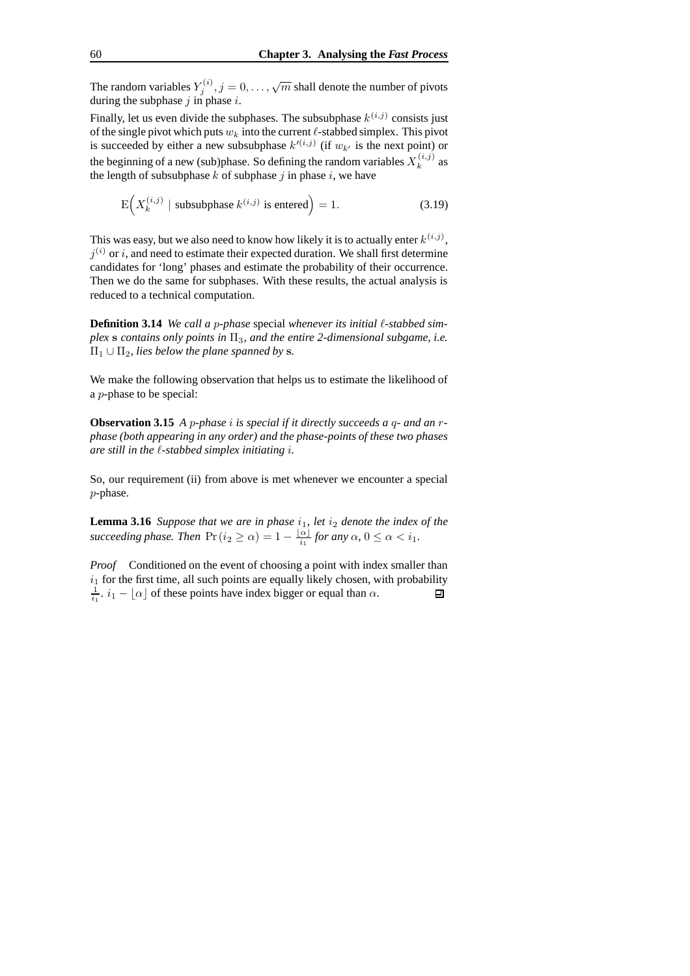The random variables  $Y_j^{(i)}$ ,  $j = 0, \ldots, \sqrt{m}$  shall denote the number of pivots during the subphase  $j$  in phase  $i$ .

Finally, let us even divide the subphases. The subsubphase  $k^{(i,j)}$  consists just of the single pivot which puts  $w_k$  into the current  $\ell$ -stabbed simplex. This pivot is succeeded by either a new subsubphase  $k^{(i,j)}$  (if  $w_{k'}$  is the next point) or the beginning of a new (sub)phase. So defining the random variables  $X_k^{(i,j)}$  $k^{(i,j)}$  as the length of subsubphase k of subphase i in phase i, we have

$$
E(X_k^{(i,j)} | \text{ subsubphase } k^{(i,j)} \text{ is entered}) = 1. \tag{3.19}
$$

This was easy, but we also need to know how likely it is to actually enter  $k^{(i,j)}$ ,  $j^{(i)}$  or i, and need to estimate their expected duration. We shall first determine candidates for 'long' phases and estimate the probability of their occurrence. Then we do the same for subphases. With these results, the actual analysis is reduced to a technical computation.

**Definition 3.14** *We call a* p*-phase* special *whenever its initial* `*-stabbed simplex* s *contains only points in*  $\Pi_3$ *, and the entire* 2-dimensional *subgame*, *i.e.*  $\Pi_1 \cup \Pi_2$ , *lies below the plane spanned by s.* 

We make the following observation that helps us to estimate the likelihood of a p-phase to be special:

**Observation 3.15** *A* p*-phase* i *is special if it directly succeeds a* q*- and an* r*phase (both appearing in any order) and the phase-points of these two phases are still in the* `*-stabbed simplex initiating* i*.*

So, our requirement (ii) from above is met whenever we encounter a special p-phase.

**Lemma** 3.16 *Suppose that we are in phase*  $i_1$ *, let*  $i_2$  *denote the index of the succeeding phase. Then*  $\Pr(i_2 \geq \alpha) = 1 - \frac{|\alpha|}{i_1}$  *for any*  $\alpha$ ,  $0 \leq \alpha < i_1$ *.* 

*Proof* Conditioned on the event of choosing a point with index smaller than  $i_1$  for the first time, all such points are equally likely chosen, with probability  $\frac{1}{i_1}$ .  $i_1 - \lfloor \alpha \rfloor$  of these points have index bigger or equal than  $\alpha$ . 回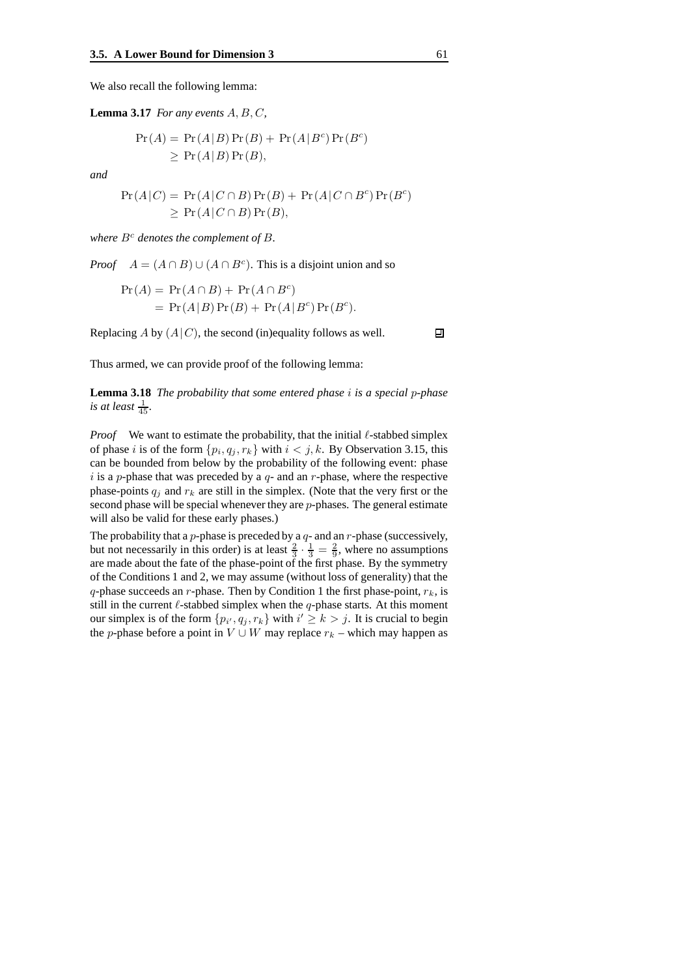We also recall the following lemma:

**Lemma** 3.17 *For any events*  $A, B, C$ ,

$$
Pr(A) = Pr(A|B)Pr(B) + Pr(A|Bc)Pr(Bc)
$$
  
\n
$$
\geq Pr(A|B)Pr(B),
$$

*and*

$$
Pr(A|C) = Pr(A|C \cap B)Pr(B) + Pr(A|C \cap B^{c})Pr(B^{c})
$$
  
\n
$$
\geq Pr(A|C \cap B)Pr(B),
$$

*where*  $B^c$  *denotes the complement of*  $B$ *.* 

*Proof*  $A = (A \cap B) \cup (A \cap B^c)$ . This is a disjoint union and so

$$
Pr(A) = Pr(A \cap B) + Pr(A \cap Bc)
$$
  
= Pr(A|B) Pr(B) + Pr(A|B<sup>c</sup>) Pr(B<sup>c</sup>).

Replacing A by  $(A|C)$ , the second (in)equality follows as well.

Thus armed, we can provide proof of the following lemma:

**Lemma 3.18** *The probability that some entered phase* i *is a special* p*-phase is at least*  $\frac{1}{45}$ *.* 

*Proof* We want to estimate the probability, that the initial  $\ell$ -stabbed simplex of phase *i* is of the form  $\{p_i, q_j, r_k\}$  with  $i < j, k$ . By Observation 3.15, this can be bounded from below by the probability of the following event: phase i is a p-phase that was preceded by a  $q$ - and an r-phase, where the respective phase-points  $q_i$  and  $r_k$  are still in the simplex. (Note that the very first or the second phase will be special whenever they are  $p$ -phases. The general estimate will also be valid for these early phases.)

The probability that a  $p$ -phase is preceded by a  $q$ - and an  $r$ -phase (successively, but not necessarily in this order) is at least  $\frac{2}{3} \cdot \frac{1}{3} = \frac{2}{9}$ , where no assumptions are made about the fate of the phase-point of the first phase. By the symmetry of the Conditions 1 and 2, we may assume (without loss of generality) that the q-phase succeeds an r-phase. Then by Condition 1 the first phase-point,  $r_k$ , is still in the current  $\ell$ -stabbed simplex when the  $q$ -phase starts. At this moment our simplex is of the form  $\{p_{i'}, q_j, r_k\}$  with  $i' \ge k > j$ . It is crucial to begin the p-phase before a point in  $V \cup W$  may replace  $r_k$  – which may happen as

回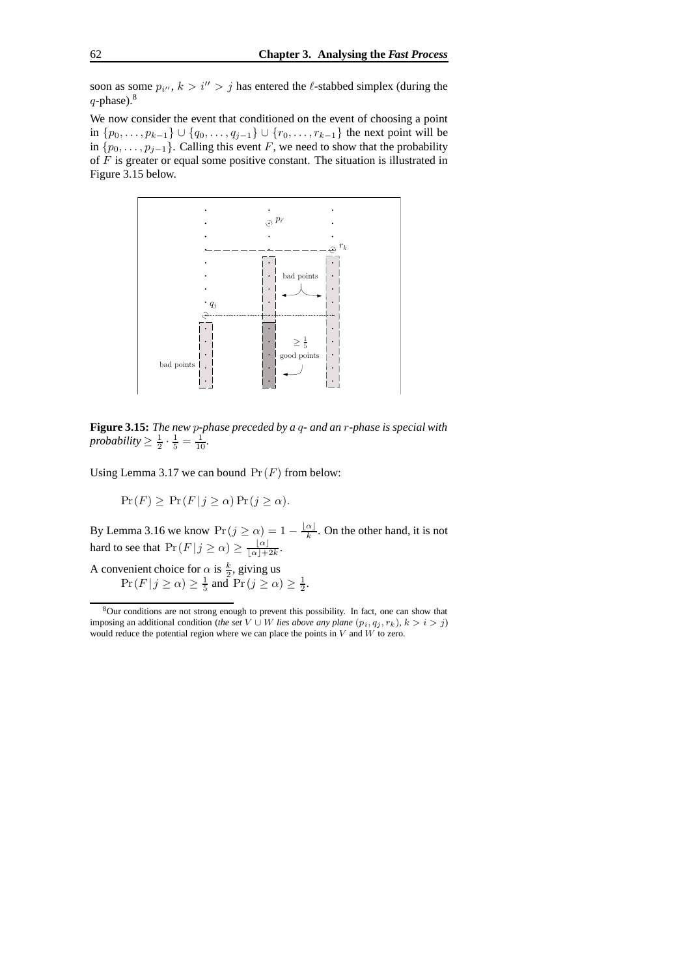soon as some  $p_{i''}, k > i'' > j$  has entered the  $\ell$ -stabbed simplex (during the  $q$ -phase). $8$ 

We now consider the event that conditioned on the event of choosing a point in  $\{p_0, \ldots, p_{k-1}\}$  ∪  $\{q_0, \ldots, q_{j-1}\}$  ∪  $\{r_0, \ldots, r_{k-1}\}$  the next point will be in  $\{p_0, \ldots, p_{j-1}\}.$  Calling this event F, we need to show that the probability of  $\overline{F}$  is greater or equal some positive constant. The situation is illustrated in Figure 3.15 below.



**Figure 3.15:** *The new* p*-phase preceded by a* q*- and an* r*-phase is special with probability*  $\geq \frac{1}{2} \cdot \frac{1}{5} = \frac{1}{10}$ *.* 

Using Lemma 3.17 we can bound  $Pr(F)$  from below:

$$
\Pr(F) \geq \Pr(F|j \geq \alpha) \Pr(j \geq \alpha).
$$

By Lemma 3.16 we know  $Pr(j \ge \alpha) = 1 - \frac{|\alpha|}{k}$ . On the other hand, it is not hard to see that  $Pr(F|j \geq \alpha) \geq \frac{|\alpha|}{|\alpha|+1}$  $\frac{\alpha}{\lfloor \alpha \rfloor + 2k}$ .

A convenient choice for  $\alpha$  is  $\frac{k}{2}$ , giving us  $Pr(F|j \ge \alpha) \ge \frac{1}{5}$  and  $Pr(j \ge \alpha) \ge \frac{1}{2}$ .

<sup>8</sup>Our conditions are not strong enough to prevent this possibility. In fact, one can show that imposing an additional condition (*the set*  $V \cup W$  *lies above any plane*  $(p_i, q_j, r_k)$ *,*  $k > i > j$ *)* would reduce the potential region where we can place the points in  $V$  and  $W$  to zero.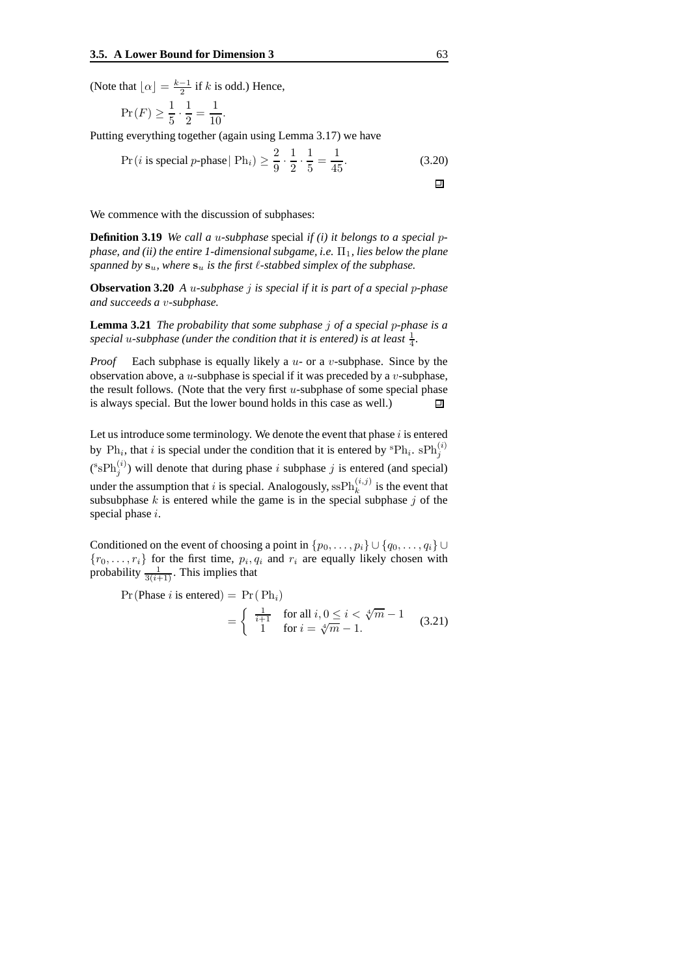(Note that  $\lfloor \alpha \rfloor = \frac{k-1}{2}$  if k is odd.) Hence,

$$
\Pr(F) \ge \frac{1}{5} \cdot \frac{1}{2} = \frac{1}{10}.
$$

Putting everything together (again using Lemma 3.17) we have

$$
\Pr(i \text{ is special } p\text{-phase} \mid \text{Ph}_i) \ge \frac{2}{9} \cdot \frac{1}{2} \cdot \frac{1}{5} = \frac{1}{45}.\tag{3.20}
$$

We commence with the discussion of subphases:

**Definition 3.19** *We call a* u*-subphase* special *if (i) it belongs to a special* p*phase,* and *(ii) the entire 1-dimensional subgame, <i>i.e.*  $\Pi_1$ *, lies below the plane spanned by*  $\mathbf{s}_u$ *, where*  $\mathbf{s}_u$  *is the first*  $\ell$ *-stabbed simplex of the subphase.* 

**Observation 3.20** *A* u*-subphase* j *is special if it is part of a special* p*-phase and succeeds a* v*-subphase.*

**Lemma 3.21** *The probability that some subphase* j *of a special* p*-phase is a* special u-subphase (under the condition that it is entered) is at least  $\frac{1}{4}$ .

*Proof* Each subphase is equally likely a u- or a v-subphase. Since by the observation above, a  $u$ -subphase is special if it was preceded by a  $v$ -subphase, the result follows. (Note that the very first  $u$ -subphase of some special phase is always special. But the lower bound holds in this case as well.) 回

Let us introduce some terminology. We denote the event that phase  $i$  is entered by  $\text{Ph}_i$ , that i is special under the condition that it is entered by  ${}^{\text{s}}\text{Ph}_i$ .  $\text{sh}_j^{(i)}$  $({}^s$ s $\text{Ph}_j^{(i)}$ ) will denote that during phase *i* subphase *j* is entered (and special) under the assumption that i is special. Analogously,  $\text{ssPh}_k^{(i,j)}$  $\binom{n,j}{k}$  is the event that subsubphase  $k$  is entered while the game is in the special subphase  $j$  of the special phase i.

Conditioned on the event of choosing a point in  $\{p_0, \ldots, p_i\} \cup \{q_0, \ldots, q_i\} \cup$  ${r_0, \ldots, r_i}$  for the first time,  $p_i, q_i$  and  $r_i$  are equally likely chosen with probability  $\frac{1}{3(i+1)}$ . This implies that

$$
\Pr(\text{Phase } i \text{ is entered}) = \Pr(\text{ Ph}_i)
$$
\n
$$
= \begin{cases} \frac{1}{i+1} & \text{for all } i, 0 \le i < \sqrt[4]{m} - 1\\ 1 & \text{for } i = \sqrt[4]{m} - 1. \end{cases} \tag{3.21}
$$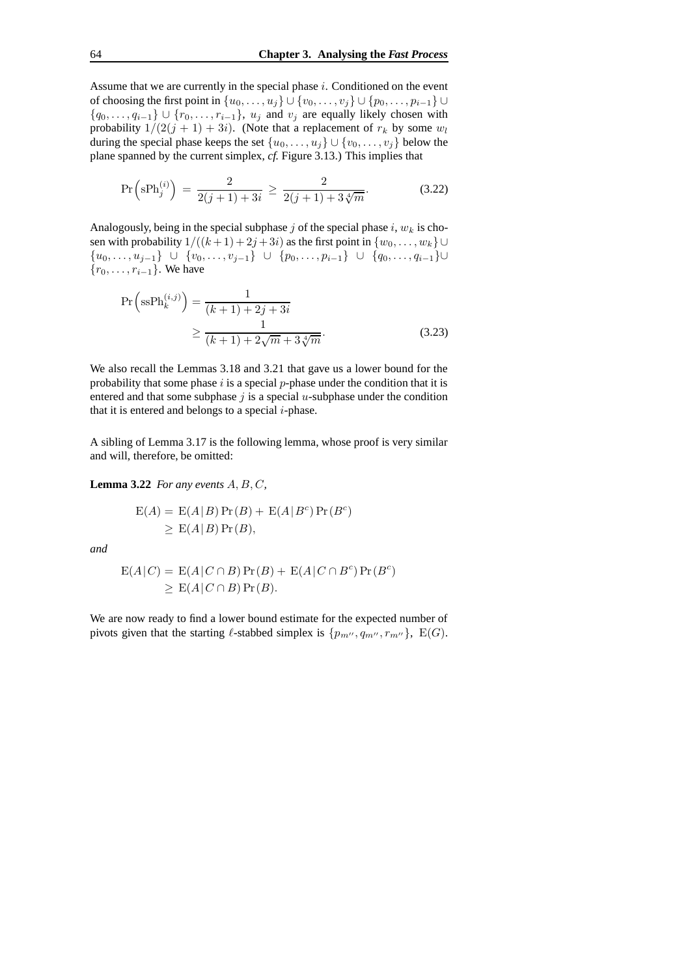Assume that we are currently in the special phase  $i$ . Conditioned on the event of choosing the first point in  $\{u_0, \ldots, u_j\} \cup \{v_0, \ldots, v_j\} \cup \{p_0, \ldots, p_{i-1}\} \cup$  ${q_0, \ldots, q_{i-1}} \cup {r_0, \ldots, r_{i-1}}, u_j$  and  $v_j$  are equally likely chosen with probability  $1/(2(j + 1) + 3i)$ . (Note that a replacement of  $r_k$  by some  $w_l$ during the special phase keeps the set  $\{u_0, \ldots, u_j\} \cup \{v_0, \ldots, v_j\}$  below the plane spanned by the current simplex, *cf.* Figure 3.13.) This implies that

$$
\Pr\left(\mathrm{sPh}_j^{(i)}\right) = \frac{2}{2(j+1)+3i} \ge \frac{2}{2(j+1)+3\sqrt[4]{m}}.\tag{3.22}
$$

Analogously, being in the special subphase j of the special phase i,  $w_k$  is chosen with probability  $1/((k+1)+2j+3i)$  as the first point in  $\{w_0, \ldots, w_k\}$ { $u_0, \ldots, u_{j-1}$ } ∪ { $v_0, \ldots, v_{j-1}$ } ∪ { $p_0, \ldots, p_{i-1}$ } ∪ { $q_0, \ldots, q_{i-1}$ }∪  ${r_0, \ldots, r_{i-1}}$ . We have

$$
\Pr\left(\text{ssPh}_k^{(i,j)}\right) = \frac{1}{(k+1) + 2j + 3i} \geq \frac{1}{(k+1) + 2\sqrt{m} + 3\sqrt[4]{m}}.
$$
\n(3.23)

We also recall the Lemmas 3.18 and 3.21 that gave us a lower bound for the probability that some phase  $i$  is a special  $p$ -phase under the condition that it is entered and that some subphase  $j$  is a special  $u$ -subphase under the condition that it is entered and belongs to a special  $i$ -phase.

A sibling of Lemma 3.17 is the following lemma, whose proof is very similar and will, therefore, be omitted:

**Lemma** 3.22 *For any events*  $A, B, C$ *,* 

$$
E(A) = E(A|B) Pr(B) + E(A|Bc) Pr(Bc)
$$
  
\n
$$
\geq E(A|B) Pr(B),
$$

*and*

$$
E(A|C) = E(A|C \cap B)Pr(B) + E(A|C \cap B^c)Pr(B^c)
$$
  
\n
$$
\geq E(A|C \cap B)Pr(B).
$$

We are now ready to find a lower bound estimate for the expected number of pivots given that the starting  $\ell$ -stabbed simplex is  $\{p_{m''}, q_{m''}, r_{m''}\}, E(G)$ .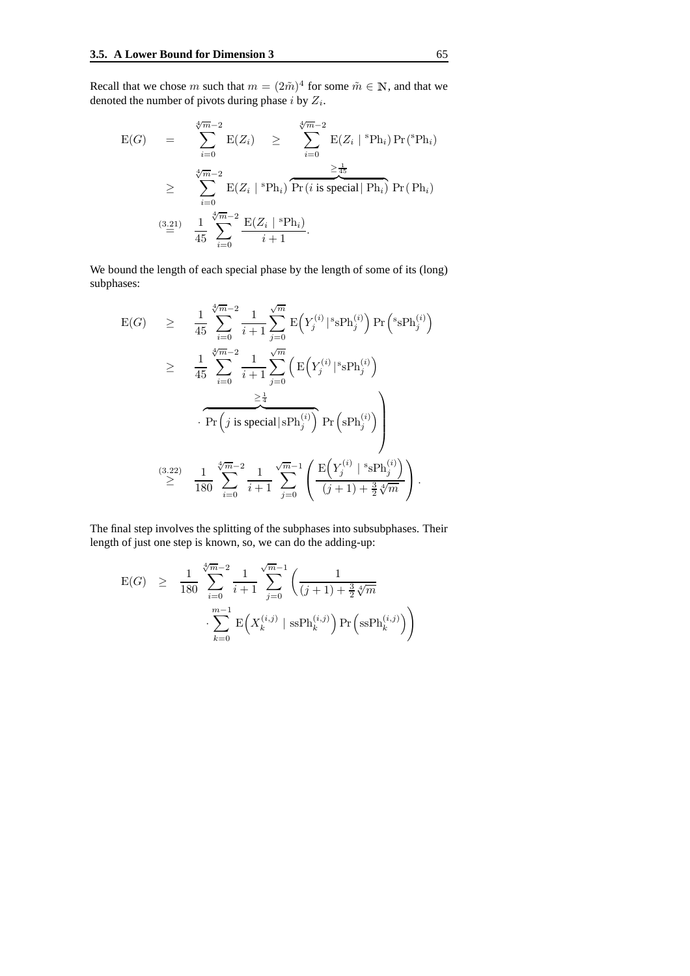Recall that we chose m such that  $m = (2\tilde{m})^4$  for some  $\tilde{m} \in \mathbb{N}$ , and that we denoted the number of pivots during phase *i* by  $Z_i$ .

$$
E(G) = \sum_{i=0}^{\sqrt[4]{m}-2} E(Z_i) \ge \sum_{i=0}^{\sqrt[4]{m}-2} E(Z_i \mid {}^{s}Ph_i) Pr({}^{s}Ph_i)
$$
  
\n
$$
\ge \sum_{i=0}^{\sqrt[4]{m}-2} E(Z_i \mid {}^{s}Ph_i) \overline{Pr(i \text{ is special} \mid Ph_i)} Pr(Ph_i)
$$
  
\n
$$
\stackrel{(3.21)}{=} \frac{1}{45} \sum_{i=0}^{\sqrt[4]{m}-2} \frac{E(Z_i \mid {}^{s}Ph_i)}{i+1}.
$$

We bound the length of each special phase by the length of some of its (long) subphases:

$$
\begin{array}{lcl} \mathbf{E}(G) & \geq & \frac{1}{45} \, \displaystyle \sum_{i=0}^{\sqrt[4]{m}-2} \frac{1}{i+1} \sum_{j=0}^{\sqrt{m}} \, \mathbf{E}\Big(Y_{j}^{(i)}\big|^s \mathrm{sPh}_{j}^{(i)}\Big) \, \mathrm{Pr}\Big(\,^{s}\mathrm{sPh}_{j}^{(i)}\Big) \\ \\ & \geq & \frac{1}{45} \, \displaystyle \sum_{i=0}^{\sqrt[4]{m}-2} \frac{1}{i+1} \sum_{j=0}^{\sqrt{m}} \Big( \, \mathbf{E}\Big(Y_{j}^{(i)}\big|^s \mathrm{sPh}_{j}^{(i)}\Big) \\ & & \frac{\geq \frac{1}{4}}{\mathrm{Pr}\Big(j \text{ is special} \big|\mathrm{sPh}_{j}^{(i)}\Big)} \, \mathrm{Pr}\Big(\mathrm{sPh}_{j}^{(i)}\Big) \Bigg) \\ \\ & & \geq & \frac{1}{180} \, \displaystyle \sum_{i=0}^{\sqrt[4]{m}-2} \frac{1}{i+1} \, \displaystyle \sum_{j=0}^{\sqrt{m}-1} \Bigg( \frac{\mathrm{E}\Big(Y_{j}^{(i)}\big|^s \mathrm{sPh}_{j}^{(i)}\Big)}{(j+1)+\frac{3}{2}\sqrt[4]{m}} \Bigg) \, . \end{array}
$$

The final step involves the splitting of the subphases into subsubphases. Their length of just one step is known, so, we can do the adding-up:

$$
\begin{array}{rcl} \mathrm{E}(G) & \geq & \frac{1}{180} \sum_{i=0}^{\sqrt[4]{m}-2} \frac{1}{i+1} \sum_{j=0}^{\sqrt{m}-1} \left( \frac{1}{(j+1) + \frac{3}{2} \sqrt[4]{m}} \right. \\ & \left. \sum_{k=0}^{m-1} \mathrm{E} \left( X_k^{(i,j)} \mid \mathrm{sSPh}_k^{(i,j)} \right) \mathrm{Pr} \left( \mathrm{sSPh}_k^{(i,j)} \right) \right) \end{array}
$$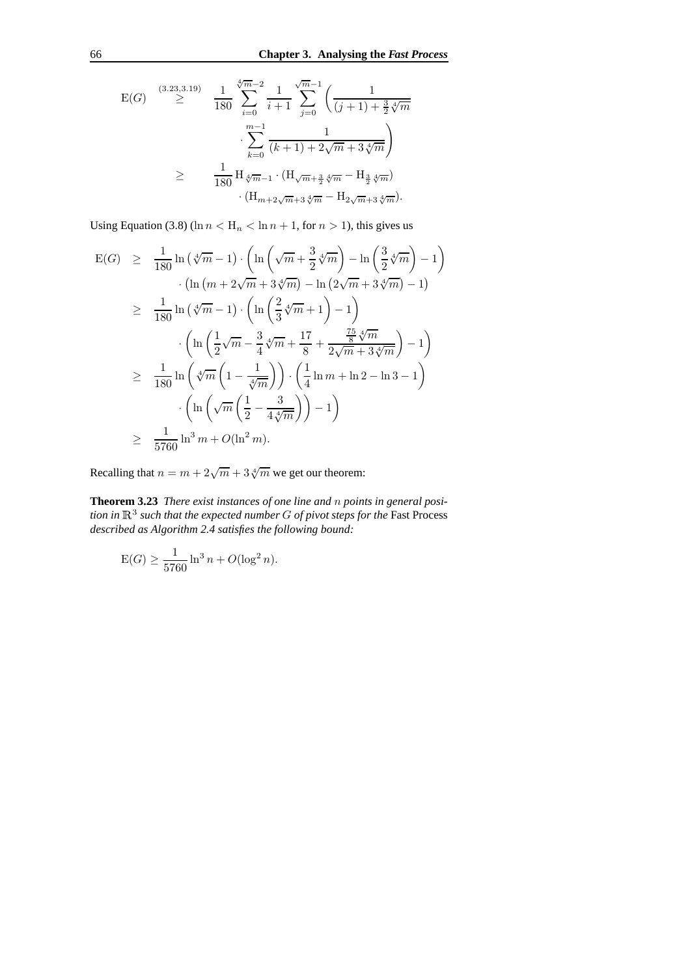$$
\begin{array}{cccc}\n\text{E}(G) & \stackrel{(3.23,3.19)}{\geq} & \frac{1}{180} \sum_{i=0}^{\sqrt[4]{m}-2} \frac{1}{i+1} \sum_{j=0}^{\sqrt{m}-1} \left( \frac{1}{(j+1)+\frac{3}{2}\sqrt[4]{m}} \right. \\
& & \sum_{k=0}^{m-1} \frac{1}{(k+1)+2\sqrt{m}+3\sqrt[4]{m}} \right) \\
& & \geq & \frac{1}{180} \operatorname{H}_{\sqrt[4]{m}-1} \cdot (\operatorname{H}_{\sqrt{m}+\frac{3}{2}\sqrt[4]{m}} - \operatorname{H}_{\frac{3}{2}\sqrt[4]{m}}) \\
& & \cdot (\operatorname{H}_{m+2\sqrt{m}+3\sqrt[4]{m}} - \operatorname{H}_{2\sqrt{m}+3\sqrt[4]{m}}).\n\end{array}
$$

Using Equation (3.8) (ln  $n < H_n < \ln n + 1$ , for  $n > 1$ ), this gives us

$$
E(G) \geq \frac{1}{180} \ln \left( \sqrt[4]{m} - 1 \right) \cdot \left( \ln \left( \sqrt{m} + \frac{3}{2} \sqrt[4]{m} \right) - \ln \left( \frac{3}{2} \sqrt[4]{m} \right) - 1 \right) \n\cdot \left( \ln \left( m + 2\sqrt{m} + 3\sqrt[4]{m} \right) - \ln \left( 2\sqrt{m} + 3\sqrt[4]{m} \right) - 1 \right) \n\geq \frac{1}{180} \ln \left( \sqrt[4]{m} - 1 \right) \cdot \left( \ln \left( \frac{2}{3} \sqrt[4]{m} + 1 \right) - 1 \right) \n\cdot \left( \ln \left( \frac{1}{2} \sqrt{m} - \frac{3}{4} \sqrt[4]{m} + \frac{17}{8} + \frac{\frac{75}{8} \sqrt[4]{m}}{2\sqrt{m} + 3\sqrt[4]{m}} \right) - 1 \right) \n\geq \frac{1}{180} \ln \left( \sqrt[4]{m} \left( 1 - \frac{1}{\sqrt[4]{m}} \right) \right) \cdot \left( \frac{1}{4} \ln m + \ln 2 - \ln 3 - 1 \right) \n\cdot \left( \ln \left( \sqrt{m} \left( \frac{1}{2} - \frac{3}{4 \sqrt[4]{m}} \right) \right) - 1 \right) \n\geq \frac{1}{5760} \ln^3 m + O(\ln^2 m).
$$

Recalling that  $n = m + 2\sqrt{m} + 3\sqrt[4]{m}$  we get our theorem:

**Theorem 3.23** *There exist instances of one line and* n *points in general posi* $t$  *tion in*  $\mathbb{R}^3$  *such that the expected number*  $G$  *of pivot steps for the <code>Fast Process</code> described as Algorithm 2.4 satisfies the following bound:*

$$
E(G) \ge \frac{1}{5760} \ln^3 n + O(\log^2 n).
$$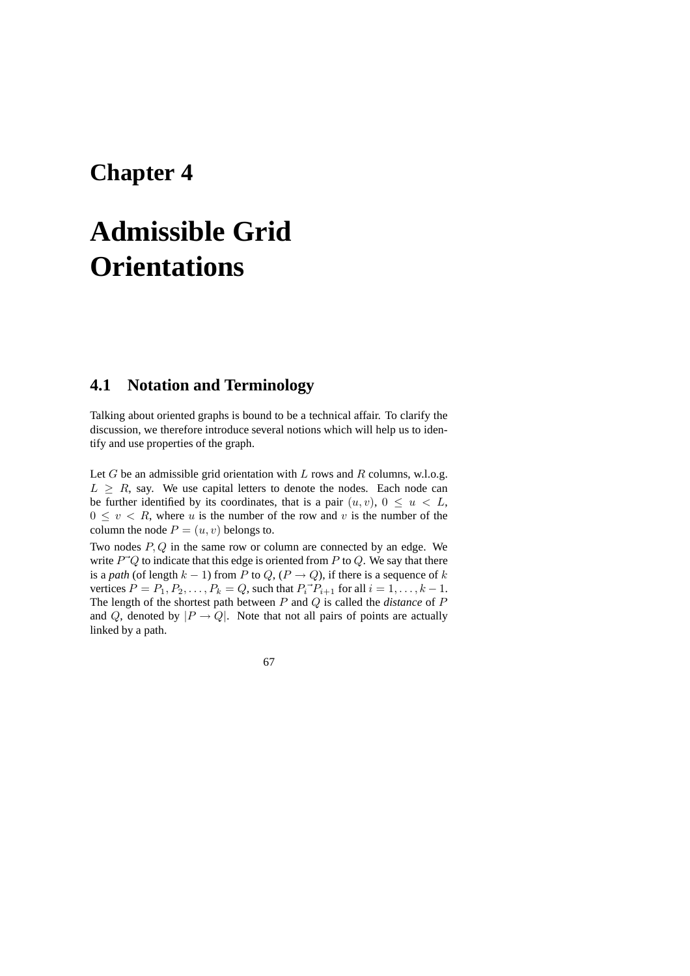## **Chapter 4**

# **Admissible Grid Orientations**

## **4.1 Notation and Terminology**

Talking about oriented graphs is bound to be a technical affair. To clarify the discussion, we therefore introduce several notions which will help us to identify and use properties of the graph.

Let  $G$  be an admissible grid orientation with  $L$  rows and  $R$  columns, w.l.o.g.  $L \geq R$ , say. We use capital letters to denote the nodes. Each node can be further identified by its coordinates, that is a pair  $(u, v)$ ,  $0 \le u \le L$ ,  $0 \le v \le R$ , where u is the number of the row and v is the number of the column the node  $P = (u, v)$  belongs to.

Two nodes  $P, Q$  in the same row or column are connected by an edge. We write  $P^{\dagger}Q$  to indicate that this edge is oriented from P to Q. We say that there is a *path* (of length  $k - 1$ ) from P to Q, ( $P \rightarrow Q$ ), if there is a sequence of k vertices  $P = P_1, P_2, \dots, P_k = Q$ , such that  $P_i^{\dagger} P_{i+1}$  for all  $i = 1, \dots, k - 1$ . The length of the shortest path between P and Q is called the *distance* of P and Q, denoted by  $|P \rightarrow Q|$ . Note that not all pairs of points are actually linked by a path.

67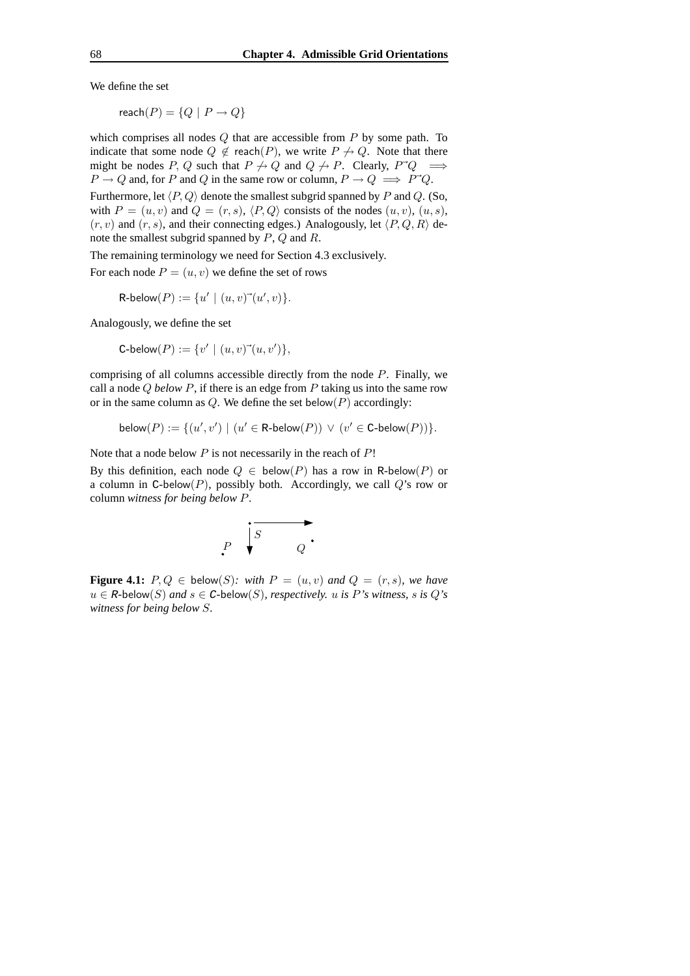We define the set

 $reach(P) = \{Q \mid P \rightarrow Q\}$ 

which comprises all nodes  $Q$  that are accessible from  $P$  by some path. To indicate that some node  $Q \notin \text{reach}(P)$ , we write  $P \nrightarrow Q$ . Note that there might be nodes P, Q such that  $P \nrightarrow Q$  and  $Q \nrightarrow P$ . Clearly,  $P^{\dagger}Q \implies$  $P \to Q$  and, for P and Q in the same row or column,  $P \to Q \implies P^{\dagger}Q$ . Furthermore, let  $\langle P, Q \rangle$  denote the smallest subgrid spanned by P and Q. (So, with  $P = (u, v)$  and  $Q = (r, s)$ ,  $\langle P, Q \rangle$  consists of the nodes  $(u, v)$ ,  $(u, s)$ ,  $(r, v)$  and  $(r, s)$ , and their connecting edges.) Analogously, let  $\langle P, Q, R \rangle$  denote the smallest subgrid spanned by P, Q and R.

The remaining terminology we need for Section 4.3 exclusively.

For each node  $P = (u, v)$  we define the set of rows

 $R\text{-}below(P) := \{u' \mid (u, v) \vec{\ } (u', v)\}.$ 

Analogously, we define the set

C-below
$$
(P) := \{v' \mid (u, v)^{(u, v')}\},
$$

comprising of all columns accessible directly from the node  $P$ . Finally, we call a node Q *below* P, if there is an edge from P taking us into the same row or in the same column as  $Q$ . We define the set below $(P)$  accordingly:

below
$$
(P) := \{(u', v') \mid (u' \in \text{R-below}(P)) \lor (v' \in \text{C-below}(P))\}.
$$

Note that a node below  $P$  is not necessarily in the reach of  $P!$ 

By this definition, each node  $Q \in \text{below}(P)$  has a row in R-below(P) or a column in C-below(P), possibly both. Accordingly, we call  $Q$ 's row or column *witness for being below* P.



**Figure 4.1:**  $P, Q \in \text{below}(S)$ : *with*  $P = (u, v)$  *and*  $Q = (r, s)$ *, we have*  $u \in R$ -below(S) and  $s \in C$ -below(S), respectively. u is P's witness, s is Q's *witness for being below* S*.*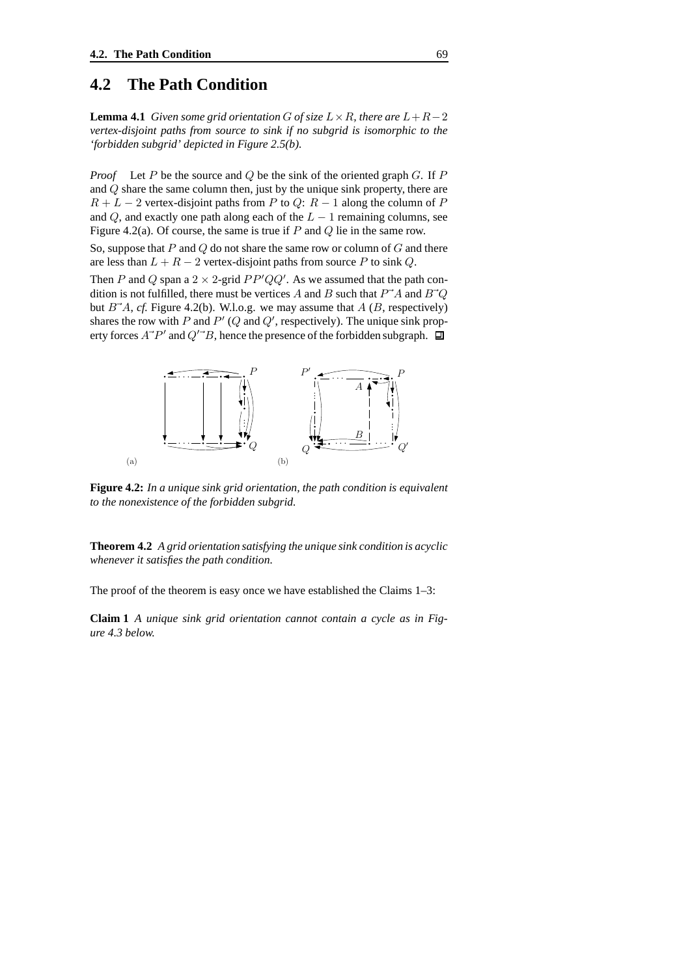## **4.2 The Path Condition**

**Lemma 4.1** *Given some grid orientation G of size*  $L \times R$ *, there are*  $L + R - 2$ *vertex-disjoint paths from source to sink if no subgrid is isomorphic to the 'forbidden subgrid' depicted in Figure 2.5(b).*

*Proof* Let P be the source and Q be the sink of the oriented graph G. If P and Q share the same column then, just by the unique sink property, there are  $R + L - 2$  vertex-disjoint paths from P to Q:  $R - 1$  along the column of P and  $Q$ , and exactly one path along each of the  $L - 1$  remaining columns, see Figure 4.2(a). Of course, the same is true if  $P$  and  $Q$  lie in the same row.

So, suppose that  $P$  and  $Q$  do not share the same row or column of  $G$  and there are less than  $L + R - 2$  vertex-disjoint paths from source P to sink Q.

Then P and Q span a  $2 \times 2$ -grid  $PP'QQ'$ . As we assumed that the path condition is not fulfilled, there must be vertices A and B such that  $P^{\dagger}A$  and  $B^{\dagger}Q$ but  $B^{\dagger}A$ , *cf.* Figure 4.2(b). W.l.o.g. we may assume that A (B, respectively) shares the row with P and  $P' (Q \text{ and } Q', \text{ respectively})$ . The unique sink property forces  $A^{\dagger}P'$  and  $Q^{\dagger}B$ , hence the presence of the forbidden subgraph.



**Figure 4.2:** *In a unique sink grid orientation, the path condition is equivalent to the nonexistence of the forbidden subgrid.*

**Theorem 4.2** *A grid orientation satisfying the unique sink condition is acyclic whenever it satisfies the path condition.*

The proof of the theorem is easy once we have established the Claims 1–3:

**Claim 1** *A unique sink grid orientation cannot contain a cycle as in Figure 4.3 below.*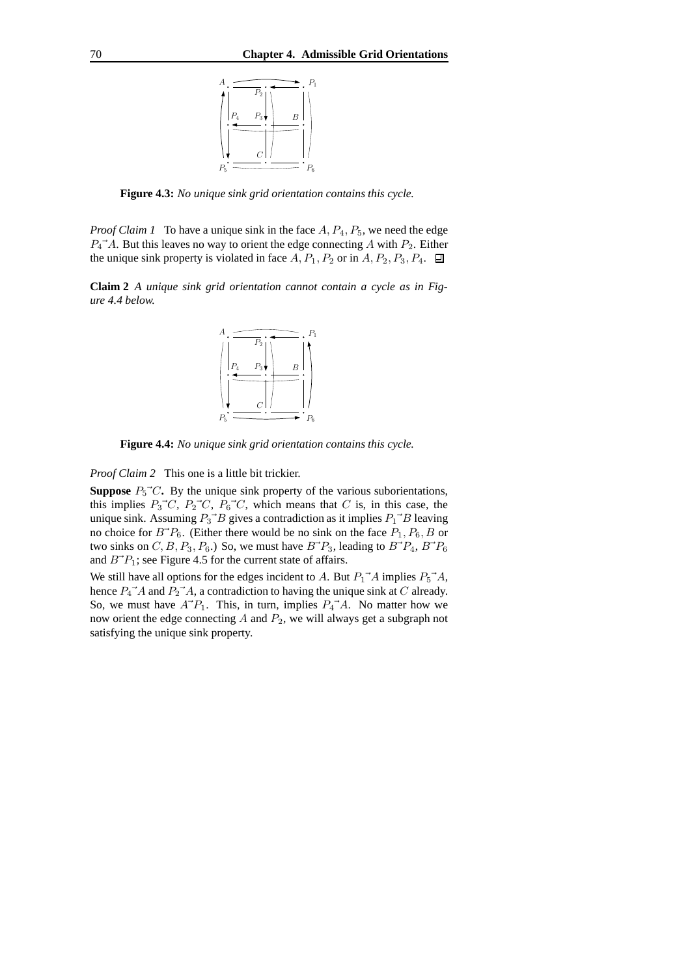

**Figure 4.3:** *No unique sink grid orientation contains this cycle.*

*Proof Claim 1* To have a unique sink in the face  $A, P_4, P_5$ , we need the edge  $P_4^{\dagger}A$ . But this leaves no way to orient the edge connecting A with  $P_2$ . Either the unique sink property is violated in face  $A, P_1, P_2$  or in  $A, P_2, P_3, P_4$ .  $\Box$ 

**Claim 2** *A unique sink grid orientation cannot contain a cycle as in Figure 4.4 below.*



**Figure 4.4:** *No unique sink grid orientation contains this cycle.*

*Proof Claim 2* This one is a little bit trickier.

**Suppose**  $P_5$ <sup> $\sim$ </sup> $C$ . By the unique sink property of the various suborientations, this implies  $P_3^{\rightharpoonup}C$ ,  $P_2^{\rightharpoonup}C$ ,  $P_6^{\rightharpoonup}C$ , which means that C is, in this case, the unique sink. Assuming  $P_3^{\dagger}B$  gives a contradiction as it implies  $P_1^{\dagger}B$  leaving no choice for  $B^{\dagger}P_6$ . (Either there would be no sink on the face  $P_1$ ,  $P_6$ , B or two sinks on  $C, B, P_3, P_6$ .) So, we must have  $B^{\dagger}P_3$ , leading to  $B^{\dagger}P_4$ ,  $B^{\dagger}P_6$ and  $B^{-}P_1$ ; see Figure 4.5 for the current state of affairs.

We still have all options for the edges incident to A. But  $P_1^{\dagger}A$  implies  $P_5^{\dagger}A$ , hence  $P_4^{\dagger}A$  and  $P_2^{\dagger}A$ , a contradiction to having the unique sink at C already. So, we must have  $A^{\dagger}P_1$ . This, in turn, implies  $P_4^{\dagger}A$ . No matter how we now orient the edge connecting  $A$  and  $P_2$ , we will always get a subgraph not satisfying the unique sink property.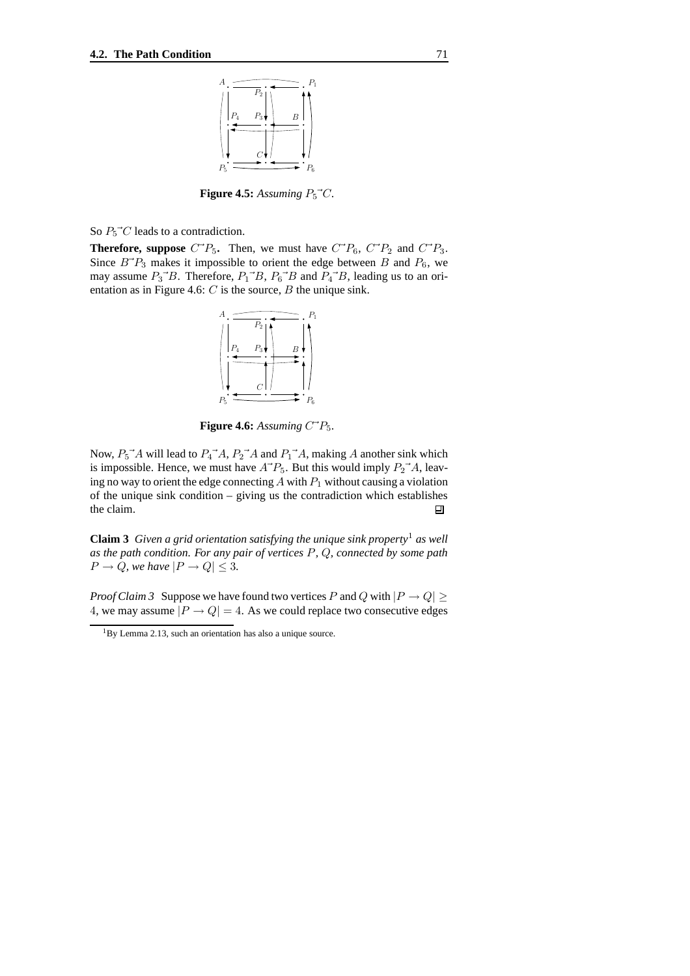

**Figure 4.5:** Assuming  $P_5^{\dagger}C$ .

So  $P_5^{\dagger}C$  leads to a contradiction.

**Therefore, suppose**  $C^{\dagger}P_5$ . Then, we must have  $C^{\dagger}P_6$ ,  $C^{\dagger}P_2$  and  $C^{\dagger}P_3$ . Since  $B^{\dagger}P_3$  makes it impossible to orient the edge between B and  $P_6$ , we may assume  $P_3$ <sup>- $B$ </sup>. Therefore,  $P_1$ <sup>- $B$ </sup>,  $P_6$ <sup>- $B$ </sup> and  $P_4$ <sup>- $B$ </sup>, leading us to an orientation as in Figure 4.6:  $C$  is the source,  $B$  the unique sink.



**Figure 4.6:** Assuming  $C^2P_5$ .

Now,  $P_5^{\dagger}A$  will lead to  $P_4^{\dagger}A$ ,  $P_2^{\dagger}A$  and  $P_1^{\dagger}A$ , making A another sink which is impossible. Hence, we must have  $A^{\dagger}P_5$ . But this would imply  $P_2^{\dagger}A$ , leaving no way to orient the edge connecting  $A$  with  $P_1$  without causing a violation of the unique sink condition – giving us the contradiction which establishes the claim. 回

**Claim** 3 *Given a grid orientation satisfying the unique sink property<sup>1</sup> as well as the path condition. For any pair of vertices* P*,* Q*, connected by some path*  $P \rightarrow Q$ *, we have*  $|P \rightarrow Q| \leq 3$ *.* 

*Proof Claim* 3 Suppose we have found two vertices P and Q with  $|P \to Q| \ge$ 4, we may assume  $|P \rightarrow Q| = 4$ . As we could replace two consecutive edges

<sup>&</sup>lt;sup>1</sup>By Lemma 2.13, such an orientation has also a unique source.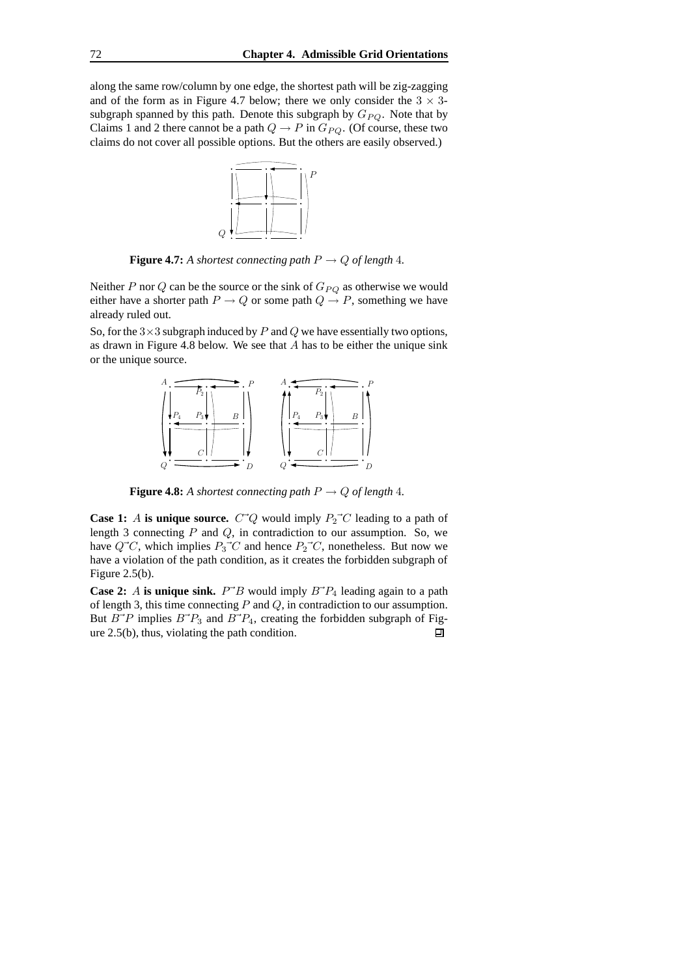along the same row/column by one edge, the shortest path will be zig-zagging and of the form as in Figure 4.7 below; there we only consider the  $3 \times 3$ subgraph spanned by this path. Denote this subgraph by  $G_{PQ}$ . Note that by Claims 1 and 2 there cannot be a path  $Q \to P$  in  $G_{PQ}$ . (Of course, these two claims do not cover all possible options. But the others are easily observed.)



**Figure 4.7:** A shortest connecting path  $P \rightarrow Q$  of length 4.

Neither P nor Q can be the source or the sink of  $G_{PQ}$  as otherwise we would either have a shorter path  $P \to Q$  or some path  $Q \to P$ , something we have already ruled out.

So, for the  $3\times 3$  subgraph induced by P and Q we have essentially two options, as drawn in Figure 4.8 below. We see that  $A$  has to be either the unique sink or the unique source.



**Figure 4.8:** *A shortest connecting path*  $P \rightarrow Q$  *of length* 4*.* 

**Case 1:** A **is unique source.**  $C^{\dagger}Q$  would imply  $P_2^{\dagger}C$  leading to a path of length 3 connecting  $P$  and  $Q$ , in contradiction to our assumption. So, we have  $Q^{\dagger}C$ , which implies  $P_3^{\dagger}C$  and hence  $P_2^{\dagger}C$ , nonetheless. But now we have a violation of the path condition, as it creates the forbidden subgraph of Figure 2.5(b).

**Case 2:** A **is unique sink.**  $P^{\dagger}B$  would imply  $B^{\dagger}P_4$  leading again to a path of length 3, this time connecting  $P$  and  $Q$ , in contradiction to our assumption. But  $B^{\dagger}P$  implies  $B^{\dagger}P_3$  and  $B^{\dagger}P_4$ , creating the forbidden subgraph of Figure 2.5(b), thus, violating the path condition.回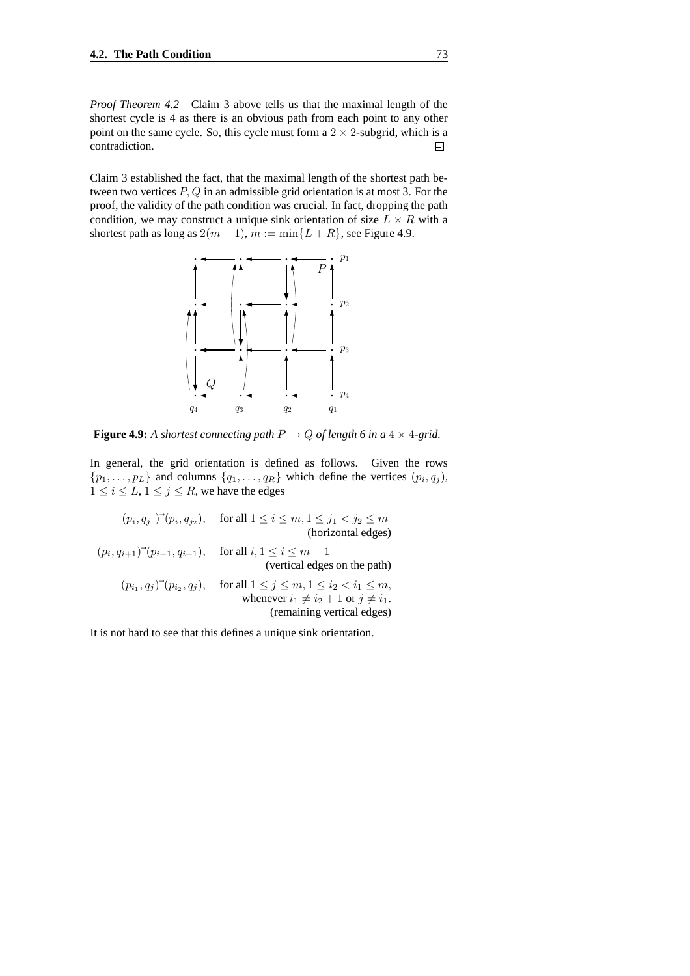*Proof Theorem 4.2* Claim 3 above tells us that the maximal length of the shortest cycle is 4 as there is an obvious path from each point to any other point on the same cycle. So, this cycle must form a  $2 \times 2$ -subgrid, which is a contradiction. contradiction.

Claim 3 established the fact, that the maximal length of the shortest path between two vertices  $P, Q$  in an admissible grid orientation is at most 3. For the proof, the validity of the path condition was crucial. In fact, dropping the path condition, we may construct a unique sink orientation of size  $L \times R$  with a shortest path as long as  $2(m-1)$ ,  $m := min\{L+R\}$ , see Figure 4.9.



**Figure 4.9:** *A shortest connecting path*  $P \rightarrow Q$  *of length 6 in a* 4 × 4-*grid.* 

In general, the grid orientation is defined as follows. Given the rows  $\{p_1, \ldots, p_L\}$  and columns  $\{q_1, \ldots, q_R\}$  which define the vertices  $(p_i, q_j)$ ,  $1 \le i \le L$ ,  $1 \le j \le R$ , we have the edges

 $(p_i, q_{j1})^{\text{-}} (p_i, q_{j2}), \quad \text{for all } 1 \le i \le m, 1 \le j_1 < j_2 \le m$ (horizontal edges)  $(p_i, q_{i+1})^-(p_{i+1}, q_{i+1}),$  for all  $i, 1 \le i \le m-1$ (vertical edges on the path)  $(p_{i_1}, q_j)$ <sup>-</sup> $(p_{i_2}, q_j)$ , for all  $1 \le j \le m, 1 \le i_2 < i_1 \le m$ , whenever  $i_1 \neq i_2 + 1$  or  $j \neq i_1$ . (remaining vertical edges)

It is not hard to see that this defines a unique sink orientation.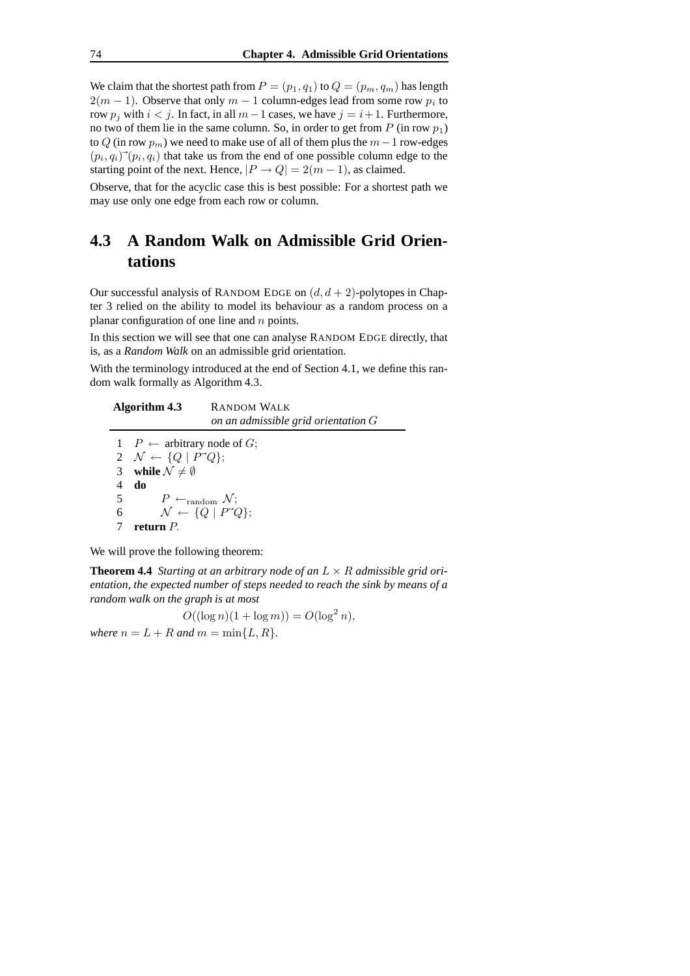We claim that the shortest path from  $P = (p_1, q_1)$  to  $Q = (p_m, q_m)$  has length  $2(m-1)$ . Observe that only  $m-1$  column-edges lead from some row  $p_i$  to row  $p_j$  with  $i < j$ . In fact, in all  $m-1$  cases, we have  $j = i+1$ . Furthermore, no two of them lie in the same column. So, in order to get from  $P$  (in row  $p_1$ ) to Q (in row  $p_m$ ) we need to make use of all of them plus the  $m-1$  row-edges  $(p_i, q_i)$ <sup>-</sup> $(p_i, q_i)$  that take us from the end of one possible column edge to the starting point of the next. Hence,  $|P \rightarrow Q| = 2(m - 1)$ , as claimed.

Observe, that for the acyclic case this is best possible: For a shortest path we may use only one edge from each row or column.

## **4.3 A Random Walk on Admissible Grid Orientations**

Our successful analysis of RANDOM EDGE on  $(d, d + 2)$ -polytopes in Chapter 3 relied on the ability to model its behaviour as a random process on a planar configuration of one line and  $n$  points.

In this section we will see that one can analyse RANDOM EDGE directly, that is, as a *Random Walk* on an admissible grid orientation.

With the terminology introduced at the end of Section 4.1, we define this random walk formally as Algorithm 4.3.

|                 | Algorithm 4.3                                       | <b>RANDOM WALK</b><br>on an admissible grid orientation $G$ |
|-----------------|-----------------------------------------------------|-------------------------------------------------------------|
|                 | $1 \quad P \leftarrow$ arbitrary node of G;         |                                                             |
|                 | 2 $\mathcal{N} \leftarrow \{Q \mid P^{\dagger}Q\};$ |                                                             |
|                 | 3 while $\mathcal{N} \neq \emptyset$                |                                                             |
| 4               | do                                                  |                                                             |
| $5\overline{)}$ | $P \leftarrow_{\text{random}} \mathcal{N};$         |                                                             |
| 6               |                                                     | $\mathcal{N} \leftarrow \{Q \mid P^{\dagger}Q\};$           |
|                 | return <i>P</i> .                                   |                                                             |

We will prove the following theorem:

7 **return** P.

**Theorem 4.4** *Starting at an arbitrary node of an*  $L \times R$  *admissible grid orientation, the expected number of steps needed to reach the sink by means of a random walk on the graph is at most*

 $O((\log n)(1 + \log m)) = O(\log^2 n),$ *where*  $n = L + R$  *and*  $m = \min\{L, R\}$ *.*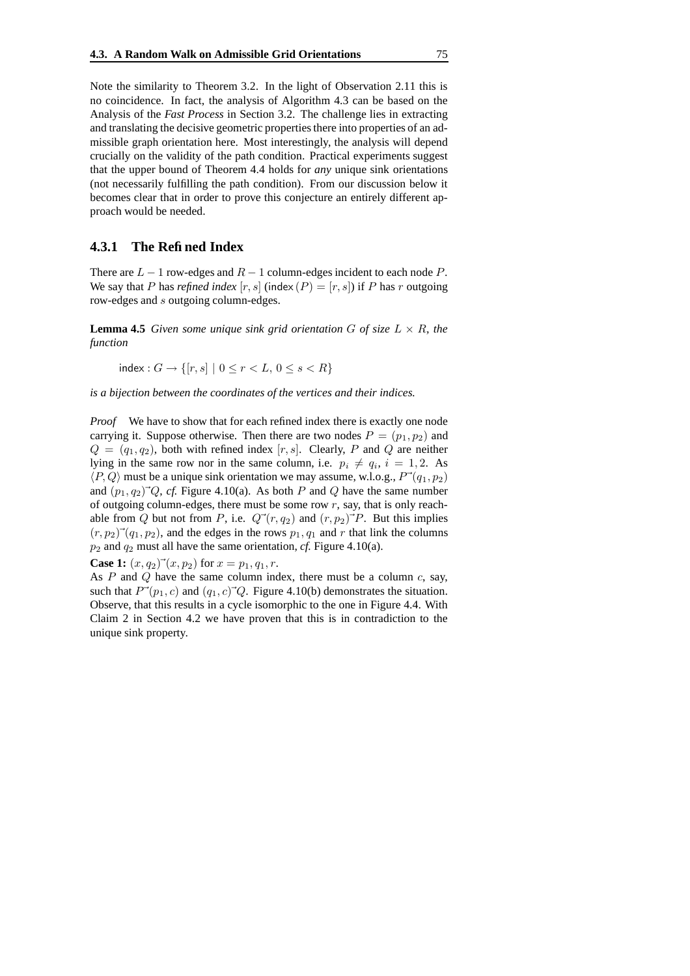Note the similarity to Theorem 3.2. In the light of Observation 2.11 this is no coincidence. In fact, the analysis of Algorithm 4.3 can be based on the Analysis of the *Fast Process* in Section 3.2. The challenge lies in extracting and translating the decisive geometric properties there into properties of an admissible graph orientation here. Most interestingly, the analysis will depend crucially on the validity of the path condition. Practical experiments suggest that the upper bound of Theorem 4.4 holds for *any* unique sink orientations (not necessarily fulfilling the path condition). From our discussion below it becomes clear that in order to prove this conjecture an entirely different approach would be needed.

#### **4.3.1 The Refined Index**

There are  $L - 1$  row-edges and  $R - 1$  column-edges incident to each node P. We say that P has *refined index*  $[r, s]$  (index  $(P) = [r, s]$ ) if P has r outgoing row-edges and s outgoing column-edges.

**Lemma 4.5** Given some unique sink grid orientation G of size  $L \times R$ , the *function*

 $index: G \to \{[r, s] \mid 0 \le r < L, 0 \le s < R\}$ 

*is a bijection between the coordinates of the vertices and their indices.*

*Proof* We have to show that for each refined index there is exactly one node carrying it. Suppose otherwise. Then there are two nodes  $P = (p_1, p_2)$  and  $Q = (q_1, q_2)$ , both with refined index [r, s]. Clearly, P and Q are neither lying in the same row nor in the same column, i.e.  $p_i \neq q_i$ ,  $i = 1, 2$ . As  $\langle P, Q \rangle$  must be a unique sink orientation we may assume, w.l.o.g.,  $P^{\rightarrow}(q_1, p_2)$ and  $(p_1, q_2)^{\dagger} Q$ , *cf.* Figure 4.10(a). As both P and Q have the same number of outgoing column-edges, there must be some row  $r$ , say, that is only reachable from Q but not from P, i.e.  $Q^{\rightarrow}(r, q_2)$  and  $(r, p_2)^{\rightarrow}P$ . But this implies  $(r, p_2)$ <sup>-</sup> $(q_1, p_2)$ , and the edges in the rows  $p_1, q_1$  and r that link the columns  $p_2$  and  $q_2$  must all have the same orientation, *cf.* Figure 4.10(a).

**Case 1:**  $(x, q_2)$ <sup> $\rightarrow$ </sup> $(x, p_2)$  for  $x = p_1, q_1, r$ .

As  $P$  and  $Q$  have the same column index, there must be a column  $c$ , say, such that  $P^{\rightarrow}(p_1, c)$  and  $(q_1, c)^{\rightarrow}Q$ . Figure 4.10(b) demonstrates the situation. Observe, that this results in a cycle isomorphic to the one in Figure 4.4. With Claim 2 in Section 4.2 we have proven that this is in contradiction to the unique sink property.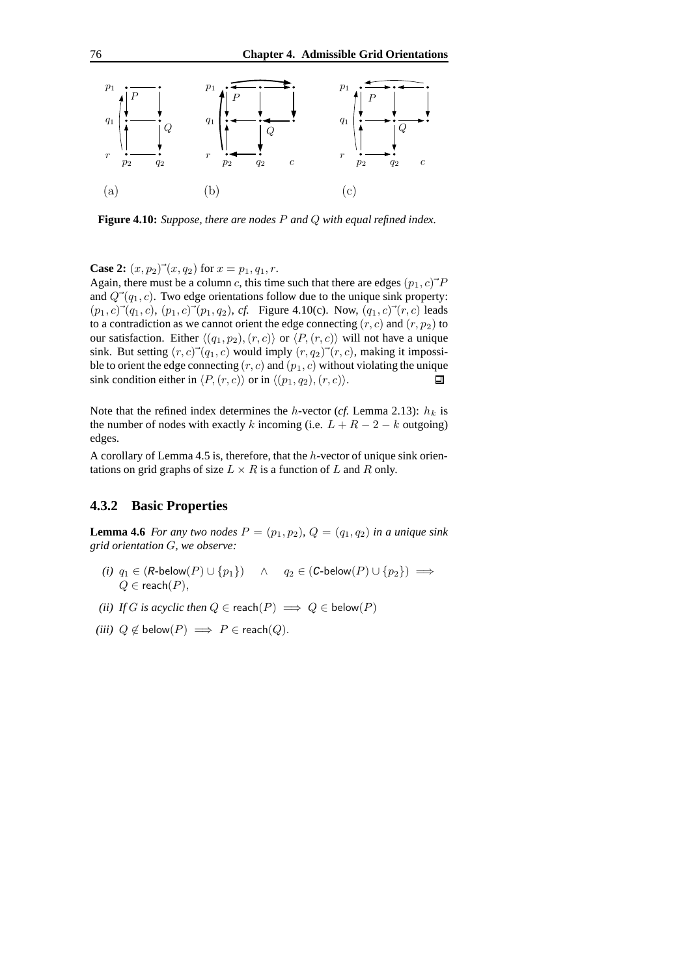

**Figure 4.10:** *Suppose, there are nodes* P *and* Q *with equal refined index.*

**Case 2:**  $(x, p_2)$ <sup>-</sup> $(x, q_2)$  for  $x = p_1, q_1, r$ .

Again, there must be a column c, this time such that there are edges  $(p_1, c)^{\dagger}P$ and  $Q^{\rightarrow}(q_1, c)$ . Two edge orientations follow due to the unique sink property:  $(p_1, c)^{\rightarrow}(q_1, c), (p_1, c)^{\rightarrow}(p_1, q_2), cf.$  Figure 4.10(c). Now,  $(q_1, c)^{\rightarrow}(r, c)$  leads to a contradiction as we cannot orient the edge connecting  $(r, c)$  and  $(r, p_2)$  to our satisfaction. Either  $\langle (q_1, p_2), (r, c) \rangle$  or  $\langle P, (r, c) \rangle$  will not have a unique sink. But setting  $(r, c)$ <sup>-</sup> $(q_1, c)$  would imply  $(r, q_2)$ <sup>-</sup> $(r, c)$ , making it impossible to orient the edge connecting  $(r, c)$  and  $(p_1, c)$  without violating the unique sink condition either in  $\langle P,(r, c) \rangle$  or in  $\langle (p_1, q_2), (r, c) \rangle$ . 口

Note that the refined index determines the h-vector ( $cf$ . Lemma 2.13):  $h_k$  is the number of nodes with exactly k incoming (i.e.  $L + R - 2 - k$  outgoing) edges.

A corollary of Lemma 4.5 is, therefore, that the h-vector of unique sink orientations on grid graphs of size  $L \times R$  is a function of L and R only.

#### **4.3.2 Basic Properties**

**Lemma 4.6** For any two nodes  $P = (p_1, p_2), Q = (q_1, q_2)$  in a unique sink *grid orientation* G*, we observe:*

- *(i)*  $q_1 \in (R \text{-}below(P) \cup \{p_1\})$  ∧  $q_2 \in (C \text{-}below(P) \cup \{p_2\}) \implies$  $Q \in \text{reach}(P)$ ,
- *(ii) If G is acyclic then*  $Q \in \text{reach}(P) \implies Q \in \text{below}(P)$
- *(iii)*  $Q \notin \text{below}(P) \implies P \in \text{reach}(Q)$ .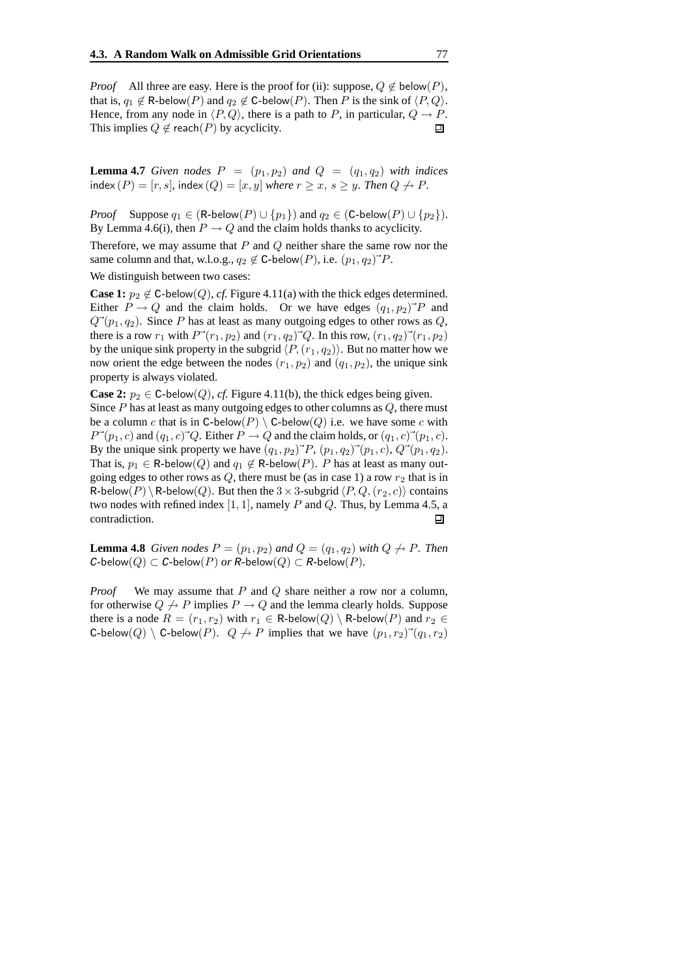*Proof* All three are easy. Here is the proof for (ii): suppose,  $Q \notin \text{below}(P)$ , that is,  $q_1 \notin \text{R-below}(P)$  and  $q_2 \notin \text{C-below}(P)$ . Then P is the sink of  $\langle P, Q \rangle$ . Hence, from any node in  $\langle P, Q \rangle$ , there is a path to P, in particular,  $Q \rightarrow P$ .<br>This implies  $Q \notin$  reach(P) by acyclicity. This implies  $Q \notin$  reach(P) by acyclicity.

**Lemma 4.7** *Given nodes*  $P = (p_1, p_2)$  *and*  $Q = (q_1, q_2)$  *with indices*  $index(P) = [r, s]$ ,  $index(Q) = [x, y]$  *where*  $r \ge x$ ,  $s \ge y$ *. Then*  $Q \not\rightarrow P$ *.* 

*Proof* Suppose  $q_1 \in (R\text{-}below(P) \cup \{p_1\})$  and  $q_2 \in (C\text{-}below(P) \cup \{p_2\})$ . By Lemma 4.6(i), then  $P \to Q$  and the claim holds thanks to acyclicity.

Therefore, we may assume that  $P$  and  $Q$  neither share the same row nor the same column and that, w.l.o.g.,  $q_2 \notin C$ -below $(P)$ , i.e.  $(p_1, q_2)^{\rightarrow} P$ .

We distinguish between two cases:

**Case 1:**  $p_2 \notin C$ -below(*Q*), *cf.* Figure 4.11(a) with the thick edges determined. Either  $P \to Q$  and the claim holds. Or we have edges  $(q_1, p_2)^{\dagger} P$  and  $Q^{\rightarrow}(p_1, q_2)$ . Since P has at least as many outgoing edges to other rows as Q, there is a row  $r_1$  with  $P^{\rightarrow}(r_1, p_2)$  and  $(r_1, q_2)^{\rightarrow} Q$ . In this row,  $(r_1, q_2)^{\rightarrow}(r_1, p_2)$ by the unique sink property in the subgrid  $\langle P,(r_1, q_2)\rangle$ . But no matter how we now orient the edge between the nodes  $(r_1, p_2)$  and  $(q_1, p_2)$ , the unique sink property is always violated.

**Case 2:**  $p_2 \in C$ -below(*Q*), *cf.* Figure 4.11(b), the thick edges being given. Since  $P$  has at least as many outgoing edges to other columns as  $Q$ , there must be a column c that is in C-below(P)  $\setminus$  C-below(Q) i.e. we have some c with  $P^{\rightarrow}(p_1, c)$  and  $(q_1, c)^{\rightarrow}Q$ . Either  $P \rightarrow Q$  and the claim holds, or  $(q_1, c)^{\rightarrow}(p_1, c)$ . By the unique sink property we have  $(q_1, p_2)^{\rightarrow} P$ ,  $(p_1, q_2)^{\rightarrow}(p_1, c)$ ,  $Q^{\rightarrow}(p_1, q_2)$ . That is,  $p_1 \in \text{R-below}(Q)$  and  $q_1 \notin \text{R-below}(P)$ . P has at least as many outgoing edges to other rows as Q, there must be (as in case 1) a row  $r_2$  that is in R-below(P) \R-below(Q). But then the  $3 \times 3$ -subgrid  $\langle P, Q, (r_2, c) \rangle$  contains two nodes with refined index  $[1, 1]$ , namely P and Q. Thus, by Lemma 4.5, a contradiction. 口

**Lemma 4.8** *Given nodes*  $P = (p_1, p_2)$  *and*  $Q = (q_1, q_2)$  *with*  $Q \nrightarrow P$ *. Then*  $C$ -below $(Q) \subset C$ -below $(P)$  *or* R-below $(Q) \subset R$ -below $(P)$ .

*Proof* We may assume that P and Q share neither a row nor a column, for otherwise  $Q \nightharpoonup P$  implies  $P \rightarrow Q$  and the lemma clearly holds. Suppose there is a node  $R = (r_1, r_2)$  with  $r_1 \in \text{R-below}(Q) \setminus \text{R-below}(P)$  and  $r_2 \in$ C-below(Q) \ C-below(P).  $Q \nrightarrow P$  implies that we have  $(p_1, r_2)$ <sup>-</sup> $(q_1, r_2)$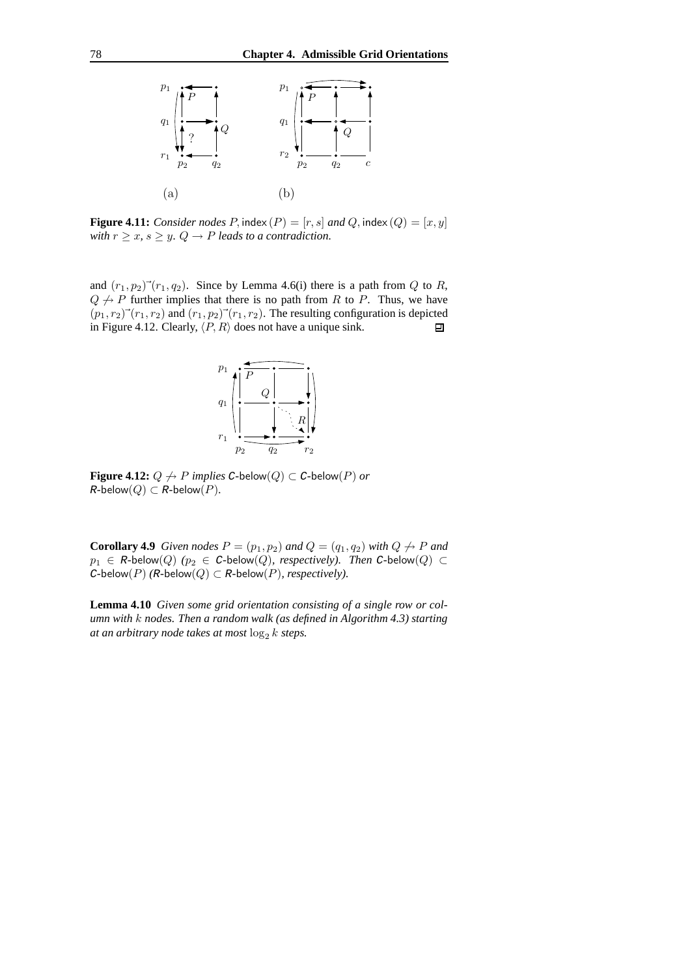

**Figure 4.11:** *Consider nodes*  $P$ , index  $(P) = [r, s]$  *and*  $Q$ , index  $(Q) = [x, y]$ *with*  $r \geq x$ ,  $s \geq y$ .  $Q \rightarrow P$  *leads to a contradiction.* 

and  $(r_1, p_2)$ <sup>-</sup> $(r_1, q_2)$ . Since by Lemma 4.6(i) there is a path from Q to R,  $Q \nightharpoonup P$  further implies that there is no path from R to P. Thus, we have  $(p_1, r_2)$ <sup>-</sup> $(r_1, r_2)$  and  $(r_1, p_2)$ <sup>-</sup> $(r_1, r_2)$ . The resulting configuration is depicted in Figure 4.12. Clearly,  $\langle P, R \rangle$  does not have a unique sink. 回



**Figure 4.12:**  $Q \nightharpoonup P$  *implies*  $C$ -below $(Q) \subset C$ -below $(P)$  *or*  $R$ -below $(Q) \subset R$ -below $(P)$ .

**Corollary 4.9** *Given nodes*  $P = (p_1, p_2)$  *and*  $Q = (q_1, q_2)$  *with*  $Q \nrightarrow P$  *and*  $p_1 \in R$ -below $(Q)$   $(p_2 \in C$ -below $(Q)$ *, respectively). Then*  $C$ -below $(Q) \subset$  $C$ -below( $P$ )  $(R$ -below( $Q$ )  $\subset$   $R$ -below( $P$ )*, respectively*).

**Lemma 4.10** *Given some grid orientation consisting of a single row or column with* k *nodes. Then a random walk (as defined in Algorithm 4.3) starting at an arbitrary node takes at most*  $\log_2 k$  *steps.*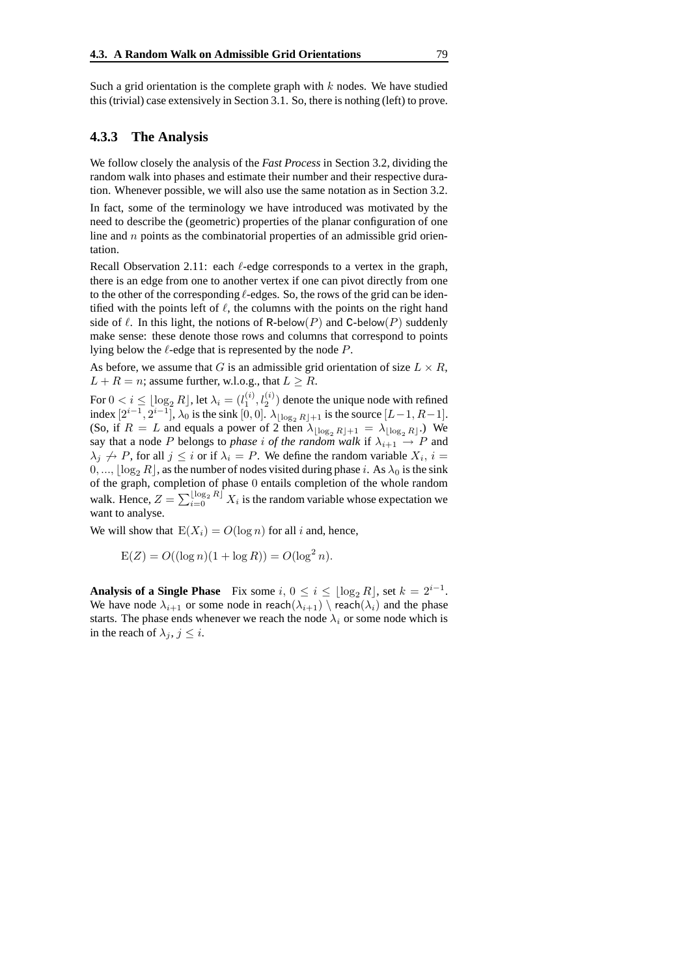Such a grid orientation is the complete graph with  $k$  nodes. We have studied this (trivial) case extensively in Section 3.1. So, there is nothing (left) to prove.

#### **4.3.3 The Analysis**

We follow closely the analysis of the *Fast Process* in Section 3.2, dividing the random walk into phases and estimate their number and their respective duration. Whenever possible, we will also use the same notation as in Section 3.2.

In fact, some of the terminology we have introduced was motivated by the need to describe the (geometric) properties of the planar configuration of one line and  $n$  points as the combinatorial properties of an admissible grid orientation.

Recall Observation 2.11: each  $\ell$ -edge corresponds to a vertex in the graph, there is an edge from one to another vertex if one can pivot directly from one to the other of the corresponding  $\ell$ -edges. So, the rows of the grid can be identified with the points left of  $\ell$ , the columns with the points on the right hand side of  $\ell$ . In this light, the notions of R-below(P) and C-below(P) suddenly make sense: these denote those rows and columns that correspond to points lying below the  $\ell$ -edge that is represented by the node  $P$ .

As before, we assume that G is an admissible grid orientation of size  $L \times R$ ,  $L + R = n$ ; assume further, w.l.o.g., that  $L \geq R$ .

For  $0 < i \leq \lfloor \log_2 R \rfloor$ , let  $\lambda_i = (l_1^{(i)}, l_2^{(i)})$  denote the unique node with refined index  $[2^{i-1}, 2^{i-1}]$ ,  $\lambda_0$  is the sink  $[0, 0]$ .  $\lambda_{\lfloor \log_2 R \rfloor + 1}$  is the source  $[L-1, R-1]$ . (So, if  $R = L$  and equals a power of 2 then  $\lambda_{\lfloor \log_2 R \rfloor + 1} = \lambda_{\lfloor \log_2 R \rfloor}$ .) We say that a node P belongs to *phase i* of the *random* walk if  $\lambda_{i+1} \rightarrow P$  and  $\lambda_j \nrightarrow P$ , for all  $j \leq i$  or if  $\lambda_i = P$ . We define the random variable  $X_i$ ,  $i =$  $[0, ..., |\log_2 R|]$ , as the number of nodes visited during phase i. As  $\lambda_0$  is the sink of the graph, completion of phase 0 entails completion of the whole random walk. Hence,  $Z = \sum_{i=0}^{\lfloor \log_2 R \rfloor} X_i$  is the random variable whose expectation we want to analyse.

We will show that  $E(X_i) = O(\log n)$  for all i and, hence,

$$
E(Z) = O((\log n)(1 + \log R)) = O(\log^2 n).
$$

**Analysis of a Single Phase** Fix some  $i, 0 \le i \le \lfloor \log_2 R \rfloor$ , set  $k = 2^{i-1}$ . We have node  $\lambda_{i+1}$  or some node in reach $(\lambda_{i+1}) \setminus \text{reach}(\lambda_i)$  and the phase starts. The phase ends whenever we reach the node  $\lambda_i$  or some node which is in the reach of  $\lambda_i$ ,  $j \leq i$ .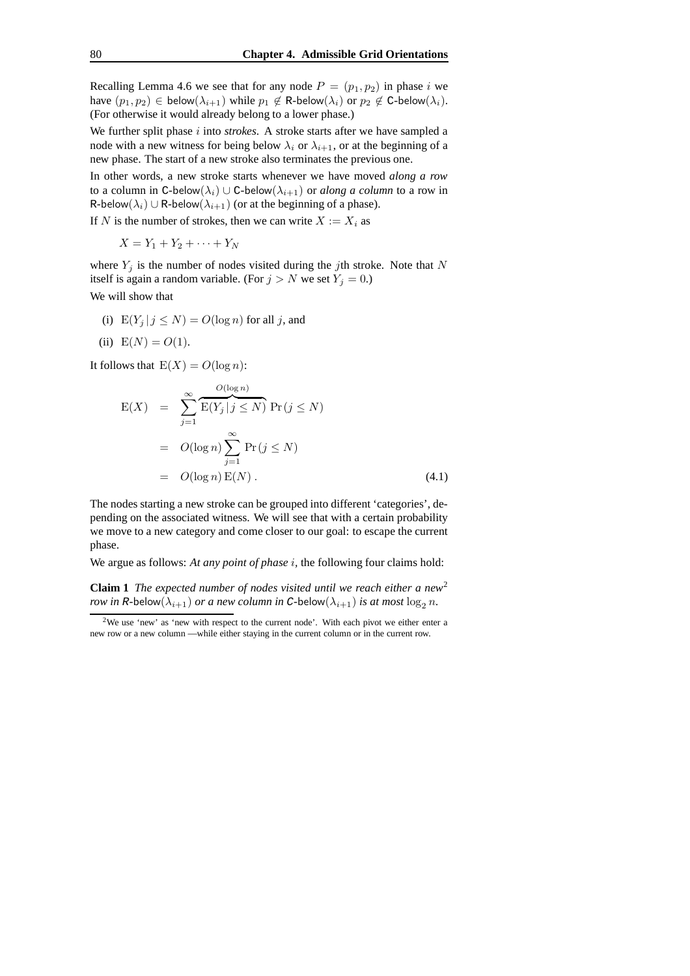Recalling Lemma 4.6 we see that for any node  $P = (p_1, p_2)$  in phase i we have  $(p_1, p_2) \in \mathsf{below}(\lambda_{i+1})$  while  $p_1 \notin \mathsf{R}\text{-below}(\lambda_i)$  or  $p_2 \notin \mathsf{C}\text{-below}(\lambda_i)$ . (For otherwise it would already belong to a lower phase.)

We further split phase *i* into *strokes*. A stroke starts after we have sampled a node with a new witness for being below  $\lambda_i$  or  $\lambda_{i+1}$ , or at the beginning of a new phase. The start of a new stroke also terminates the previous one.

In other words, a new stroke starts whenever we have moved *along a row* to a column in C-below $(\lambda_i) \cup C$ -below $(\lambda_{i+1})$  or *along a column* to a row in R-below( $\lambda_i$ ) ∪ R-below( $\lambda_{i+1}$ ) (or at the beginning of a phase).

If N is the number of strokes, then we can write  $X := X_i$  as

$$
X = Y_1 + Y_2 + \cdots + Y_N
$$

where  $Y_j$  is the number of nodes visited during the jth stroke. Note that N itself is again a random variable. (For  $j > N$  we set  $Y_j = 0$ .)

We will show that

- (i)  $E(Y_j | j \leq N) = O(\log n)$  for all j, and
- (ii)  $E(N) = O(1)$ .

It follows that  $E(X) = O(\log n)$ :

$$
E(X) = \sum_{j=1}^{\infty} \overbrace{E(Y_j | j \le N)}^{O(\log n)} Pr(j \le N)
$$
  
=  $O(\log n) \sum_{j=1}^{\infty} Pr(j \le N)$   
=  $O(\log n) E(N)$ . (4.1)

The nodes starting a new stroke can be grouped into different 'categories', depending on the associated witness. We will see that with a certain probability we move to a new category and come closer to our goal: to escape the current phase.

We argue as follows: *At any point of phase* i*,* the following four claims hold:

**Claim 1** *The expected number of nodes visited until we reach either a new* 2 *row in* R-below( $\lambda_{i+1}$ ) *or a new column in* C-below( $\lambda_{i+1}$ ) *is at most*  $\log_2 n$ .

<sup>2</sup>We use 'new' as 'new with respect to the current node'. With each pivot we either enter a new row or a new column — while either staying in the current column or in the current row.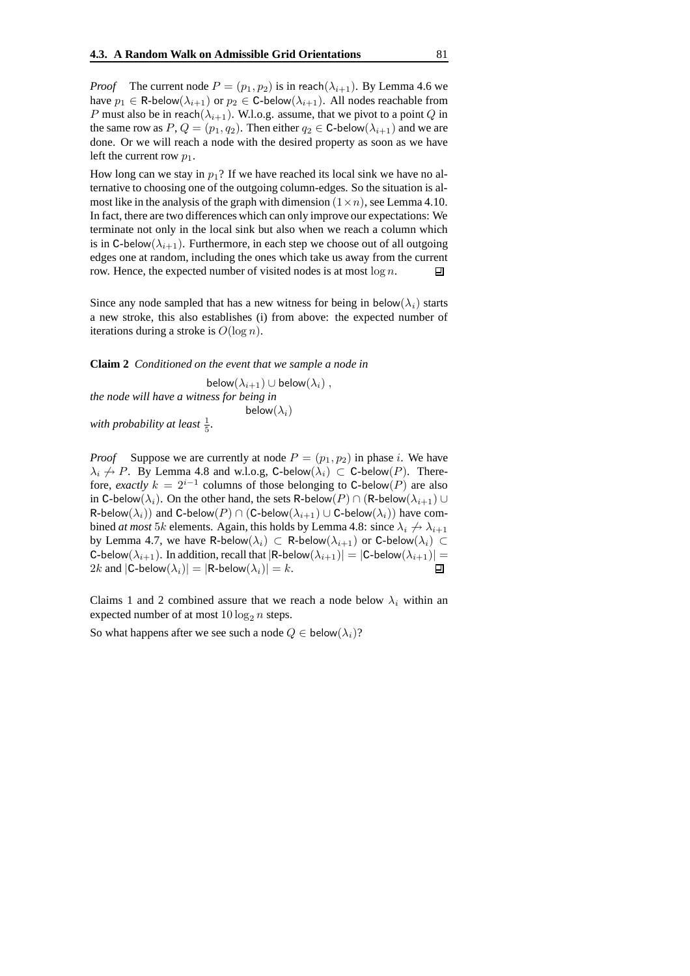*Proof* The current node  $P = (p_1, p_2)$  is in reach $(\lambda_{i+1})$ . By Lemma 4.6 we have  $p_1 \in \text{R-below}(\lambda_{i+1})$  or  $p_2 \in \text{C-below}(\lambda_{i+1})$ . All nodes reachable from P must also be in reach( $\lambda_{i+1}$ ). W.l.o.g. assume, that we pivot to a point Q in the same row as  $P, Q = (p_1, q_2)$ . Then either  $q_2 \in C$ -below $(\lambda_{i+1})$  and we are done. Or we will reach a node with the desired property as soon as we have left the current row  $p_1$ .

How long can we stay in  $p_1$ ? If we have reached its local sink we have no alternative to choosing one of the outgoing column-edges. So the situation is almost like in the analysis of the graph with dimension  $(1 \times n)$ , see Lemma 4.10. In fact, there are two differences which can only improve our expectations: We terminate not only in the local sink but also when we reach a column which is in C-below( $\lambda_{i+1}$ ). Furthermore, in each step we choose out of all outgoing edges one at random, including the ones which take us away from the current row. Hence, the expected number of visited nodes is at most  $\log n$ . 回

Since any node sampled that has a new witness for being in below( $\lambda_i$ ) starts a new stroke, this also establishes (i) from above: the expected number of iterations during a stroke is  $O(\log n)$ .

**Claim 2** *Conditioned on the event that we sample a node in*

below $(\lambda_{i+1})$  ∪ below $(\lambda_i)$ , *the node will have a witness for being in* below $(\lambda_i)$ 

with probability at least  $\frac{1}{5}$ .

*Proof* Suppose we are currently at node  $P = (p_1, p_2)$  in phase i. We have  $\lambda_i \nrightarrow P$ . By Lemma 4.8 and w.l.o.g, C-below $(\lambda_i) \subset C$ -below $(P)$ . Therefore, *exactly*  $k = 2^{i-1}$  columns of those belonging to C-below(P) are also in C-below( $\lambda_i$ ). On the other hand, the sets R-below(P) ∩ (R-below( $\lambda_{i+1}$ ) ∪ R-below $(\lambda_i)$ ) and C-below $(P) \cap (C$ -below $(\lambda_{i+1}) \cup C$ -below $(\lambda_i)$ ) have combined *at most* 5k elements. Again, this holds by Lemma 4.8: since  $\lambda_i \nrightarrow \lambda_{i+1}$ by Lemma 4.7, we have R-below $(\lambda_i)$   $\subset$  R-below $(\lambda_{i+1})$  or C-below $(\lambda_i)$   $\subset$ C-below $(\lambda_{i+1})$ . In addition, recall that  $|\mathbb{R}\text{-below}(\lambda_{i+1})| = |\mathbb{C}\text{-below}(\lambda_{i+1})| = 2k$  and  $|\mathbb{C}\text{-below}(\lambda_i)| = |\mathbb{R}\text{-below}(\lambda_i)| = k$ . 2k and  $|C\text{-below}(\lambda_i)| = |R\text{-below}(\lambda_i)| = k$ .

Claims 1 and 2 combined assure that we reach a node below  $\lambda_i$  within an expected number of at most  $10 \log_2 n$  steps.

So what happens after we see such a node  $Q \in \text{below}(\lambda_i)$ ?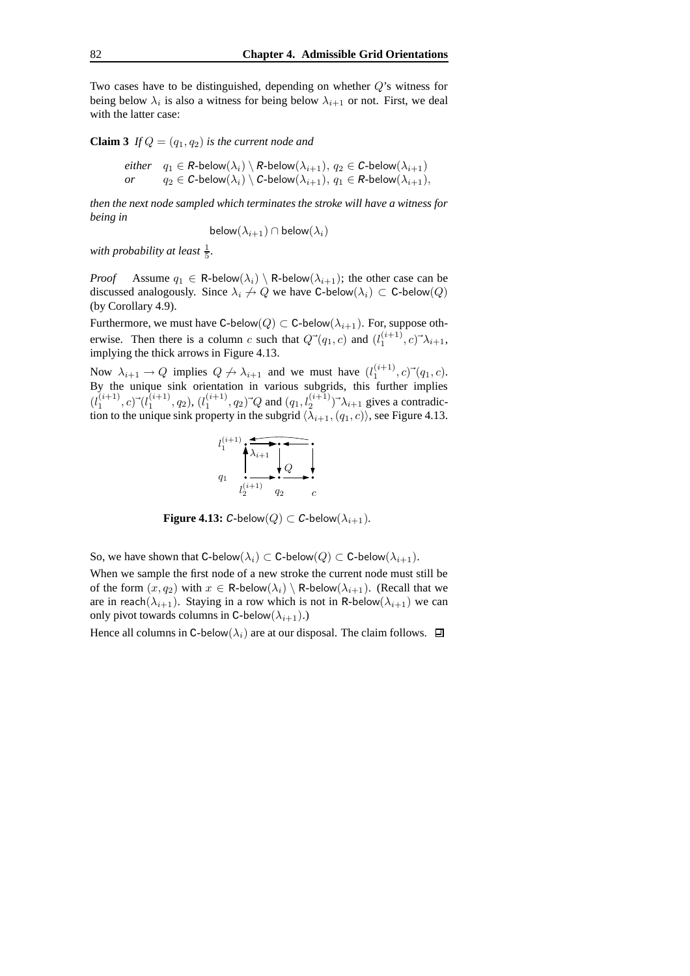Two cases have to be distinguished, depending on whether Q's witness for being below  $\lambda_i$  is also a witness for being below  $\lambda_{i+1}$  or not. First, we deal with the latter case:

**Claim 3** *If*  $Q = (q_1, q_2)$  *is the current node and* 

*either*  $q_1 \in R$ -below $(\lambda_i) \setminus R$ -below $(\lambda_{i+1}), q_2 \in C$ -below $(\lambda_{i+1})$ <br>*or*  $q_2 \in C$ -below $(\lambda_i) \setminus C$ -below $(\lambda_{i+1}), q_1 \in R$ -below $(\lambda_{i+1})$  $q_2 \in C$ -below $(\lambda_i) \setminus C$ -below $(\lambda_{i+1}), q_1 \in R$ -below $(\lambda_{i+1}),$ 

*then the next node sampled which terminates the stroke will have a witness for being in*

below $(\lambda_{i+1}) \cap$  below $(\lambda_i)$ 

with probability at least  $\frac{1}{5}$ .

*Proof* Assume  $q_1 \in \text{R-below}(\lambda_i) \setminus \text{R-below}(\lambda_{i+1})$ ; the other case can be discussed analogously. Since  $\lambda_i \nrightarrow Q$  we have C-below $(\lambda_i) \subset C$ -below $(Q)$ (by Corollary 4.9).

Furthermore, we must have C-below( $Q$ )  $\subset$  C-below( $\lambda_{i+1}$ ). For, suppose otherwise. Then there is a column c such that  $Q^{\rightarrow}(q_1, c)$  and  $(l_1^{(i+1)}, c)^{\rightarrow} \lambda_{i+1}$ , implying the thick arrows in Figure 4.13.

Now  $\lambda_{i+1} \to Q$  implies  $Q \not\to \lambda_{i+1}$  and we must have  $(l_1^{(i+1)}, c) \check{\;} (q_1, c)$ . By the unique sink orientation in various subgrids, this further implies  $(l_1^{(i+1)}, c)$ <sup>-</sup> $(l_1^{(i+1)}, q_2)$ ,  $(l_1^{(i+1)}, q_2)$ <sup>-</sup> $Q$  and  $(q_1, l_2^{(i+1)})$ <sup>-</sup> $\lambda_{i+1}$  gives a contradiction to the unique sink property in the subgrid  $\langle \lambda_{i+1},(q_1, c) \rangle$ , see Figure 4.13.



**Figure 4.13:** C-below $(Q) \subset C$ -below $(\lambda_{i+1})$ .

So, we have shown that C-below $(\lambda_i) \subset C$ -below $(Q) \subset C$ -below $(\lambda_{i+1})$ .

When we sample the first node of a new stroke the current node must still be of the form  $(x, q_2)$  with  $x \in \text{R-below}(\lambda_i) \setminus \text{R-below}(\lambda_{i+1})$ . (Recall that we are in reach $(\lambda_{i+1})$ . Staying in a row which is not in R-below $(\lambda_{i+1})$  we can only pivot towards columns in C-below $(\lambda_{i+1})$ .)

Hence all columns in C-below( $\lambda_i$ ) are at our disposal. The claim follows.  $\Box$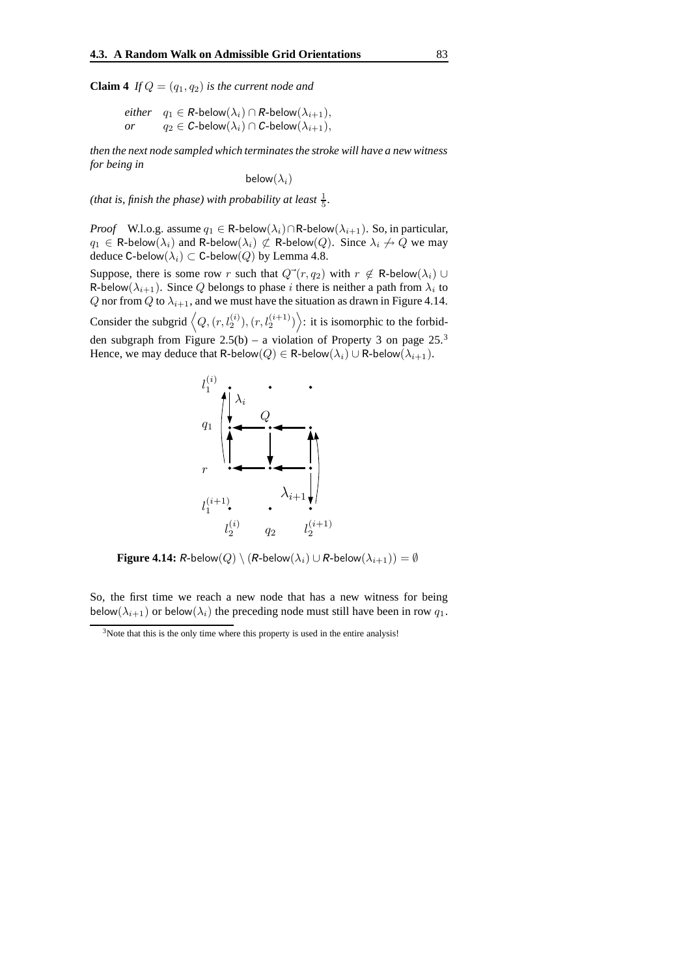**Claim 4** *If*  $Q = (q_1, q_2)$  *is the current node and* 

 $either \quad q_1 \in R\text{-below}(\lambda_i) \cap R\text{-below}(\lambda_{i+1}),$  $or \t q_2 \in C\text{-below}(\lambda_i) \cap C\text{-below}(\lambda_{i+1}),$ 

*then the next node sampled which terminatesthe stroke will have a new witness for being in*

below $(\lambda_i)$ 

(*that* is, finish the phase) with probability at least  $\frac{1}{5}$ .

*Proof* W.l.o.g. assume  $q_1 \in \text{R-below}(\lambda_i) \cap \text{R-below}(\lambda_{i+1})$ . So, in particular,  $q_1 \in \text{R-below}(\lambda_i)$  and R-below $(\lambda_i) \not\subset \text{R-below}(Q)$ . Since  $\lambda_i \not\to Q$  we may deduce C-below $(\lambda_i) \subset C$ -below $(Q)$  by Lemma 4.8.

Suppose, there is some row r such that  $Q^{\rightarrow}(r, q_2)$  with  $r \notin \mathbb{R}$ -below $(\lambda_i) \cup$ R-below $(\lambda_{i+1})$ . Since  $Q$  belongs to phase i there is neither a path from  $\lambda_i$  to Q nor from Q to  $\lambda_{i+1}$ , and we must have the situation as drawn in Figure 4.14. Consider the subgrid  $\left\langle Q, (r, l_2^{(i)}), (r, l_2^{(i+1)}) \right\rangle$ : it is isomorphic to the forbid-

den subgraph from Figure 2.5(b) – a violation of Property 3 on page  $25<sup>3</sup>$ Hence, we may deduce that R-below( $Q$ ) ∈ R-below( $\lambda_i$ ) ∪ R-below( $\lambda_{i+1}$ ).



**Figure 4.14:** R-below $(Q) \setminus (R$ -below $(\lambda_i) \cup R$ -below $(\lambda_{i+1}) = \emptyset$ 

So, the first time we reach a new node that has a new witness for being below( $\lambda_{i+1}$ ) or below( $\lambda_i$ ) the preceding node must still have been in row  $q_1$ .

 $3$ Note that this is the only time where this property is used in the entire analysis!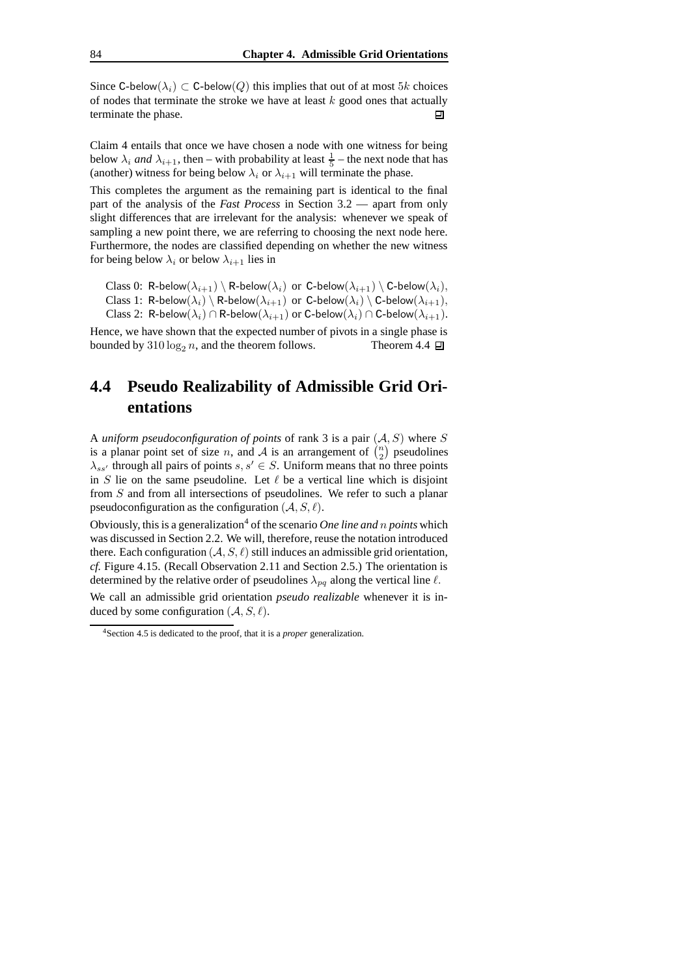Since C-below( $\lambda_i$ ) ⊂ C-below( $Q$ ) this implies that out of at most 5k choices of nodes that terminate the stroke we have at least  $k$  good ones that actually terminate the phase. 口

Claim 4 entails that once we have chosen a node with one witness for being below  $\lambda_i$  *and*  $\lambda_{i+1}$ , then – with probability at least  $\frac{1}{5}$  – the next node that has (another) witness for being below  $\lambda_i$  or  $\lambda_{i+1}$  will terminate the phase.

This completes the argument as the remaining part is identical to the final part of the analysis of the *Fast Process* in Section 3.2 — apart from only slight differences that are irrelevant for the analysis: whenever we speak of sampling a new point there, we are referring to choosing the next node here. Furthermore, the nodes are classified depending on whether the new witness for being below  $\lambda_i$  or below  $\lambda_{i+1}$  lies in

Class 0: R-below $(\lambda_{i+1}) \setminus R$ -below $(\lambda_i)$  or C-below $(\lambda_{i+1}) \setminus C$ -below $(\lambda_i)$ , Class 1: R-below $(\lambda_i) \setminus R$ -below $(\lambda_{i+1})$  or C-below $(\lambda_i) \setminus C$ -below $(\lambda_{i+1}),$ Class 2: R-below $(\lambda_i) \cap$ R-below $(\lambda_{i+1})$  or C-below $(\lambda_i) \cap$ C-below $(\lambda_{i+1})$ .

Hence, we have shown that the expected number of pivots in a single phase is bounded by  $310 \log_2 n$ , and the theorem follows. Theorem 4.4  $\Box$ 

## **4.4 Pseudo Realizability of Admissible Grid Orientations**

A *uniform pseudoconfiguration of points* of rank 3 is a pair (A, S) where S is a planar point set of size *n*, and *A* is an arrangement of  $\binom{n}{2}$  pseudolines  $\lambda_{ss'}$  through all pairs of points  $s, s' \in S$ . Uniform means that no three points in S lie on the same pseudoline. Let  $\ell$  be a vertical line which is disjoint from S and from all intersections of pseudolines. We refer to such a planar pseudoconfiguration as the configuration  $(A, S, \ell)$ .

Obviously, this is a generalization<sup>4</sup> of the scenario *One line and n points* which was discussed in Section 2.2. We will, therefore, reuse the notation introduced there. Each configuration  $(A, S, \ell)$  still induces an admissible grid orientation, *cf.* Figure 4.15. (Recall Observation 2.11 and Section 2.5.) The orientation is determined by the relative order of pseudolines  $\lambda_{pq}$  along the vertical line  $\ell$ .

We call an admissible grid orientation *pseudo realizable* whenever it is induced by some configuration  $(A, S, \ell)$ .

<sup>4</sup>Section 4.5 is dedicated to the proof, that it is a *proper* generalization.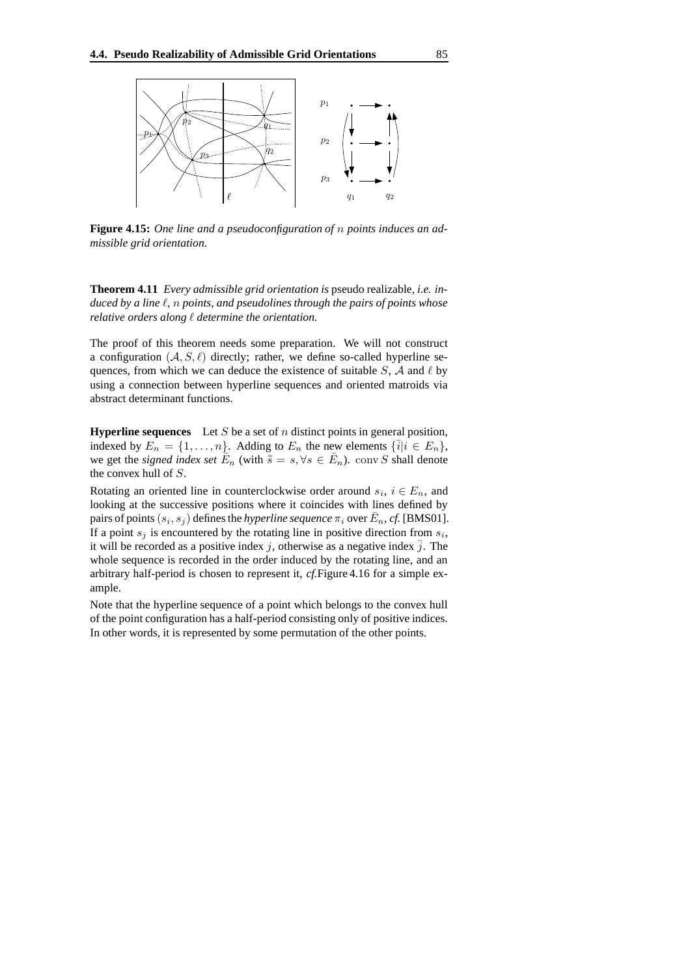

**Figure 4.15:** *One line and a pseudoconfiguration of* n *points induces an admissible grid orientation.*

**Theorem 4.11** *Every admissible grid orientation is* pseudo realizable*, i.e. induced by a line* `*,* n *points, and pseudolines through the pairs of points whose relative orders along* ` *determine the orientation.*

The proof of this theorem needs some preparation. We will not construct a configuration  $(A, S, \ell)$  directly; rather, we define so-called hyperline sequences, from which we can deduce the existence of suitable  $S$ ,  $A$  and  $\ell$  by using a connection between hyperline sequences and oriented matroids via abstract determinant functions.

**Hyperline sequences** Let S be a set of n distinct points in general position, indexed by  $E_n = \{1, \ldots, n\}$ . Adding to  $E_n$  the new elements  $\{\bar{i}|i \in E_n\}$ , we get the *signed index set*  $\overline{E}_n$  (with  $\overline{\overline{s}} = s, \forall s \in \overline{E}_n$ ). conv S shall denote the convex hull of S.

Rotating an oriented line in counterclockwise order around  $s_i$ ,  $i \in E_n$ , and looking at the successive positions where it coincides with lines defined by pairs of points  $(s_i, s_j)$  defines the *hyperline sequence*  $\pi_i$  over  $\bar{E}_n$ , *cf.* [BMS01]. If a point  $s_j$  is encountered by the rotating line in positive direction from  $s_i$ , it will be recorded as a positive index j, otherwise as a negative index  $\overline{j}$ . The whole sequence is recorded in the order induced by the rotating line, and an arbitrary half-period is chosen to represent it, *cf.*Figure 4.16 for a simple example.

Note that the hyperline sequence of a point which belongs to the convex hull of the point configuration has a half-period consisting only of positive indices. In other words, it is represented by some permutation of the other points.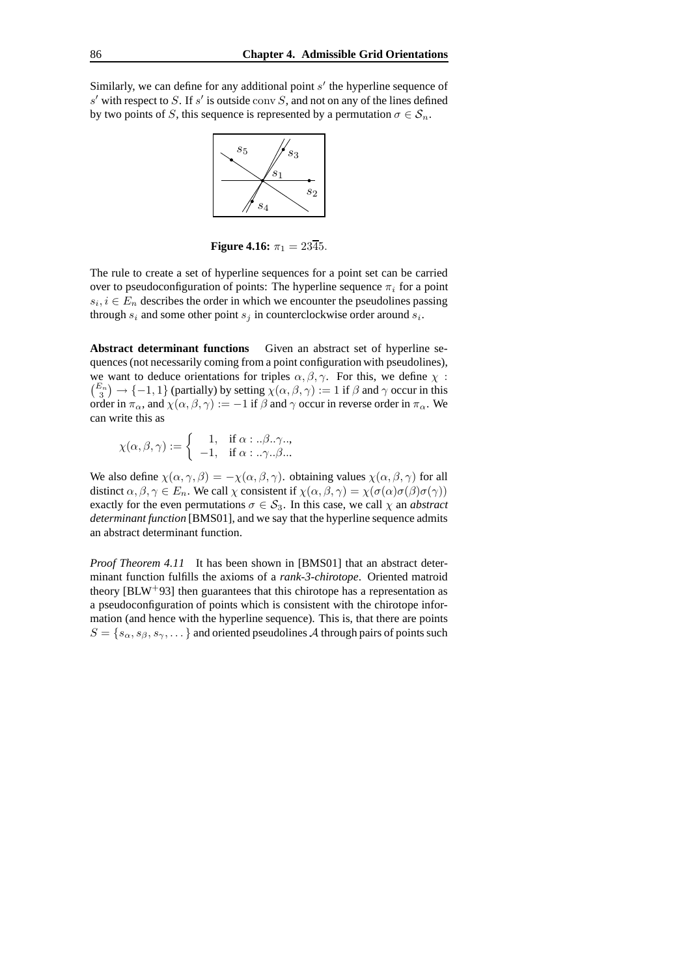Similarly, we can define for any additional point  $s'$  the hyperline sequence of s' with respect to S. If s' is outside conv S, and not on any of the lines defined by two points of S, this sequence is represented by a permutation  $\sigma \in S_n$ .



**Figure 4.16:**  $\pi_1 = 23\overline{4}5$ .

The rule to create a set of hyperline sequences for a point set can be carried over to pseudoconfiguration of points: The hyperline sequence  $\pi_i$  for a point  $s_i, i \in E_n$  describes the order in which we encounter the pseudolines passing through  $s_i$  and some other point  $s_j$  in counterclockwise order around  $s_i$ .

**Abstract determinant functions** Given an abstract set of hyperline sequences (not necessarily coming from a point configuration with pseudolines), we want to deduce orientations for triples  $\alpha, \beta, \gamma$ . For this, we define  $\gamma$ :  $\binom{E_n}{3}$   $\rightarrow$   $\{-1,1\}$  (partially) by setting  $\chi(\alpha,\beta,\gamma) := 1$  if  $\beta$  and  $\gamma$  occur in this order in  $\pi_{\alpha}$ , and  $\chi(\alpha, \beta, \gamma) := -1$  if  $\beta$  and  $\gamma$  occur in reverse order in  $\pi_{\alpha}$ . We can write this as

$$
\chi(\alpha, \beta, \gamma) := \begin{cases} 1, & \text{if } \alpha \in \beta, \gamma, \\ -1, & \text{if } \alpha \in \beta, \gamma, \beta, \dots \end{cases}
$$

We also define  $\chi(\alpha, \gamma, \beta) = -\chi(\alpha, \beta, \gamma)$ . obtaining values  $\chi(\alpha, \beta, \gamma)$  for all distinct  $\alpha, \beta, \gamma \in E_n$ . We call  $\chi$  consistent if  $\chi(\alpha, \beta, \gamma) = \chi(\sigma(\alpha)\sigma(\beta)\sigma(\gamma))$ exactly for the even permutations  $\sigma \in S_3$ . In this case, we call  $\chi$  an *abstract determinant function* [BMS01], and we say that the hyperline sequence admits an abstract determinant function.

*Proof Theorem 4.11* It has been shown in [BMS01] that an abstract determinant function fulfills the axioms of a *rank-3-chirotope*. Oriented matroid theory  $[BLW^+93]$  then guarantees that this chirotope has a representation as a pseudoconfiguration of points which is consistent with the chirotope information (and hence with the hyperline sequence). This is, that there are points  $S = \{s_\alpha, s_\beta, s_\gamma, \dots\}$  and oriented pseudolines A through pairs of points such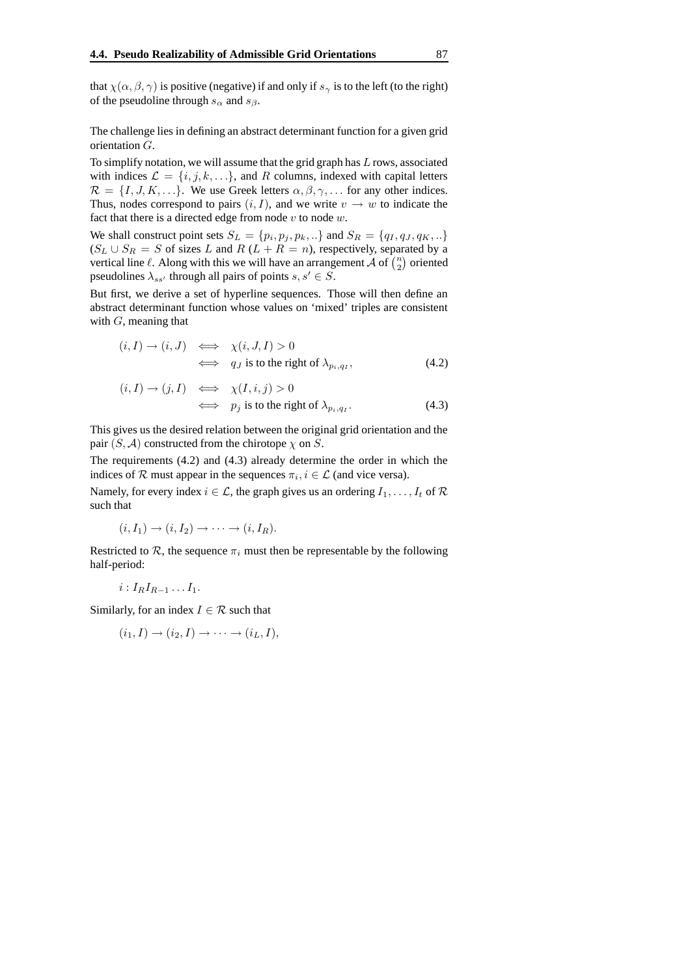that  $\chi(\alpha, \beta, \gamma)$  is positive (negative) if and only if  $s_{\gamma}$  is to the left (to the right) of the pseudoline through  $s_\alpha$  and  $s_\beta$ .

The challenge lies in defining an abstract determinant function for a given grid orientation G.

To simplify notation, we will assume that the grid graph has  $L$  rows, associated with indices  $\mathcal{L} = \{i, j, k, \ldots\}$ , and R columns, indexed with capital letters  $\mathcal{R} = \{I, J, K, \ldots\}$ . We use Greek letters  $\alpha, \beta, \gamma, \ldots$  for any other indices. Thus, nodes correspond to pairs  $(i, I)$ , and we write  $v \to w$  to indicate the fact that there is a directed edge from node  $v$  to node  $w$ .

We shall construct point sets  $S_L = \{p_i, p_j, p_k, ...\}$  and  $S_R = \{q_I, q_J, q_K, ...\}$  $(S_L \cup S_R = S$  of sizes L and R  $(L + R = n)$ , respectively, separated by a vertical line  $\ell$ . Along with this we will have an arrangement  $\mathcal A$  of  $\binom{n}{2}$  oriented pseudolines  $\lambda_{ss'}$  through all pairs of points  $s, s' \in S$ .

But first, we derive a set of hyperline sequences. Those will then define an abstract determinant function whose values on 'mixed' triples are consistent with  $G$ , meaning that

$$
(i, I) \rightarrow (i, J) \iff \chi(i, J, I) > 0
$$
  

$$
\iff q_J \text{ is to the right of } \lambda_{p_i, q_I},
$$
 (4.2)

$$
(i, I) \rightarrow (j, I) \iff \chi(I, i, j) > 0
$$
  

$$
\iff p_j \text{ is to the right of } \lambda_{p_i, q_I}.
$$
 (4.3)

This gives us the desired relation between the original grid orientation and the pair  $(S, \mathcal{A})$  constructed from the chirotope  $\chi$  on  $S$ .

The requirements (4.2) and (4.3) already determine the order in which the indices of  $R$  must appear in the sequences  $\pi_i, i \in \mathcal{L}$  (and vice versa).

Namely, for every index  $i \in \mathcal{L}$ , the graph gives us an ordering  $I_1, \ldots, I_t$  of  $\mathcal R$ such that

$$
(i, I_1) \to (i, I_2) \to \cdots \to (i, I_R).
$$

Restricted to  $\mathcal{R}$ , the sequence  $\pi_i$  must then be representable by the following half-period:

$$
i: I_R I_{R-1} \ldots I_1.
$$

Similarly, for an index  $I \in \mathcal{R}$  such that

$$
(i_1, I) \rightarrow (i_2, I) \rightarrow \cdots \rightarrow (i_L, I),
$$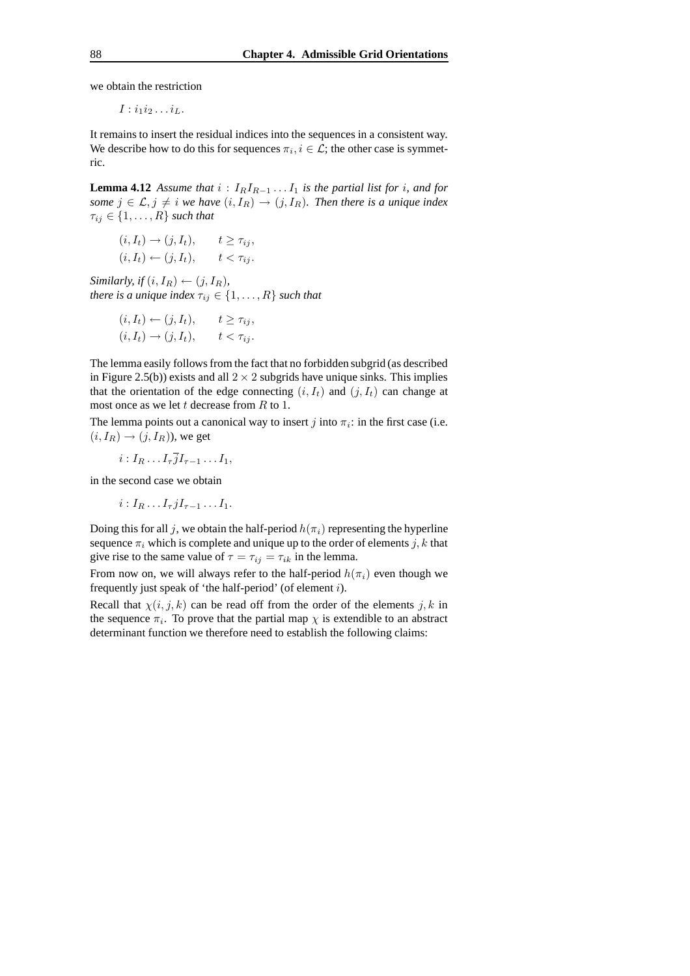we obtain the restriction

 $I : i_1 i_2 \ldots i_L$ .

It remains to insert the residual indices into the sequences in a consistent way. We describe how to do this for sequences  $\pi_i, i \in \mathcal{L}$ ; the other case is symmetric.

**Lemma 4.12** Assume that  $i: I_R I_{R-1} \ldots I_1$  is the partial list for i, and for *some*  $j \in \mathcal{L}, j \neq i$  *we have*  $(i, I_R) \rightarrow (j, I_R)$ *. Then there is a unique index*  $\tau_{ij} \in \{1, \ldots, R\}$  *such that* 

$$
(i, I_t) \rightarrow (j, I_t), \t t \geq \tau_{ij},
$$
  

$$
(i, I_t) \leftarrow (j, I_t), \t t < \tau_{ij}.
$$

*Similarly, if*  $(i, I_R) \leftarrow (j, I_R)$ *, there is a unique index*  $\tau_{ij} \in \{1, \ldots, R\}$  *such that* 

$$
(i, I_t) \leftarrow (j, I_t), \t t \geq \tau_{ij},
$$
  

$$
(i, I_t) \rightarrow (j, I_t), \t t < \tau_{ij}.
$$

The lemma easily follows from the fact that no forbidden subgrid (as described in Figure 2.5(b)) exists and all  $2 \times 2$  subgrids have unique sinks. This implies that the orientation of the edge connecting  $(i, I_t)$  and  $(j, I_t)$  can change at most once as we let t decrease from  $R$  to 1.

The lemma points out a canonical way to insert  $j$  into  $\pi_i$ : in the first case (i.e.  $(i, I_R) \rightarrow (j, I_R)$ , we get

$$
i: I_R \ldots I_{\tau} \overline{j} I_{\tau-1} \ldots I_1,
$$

in the second case we obtain

$$
i: I_R \dots I_{\tau} j I_{\tau-1} \dots I_1.
$$

Doing this for all j, we obtain the half-period  $h(\pi_i)$  representing the hyperline sequence  $\pi_i$  which is complete and unique up to the order of elements j, k that give rise to the same value of  $\tau = \tau_{ij} = \tau_{ik}$  in the lemma.

From now on, we will always refer to the half-period  $h(\pi_i)$  even though we frequently just speak of 'the half-period' (of element  $i$ ).

Recall that  $\chi(i, j, k)$  can be read off from the order of the elements j, k in the sequence  $\pi_i$ . To prove that the partial map  $\chi$  is extendible to an abstract determinant function we therefore need to establish the following claims: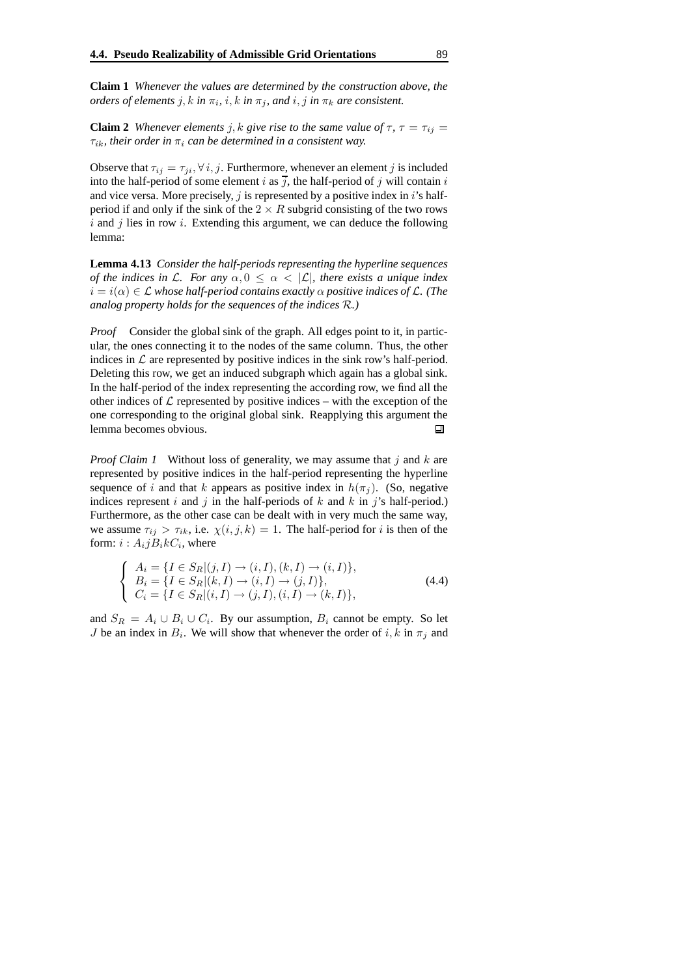**Claim 1** *Whenever the values are determined by the construction above, the orders of elements*  $j, k$  *in*  $\pi_i$ *, i<sub></sub>, k in*  $\pi_j$ *, and*  $i, j$  *in*  $\pi_k$  *are consistent.* 

**Claim 2** Whenever elements j, k give rise to the same value of  $\tau$ ,  $\tau = \tau_{ij}$  $\tau_{ik}$ *, their order in*  $\pi_i$  *can be determined in a consistent way.* 

Observe that  $\tau_{ij} = \tau_{ji}, \forall i, j$ . Furthermore, whenever an element j is included into the half-period of some element i as  $\overline{j}$ , the half-period of j will contain i and vice versa. More precisely,  $j$  is represented by a positive index in  $i$ 's halfperiod if and only if the sink of the  $2 \times R$  subgrid consisting of the two rows  $i$  and  $j$  lies in row  $i$ . Extending this argument, we can deduce the following lemma:

**Lemma 4.13** *Consider the half-periods representing the hyperline sequences of the indices in* L. For any  $\alpha, 0 \leq \alpha < |\mathcal{L}|$ , there exists a unique index  $i = i(\alpha) \in \mathcal{L}$  *whose half-period contains exactly*  $\alpha$  *positive indices of*  $\mathcal{L}$ *. (The analog property holds for the sequences of the indices* R*.)*

*Proof* Consider the global sink of the graph. All edges point to it, in particular, the ones connecting it to the nodes of the same column. Thus, the other indices in  $\mathcal L$  are represented by positive indices in the sink row's half-period. Deleting this row, we get an induced subgraph which again has a global sink. In the half-period of the index representing the according row, we find all the other indices of  $\mathcal L$  represented by positive indices – with the exception of the one corresponding to the original global sink. Reapplying this argument the lemma becomes obvious. П

*Proof Claim 1* Without loss of generality, we may assume that j and k are represented by positive indices in the half-period representing the hyperline sequence of i and that k appears as positive index in  $h(\pi_i)$ . (So, negative indices represent i and j in the half-periods of k and k in j's half-period.) Furthermore, as the other case can be dealt with in very much the same way, we assume  $\tau_{ii} > \tau_{ik}$ , i.e.  $\chi(i, j, k) = 1$ . The half-period for i is then of the form:  $i : A_i j B_i k C_i$ , where

$$
\begin{cases}\nA_i = \{I \in S_R | (j, I) \to (i, I), (k, I) \to (i, I)\}, \\
B_i = \{I \in S_R | (k, I) \to (i, I) \to (j, I)\}, \\
C_i = \{I \in S_R | (i, I) \to (j, I), (i, I) \to (k, I)\},\n\end{cases}
$$
\n(4.4)

and  $S_R = A_i \cup B_i \cup C_i$ . By our assumption,  $B_i$  cannot be empty. So let *J* be an index in  $B_i$ . We will show that whenever the order of i, k in  $\pi_j$  and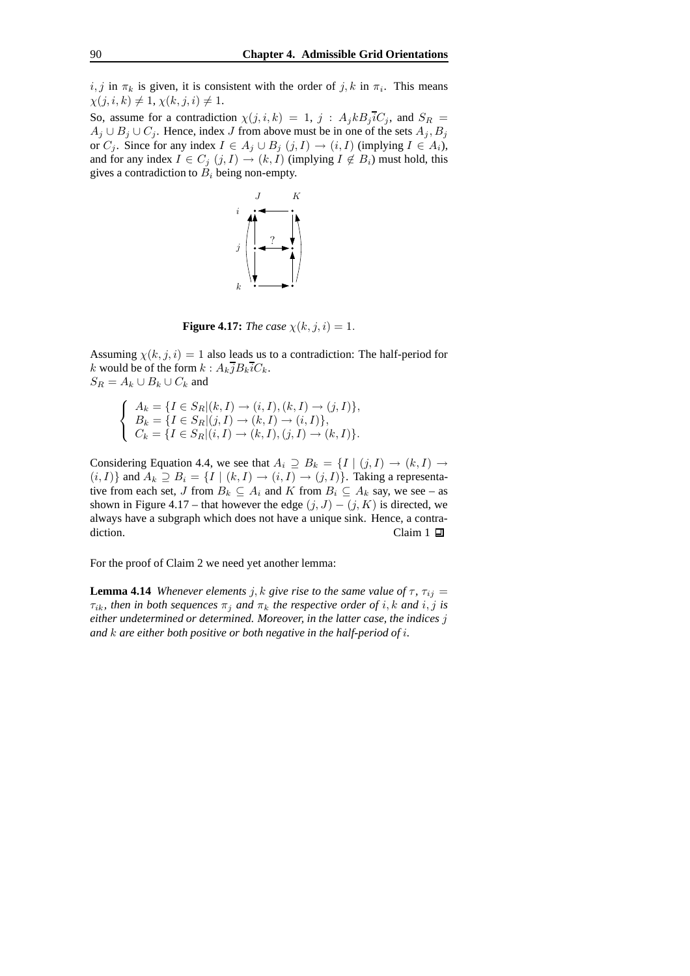$i, j$  in  $\pi_k$  is given, it is consistent with the order of  $j, k$  in  $\pi_i$ . This means  $\chi(j, i, k) \neq 1, \chi(k, j, i) \neq 1.$ 

So, assume for a contradiction  $\chi(j, i, k) = 1$ ,  $j : A_j k B_j i C_j$ , and  $S_R =$  $A_j \cup B_j \cup C_j$ . Hence, index J from above must be in one of the sets  $A_j, B_j$ or  $C_j$ . Since for any index  $I \in A_j \cup B_j$   $(j, I) \rightarrow (i, I)$  (implying  $I \in A_i$ ), and for any index  $I \in C_j$   $(j, I) \to (k, I)$  (implying  $I \notin B_i$ ) must hold, this gives a contradiction to  $B_i$  being non-empty.



**Figure 4.17:** *The case*  $\chi(k, j, i) = 1$ .

Assuming  $\chi(k, j, i) = 1$  also leads us to a contradiction: The half-period for k would be of the form  $k : A_k \overline{j} B_k \overline{i} C_k$ .  $S_R = A_k \cup B_k \cup C_k$  and

$$
\begin{cases}\nA_k = \{I \in S_R | (k, I) \to (i, I), (k, I) \to (j, I)\}, \\
B_k = \{I \in S_R | (j, I) \to (k, I) \to (i, I)\}, \\
C_k = \{I \in S_R | (i, I) \to (k, I), (j, I) \to (k, I)\}.\n\end{cases}
$$

Considering Equation 4.4, we see that  $A_i \supseteq B_k = \{I \mid (j, I) \rightarrow (k, I) \rightarrow$  $(i, I)$  and  $A_k \supseteq B_i = \{I \mid (k, I) \rightarrow (i, I) \rightarrow (j, I)\}$ . Taking a representative from each set, J from  $B_k \subseteq A_i$  and K from  $B_i \subseteq A_k$  say, we see – as shown in Figure 4.17 – that however the edge  $(j, J) - (j, K)$  is directed, we always have a subgraph which does not have a unique sink. Hence, a contradiction. Claim 1  $\Box$ 

For the proof of Claim 2 we need yet another lemma:

**Lemma 4.14** *Whenever elements j, k give rise to the same value of*  $\tau$ ,  $\tau_{ii}$  =  $\tau_{ik}$ *, then in both sequences*  $\pi_j$  *and*  $\pi_k$  *the respective order of i*, *k and i*, *j is either undetermined or determined. Moreover, in the latter case, the indices* j *and* k *are either both positive or both negative in the half-period of* i*.*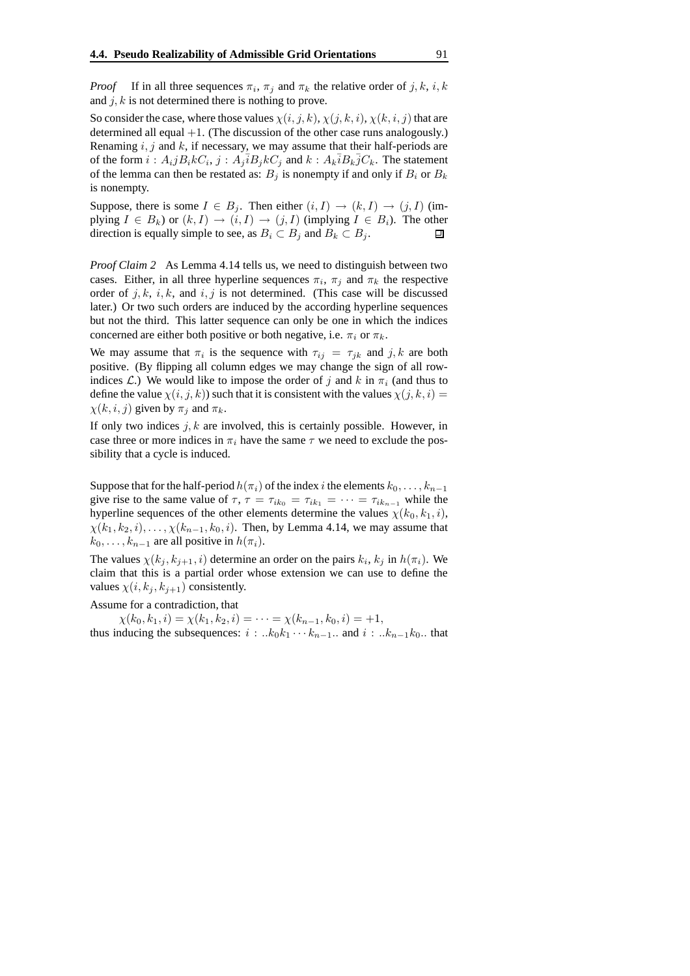*Proof* If in all three sequences  $\pi_i$ ,  $\pi_j$  and  $\pi_k$  the relative order of j, k, i, k and  $j, k$  is not determined there is nothing to prove.

So consider the case, where those values  $\chi(i, j, k)$ ,  $\chi(j, k, i)$ ,  $\chi(k, i, j)$  that are determined all equal  $+1$ . (The discussion of the other case runs analogously.) Renaming  $i, j$  and  $k$ , if necessary, we may assume that their half-periods are of the form  $i : A_i j B_i k C_i$ ,  $j : A_j \overline{i} B_j k C_j$  and  $k : A_k \overline{i} B_k \overline{j} C_k$ . The statement of the lemma can then be restated as:  $B_i$  is nonempty if and only if  $B_i$  or  $B_k$ is nonempty.

Suppose, there is some  $I \in B_j$ . Then either  $(i, I) \rightarrow (k, I) \rightarrow (j, I)$  (implying  $I \in B_k$ ) or  $(k, I) \to (i, I) \to (j, I)$  (implying  $I \in B_i$ ). The other direction is equally simple to see, as  $B_i \subset B_i$  and  $B_k \subset B_i$ . direction is equally simple to see, as  $B_i \subset B_j$  and  $B_k \subset B_j$ .

*Proof Claim 2* As Lemma 4.14 tells us, we need to distinguish between two cases. Either, in all three hyperline sequences  $\pi_i$ ,  $\pi_j$  and  $\pi_k$  the respective order of  $j, k, i, k$ , and  $i, j$  is not determined. (This case will be discussed later.) Or two such orders are induced by the according hyperline sequences but not the third. This latter sequence can only be one in which the indices concerned are either both positive or both negative, i.e.  $\pi_i$  or  $\pi_k$ .

We may assume that  $\pi_i$  is the sequence with  $\tau_{ij} = \tau_{jk}$  and  $j, k$  are both positive. (By flipping all column edges we may change the sign of all rowindices L.) We would like to impose the order of j and k in  $\pi_i$  (and thus to define the value  $\chi(i, j, k)$ ) such that it is consistent with the values  $\chi(j, k, i)$  =  $\chi(k, i, j)$  given by  $\pi_i$  and  $\pi_k$ .

If only two indices  $j, k$  are involved, this is certainly possible. However, in case three or more indices in  $\pi_i$  have the same  $\tau$  we need to exclude the possibility that a cycle is induced.

Suppose that for the half-period  $h(\pi_i)$  of the index i the elements  $k_0, \ldots, k_{n-1}$ give rise to the same value of  $\tau$ ,  $\tau = \tau_{ik_0} = \tau_{ik_1} = \cdots = \tau_{ik_{n-1}}$  while the hyperline sequences of the other elements determine the values  $\chi(k_0, k_1, i)$ ,  $\chi(k_1, k_2, i), \ldots, \chi(k_{n-1}, k_0, i)$ . Then, by Lemma 4.14, we may assume that  $k_0, \ldots, k_{n-1}$  are all positive in  $h(\pi_i)$ .

The values  $\chi(k_j, k_{j+1}, i)$  determine an order on the pairs  $k_i, k_j$  in  $h(\pi_i)$ . We claim that this is a partial order whose extension we can use to define the values  $\chi(i, k_j, k_{j+1})$  consistently.

Assume for a contradiction, that

 $\chi(k_0, k_1, i) = \chi(k_1, k_2, i) = \cdots = \chi(k_{n-1}, k_0, i) = +1,$ thus inducing the subsequences:  $i : ...k_0k_1 \cdots k_{n-1}$ . and  $i : ...k_{n-1}k_0$ . that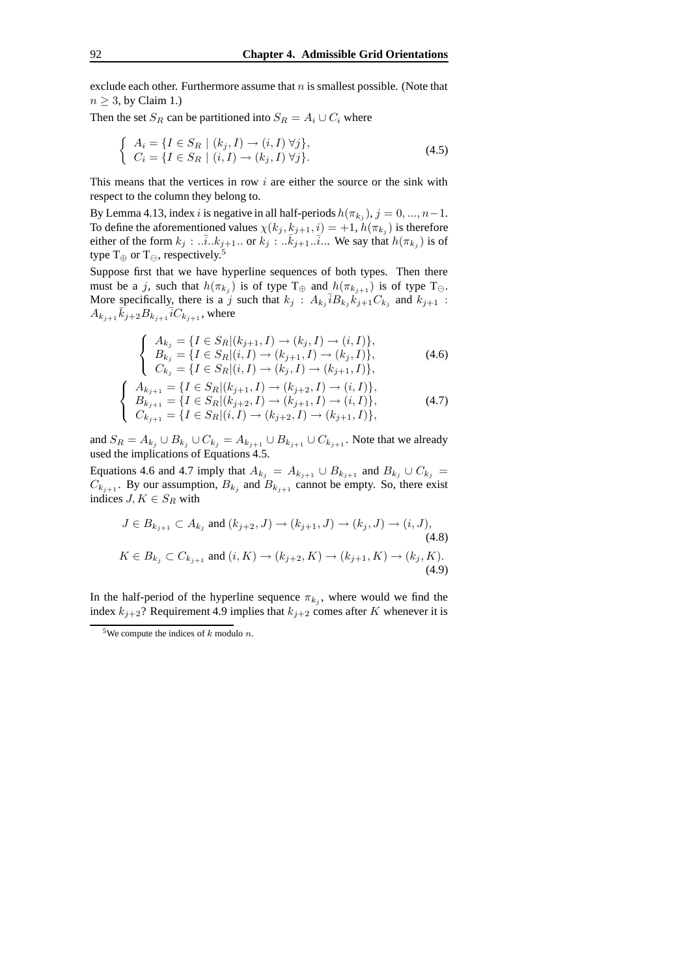exclude each other. Furthermore assume that  $n$  is smallest possible. (Note that  $n \geq 3$ , by Claim 1.)

Then the set  $S_R$  can be partitioned into  $S_R = A_i \cup C_i$  where

$$
\begin{cases}\nA_i = \{I \in S_R \mid (k_j, I) \rightarrow (i, I) \,\forall j\}, \\
C_i = \{I \in S_R \mid (i, I) \rightarrow (k_j, I) \,\forall j\}.\n\end{cases}
$$
\n
$$
(4.5)
$$

This means that the vertices in row  $i$  are either the source or the sink with respect to the column they belong to.

By Lemma 4.13, index *i* is negative in all half-periods  $h(\pi_{k_j}), j = 0, ..., n-1$ . To define the aforementioned values  $\chi(k_j, k_{j+1}, i) = +1$ ,  $h(\pi_{k_j})$  is therefore either of the form  $k_j : ... \overline{i}.k_{j+1}...$  or  $k_j : ... \overline{k}_{j+1}... \overline{i}...$  We say that  $h(\pi_{k_j})$  is of type T⊕ or T $_{\oplus}$ , respectively.<sup>5</sup>

Suppose first that we have hyperline sequences of both types. Then there must be a j, such that  $h(\pi_{k_j})$  is of type  $T_{\oplus}$  and  $h(\pi_{k_{j+1}})$  is of type  $T_{\ominus}$ . More specifically, there is a j such that  $k_j$ :  $A_{k_j} \overline{i} B_{k_j} k_{j+1} C_{k_j}$  and  $k_{j+1}$ :  $A_{k_{j+1}}\overline{\hat{k}_{j+2}}B_{k_{j+1}}\overline{i}C_{k_{j+1}}$ , where

$$
\begin{cases}\nA_{k_j} = \{I \in S_R | (k_{j+1}, I) \to (k_j, I) \to (i, I) \}, \\
B_{k_j} = \{I \in S_R | (i, I) \to (k_{j+1}, I) \to (k_j, I) \}, \\
C_{k_j} = \{I \in S_R | (i, I) \to (k_j, I) \to (k_{j+1}, I) \},\n\end{cases} \tag{4.6}
$$

$$
\begin{cases}\nA_{k_{j+1}} = \{I \in S_R | (k_{j+1}, I) \to (k_{j+2}, I) \to (i, I) \}, \\
B_{k_{j+1}} = \{I \in S_R | (k_{j+2}, I) \to (k_{j+1}, I) \to (i, I) \}, \\
C_{k_{j+1}} = \{I \in S_R | (i, I) \to (k_{j+2}, I) \to (k_{j+1}, I) \},\n\end{cases} (4.7)
$$

and  $S_R = A_{k_j} \cup B_{k_j} \cup C_{k_j} = A_{k_{j+1}} \cup B_{k_{j+1}} \cup C_{k_{j+1}}$ . Note that we already used the implications of Equations 4.5.

Equations 4.6 and 4.7 imply that  $A_{k_j} = A_{k_{j+1}} \cup B_{k_{j+1}}$  and  $B_{k_j} \cup C_{k_j} =$  $C_{k_{j+1}}$ . By our assumption,  $B_{k_j}$  and  $B_{k_{j+1}}$  cannot be empty. So, there exist indices  $J, K \in S_R$  with

$$
J \in B_{k_{j+1}} \subset A_{k_j} \text{ and } (k_{j+2}, J) \to (k_{j+1}, J) \to (k_j, J) \to (i, J),
$$
\n(4.8)  
\n
$$
K \in B_{k_j} \subset C_{k_{j+1}} \text{ and } (i, K) \to (k_{j+2}, K) \to (k_{j+1}, K) \to (k_j, K).
$$
\n(4.9)

In the half-period of the hyperline sequence  $\pi_{k_j}$ , where would we find the index  $k_{j+2}$ ? Requirement 4.9 implies that  $k_{j+2}$  comes after K whenever it is

<sup>&</sup>lt;sup>5</sup>We compute the indices of  $k$  modulo  $n$ .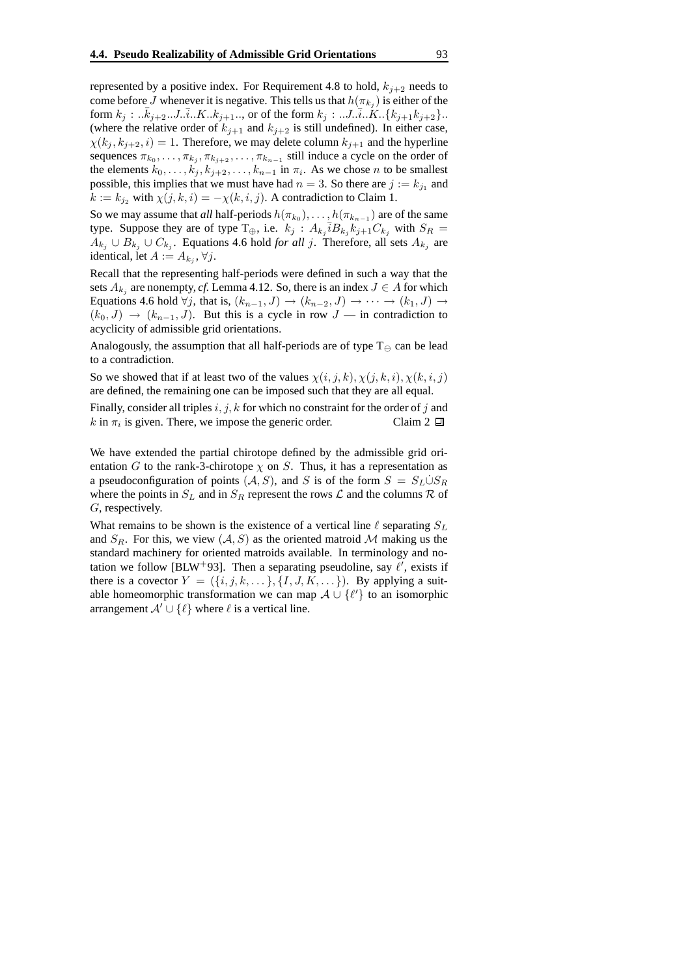represented by a positive index. For Requirement 4.8 to hold,  $k_{i+2}$  needs to come before J whenever it is negative. This tells us that  $h(\pi_{k_j})$  is either of the form  $k_j : ... \bar{k}_{j+2} ... J ... \bar{i} ... K ... k_{j+1} ...$ , or of the form  $k_j : ... J ... \bar{i} ... K ... \{k_{j+1}k_{j+2}\} ...$ (where the relative order of  $k_{j+1}$  and  $k_{j+2}$  is still undefined). In either case,  $\chi(k_j, k_{j+2}, i) = 1$ . Therefore, we may delete column  $k_{j+1}$  and the hyperline sequences  $\pi_{k_0}, \ldots, \pi_{k_j}, \pi_{k_{j+2}}, \ldots, \pi_{k_{n-1}}$  still induce a cycle on the order of the elements  $k_0, \ldots, k_j, k_{j+2}, \ldots, k_{n-1}$  in  $\pi_i$ . As we chose *n* to be smallest possible, this implies that we must have had  $n = 3$ . So there are  $j := k_{j_1}$  and  $k := k_{j_2}$  with  $\chi(j, k, i) = -\chi(k, i, j)$ . A contradiction to Claim 1.

So we may assume that *all* half-periods  $h(\pi_{k_0}), \ldots, h(\pi_{k_{n-1}})$  are of the same type. Suppose they are of type  $T_{\oplus}$ , i.e.  $k_j$ :  $A_{k_j} \overline{i} B_{k_j} k_{j+1} C_{k_j}$  with  $S_R$  =  $A_{k_j}$  ∪  $B_{k_j}$  ∪  $C_{k_j}$ . Equations 4.6 hold *for all j*. Therefore, all sets  $A_{k_j}$  are identical, let  $A := A_{k_j}, \forall j$ .

Recall that the representing half-periods were defined in such a way that the sets  $A_{k_j}$  are nonempty, *cf.* Lemma 4.12. So, there is an index  $J \in A$  for which Equations 4.6 hold  $\forall j$ , that is,  $(k_{n-1}, J) \rightarrow (k_{n-2}, J) \rightarrow \cdots \rightarrow (k_1, J) \rightarrow$  $(k_0, J) \rightarrow (k_{n-1}, J)$ . But this is a cycle in row  $J$  — in contradiction to acyclicity of admissible grid orientations.

Analogously, the assumption that all half-periods are of type  $T_{\ominus}$  can be lead to a contradiction.

So we showed that if at least two of the values  $\chi(i, j, k), \chi(j, k, i), \chi(k, i, j)$ are defined, the remaining one can be imposed such that they are all equal.

Finally, consider all triples  $i, j, k$  for which no constraint for the order of j and  $k$  in  $\pi_i$  is given. There, we impose the generic order. Claim 2

We have extended the partial chirotope defined by the admissible grid orientation G to the rank-3-chirotope  $\chi$  on S. Thus, it has a representation as a pseudoconfiguration of points  $(A, S)$ , and S is of the form  $S = S_L \dot{\cup} S_R$ where the points in  $S_L$  and in  $S_R$  represent the rows  $\mathcal L$  and the columns  $\mathcal R$  of G, respectively.

What remains to be shown is the existence of a vertical line  $\ell$  separating  $S_L$ and  $S_R$ . For this, we view  $(A, S)$  as the oriented matroid M making us the standard machinery for oriented matroids available. In terminology and notation we follow [BLW+93]. Then a separating pseudoline, say  $\ell'$ , exists if there is a covector  $Y = (\{i, j, k, \dots\}, \{I, J, K, \dots\})$ . By applying a suitable homeomorphic transformation we can map  $\mathcal{A} \cup \{\ell'\}$  to an isomorphic arrangement  $A' \cup \{\ell\}$  where  $\ell$  is a vertical line.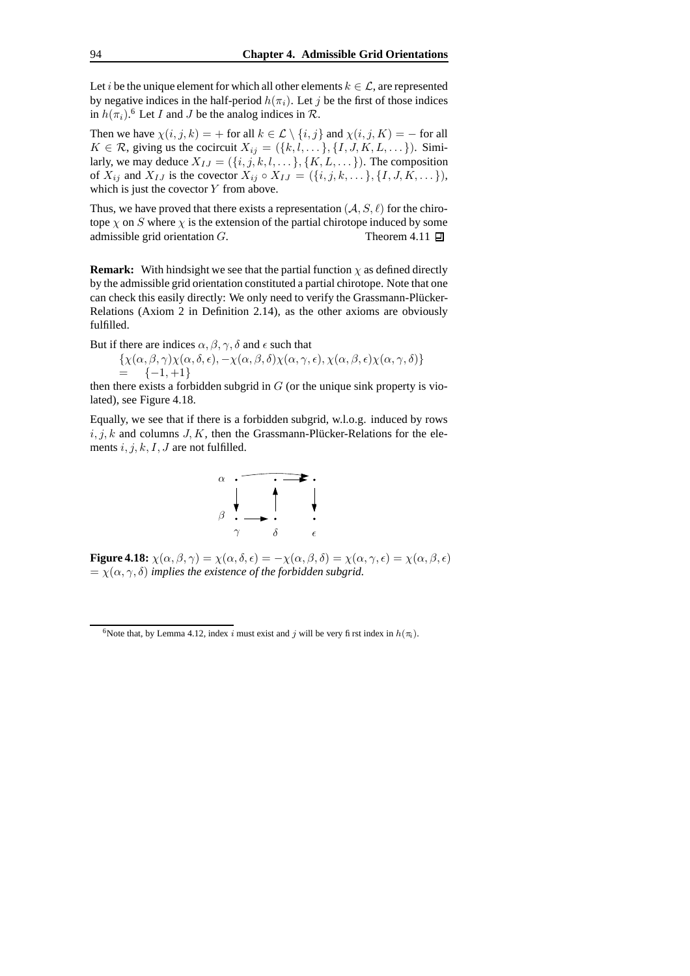Let *i* be the unique element for which all other elements  $k \in \mathcal{L}$ , are represented by negative indices in the half-period  $h(\pi_i)$ . Let j be the first of those indices in  $h(\pi_i)$ .<sup>6</sup> Let *I* and *J* be the analog indices in  $\mathcal{R}$ .

Then we have  $\chi(i, j, k) = +$  for all  $k \in \mathcal{L} \setminus \{i, j\}$  and  $\chi(i, j, K) = -$  for all  $K \in \mathcal{R}$ , giving us the cocircuit  $X_{ij} = (\{k, l, \dots\}, \{I, J, K, L, \dots\})$ . Similarly, we may deduce  $X_{IJ} = (\{i, j, k, l, \dots\}, \{K, L, \dots\})$ . The composition of  $X_{ij}$  and  $X_{IJ}$  is the covector  $X_{ij} \circ X_{IJ} = (\{i, j, k, \dots\}, \{I, J, K, \dots\}),$ which is just the covector  $Y$  from above.

Thus, we have proved that there exists a representation  $(A, S, \ell)$  for the chirotope  $\chi$  on S where  $\chi$  is the extension of the partial chirotope induced by some admissible grid orientation  $G$ . Theorem 4.11  $\Box$ 

**Remark:** With hindsight we see that the partial function  $\chi$  as defined directly by the admissible grid orientation constituted a partial chirotope. Note that one can check this easily directly: We only need to verify the Grassmann-Plücker-Relations (Axiom 2 in Definition 2.14), as the other axioms are obviously fulfilled.

But if there are indices  $\alpha$ ,  $\beta$ ,  $\gamma$ ,  $\delta$  and  $\epsilon$  such that

$$
\{\chi(\alpha,\beta,\gamma)\chi(\alpha,\delta,\epsilon), -\chi(\alpha,\beta,\delta)\chi(\alpha,\gamma,\epsilon), \chi(\alpha,\beta,\epsilon)\chi(\alpha,\gamma,\delta)\}\
$$
  
= -{-1, +1}

then there exists a forbidden subgrid in  $G$  (or the unique sink property is violated), see Figure 4.18.

Equally, we see that if there is a forbidden subgrid, w.l.o.g. induced by rows  $i, j, k$  and columns  $J, K$ , then the Grassmann-Plücker-Relations for the elements  $i, j, k, I, J$  are not fulfilled.



**Figure 4.18:**  $\chi(\alpha, \beta, \gamma) = \chi(\alpha, \delta, \epsilon) = -\chi(\alpha, \beta, \delta) = \chi(\alpha, \gamma, \epsilon) = \chi(\alpha, \beta, \epsilon)$  $= \chi(\alpha, \gamma, \delta)$  *implies the existence of the forbidden subgrid.* 

<sup>&</sup>lt;sup>6</sup>Note that, by Lemma 4.12, index i must exist and j will be very first index in  $h(\pi_i)$ .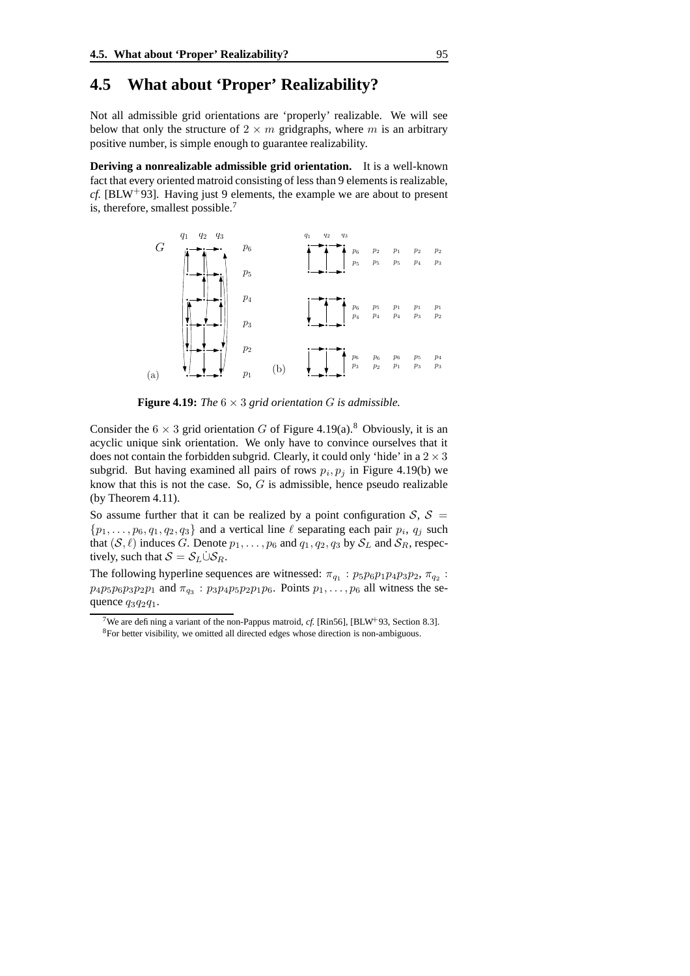### **4.5 What about 'Proper' Realizability?**

Not all admissible grid orientations are 'properly' realizable. We will see below that only the structure of  $2 \times m$  gridgraphs, where m is an arbitrary positive number, is simple enough to guarantee realizability.

**Deriving a nonrealizable admissible grid orientation.** It is a well-known fact that every oriented matroid consisting of less than 9 elements is realizable, *cf.* [BLW<sup>+</sup>93]. Having just 9 elements, the example we are about to present is, therefore, smallest possible.<sup>7</sup>



**Figure 4.19:** *The*  $6 \times 3$  *grid orientation G is admissible.* 

Consider the  $6 \times 3$  grid orientation G of Figure 4.19(a).<sup>8</sup> Obviously, it is an acyclic unique sink orientation. We only have to convince ourselves that it does not contain the forbidden subgrid. Clearly, it could only 'hide' in a  $2 \times 3$ subgrid. But having examined all pairs of rows  $p_i, p_j$  in Figure 4.19(b) we know that this is not the case. So,  $G$  is admissible, hence pseudo realizable (by Theorem 4.11).

So assume further that it can be realized by a point configuration  $S$ ,  $S =$  $\{p_1, \ldots, p_6, q_1, q_2, q_3\}$  and a vertical line  $\ell$  separating each pair  $p_i$ ,  $q_j$  such that  $(S, \ell)$  induces G. Denote  $p_1, \ldots, p_6$  and  $q_1, q_2, q_3$  by  $S_L$  and  $S_R$ , respectively, such that  $S = S_L \dot{\cup} S_R$ .

The following hyperline sequences are witnessed:  $\pi_{q_1}$ :  $p_5p_6p_1p_4p_3p_2$ ,  $\pi_{q_2}$ :  $p_4p_5p_6p_3p_2p_1$  and  $\pi_{q_3}$ :  $p_3p_4p_5p_2p_1p_6$ . Points  $p_1, \ldots, p_6$  all witness the sequence  $q_3q_2q_1$ .

<sup>&</sup>lt;sup>7</sup>We are defining a variant of the non-Pappus matroid, *cf.* [Rin56], [BLW<sup>+</sup>93, Section 8.3]. <sup>8</sup>For better visibility, we omitted all directed edges whose direction is non-ambiguous.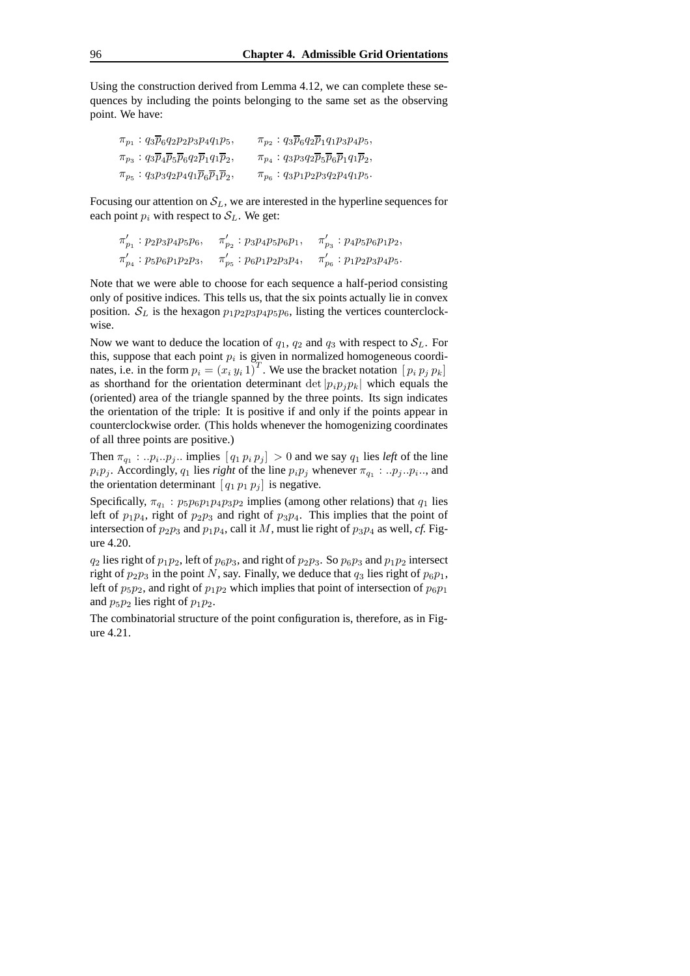Using the construction derived from Lemma 4.12, we can complete these sequences by including the points belonging to the same set as the observing point. We have:

| $\pi_{p_1}: q_3\overline{p}_6q_2p_2p_3p_4q_1p_5,$                                             | $\pi_{p_2}: q_3\overline{p}_6q_2\overline{p}_1q_1p_3p_4p_5,$                       |
|-----------------------------------------------------------------------------------------------|------------------------------------------------------------------------------------|
| $\pi_{p_3}: q_3\overline{p}_4\overline{p}_5\overline{p}_6q_2\overline{p}_1q_1\overline{p}_2,$ | $\pi_{p_4}: q_3p_3q_2\overline{p}_5\overline{p}_6\overline{p}_1q_1\overline{p}_2,$ |
| $\pi_{p_5}: q_3p_3q_2p_4q_1\overline{p}_6\overline{p}_1\overline{p}_2,$                       | $\pi_{p_6}: q_3p_1p_2p_3q_2p_4q_1p_5.$                                             |

Focusing our attention on  $S_L$ , we are interested in the hyperline sequences for each point  $p_i$  with respect to  $S_L$ . We get:

$$
\begin{aligned} \pi'_{p_1} &: p_2p_3p_4p_5p_6, & \pi'_{p_2} &: p_3p_4p_5p_6p_1, & \pi'_{p_3} &: p_4p_5p_6p_1p_2, \\ \pi'_{p_4} &: p_5p_6p_1p_2p_3, & \pi'_{p_5} &: p_6p_1p_2p_3p_4, & \pi'_{p_6} &: p_1p_2p_3p_4p_5. \end{aligned}
$$

Note that we were able to choose for each sequence a half-period consisting only of positive indices. This tells us, that the six points actually lie in convex position.  $S_L$  is the hexagon  $p_1p_2p_3p_4p_5p_6$ , listing the vertices counterclockwise.

Now we want to deduce the location of  $q_1$ ,  $q_2$  and  $q_3$  with respect to  $S_L$ . For this, suppose that each point  $p_i$  is given in normalized homogeneous coordinates, i.e. in the form  $p_i = (x_i y_i 1)^T$ . We use the bracket notation  $[p_i p_j p_k]$ as shorthand for the orientation determinant det  $|p_i p_j p_k|$  which equals the (oriented) area of the triangle spanned by the three points. Its sign indicates the orientation of the triple: It is positive if and only if the points appear in counterclockwise order. (This holds whenever the homogenizing coordinates of all three points are positive.)

Then  $\pi_{q_1} : ... p_i ... p_j$ ... implies  $[q_1 p_i p_j] > 0$  and we say  $q_1$  lies *left* of the line  $p_i p_j$ . Accordingly,  $q_1$  lies *right* of the line  $p_i p_j$  whenever  $\pi_{q_1} : . . p_j . . p_i ...$ , and the orientation determinant  $[q_1 p_1 p_j]$  is negative.

Specifically,  $\pi_{q_1}$ :  $p_5p_6p_1p_4p_3p_2$  implies (among other relations) that  $q_1$  lies left of  $p_1p_4$ , right of  $p_2p_3$  and right of  $p_3p_4$ . This implies that the point of intersection of  $p_2p_3$  and  $p_1p_4$ , call it M, must lie right of  $p_3p_4$  as well, *cf.* Figure 4.20.

 $q_2$  lies right of  $p_1p_2$ , left of  $p_6p_3$ , and right of  $p_2p_3$ . So  $p_6p_3$  and  $p_1p_2$  intersect right of  $p_2p_3$  in the point N, say. Finally, we deduce that  $q_3$  lies right of  $p_6p_1$ , left of  $p_5p_2$ , and right of  $p_1p_2$  which implies that point of intersection of  $p_6p_1$ and  $p_5p_2$  lies right of  $p_1p_2$ .

The combinatorial structure of the point configuration is, therefore, as in Figure 4.21.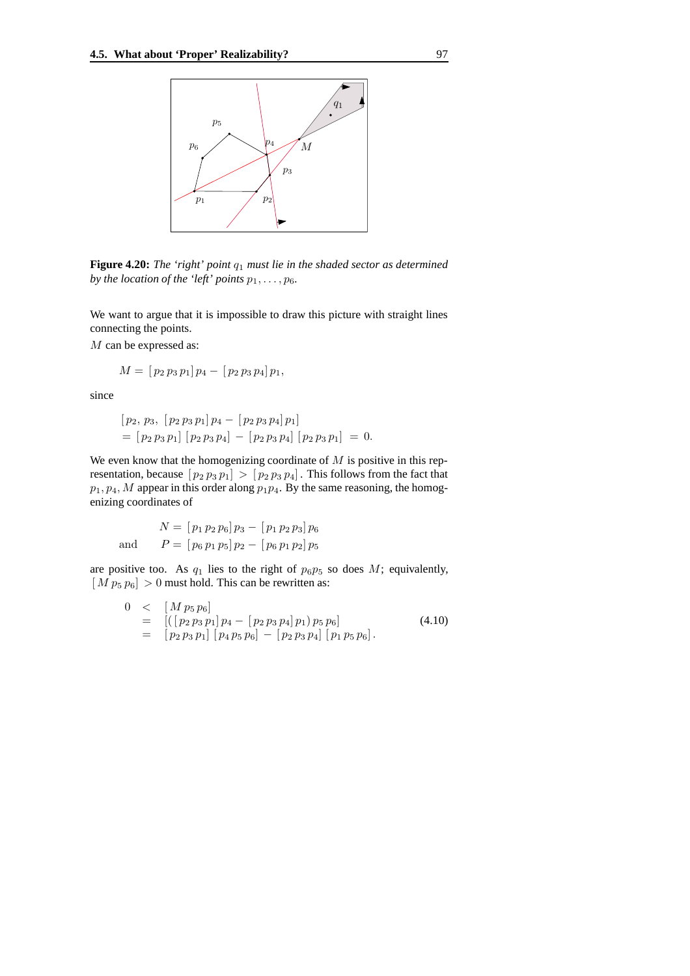

**Figure 4.20:** *The 'right' point* q<sup>1</sup> *must lie in the shaded sector as determined by the location of the 'left' points*  $p_1, \ldots, p_6$ *.* 

We want to argue that it is impossible to draw this picture with straight lines connecting the points.

M can be expressed as:

$$
M = [p_2 p_3 p_1] p_4 - [p_2 p_3 p_4] p_1,
$$

since

$$
[p_2, p_3, [p_2 p_3 p_1] p_4 - [p_2 p_3 p_4] p_1]
$$
  
= 
$$
[p_2 p_3 p_1] [p_2 p_3 p_4] - [p_2 p_3 p_4] [p_2 p_3 p_1] = 0
$$

We even know that the homogenizing coordinate of  $M$  is positive in this representation, because  $[p_2 p_3 p_1] > [p_2 p_3 p_4]$ . This follows from the fact that  $p_1, p_4, M$  appear in this order along  $p_1p_4$ . By the same reasoning, the homogenizing coordinates of

$$
N = [p_1 p_2 p_6] p_3 - [p_1 p_2 p_3] p_6
$$
  
and 
$$
P = [p_6 p_1 p_5] p_2 - [p_6 p_1 p_2] p_5
$$

are positive too. As  $q_1$  lies to the right of  $p_6p_5$  so does M; equivalently,  $[M p_5 p_6] > 0$  must hold. This can be rewritten as:

$$
0 < [M p_5 p_6]
$$
  
= 
$$
[([p_2 p_3 p_1] p_4 - [p_2 p_3 p_4] p_1) p_5 p_6]
$$
  
= 
$$
[p_2 p_3 p_1] [p_4 p_5 p_6] - [p_2 p_3 p_4] [p_1 p_5 p_6].
$$
 (4.10)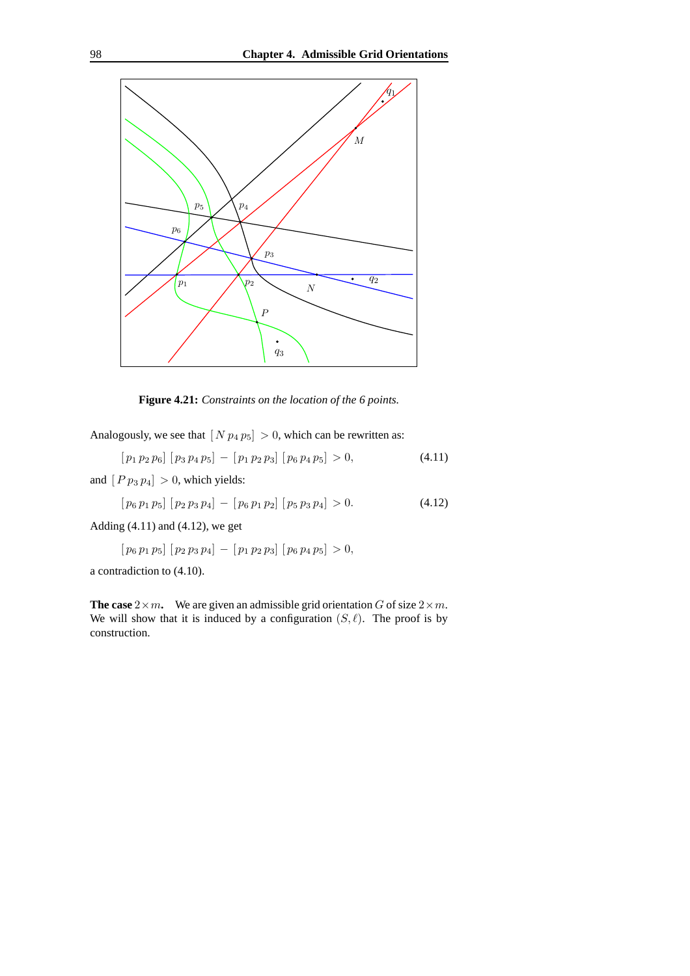

**Figure 4.21:** *Constraints on the location of the 6 points.*

Analogously, we see that  $[N p_4 p_5] > 0$ , which can be rewritten as:

$$
[p_1 p_2 p_6] [p_3 p_4 p_5] - [p_1 p_2 p_3] [p_6 p_4 p_5] > 0,
$$
\n(4.11)

and  $[P p_3 p_4] > 0$ , which yields:

$$
[p_6 p_1 p_5] [p_2 p_3 p_4] - [p_6 p_1 p_2] [p_5 p_3 p_4] > 0. \qquad (4.12)
$$

Adding  $(4.11)$  and  $(4.12)$ , we get

$$
[p_6\,p_1\,p_5]\,[p_2\,p_3\,p_4]\,-\,[p_1\,p_2\,p_3]\,[p_6\,p_4\,p_5] > 0,
$$

a contradiction to (4.10).

**The case**  $2 \times m$ . We are given an admissible grid orientation G of size  $2 \times m$ . We will show that it is induced by a configuration  $(S, \ell)$ . The proof is by construction.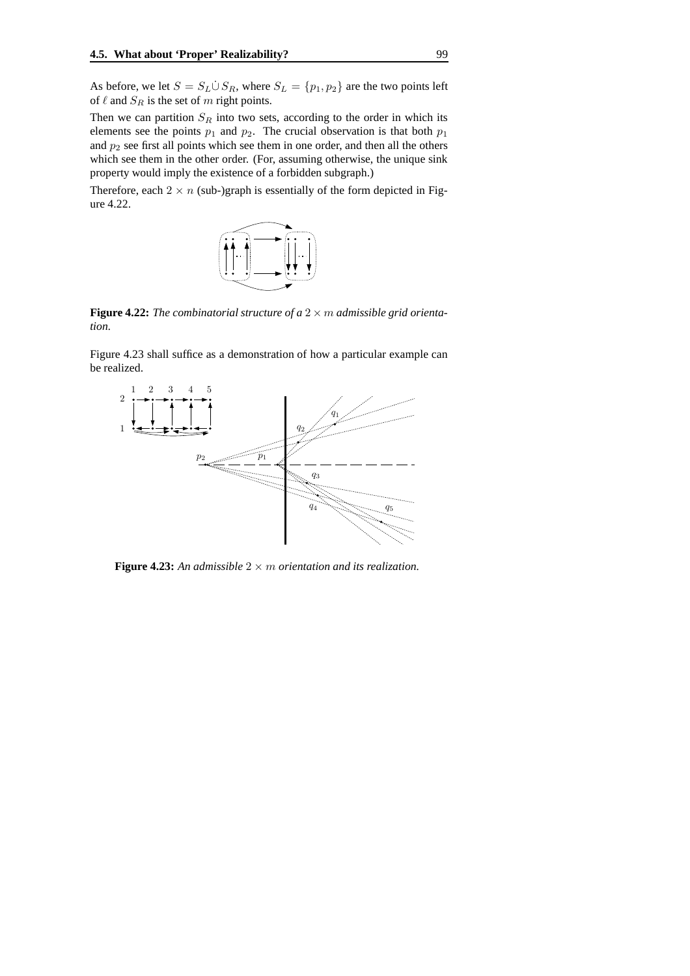As before, we let  $S = S_L \dot{\cup} S_R$ , where  $S_L = \{p_1, p_2\}$  are the two points left of  $\ell$  and  $S_R$  is the set of m right points.

Then we can partition  $S_R$  into two sets, according to the order in which its elements see the points  $p_1$  and  $p_2$ . The crucial observation is that both  $p_1$ and  $p_2$  see first all points which see them in one order, and then all the others which see them in the other order. (For, assuming otherwise, the unique sink property would imply the existence of a forbidden subgraph.)

Therefore, each  $2 \times n$  (sub-)graph is essentially of the form depicted in Figure 4.22.



**Figure 4.22:** The combinatorial structure of a  $2 \times m$  admissible grid orienta*tion.*

Figure 4.23 shall suffice as a demonstration of how a particular example can be realized.



**Figure 4.23:** An admissible  $2 \times m$  orientation and its realization.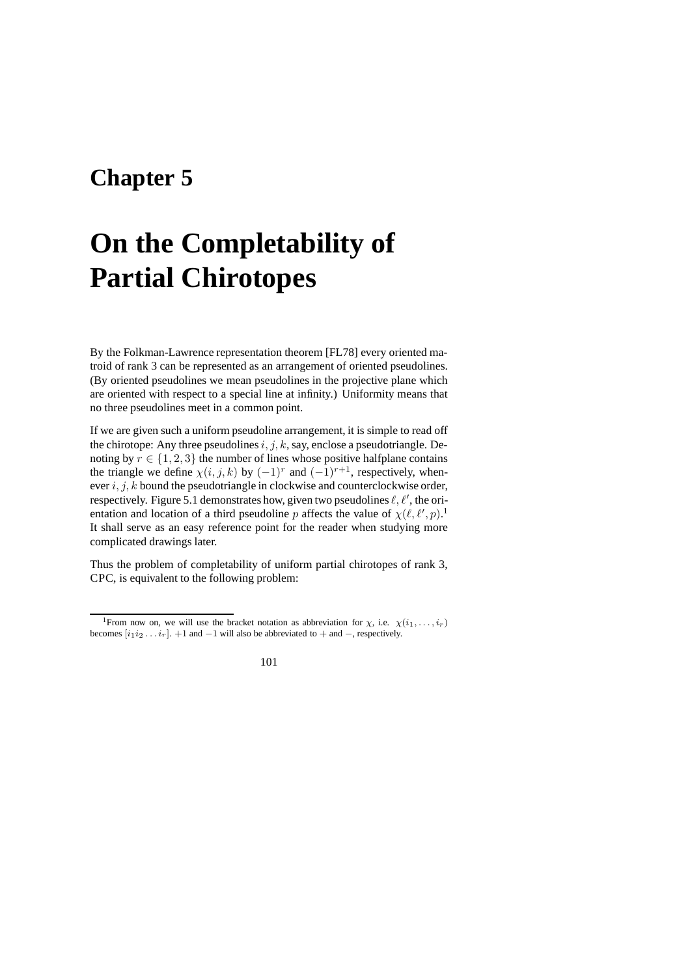### **Chapter 5**

# **On the Completability of Partial Chirotopes**

By the Folkman-Lawrence representation theorem [FL78] every oriented matroid of rank 3 can be represented as an arrangement of oriented pseudolines. (By oriented pseudolines we mean pseudolines in the projective plane which are oriented with respect to a special line at infinity.) Uniformity means that no three pseudolines meet in a common point.

If we are given such a uniform pseudoline arrangement, it is simple to read off the chirotope: Any three pseudolines  $i, j, k$ , say, enclose a pseudotriangle. Denoting by  $r \in \{1, 2, 3\}$  the number of lines whose positive halfplane contains the triangle we define  $\chi(i, j, k)$  by  $(-1)^r$  and  $(-1)^{r+1}$ , respectively, whenever  $i, j, k$  bound the pseudotriangle in clockwise and counterclockwise order, respectively. Figure 5.1 demonstrates how, given two pseudolines  $\ell, \ell',$  the orientation and location of a third pseudoline p affects the value of  $\chi(\ell, \ell', p)$ .<sup>1</sup> It shall serve as an easy reference point for the reader when studying more complicated drawings later.

Thus the problem of completability of uniform partial chirotopes of rank 3, CPC, is equivalent to the following problem:

<sup>&</sup>lt;sup>1</sup>From now on, we will use the bracket notation as abbreviation for  $\chi$ , i.e.  $\chi(i_1, \ldots, i_r)$ becomes  $[i_1 i_2 \ldots i_r]$ . +1 and −1 will also be abbreviated to + and −, respectively.

<sup>101</sup>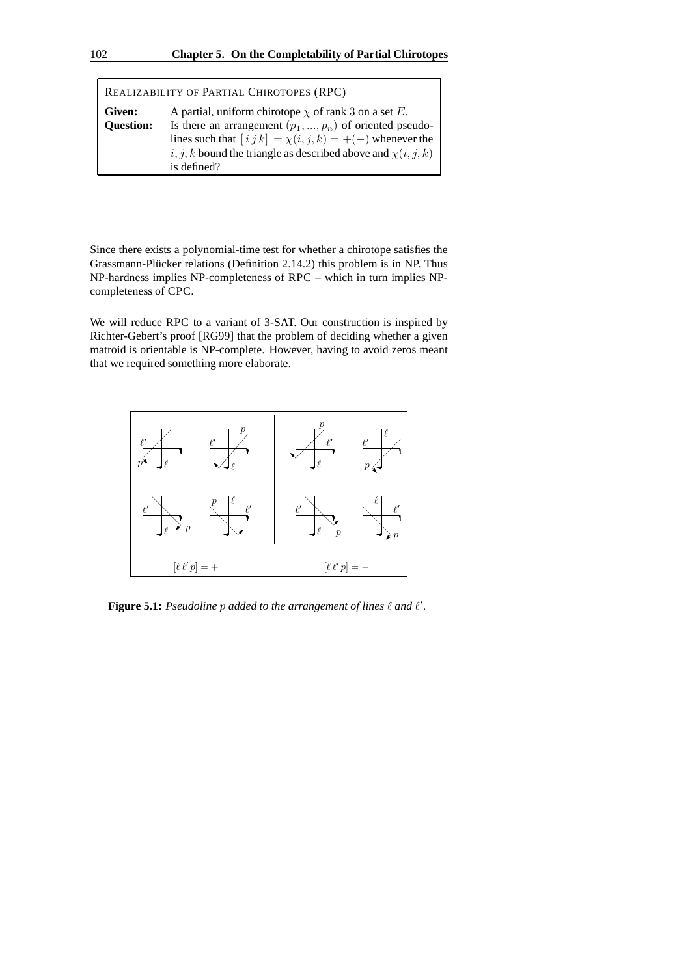| REALIZABILITY OF PARTIAL CHIROTOPES (RPC) |                                                                                                                             |
|-------------------------------------------|-----------------------------------------------------------------------------------------------------------------------------|
| Given:                                    | A partial, uniform chirotope $\chi$ of rank 3 on a set E.                                                                   |
| <b>Question:</b>                          | Is there an arrangement $(p_1, , p_n)$ of oriented pseudo-<br>lines such that $[i j k] = \chi(i, j, k) = +(-)$ whenever the |
|                                           | i, j, k bound the triangle as described above and $\chi(i, j, k)$                                                           |
|                                           | is defined?                                                                                                                 |

Since there exists a polynomial-time test for whether a chirotope satisfies the Grassmann-Plücker relations (Definition 2.14.2) this problem is in NP. Thus NP-hardness implies NP-completeness of RPC – which in turn implies NPcompleteness of CPC.

We will reduce RPC to a variant of 3-SAT. Our construction is inspired by Richter-Gebert's proof [RG99] that the problem of deciding whether a given matroid is orientable is NP-complete. However, having to avoid zeros meant that we required something more elaborate.



**Figure 5.1:** Pseudoline  $p$  added to the arrangement of lines  $\ell$  and  $\ell'$ .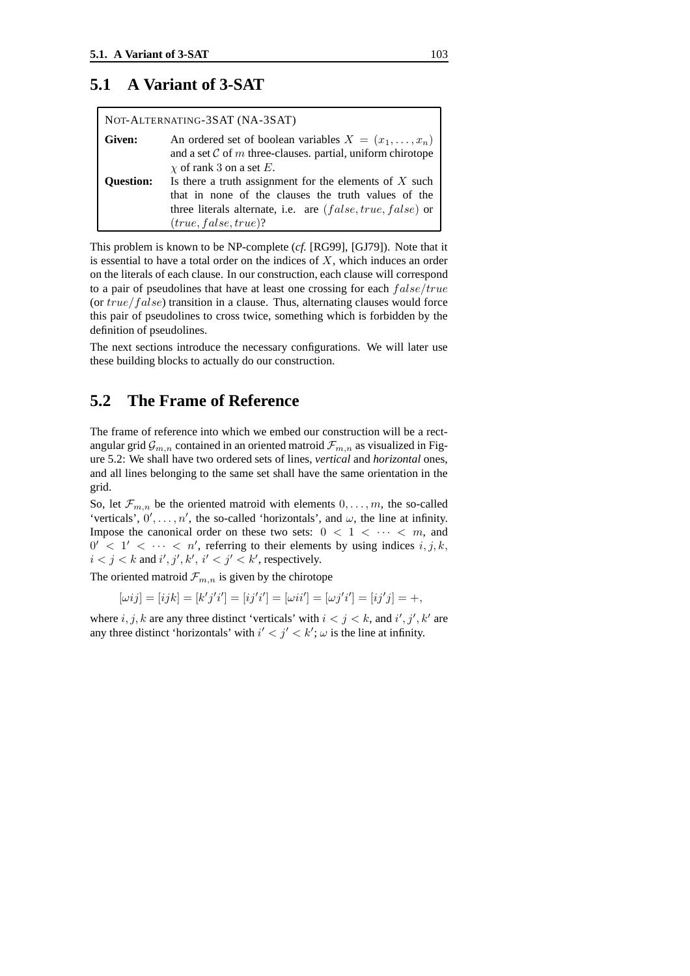#### **5.1 A Variant of 3-SAT**

| NOT-ALTERNATING-3SAT (NA-3SAT) |                                                                                                                                                                                                         |
|--------------------------------|---------------------------------------------------------------------------------------------------------------------------------------------------------------------------------------------------------|
| Given:                         | An ordered set of boolean variables $X = (x_1, \ldots, x_n)$<br>and a set $\mathcal C$ of m three-clauses. partial, uniform chirotope<br>$\chi$ of rank 3 on a set E.                                   |
| <b>Ouestion:</b>               | Is there a truth assignment for the elements of $X$ such<br>that in none of the clauses the truth values of the<br>three literals alternate, i.e. are $(false, true, false)$ or<br>(true, false, true)? |

This problem is known to be NP-complete (*cf.* [RG99], [GJ79]). Note that it is essential to have a total order on the indices of  $X$ , which induces an order on the literals of each clause. In our construction, each clause will correspond to a pair of pseudolines that have at least one crossing for each false/true (or true/false) transition in a clause. Thus, alternating clauses would force this pair of pseudolines to cross twice, something which is forbidden by the definition of pseudolines.

The next sections introduce the necessary configurations. We will later use these building blocks to actually do our construction.

#### **5.2 The Frame of Reference**

The frame of reference into which we embed our construction will be a rectangular grid  $\mathcal{G}_{m,n}$  contained in an oriented matroid  $\mathcal{F}_{m,n}$  as visualized in Figure 5.2: We shall have two ordered sets of lines, *vertical* and *horizontal* ones, and all lines belonging to the same set shall have the same orientation in the grid.

So, let  $\mathcal{F}_{m,n}$  be the oriented matroid with elements  $0,\ldots,m$ , the so-called 'verticals',  $0', \ldots, n'$ , the so-called 'horizontals', and  $\omega$ , the line at infinity. Impose the canonical order on these two sets:  $0 < 1 < \cdots < m$ , and  $0' < 1' < \cdots < n'$ , referring to their elements by using indices  $i, j, k$ ,  $i < j < k$  and  $i', j', k', i' < j' < k'$ , respectively.

The oriented matroid  $\mathcal{F}_{m,n}$  is given by the chirotope

$$
[\omega ij] = [ijk] = [k'j'i'] = [ij'i'] = [\omega ii'] = [\omega j'i'] = [ij'j] = +,
$$

where  $i, j, k$  are any three distinct 'verticals' with  $i < j < k$ , and  $i', j', k'$  are any three distinct 'horizontals' with  $i' < j' < k'$ ;  $\omega$  is the line at infinity.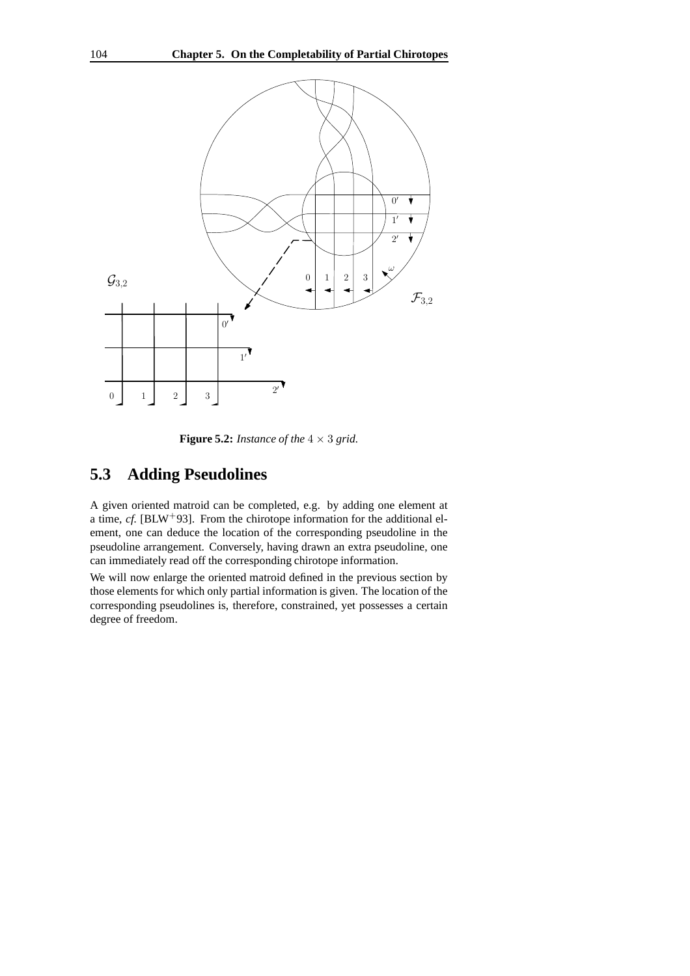

**Figure 5.2:** *Instance of the*  $4 \times 3$  *grid.* 

### **5.3 Adding Pseudolines**

A given oriented matroid can be completed, e.g. by adding one element at a time,  $cf.$  [BLW<sup>+</sup>93]. From the chirotope information for the additional element, one can deduce the location of the corresponding pseudoline in the pseudoline arrangement. Conversely, having drawn an extra pseudoline, one can immediately read off the corresponding chirotope information.

We will now enlarge the oriented matroid defined in the previous section by those elements for which only partial information is given. The location of the corresponding pseudolines is, therefore, constrained, yet possesses a certain degree of freedom.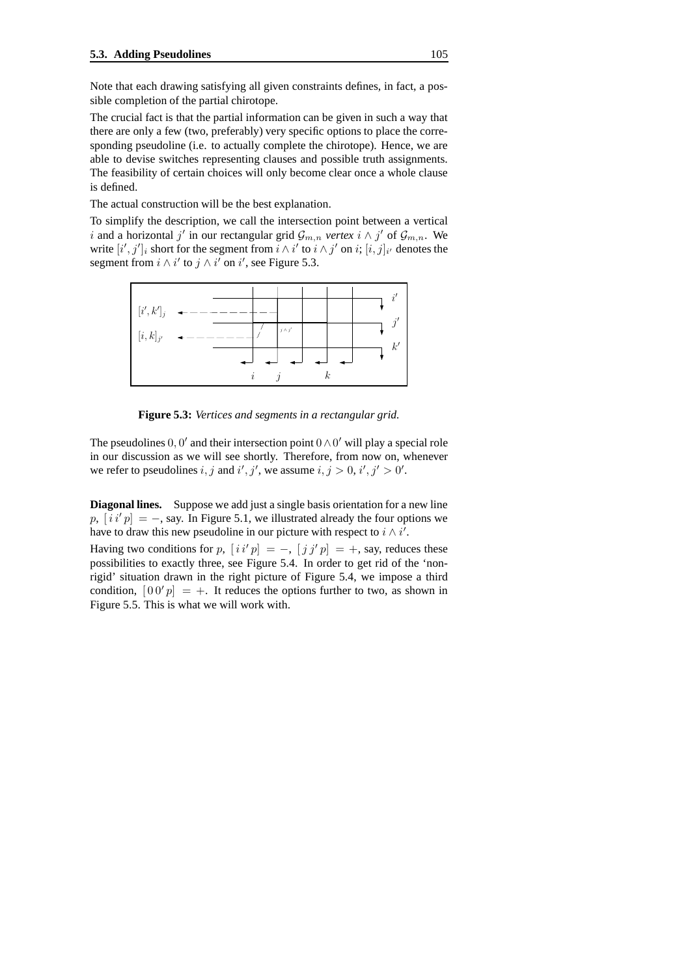Note that each drawing satisfying all given constraints defines, in fact, a possible completion of the partial chirotope.

The crucial fact is that the partial information can be given in such a way that there are only a few (two, preferably) very specific options to place the corresponding pseudoline (i.e. to actually complete the chirotope). Hence, we are able to devise switches representing clauses and possible truth assignments. The feasibility of certain choices will only become clear once a whole clause is defined.

The actual construction will be the best explanation.

To simplify the description, we call the intersection point between a vertical i and a horizontal j' in our rectangular grid  $\mathcal{G}_{m,n}$  *vertex*  $i \wedge j'$  of  $\mathcal{G}_{m,n}$ . We write  $[i', j']_i$  short for the segment from  $i \wedge i'$  to  $i \wedge j'$  on  $i$ ;  $[i, j]_{i'}$  denotes the segment from  $i \wedge i'$  to  $j \wedge i'$  on  $i'$ , see Figure 5.3.



**Figure 5.3:** *Vertices and segments in a rectangular grid.*

The pseudolines  $0, 0'$  and their intersection point  $0 \wedge 0'$  will play a special role in our discussion as we will see shortly. Therefore, from now on, whenever we refer to pseudolines i, j and i', j', we assume  $i, j > 0, i', j' > 0'$ .

**Diagonal lines.** Suppose we add just a single basis orientation for a new line  $p, [i i' p] = -$ , say. In Figure 5.1, we illustrated already the four options we have to draw this new pseudoline in our picture with respect to  $i \wedge i'$ .

Having two conditions for  $p$ ,  $[i i' p] = -$ ,  $[j j' p] = +$ , say, reduces these possibilities to exactly three, see Figure 5.4. In order to get rid of the 'nonrigid' situation drawn in the right picture of Figure 5.4, we impose a third condition,  $[00' p] = +$ . It reduces the options further to two, as shown in Figure 5.5. This is what we will work with.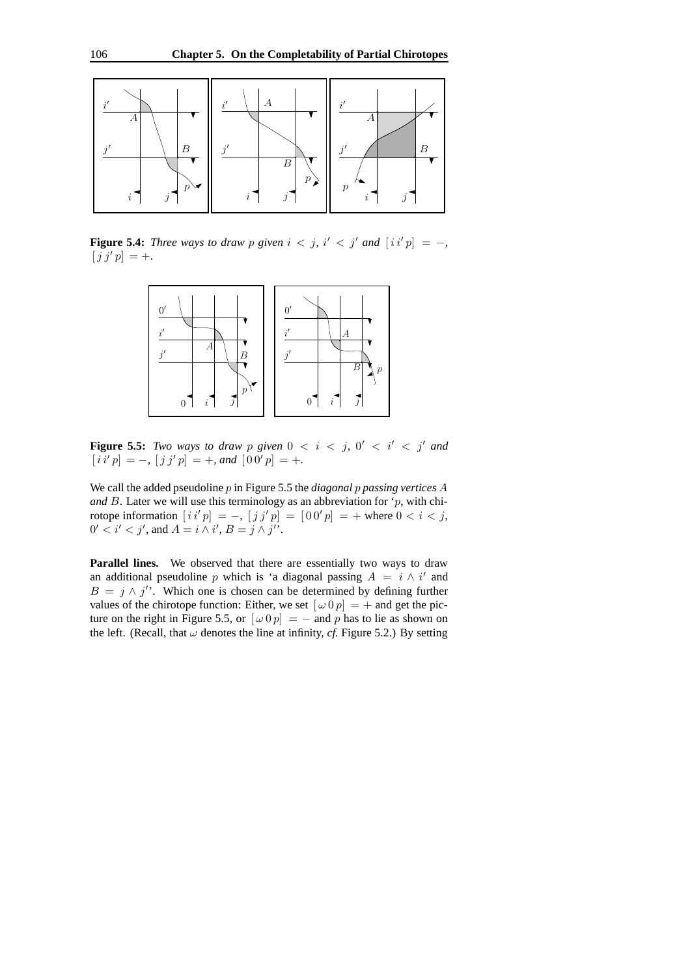

**Figure 5.4:** *Three ways to draw p given*  $i < j$ ,  $i' < j'$  and  $[i i' p] = -$ ,  $[j j' p] = +.$ 



**Figure 5.5:** *Two ways to draw p given*  $0 < i < j$ ,  $0' < i' < j'$  and  $[i i' p] = -, [j j' p] = +, and [0 0' p] = +.$ 

We call the added pseudoline p in Figure 5.5 the *diagonal* p *passing vertices* A and  $B$ . Later we will use this terminology as an abbreviation for ' $p$ , with chirotope information  $[i i' p] = -$ ,  $[j j' p] = [0 0' p] = +$  where  $0 < i < j$ ,  $0' < i' < j'$ , and  $A = i \wedge i'$ ,  $B = j \wedge j'$ .

Parallel lines. We observed that there are essentially two ways to draw an additional pseudoline p which is 'a diagonal passing  $A = i \wedge i'$  and  $B = j \wedge j'$ . Which one is chosen can be determined by defining further values of the chirotope function: Either, we set  $[\omega 0 p] = +$  and get the picture on the right in Figure 5.5, or  $[\omega 0 p] = -$  and p has to lie as shown on the left. (Recall, that  $\omega$  denotes the line at infinity, *cf.* Figure 5.2.) By setting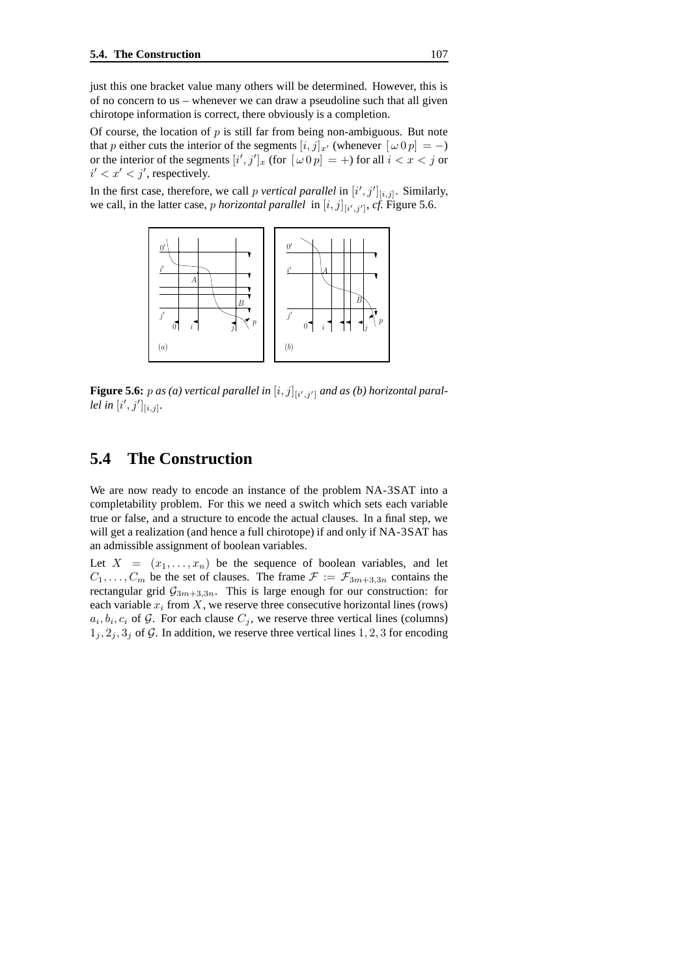just this one bracket value many others will be determined. However, this is of no concern to us – whenever we can draw a pseudoline such that all given chirotope information is correct, there obviously is a completion.

Of course, the location of  $p$  is still far from being non-ambiguous. But note that p either cuts the interior of the segments  $[i, j]_{x}$  (whenever  $[\omega 0 p] = -$ ) or the interior of the segments  $[i',j']_x$  (for  $[\omega \, 0 \, p] = +$ ) for all  $i < x < j$  or  $i' < x' < j'$ , respectively.

In the first case, therefore, we call *p vertical parallel* in  $[i', j']_{[i,j]}$ . Similarly, we call, in the latter case, *p* horizontal parallel in  $[i, j]_{[i', j']}$ , *cf*. Figure 5.6.



**Figure 5.6:**  $p$  as (a) vertical parallel in  $[i, j]_{[i', j']}$  and as (b) horizontal paral*lel in*  $[i', j']_{[i,j]}.$ 

#### **5.4 The Construction**

We are now ready to encode an instance of the problem NA-3SAT into a completability problem. For this we need a switch which sets each variable true or false, and a structure to encode the actual clauses. In a final step, we will get a realization (and hence a full chirotope) if and only if NA-3SAT has an admissible assignment of boolean variables.

Let  $X = (x_1, \ldots, x_n)$  be the sequence of boolean variables, and let  $C_1, \ldots, C_m$  be the set of clauses. The frame  $\mathcal{F} := \mathcal{F}_{3m+3,3n}$  contains the rectangular grid  $\mathcal{G}_{3m+3,3n}$ . This is large enough for our construction: for each variable  $x_i$  from  $X$ , we reserve three consecutive horizontal lines (rows)  $a_i, b_i, c_i$  of  $\mathcal{G}$ . For each clause  $C_j$ , we reserve three vertical lines (columns)  $1_i, 2_i, 3_j$  of G. In addition, we reserve three vertical lines 1, 2, 3 for encoding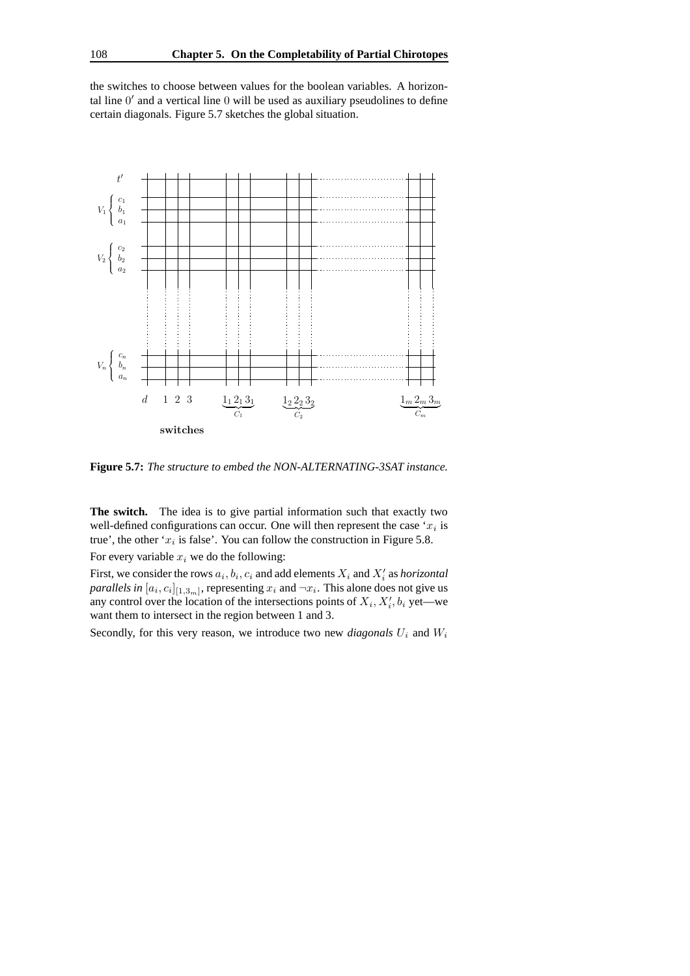the switches to choose between values for the boolean variables. A horizontal line  $0'$  and a vertical line  $0$  will be used as auxiliary pseudolines to define certain diagonals. Figure 5.7 sketches the global situation.



**Figure 5.7:** *The structure to embed the NON-ALTERNATING-3SAT instance.*

**The switch.** The idea is to give partial information such that exactly two well-defined configurations can occur. One will then represent the case ' $x_i$  is true', the other ' $x_i$  is false'. You can follow the construction in Figure 5.8.

For every variable  $x_i$  we do the following:

First, we consider the rows  $a_i, b_i, c_i$  and add elements  $X_i$  and  $X'_i$  as *horizontal parallels* in  $[a_i, c_i]_{[1,3_m]}$ , representing  $x_i$  and  $\neg x_i$ . This alone does not give us any control over the location of the intersections points of  $X_i, X'_i, b_i$  yet—we want them to intersect in the region between 1 and 3.

Secondly, for this very reason, we introduce two new *diagonals*  $U_i$  and  $W_i$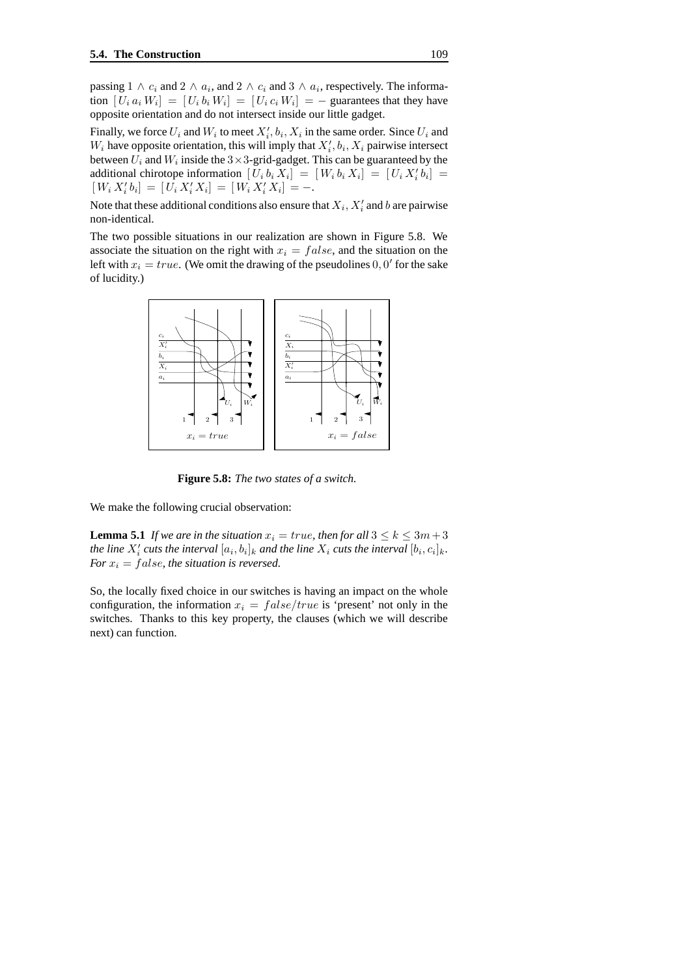passing  $1 \wedge c_i$  and  $2 \wedge a_i$ , and  $2 \wedge c_i$  and  $3 \wedge a_i$ , respectively. The information  $[U_i a_i W_i] = [U_i b_i W_i] = [U_i c_i W_i] = -$  guarantees that they have opposite orientation and do not intersect inside our little gadget.

Finally, we force  $U_i$  and  $W_i$  to meet  $X'_i$ ,  $b_i$ ,  $X_i$  in the same order. Since  $U_i$  and  $W_i$  have opposite orientation, this will imply that  $X'_i$ ,  $b_i$ ,  $X_i$  pairwise intersect between  $U_i$  and  $W_i$  inside the  $3 \times 3$ -grid-gadget. This can be guaranteed by the additional chirotope information  $[U_i b_i X_i] = [W_i b_i X_i] = [U_i X_i' b_i] =$  $[W_i X_i' b_i] = [U_i X_i' X_i] = [W_i X_i' X_i] = -.$ 

Note that these additional conditions also ensure that  $X_i, X'_i$  and  $b$  are pairwise non-identical.

The two possible situations in our realization are shown in Figure 5.8. We associate the situation on the right with  $x_i = false$ , and the situation on the left with  $x_i = true$ . (We omit the drawing of the pseudolines 0, 0' for the sake of lucidity.)



**Figure 5.8:** *The two states of a switch.*

We make the following crucial observation:

**Lemma 5.1** *If* we are in the situation  $x_i = true$ , then for all  $3 \leq k \leq 3m+3$ *the* line  $X_i'$  cuts the interval  $[a_i, b_i]_k$  and the line  $X_i$  cuts the interval  $[b_i, c_i]_k$ . *For*  $x_i$  = *false, the situation is reversed.* 

So, the locally fixed choice in our switches is having an impact on the whole configuration, the information  $x_i = false/true$  is 'present' not only in the switches. Thanks to this key property, the clauses (which we will describe next) can function.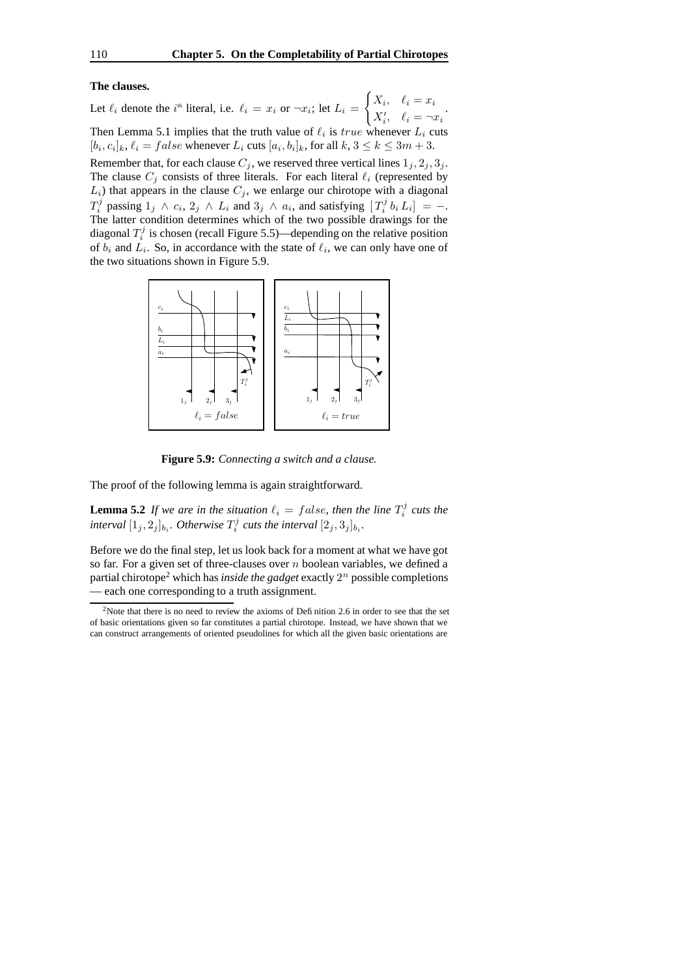#### **The clauses.**

Let  $\ell_i$  denote the  $i^{\text{th}}$  literal, i.e.  $\ell_i = x_i$  or  $\neg x_i$ ; let  $L_i =$  $\int X_i, \quad \ell_i = x_i$  $X'_i, \quad \ell_i = \neg x_i$ Then Lemma 5.1 implies that the truth value of  $\ell_i$  is  $true$  whenever  $L_i$  cuts  $[b_i, c_i]_k$ ,  $\ell_i = false$  whenever  $L_i$  cuts  $[a_i, b_i]_k$ , for all  $k, 3 \le k \le 3m + 3$ . Remember that, for each clause  $C_j$ , we reserved three vertical lines  $1_j, 2_j, 3_j$ . The clause  $C_j$  consists of three literals. For each literal  $\ell_i$  (represented by  $L_i$ ) that appears in the clause  $C_j$ , we enlarge our chirotope with a diagonal  $T_i^j$  passing  $1_j \wedge c_i$ ,  $2_j \wedge L_i$  and  $3_j \wedge a_i$ , and satisfying  $[T_i^j b_i L_i] = -1$ . The latter condition determines which of the two possible drawings for the diagonal  $T_i^j$  is chosen (recall Figure 5.5)—depending on the relative position of  $b_i$  and  $L_i$ . So, in accordance with the state of  $\ell_i$ , we can only have one of the two situations shown in Figure 5.9.



**Figure 5.9:** *Connecting a switch and a clause.*

The proof of the following lemma is again straightforward.

**Lemma 5.2** *If* we are in the situation  $\ell_i = false$ , then the line  $T_i^j$  cuts the  $\int$ *interval*  $[1_j, 2_j]_{b_i}$ *. Otherwise*  $T_i^j$  *cuts the interval*  $[2_j, 3_j]_{b_i}$ *.* 

Before we do the final step, let us look back for a moment at what we have got so far. For a given set of three-clauses over  $n$  boolean variables, we defined a partial chirotope<sup>2</sup> which has *inside the gadget* exactly  $2^n$  possible completions — each one corresponding to a truth assignment.

<sup>&</sup>lt;sup>2</sup>Note that there is no need to review the axioms of Definition 2.6 in order to see that the set of basic orientations given so far constitutes a partial chirotope. Instead, we have shown that we can construct arrangements of oriented pseudolines for which all the given basic orientations are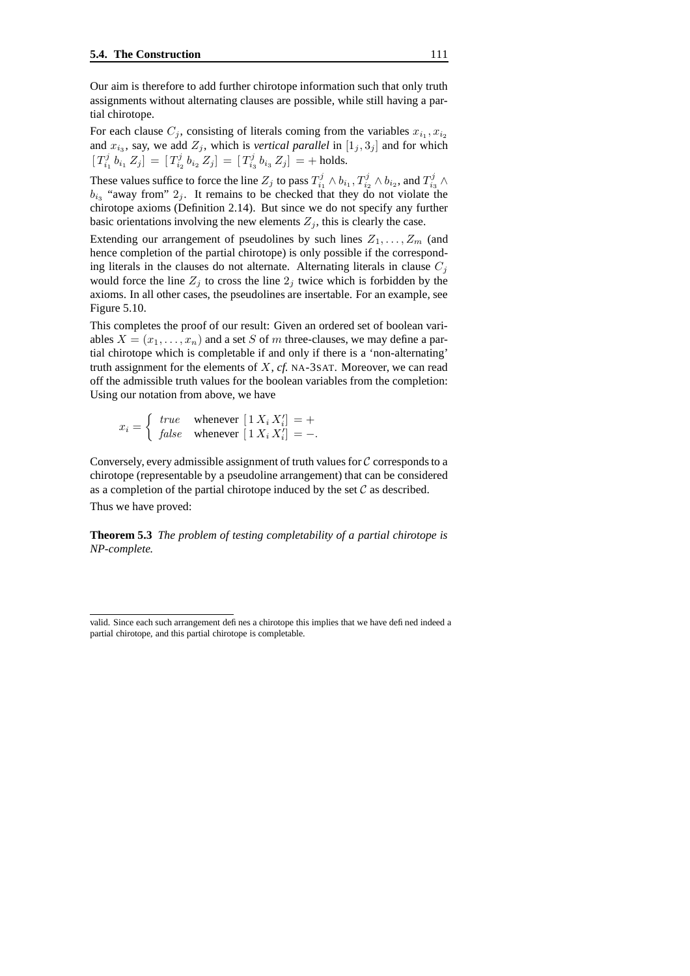Our aim is therefore to add further chirotope information such that only truth assignments without alternating clauses are possible, while still having a partial chirotope.

For each clause  $C_j$ , consisting of literals coming from the variables  $x_{i_1}, x_{i_2}$ and  $x_{i_3}$ , say, we add  $Z_j$ , which is *vertical parallel* in  $[1_j, 3_j]$  and for which  $[T_{i_1}^j b_{i_1} Z_j] = [T_{i_2}^j b_{i_2} Z_j] = [T_{i_3}^j b_{i_3} Z_j] = +$  holds.

These values suffice to force the line  $Z_j$  to pass  $T_{i_1}^j \wedge b_{i_1}, T_{i_2}^j \wedge b_{i_2}$ , and  $T_{i_3}^j \wedge$  $b_{i_3}$  "away from"  $2_j$ . It remains to be checked that they do not violate the chirotope axioms (Definition 2.14). But since we do not specify any further basic orientations involving the new elements  $Z_i$ , this is clearly the case.

Extending our arrangement of pseudolines by such lines  $Z_1, \ldots, Z_m$  (and hence completion of the partial chirotope) is only possible if the corresponding literals in the clauses do not alternate. Alternating literals in clause  $C_i$ would force the line  $Z_j$  to cross the line  $2_j$  twice which is forbidden by the axioms. In all other cases, the pseudolines are insertable. For an example, see Figure 5.10.

This completes the proof of our result: Given an ordered set of boolean variables  $X = (x_1, \ldots, x_n)$  and a set S of m three-clauses, we may define a partial chirotope which is completable if and only if there is a 'non-alternating' truth assignment for the elements of X, *cf.* NA-3SAT. Moreover, we can read off the admissible truth values for the boolean variables from the completion: Using our notation from above, we have

 $x_i = \begin{cases} true \quad whenever \ [1 \ X_i \ X'_i] = + \\ false \quad whenever \ [1 \ Y, Y'] = \end{cases}$ *false* whenever  $[1 X_i X'_i] = -$ .

Conversely, every admissible assignment of truth values for  $C$  corresponds to a chirotope (representable by a pseudoline arrangement) that can be considered as a completion of the partial chirotope induced by the set  $\mathcal C$  as described. Thus we have proved:

**Theorem 5.3** *The problem of testing completability of a partial chirotope is NP-complete.*

valid. Since each such arrangement defines a chirotope this implies that we have defined indeed a partial chirotope, and this partial chirotope is completable.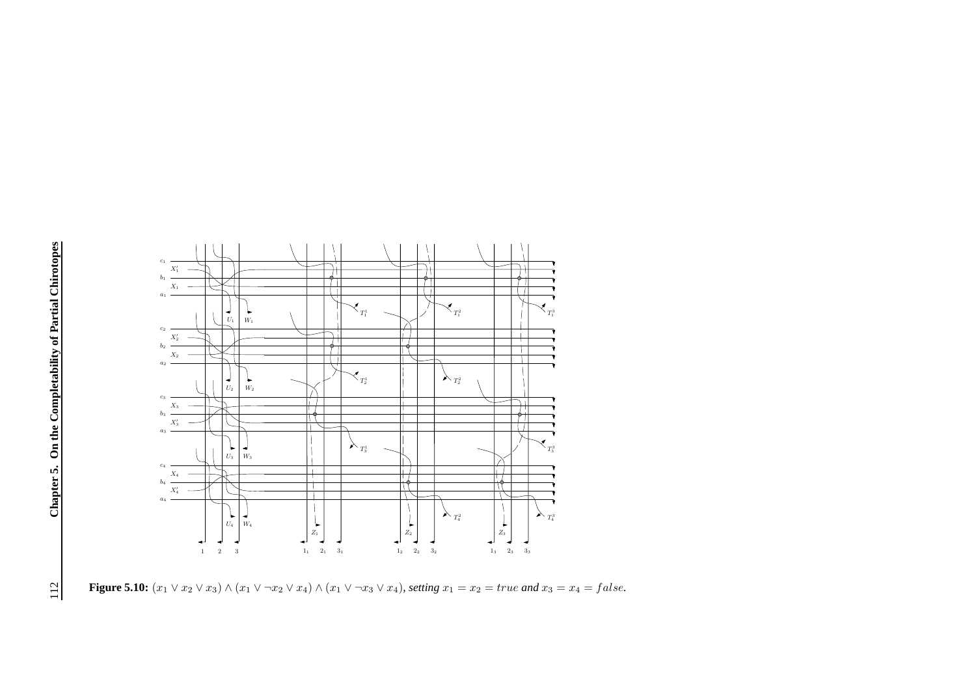

**Figure 5.10:**  $(x_1 \vee x_2 \vee x_3) \wedge (x_1 \vee \neg x_2 \vee x_4) \wedge (x_1 \vee \neg x_3 \vee x_4)$ *, setting*  $x_1 = x_2 = true$  *and*  $x_3 = x_4 = false$ *.*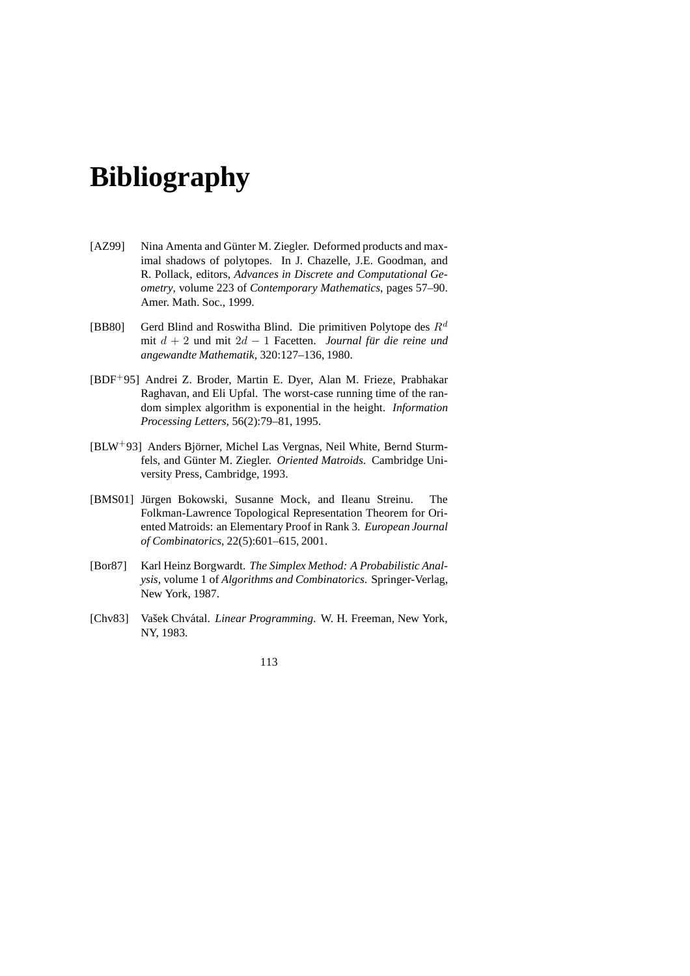## **Bibliography**

- [AZ99] Nina Amenta and Günter M. Ziegler. Deformed products and maximal shadows of polytopes. In J. Chazelle, J.E. Goodman, and R. Pollack, editors, *Advances in Discrete and Computational Geometry*, volume 223 of *Contemporary Mathematics*, pages 57–90. Amer. Math. Soc., 1999.
- [BB80] Gerd Blind and Roswitha Blind. Die primitiven Polytope des  $R^d$ mit  $d + 2$  und mit  $2d - 1$  Facetten. *Journal für die reine und angewandte Mathematik*, 320:127–136, 1980.
- [BDF+95] Andrei Z. Broder, Martin E. Dyer, Alan M. Frieze, Prabhakar Raghavan, and Eli Upfal. The worst-case running time of the random simplex algorithm is exponential in the height. *Information Processing Letters*, 56(2):79–81, 1995.
- [BLW+93] Anders Björner, Michel Las Vergnas, Neil White, Bernd Sturmfels, and Günter M. Ziegler. Oriented Matroids. Cambridge University Press, Cambridge, 1993.
- [BMS01] Jürgen Bokowski, Susanne Mock, and Ileanu Streinu. The Folkman-Lawrence Topological Representation Theorem for Oriented Matroids: an Elementary Proof in Rank 3. *European Journal of Combinatorics*, 22(5):601–615, 2001.
- [Bor87] Karl Heinz Borgwardt. *The Simplex Method: A Probabilistic Analysis*, volume 1 of *Algorithms and Combinatorics*. Springer-Verlag, New York, 1987.
- [Chv83] Vašek Chvátal. *Linear Programming*. W. H. Freeman, New York, NY, 1983.

113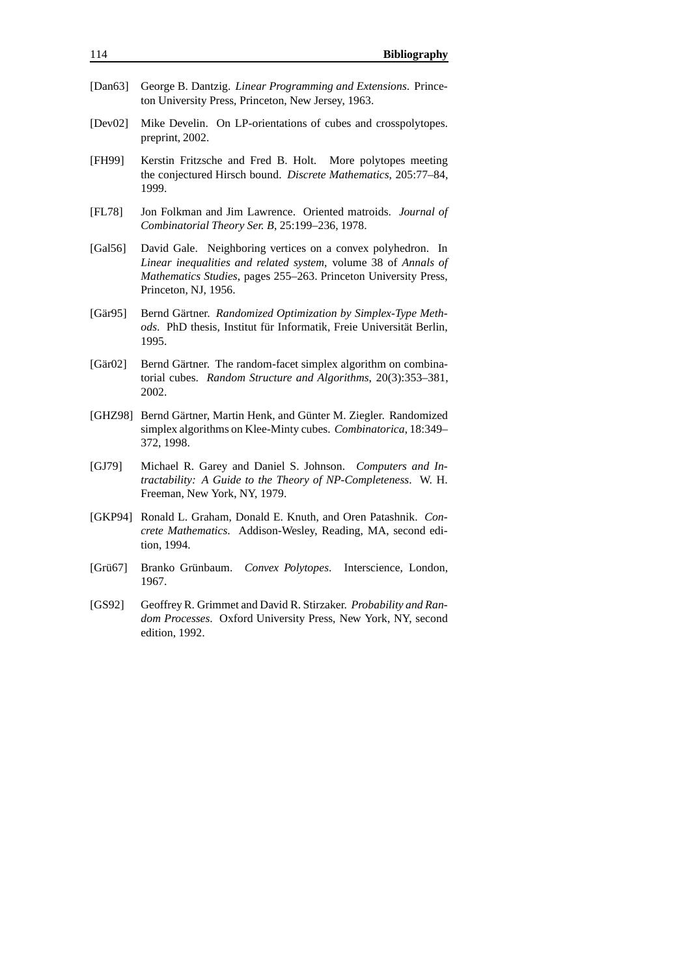- [Dan63] George B. Dantzig. *Linear Programming and Extensions*. Princeton University Press, Princeton, New Jersey, 1963.
- [Dev02] Mike Develin. On LP-orientations of cubes and crosspolytopes. preprint, 2002.
- [FH99] Kerstin Fritzsche and Fred B. Holt. More polytopes meeting the conjectured Hirsch bound. *Discrete Mathematics*, 205:77–84, 1999.
- [FL78] Jon Folkman and Jim Lawrence. Oriented matroids. *Journal of Combinatorial Theory Ser. B*, 25:199–236, 1978.
- [Gal56] David Gale. Neighboring vertices on a convex polyhedron. In *Linear inequalities and related system*, volume 38 of *Annals of Mathematics Studies*, pages 255–263. Princeton University Press, Princeton, NJ, 1956.
- [Gär95] Eernd Gärtner. Randomized Optimization by Simplex-Type Methods. PhD thesis, Institut für Informatik, Freie Universität Berlin, 1995.
- [Gär02] Elernd Gärtner. The random-facet simplex algorithm on combinatorial cubes. *Random Structure and Algorithms*, 20(3):353–381, 2002.
- [GHZ98] Bernd Gärtner, Martin Henk, and Günter M. Ziegler. Randomized simplex algorithms on Klee-Minty cubes. *Combinatorica*, 18:349– 372, 1998.
- [GJ79] Michael R. Garey and Daniel S. Johnson. *Computers and Intractability: A Guide to the Theory of NP-Completeness*. W. H. Freeman, New York, NY, 1979.
- [GKP94] Ronald L. Graham, Donald E. Knuth, and Oren Patashnik. *Concrete Mathematics*. Addison-Wesley, Reading, MA, second edition, 1994.
- [Grü67] Branko Grünbaum. Convex Polytopes. Interscience, London, 1967.
- [GS92] GeoffreyR. Grimmet and David R. Stirzaker. *Probability and Random Processes*. Oxford University Press, New York, NY, second edition, 1992.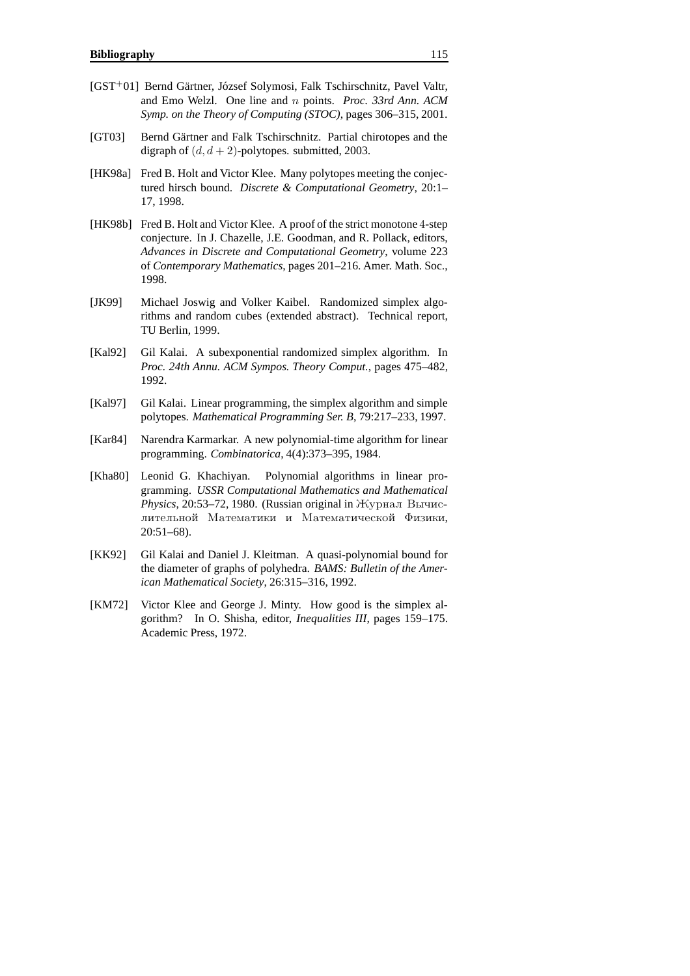- [GST<sup>+</sup>01] Bernd Gärtner, József Solymosi, Falk Tschirschnitz, Pavel Valtr, and Emo Welzl. One line and n points. *Proc. 33rd Ann. ACM Symp. on the Theory of Computing (STOC)*, pages 306–315, 2001.
- [GT03] Bernd Gärtner and Falk Tschirschnitz. Partial chirotopes and the digraph of  $(d, d + 2)$ -polytopes. submitted, 2003.
- [HK98a] Fred B. Holt and Victor Klee. Many polytopes meeting the conjectured hirsch bound. *Discrete & Computational Geometry*, 20:1– 17, 1998.
- [HK98b] Fred B. Holt and Victor Klee. A proof of the strict monotone 4-step conjecture. In J. Chazelle, J.E. Goodman, and R. Pollack, editors, *Advances in Discrete and Computational Geometry*, volume 223 of *Contemporary Mathematics*, pages 201–216. Amer. Math. Soc., 1998.
- [JK99] Michael Joswig and Volker Kaibel. Randomized simplex algorithms and random cubes (extended abstract). Technical report, TU Berlin, 1999.
- [Kal92] Gil Kalai. A subexponential randomized simplex algorithm. In *Proc. 24th Annu. ACM Sympos. Theory Comput.*, pages 475–482, 1992.
- [Kal97] Gil Kalai. Linear programming, the simplex algorithm and simple polytopes. *Mathematical Programming Ser. B*, 79:217–233, 1997.
- [Kar84] Narendra Karmarkar. A new polynomial-time algorithm for linear programming. *Combinatorica*, 4(4):373–395, 1984.
- [Kha80] Leonid G. Khachiyan. Polynomial algorithms in linear programming. *USSR Computational Mathematics and Mathematical*  $Phvisics, 20:53–72, 1980.$  (Russian original in  $Hv$ <sub>DHa</sub> $n$  B<sub>b</sub><sup>q</sup>ucлительной Математики и Математической Физики, 20:51–68).
- [KK92] Gil Kalai and Daniel J. Kleitman. A quasi-polynomial bound for the diameter of graphs of polyhedra. *BAMS: Bulletin of the American Mathematical Society*, 26:315–316, 1992.
- [KM72] Victor Klee and George J. Minty. How good is the simplex algorithm? In O. Shisha, editor, *Inequalities III*, pages 159–175. Academic Press, 1972.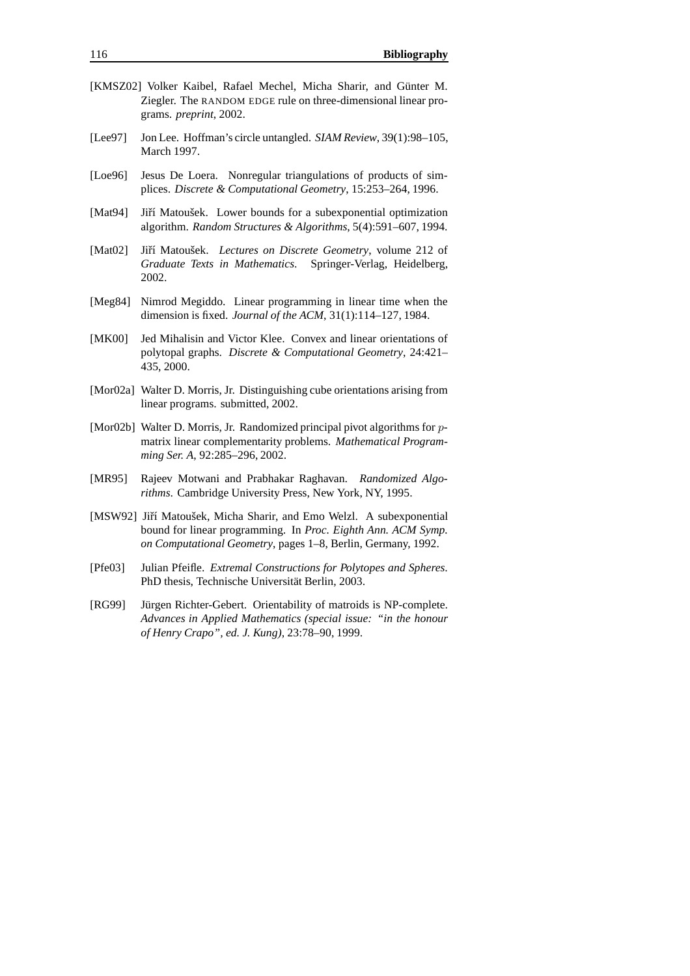- [KMSZ02] Volker Kaibel, Rafael Mechel, Micha Sharir, and Günter M. Ziegler. The RANDOM EDGE rule on three-dimensional linear programs. *preprint*, 2002.
- [Lee97] Jon Lee. Hoffman's circle untangled. *SIAM Review*, 39(1):98–105, March 1997.
- [Loe96] Jesus De Loera. Nonregular triangulations of products of simplices. *Discrete & Computational Geometry*, 15:253–264, 1996.
- [Mat94] Jiří Matoušek. Lower bounds for a subexponential optimization algorithm. *Random Structures & Algorithms*, 5(4):591–607, 1994.
- [Mat02] Jiří Matoušek. *Lectures on Discrete Geometry*, volume 212 of *Graduate Texts in Mathematics*. Springer-Verlag, Heidelberg, 2002.
- [Meg84] Nimrod Megiddo. Linear programming in linear time when the dimension is fixed. *Journal of the ACM*, 31(1):114–127, 1984.
- [MK00] Jed Mihalisin and Victor Klee. Convex and linear orientations of polytopal graphs. *Discrete & Computational Geometry*, 24:421– 435, 2000.
- [Mor02a] Walter D. Morris, Jr. Distinguishing cube orientations arising from linear programs. submitted, 2002.
- [Mor02b] Walter D. Morris, Jr. Randomized principal pivot algorithms for pmatrix linear complementarity problems. *Mathematical Programming Ser. A*, 92:285–296, 2002.
- [MR95] Rajeev Motwani and Prabhakar Raghavan. *Randomized Algorithms*. Cambridge University Press, New York, NY, 1995.
- [MSW92] Jiří Matoušek, Micha Sharir, and Emo Welzl. A subexponential bound for linear programming. In *Proc. Eighth Ann. ACM Symp. on Computational Geometry*, pages 1–8, Berlin, Germany, 1992.
- [Pfe03] Julian Pfeifle. *Extremal Constructions for Polytopes and Spheres*. PhD thesis, Technische Universität Berlin, 2003.
- [RG99] Jürgen Richter-Gebert. Orientability of matroids is NP-complete. *Advances in Applied Mathematics (special issue: "in the honour of Henry Crapo", ed. J. Kung)*, 23:78–90, 1999.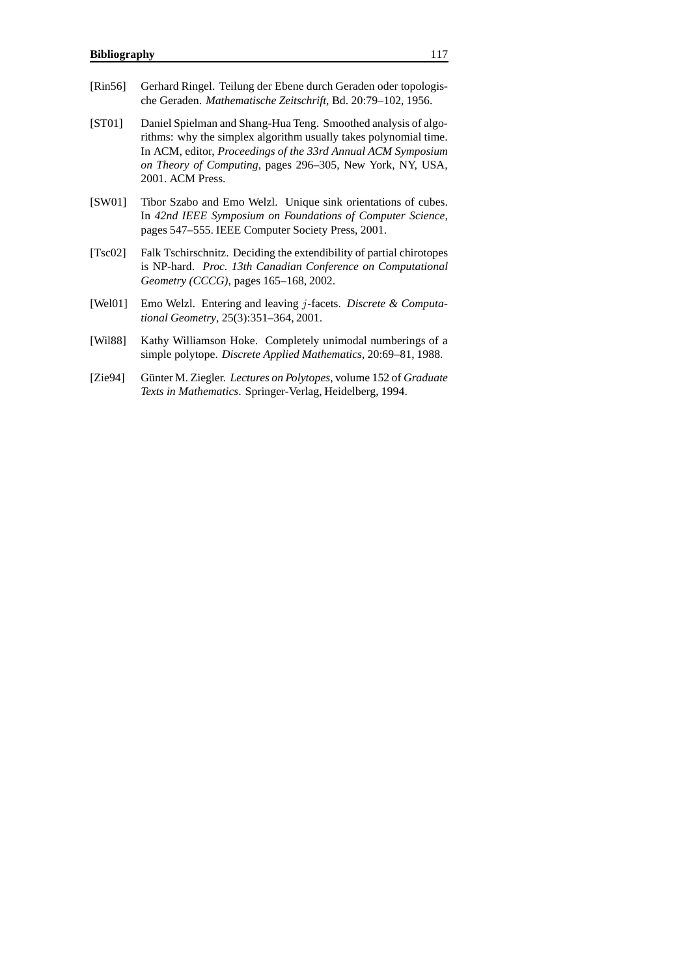- [Rin56] Gerhard Ringel. Teilung der Ebene durch Geraden oder topologische Geraden. *Mathematische Zeitschrift*, Bd. 20:79–102, 1956.
- [ST01] Daniel Spielman and Shang-Hua Teng. Smoothed analysis of algorithms: why the simplex algorithm usually takes polynomial time. In ACM, editor, *Proceedings of the 33rd Annual ACM Symposium on Theory of Computing*, pages 296–305, New York, NY, USA, 2001. ACM Press.
- [SW01] Tibor Szabo and Emo Welzl. Unique sink orientations of cubes. In *42nd IEEE Symposium on Foundations of Computer Science*, pages 547–555. IEEE Computer Society Press, 2001.
- [Tsc02] Falk Tschirschnitz. Deciding the extendibility of partial chirotopes is NP-hard. *Proc. 13th Canadian Conference on Computational Geometry (CCCG)*, pages 165–168, 2002.
- [Wel01] Emo Welzl. Entering and leaving j-facets. *Discrete & Computational Geometry*, 25(3):351–364, 2001.
- [Wil88] Kathy Williamson Hoke. Completely unimodal numberings of a simple polytope. *Discrete Applied Mathematics*, 20:69–81, 1988.
- [Zie94] Günter M. Ziegler. *Lectures on Polytopes*, volume 152 of *Graduate Texts in Mathematics*. Springer-Verlag, Heidelberg, 1994.